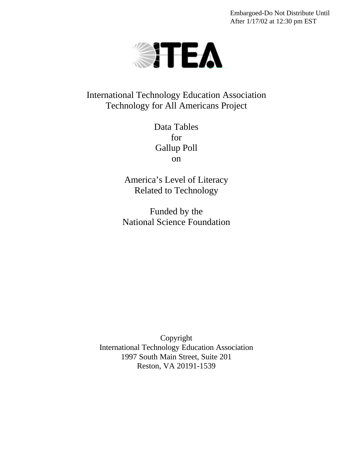Embargoed-Do Not Distribute Until After 1/17/02 at 12:30 pm EST



International Technology Education Association Technology for All Americans Project

> Data Tables for Gallup Poll on

America's Level of Literacy Related to Technology

Funded by the National Science Foundation

Copyright International Technology Education Association 1997 South Main Street, Suite 201 Reston, VA 20191-1539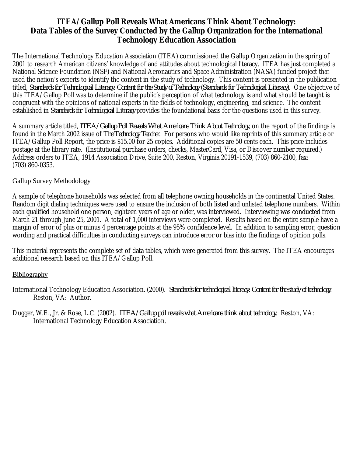# **ITEA/Gallup Poll Reveals What Americans Think About Technology: Data Tables of the Survey Conducted by the Gallup Organization for the International Technology Education Association**

The International Technology Education Association (ITEA) commissioned the Gallup Organization in the spring of 2001 to research American citizens' knowledge of and attitudes about technological literacy. ITEA has just completed a National Science Foundation (NSF) and National Aeronautics and Space Administration (NASA) funded project that used the nation's experts to identify the content in the study of technology. This content is presented in the publication titled, *Standards for Technological Literacy: Content for the Study of Technology (Standards for Technological Literacy)*. One objective of this ITEA/Gallup Poll was to determine if the public's perception of what technology is and what should be taught is congruent with the opinions of national experts in the fields of technology, engineering, and science. The content established in *Standards for Technological Literacy* provides the foundational basis for the questions used in this survey.

A summary article titled, *ITEA/Gallup Poll Reveals What Americans Think About Technology*, on the report of the findings is found in the March 2002 issue of *The Technology Teacher*. For persons who would like reprints of this summary article or ITEA/Gallup Poll Report, the price is \$15.00 for 25 copies. Additional copies are 50 cents each. This price includes postage at the library rate. (Institutional purchase orders, checks, MasterCard, Visa, or Discover number required.) Address orders to ITEA, 1914 Association Drive, Suite 200, Reston, Virginia 20191-1539, (703) 860-2100, fax: (703) 860-0353.

# Gallup Survey Methodology

A sample of telephone households was selected from all telephone owning households in the continental United States. Random digit dialing techniques were used to ensure the inclusion of both listed and unlisted telephone numbers. Within each qualified household one person, eighteen years of age or older, was interviewed. Interviewing was conducted from March 21 through June 25, 2001. A total of 1,000 interviews were completed. Results based on the entire sample have a margin of error of plus or minus 4 percentage points at the 95% confidence level. In addition to sampling error, question wording and practical difficulties in conducting surveys can introduce error or bias into the findings of opinion polls.

This material represents the complete set of data tables, which were generated from this survey. The ITEA encourages additional research based on this ITEA/Gallup Poll.

# **Bibliography**

- International Technology Education Association. (2000). *Standards for technological literacy: Content for the study of technology*. Reston, VA: Author.
- Dugger, W.E., Jr. & Rose, L.C. (2002). *ITEA/Gallup poll reveals what Americans think about technology*. Reston, VA: International Technology Education Association.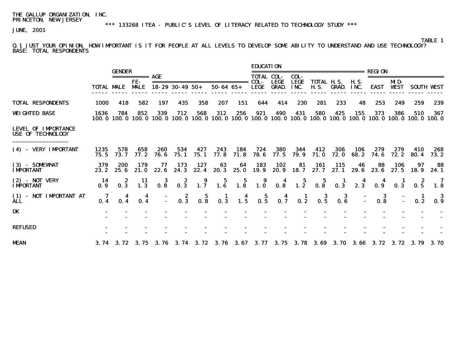\*\*\* 133268 ITEA - PUBLIC'S LEVEL OF LITERACY RELATED TO TECHNOLOGY STUDY \*\*\*

JUNE, 2001

# TABLE 1

Q.1 JUST YOUR OPINION, HOW IMPORTANT IS IT FOR PEOPLE AT ALL LEVELS TO DEVELOP SOME ABILITY TO UNDERSTAND AND USE TECHNOLOGY? BASE: TOTAL RESPONDENTS

|                                                        |                   |               |                    |                               |                        |               |                  |                 | <b>EDUCATION</b>                        |                             |                     |                                  |                    |             |                                                  |                    |                |                   |
|--------------------------------------------------------|-------------------|---------------|--------------------|-------------------------------|------------------------|---------------|------------------|-----------------|-----------------------------------------|-----------------------------|---------------------|----------------------------------|--------------------|-------------|--------------------------------------------------|--------------------|----------------|-------------------|
|                                                        |                   | <b>GENDER</b> |                    |                               |                        |               |                  |                 | <b>TOTAL COL-</b>                       |                             | COL-                |                                  |                    |             | <b>REGION</b>                                    |                    |                |                   |
|                                                        | <b>TOTAL MALE</b> |               | FE-<br><b>MALE</b> |                               | $18 - 29$ 30 - 49 50 + |               | $50 - 64$ $65 +$ |                 | COL-<br><b>LEGE</b>                     | <b>LEGE</b><br><b>GRAD.</b> | <b>LEGE</b><br>INC. | <b>TOTAL H.S.</b><br><b>H.S.</b> | <b>GRAD.</b>       | HS.<br>INC. | <b>EAST</b>                                      | MD-<br><b>WEST</b> |                | <b>SOUTH WEST</b> |
| <b>TOTAL RESPONDENTS</b>                               | 1000              | 418           | 582                | 197                           | 435                    | 358           | 207              | 151             | 644                                     | 414                         | 230                 | 281                              | 233                | 48          | 253                                              | 249                | 259            | 239               |
| <b>WEIGHTED BASE</b>                                   | 1636<br>100. 0    | 784<br>100. O | 852                | 339<br>100.0 100.0 100.0      | 712                    | 568<br>100. 0 | 312              | 256             | 921<br>100.0 100.0 100.0 100.0 100.0    | 490                         | 431                 | 580                              | 425                | 155         | 373<br>100.0 100.0 100.0 100.0 100.0 100.0 100.0 | 386                | 510            | 367               |
| <b>LEVEL OF IMPORTANCE</b><br><b>USE OF TECHNOLOGY</b> |                   |               |                    |                               |                        |               |                  |                 |                                         |                             |                     |                                  |                    |             |                                                  |                    |                |                   |
| (4) - VERY IMPORTANT                                   | 1235<br>75.5      | 578<br>73.7   | 658<br>77.2        | 260<br>76.6                   | 534<br>75. 1           | 427<br>75.1   | 243<br>77.8      | 184<br>71.8     | 724<br>78.6                             | 380<br>77.5                 | 344<br>79.9         | 412<br>71.0                      | 306<br><b>72.0</b> | 106<br>68.2 | 279<br>74.6                                      | 279<br>72. 2       | 410<br>80.4    | 268<br>73.2       |
| $(3)$ - SOMEWHAT<br><b>IMPORTANT</b>                   | 379<br>23.2       | 200<br>25.6   | 179<br>21.0        | 77<br>22.6                    | 173<br>24.3            | 127<br>22.4   | 63<br>20.3       | 64<br>25.0      | 183<br>19.9                             | 102<br>20.9                 | 81<br>18.7          | 161<br>27.7                      | 115<br>27.1        | 46<br>29.6  | 88<br>23.6                                       | 106<br>27.5        | 97<br>18.9     | 88<br>24.1        |
| $(2)$ - NOT VERY<br><b>IMPORTANT</b>                   | -14<br>0.9        | 2<br>0.3      | -11<br>1.3         | 3<br>0.8                      | 2<br>0.3               | 9<br>1.7      | 5<br>1.6         | 5<br>1.8        | 9<br>1.0                                | 4<br>0.8                    | $\frac{5}{1.2}$     | 5<br>0.8                         | 0.3                | 2.3         | . 9                                              | 0.3                | 2<br>0.5       | 7<br>1.8          |
| (1) - NOT IMPORTANT AT<br><b>ALL</b>                   | -7<br>0.4         | 4<br>0.4      | 4<br>0.4           |                               | -2<br>0.3              | 5<br>0.8      | $\frac{1}{0.3}$  | $\frac{4}{1.5}$ | 0.5                                     | 0.7                         | $\frac{1}{0.2}$     | -3<br>0.5                        | -3<br>0.6          |             | 3<br>0.8                                         |                    | 0.2            | 3<br>0.9          |
| DK                                                     |                   |               |                    |                               |                        |               |                  |                 |                                         |                             |                     |                                  |                    |             |                                                  |                    |                |                   |
| <b>REFUSED</b>                                         |                   |               |                    |                               |                        |               |                  |                 |                                         |                             |                     |                                  |                    |             |                                                  |                    |                |                   |
| <b>MEAN</b>                                            |                   |               |                    | 3.74 3.72 3.75 3.76 3.74 3.72 |                        |               |                  |                 | 3.76 3.67 3.77 3.75 3.78 3.69 3.70 3.66 |                             |                     |                                  |                    |             |                                                  |                    | 3.72 3.72 3.79 | 3.70              |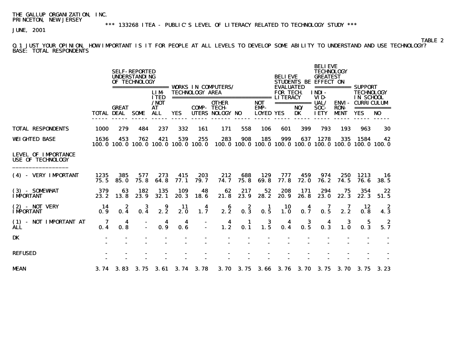\*\*\* 133268 ITEA - PUBLIC'S LEVEL OF LITERACY RELATED TO TECHNOLOGY STUDY \*\*\*

JUNE, 2001

**TABLE 2** Q.1 JUST YOUR OPINION, HOW IMPORTANT IS IT FOR PEOPLE AT ALL LEVELS TO DEVELOP SOME ABILITY TO UNDERSTAND AND USE TECHNOLOGY? BASE: TOTAL RESPONDENTS

|                                                        |              |                            | <b>SELF-REPORTED</b><br><b>UNDERSTANDING</b><br>OF TECHNOLOGY |                                            |             |                        |                                 |             |                                        | <b>BELIEVE</b><br><b>EVALUATED</b> |                                         | <b>BELIEVE</b><br><b>TECHNOLOGY</b><br><b>GREATEST</b><br><b>STUDENTS BE EFFECT ON</b> |                                            |                                                                        |                   |
|--------------------------------------------------------|--------------|----------------------------|---------------------------------------------------------------|--------------------------------------------|-------------|------------------------|---------------------------------|-------------|----------------------------------------|------------------------------------|-----------------------------------------|----------------------------------------------------------------------------------------|--------------------------------------------|------------------------------------------------------------------------|-------------------|
|                                                        |              |                            |                                                               | <b>LIM</b><br><b>TTED</b>                  |             | <b>TECHNOLOGY AREA</b> |                                 |             |                                        | <b>FOR TECH</b>                    |                                         | INDI-<br>VID-                                                                          |                                            | ============ SUPPORT<br><b>TECHNOLOGY</b><br>IN SCHOOL                 |                   |
|                                                        |              | <b>GREAT</b><br>TOTAL DEAL | <b>SOME</b>                                                   | /NOT<br>AT<br><b>ALL</b>                   | <b>YES</b>  | <b>COMP- TECH-</b>     | <b>OTHER</b><br>UTERS NOLOGY NO |             | <b>NOT</b><br>EMP-<br><b>LOYED YES</b> |                                    | $=$ =============== $UAL/$<br>NO/<br>DK | SOC-<br><b>IETY</b>                                                                    | <b>ENVI-</b><br><b>RON-</b><br><b>MENT</b> | <b>CURRICULUM</b><br><b>YES</b>                                        | ===========<br>NO |
| <b>TOTAL RESPONDENTS</b>                               | 1000         | 279                        | 484                                                           | 237                                        | 332         | 161                    | 171                             | 558         | 106                                    | 601                                | 399                                     | 793                                                                                    | 193                                        | 963                                                                    | 30                |
| <b>WEIGHTED BASE</b>                                   | 1636         | 453                        | 762                                                           | 421<br>100.0 100.0 100.0 100.0 100.0 100.0 | 539         | 255                    | 283                             | 908         | 185                                    | 999                                | 637                                     | 1278                                                                                   | 335                                        | 1584<br>100, 0 100, 0 100, 0 100, 0 100, 0 100, 0 100, 0 100, 0 100, 0 | 42                |
| <b>LEVEL OF IMPORTANCE</b><br><b>USE OF TECHNOLOGY</b> |              |                            |                                                               |                                            |             |                        |                                 |             |                                        |                                    |                                         |                                                                                        |                                            |                                                                        |                   |
| (4) - VERY IMPORTANT                                   | 1235<br>75.5 | 385<br>85.0                | 577<br>75.8                                                   | 273<br>64.8                                | 415<br>77.1 | 203<br>79.7            | 212<br>74.7                     | 688<br>75.8 | 129<br>69.8                            | 777<br>77.8                        | 459<br>72.0                             | 974<br>76.2                                                                            | 250<br>74.5                                | 1213<br>76.6                                                           | 16<br><b>38.5</b> |
| (3) - SOMEWHAT<br><b>IMPORTANT</b>                     | 379<br>23.2  | 63<br>13.8                 | 182<br>23.9                                                   | 135<br>32.1                                | 109<br>20.3 | 48<br>18.6             | 62<br>21.8                      | 217<br>23.9 | 52<br>28.2                             | 208<br>20.9                        | 171<br>26.8                             | 294<br>23.0                                                                            | 75<br>22.3                                 | 354<br>22.3                                                            | 22<br>51.5        |
| $(2)$ - NOT VERY<br><b>IMPORTANT</b>                   | -14<br>0.9   | 2<br>0.4                   | 3<br>0.4                                                      | 9<br>2.2                                   | 11<br>2. 0  | 4<br>1.7               | 6<br>2.2                        | 2<br>0.3    | 1<br>0.5                               | 10<br>1.0                          | 4<br>0.7                                | 7<br>0.5                                                                               | 7<br>2.2                                   | 12<br>0.8                                                              | -2<br>4.3         |
| (1) - NOT IMPORTANT AT<br><b>ALL</b>                   | 7<br>0.4     | 4<br>0.8                   |                                                               | 4<br>0.9                                   | 4<br>0.6    |                        | $\frac{4}{1.2}$                 | 1<br>0.1    | 3<br>$1.\overline{5}$                  | 4<br>0.4                           | 3<br>0.5                                | 4<br>0.3                                                                               | 3<br>1.0                                   | 5<br>0.3                                                               | 2<br>5.7          |
| <b>DK</b>                                              |              |                            |                                                               |                                            |             |                        |                                 |             |                                        |                                    |                                         |                                                                                        |                                            |                                                                        |                   |
| <b>REFUSED</b>                                         |              |                            |                                                               |                                            |             |                        |                                 |             |                                        |                                    |                                         |                                                                                        |                                            |                                                                        |                   |
| <b>MEAN</b>                                            |              | $3.74$ $3.83$              |                                                               | 3.75 3.61 3.74 3.78                        |             |                        | <b>3.70</b>                     |             | 3.75 3.66                              |                                    |                                         |                                                                                        |                                            | 3.76 3.70 3.75 3.70 3.75 3.23                                          |                   |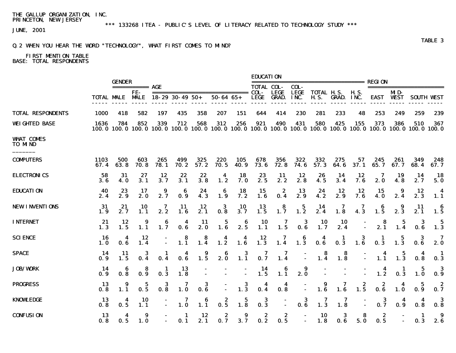JUNE, 2001

## Q.2 WHEN YOU HEAR THE WORD "TECHNOLOGY", WHAT FIRST COMES TO MIND?

# FIRST MENTION TABLE

**BASE: TOTAL RESPONDENTS** 

|                             |                   | <b>GENDER</b>            |                 |                |                 |                           |                                                                                                  |                    | <b>EDUCATION</b>       |                         |                |             |                                             |                                         |             |                  |                         |                       |
|-----------------------------|-------------------|--------------------------|-----------------|----------------|-----------------|---------------------------|--------------------------------------------------------------------------------------------------|--------------------|------------------------|-------------------------|----------------|-------------|---------------------------------------------|-----------------------------------------|-------------|------------------|-------------------------|-----------------------|
|                             |                   |                          |                 |                |                 |                           |                                                                                                  |                    | <b>TOTAL COL-</b>      |                         | COL-           |             |                                             |                                         |             |                  | ======================= |                       |
|                             |                   | <b>TOTAL MALE MALE</b>   | FE-             |                | 18-29 30-49 50+ |                           | $50 - 64$ $65 +$                                                                                 |                    | LEGE                   | LEGE<br>GRAD.           | LEGE<br>INC.   | <b>H.S.</b> | <b>TOTAL H.S. H.S.</b><br><b>GRAD.</b> INC. |                                         |             | MD-<br>EAST VEST |                         | <b>SOUTH WEST</b>     |
| <b>TOTAL RESPONDENTS</b>    | 1000              | 418                      | 582             | 197            | 435             | 358                       | 207                                                                                              | 151                | 644                    | 414                     | 230            | 281         | 233                                         | 48                                      | 253         | 249              | 259                     | 239                   |
| <b>WEIGHTED BASE</b>        | 1636              | 784<br>100.0 100.0 100.0 | 852             | 339            | 712             | 568                       | 312<br>100.0 100.0 100.0 100.0 100.0 100.0 100.0 100.0 100.0 100.0 100.0 100.0 100.0 100.0 100.0 | 256                | 921                    | 490                     | 431            | 580         | 425                                         | 155                                     | 373         | 386              | 510                     | 367                   |
| <b>WHAT COMES</b><br>to mnd |                   |                          |                 |                |                 |                           |                                                                                                  |                    |                        |                         |                |             |                                             |                                         |             |                  |                         |                       |
| <b>COMPUTERS</b>            | 1103<br>67.4      | 500<br>63. 8             | 603<br>70.8     | 265<br>78.1    | 499<br>70.2     | 325<br>57.2               | 220<br>70.5                                                                                      | <b>105</b><br>40.9 | 678<br>73.6            | 356<br>72.8             | 322<br>74.6    | 332<br>57.3 | 275<br>64.6                                 | 57<br>37.1                              | 245<br>65.7 | 261<br>67.7      | 349<br>68.4             | 248<br>67.7           |
| <b>ELECTRONICS</b>          | 58<br>3. 6        | 31<br>4. 0               | 27<br>3.1       | 12<br>3.7      | 22<br>3.1       | 22<br>3.8                 | 4<br>1.2                                                                                         | 18<br>7. 0         | 23<br>2.5              | 11<br>2.2               | 12<br>2.8      | 26<br>4.5   | 14<br>3.4                                   | 12<br>7.6                               | 7<br>2.0    | 19<br>4.8        | 14<br>2.7               | <b>18</b><br>5.0      |
| <b>EDUCATION</b>            | 40<br>2.4         | 23<br>2.9                | 17<br>2.0       | 9<br>2.7       | 6<br>0.9        | 24<br>4.3                 | 6<br>1.9                                                                                         | 18<br>7.2          | 15<br>1.6              | $\boldsymbol{z}$<br>0.4 | 13<br>2.9      | 24<br>4.2   | 12<br>2.9                                   | 12<br>7.6                               | 15<br>4.0   | 9<br>2.4         | 12<br>2.3               | -4<br>1.1             |
| <b>NEW INVENTIONS</b>       | 31<br>1.9         | 21<br>2.7                | 10<br>1.1       | 7<br>2.2       | 11<br>1.6       | 12<br>2.1                 | 3<br>0.8                                                                                         | 10<br>3.7          | 13<br>$1.\overline{5}$ | 8<br>1.7                | 5<br>1.2       | 14<br>2.4   | 7<br>1.8                                    | 7<br>4.3                                | 6<br>1.5    | 9<br>2.3         | 11<br>2.1               | 6<br>1.5              |
| <b>INTERNET</b>             | 21<br>1.3         | 12<br>1.5                | 9<br>1.1        | 6<br>1.7       | 4<br>0.6        | 11<br>2. 0                | 5<br>1.6                                                                                         | 2.5                | <b>10</b><br>1.1       | 7<br>1.5                | 3<br>0.6       | 10<br>1.7   | <b>10</b><br>2.4                            |                                         | 2.1         | 1.4              | 3<br>0.6                | 5<br>1.3              |
| <b>SCIENCE</b>              | 16<br><b>1. 0</b> | 4<br>0.6                 | 12<br>1.4       | $\blacksquare$ | 8<br>1.1        | 8<br>1.4                  | 4<br>1.2                                                                                         | 4<br>1.6           | 12<br>1.3              | 7<br>1.4                | 6<br>1.3       | 4<br>0.6    | 1<br>0.3                                    | $\begin{array}{c} 3 \\ 1.6 \end{array}$ | -1<br>0.3   | 5<br>1.3         | 3<br>0.6                | - 7<br>2.0            |
| <b>SPACE</b>                | -14<br>0.9        | -11<br>1.5               | 3<br>0.4        | п<br>0.4       | 4<br>0. R       | $\overline{\mathbf{1.5}}$ | -6<br>2.0                                                                                        | 3<br>1.1           | 7<br>0.7               | 7<br>1.4                |                | 8<br>1.4    | 8<br>$1.\overline{8}$                       |                                         | 4<br>1, 1   | 5<br>1.3         | 0.8                     | $\blacksquare$<br>0.3 |
| <b>JOB/WORK</b>             | -14<br>0.9        | 0.8                      | 8<br>0.9        | -1<br>0.3      | 13<br>1.8       |                           |                                                                                                  |                    | 14<br>1.5              | 6<br>1.1                | 9<br>2.0       |             |                                             |                                         | 4<br>1.2    | -1<br>0.3        | 5<br>1.0                | -3<br>0.9             |
| <b>PROGRESS</b>             | <b>13</b><br>0.8  | 1.1                      | 5<br>0.5        | 3<br>0.8       | 7<br>1.0        | 3<br>0.6                  | $\blacksquare$                                                                                   | 3<br>1.3           | 4<br>0.4               | 4<br>0.8                | $\blacksquare$ | 9<br>1.6    | 7<br>1.6                                    | 2<br>1.5                                | 2<br>0.6    | 4<br>1.0         | 5<br>0.9                | -2<br>0.7             |
| <b>KNOWLEDGE</b>            | 13<br>0.8         | 4<br>0.5                 | 10<br>1.1       |                | 7<br>1.0        | 6<br>1.1                  | $\frac{2}{0.5}$                                                                                  | 5<br>1.8           | 3<br>0.3               |                         | 3<br>0.6       | 7<br>1.3    | 7<br>$1.\overline{8}$                       |                                         | 3<br>0.7    | 4<br>0.9         | 4<br>0.8                | 3<br>0.8              |
| <b>CONFUSION</b>            | 13<br>0.8         | 4<br>0.5                 | 9<br><b>1.0</b> |                | -1<br>0.1       | 12<br>2.1                 | 2<br>0.7                                                                                         | 9<br>3.7           | 2<br>0.2               | 2<br>0.5                |                | 10<br>1.8   | 3<br>0.6                                    | 8<br>5.0                                | 2<br>0.5    |                  | -1<br>0.3               | 9<br>2.6              |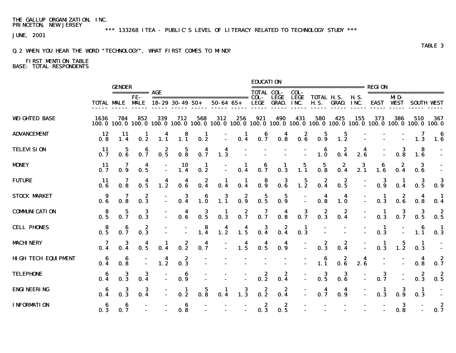\*\*\* 133268 ITEA - PUBLIC'S LEVEL OF LITERACY RELATED TO TECHNOLOGY STUDY \*\*\*

JUNE, 2001

## Q.2 WHEN YOU HEAR THE WORD "TECHNOLOGY", WHAT FIRST COMES TO MIND?

|                            |                                         | <b>GENDER</b>          |                                         |                                                                                                        |                                         |                                             |                    |                                            | <b>EDUCATION</b>                        |                                         |                                         |                                                                 |                                         |                                | REGION                             |                                         |                                         |                                         |
|----------------------------|-----------------------------------------|------------------------|-----------------------------------------|--------------------------------------------------------------------------------------------------------|-----------------------------------------|---------------------------------------------|--------------------|--------------------------------------------|-----------------------------------------|-----------------------------------------|-----------------------------------------|-----------------------------------------------------------------|-----------------------------------------|--------------------------------|------------------------------------|-----------------------------------------|-----------------------------------------|-----------------------------------------|
|                            |                                         | <b>TOTAL MALE MALE</b> | =========== <b>AGE</b><br>FE-           | $18 - 29$ 30 - 49 50 +                                                                                 |                                         |                                             | $50 - 64$ $65 +$   |                                            | <b>TOTAL COL-</b><br><b>LEGE</b>        | <b>LEGE</b><br><b>GRAD.</b>             | COL-<br><b>LEGE</b><br>INC.             | ---------------------------<br><b>TOTAL H.S.</b><br><b>H.S.</b> | <b>GRAD. INC.</b>                       | <b>H.S.</b>                    |                                    | MD-<br>EAST VEST                        | -----------------------                 | <b>SOUTH WEST</b>                       |
| <b>WEIGHTED BASE</b>       | 1636                                    | 784<br>100.0100.0      | 852                                     | 339<br>100.0 100.0 100.0 100.0 100.0 100.0 100.0 100.0 100.0 100.0 100.0 100.0 100.0 100.0 100.0 100.0 | 712                                     | 568                                         | 312                | 256                                        | 921                                     | 490                                     | 431                                     | 580                                                             | 425                                     | 155                            | 373                                | 386                                     | 510                                     | 367                                     |
| <b>ADVANCEMENT</b>         | 12<br>0.8                               | 11                     | 0.2                                     | 1.1                                                                                                    | 8<br>1.1                                | 1<br>$0.\overline{2}$                       |                    | 0.4                                        | 0.7                                     | 0.8                                     | $\begin{array}{c} 2 \\ 0.6 \end{array}$ | 5<br>0.9                                                        | $\begin{array}{c} 5 \\ 1.2 \end{array}$ |                                |                                    |                                         | 7<br>1.3                                | 6<br>1.6                                |
| <b>TELEVISION</b>          | -11<br>0.7                              | 5<br>0.6               | 6<br>0.7                                | z<br>0.5                                                                                               | $\mathbf{p}$<br>$0.\overline{8}$        | $\ddagger$<br>0.7                           | $\frac{4}{1.3}$    |                                            |                                         |                                         |                                         | 6<br>1.0                                                        | 2<br>0.4                                | $\overline{\mathbf{A}}$<br>2.6 |                                    | 3<br>0.8                                | 8<br>1.6                                | $\sim$                                  |
| <b>MONEY</b>               | -11<br>0.7                              | 7                      | 4<br>0.5                                |                                                                                                        | 10<br>1.4                               | $\mathbf{1}$<br>0.2                         |                    | 1<br>0.4                                   | 6<br>0.7                                | -1<br>0.3                               | 5<br>$1.\overline{1}$                   | $\frac{5}{0.8}$                                                 | 2<br>0.4                                | 3<br>2.1                       | 6<br>1.6                           | 2<br>0.4                                | $\bf{3}$<br>$0.\overline{6}$            |                                         |
| <b>FUTURE</b>              | -11<br>0.6                              | 0.8                    | 0.5                                     | 1.2                                                                                                    | 0.6                                     | 2<br>0.4                                    | 0.4                | 0.4                                        | $\begin{array}{c} 8 \\ 0.9 \end{array}$ | $\begin{array}{c} 3 \\ 0.6 \end{array}$ | $\begin{array}{c} 5 \\ 1.2 \end{array}$ | $\frac{2}{0.4}$                                                 | 2<br>0.5                                |                                | 3<br>0.9                           |                                         | 3<br>0.5                                | -3<br>0.9                               |
| <b>STOCK MARKET</b>        | 9<br>0.6                                | 0.8                    | 2<br>$0.\overline{3}$                   |                                                                                                        | $\frac{3}{0.4}$                         | $\begin{array}{c} 6 \\ 1.0 \end{array}$     | $\overline{1.1}^3$ | $0.\overline{9}$                           | $\frac{5}{0.5}$                         | $\frac{5}{0.9}$                         |                                         | $\frac{4}{0.8}$                                                 | 4<br>$1.\overline{0}$                   |                                | $\mathbf 1$<br>0.3                 | z<br>0.6                                | 4<br>0.8                                | - 1<br>0.4                              |
| <b>COMMUNICATION</b>       | $\begin{array}{c} 8 \\ 0.5 \end{array}$ | $\frac{5}{0.7}$        | $\frac{3}{0.3}$                         |                                                                                                        | 0.6                                     | $\frac{3}{0.5}$                             | $\frac{1}{0.3}$    | $\frac{2}{0.7}$                            | $\frac{7}{9}$                           | 0.8                                     | $\frac{3}{0.7}$                         | $\begin{array}{c} 2 \\ 0.3 \end{array}$                         | $\begin{array}{c} 2 \\ 0.4 \end{array}$ |                                | $\mathbf{I}$<br>0.3                | $\frac{3}{0.7}$                         | $\frac{3}{0.5}$                         | $\begin{array}{c} 2 \\ 0.5 \end{array}$ |
| <b>CELL PHONES</b>         | $\begin{array}{c} 8 \\ 0.5 \end{array}$ | $\frac{6}{0.7}$        | $\begin{array}{c} 2 \\ 0.3 \end{array}$ |                                                                                                        |                                         | $\begin{array}{c} 8 \\ 1.4 \end{array}$     | $\frac{4}{1.2}$    | $\begin{array}{c} \n4 \\ 1.5\n\end{array}$ | $\frac{3}{0.4}$                         | $\frac{2}{0.4}$                         | $\frac{1}{0.3}$                         |                                                                 |                                         |                                | $\blacksquare$<br>$0.\overline{3}$ |                                         | $\bf{6}$<br>1.1                         | $0.\overline{3}$                        |
| <b>MACHINERY</b>           | $\mathbf{0}$ .                          |                        | 0.5                                     | 0.4                                                                                                    | $\begin{array}{c} 2 \\ 0.2 \end{array}$ | $\overline{\mathbf{4}}$<br>$0.\overline{7}$ |                    | 1.5                                        | 0.5                                     | 4<br>0.9                                |                                         | 0.3                                                             | z<br>0.4                                |                                | 0.3                                | $\begin{array}{c} 5 \\ 1.2 \end{array}$ | $\mathbf{1}$<br>0.3                     |                                         |
| <b>HIGH TECH EQUIPMENT</b> | $0.\overline{4}$                        | 0.8                    |                                         | $\frac{4}{1.2}$                                                                                        | $\begin{array}{c} 2 \\ 0.3 \end{array}$ |                                             |                    |                                            |                                         |                                         |                                         | -6<br>$1.\overline{1}$                                          | $\begin{array}{c} 2 \\ 0.6 \end{array}$ | $\frac{4}{2.6}$                |                                    |                                         | $\overline{\mathbf{4}}$<br>0.8          | 0.7                                     |
| TELEPHONE                  | 0.4                                     | 3<br>0.3               | 3<br>0.4                                |                                                                                                        | $\begin{array}{c} 6 \\ 0.9 \end{array}$ |                                             |                    |                                            | $\begin{array}{c} 2 \\ 0.2 \end{array}$ | $\frac{2}{0.4}$                         |                                         | $\frac{3}{0.5}$                                                 | $\begin{array}{c} 3 \\ 0.6 \end{array}$ |                                | $\frac{3}{0.7}$                    |                                         | $\begin{array}{c} 2 \\ 0.3 \end{array}$ | - 2<br>0.5                              |
| <b>ENGINEERING</b>         | 0.4                                     |                        | $\boldsymbol{3}$<br>$0.\,\tilde{4}$     |                                                                                                        | $\frac{1}{2}$                           | $\frac{5}{0.8}$                             | $\frac{1}{0.4}$    | $\frac{3}{1.3}$                            | $0.\overline{2}$                        | $\frac{2}{0.4}$                         |                                         | 0.7                                                             | 0.9                                     |                                | $\frac{1}{0.3}$                    | 3<br>0.9                                | $\frac{1}{0.3}$                         |                                         |
| <b>INFORMATION</b>         | $\begin{array}{c} 6 \\ 0.3 \end{array}$ | 6<br>0.7               |                                         |                                                                                                        | 6<br>0.8                                |                                             |                    |                                            | $\begin{array}{c} 2 \\ 0.3 \end{array}$ | 2<br>$0.\overline{5}$                   |                                         |                                                                 |                                         |                                |                                    | 3<br>0.8                                |                                         | 0.7                                     |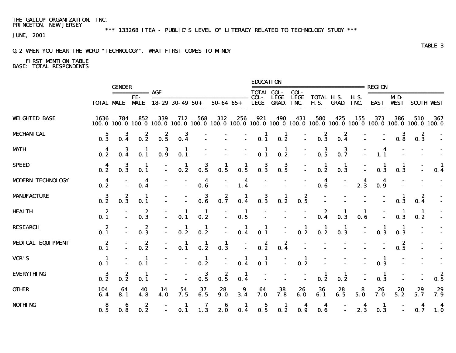\*\*\* 133268 ITEA - PUBLIC'S LEVEL OF LITERACY RELATED TO TECHNOLOGY STUDY \*\*\*

JUNE, 2001

## Q.2 WHEN YOU HEAR THE WORD "TECHNOLOGY", WHAT FIRST COMES TO MIND?

|                          |                                             |                         |                         |                                         |                 |                     |                                                                                                                          |                 | <b>EDUCATION</b>                        |                 |                                         |                                         |                                         |          |                       |                       |                                         |           |
|--------------------------|---------------------------------------------|-------------------------|-------------------------|-----------------------------------------|-----------------|---------------------|--------------------------------------------------------------------------------------------------------------------------|-----------------|-----------------------------------------|-----------------|-----------------------------------------|-----------------------------------------|-----------------------------------------|----------|-----------------------|-----------------------|-----------------------------------------|-----------|
|                          |                                             | <b>GENDER</b>           | $==========$ AGE<br>FE- |                                         |                 |                     |                                                                                                                          |                 | <b>TOTAL COL-</b>                       | <b>LEGE</b>     | COL-<br><b>LEGE</b>                     | <b>TOTAL H.S.</b>                       |                                         | H.S.     |                       | MD-                   | ========================                |           |
|                          |                                             | <b>TOTAL MALE MALE</b>  |                         | $18 - 29$ 30 - 49 50 +                  |                 |                     | $50 - 64$ $65 +$                                                                                                         |                 | <b>LEGE</b>                             | <b>GRAD.</b>    | INC.                                    | <b>H.S.</b>                             | <b>GRAD. INC.</b>                       |          |                       | EAST VEST             | <b>SOUTH VEST</b>                       |           |
| <b>WEIGHTED BASE</b>     | 1636                                        | 784                     | 852                     | 339                                     | 712             | 568                 | 312<br>100.0 100.0 100.0 100.0 100.0 100.0 100.0 100.0 100.0 100.0 100.0 100.0 100.0 100.0 100.0 100.0 100.0 100.0 100.0 | 256             | 921                                     | 490             | 431                                     | 580                                     | 425                                     | 155      | 373                   | 386                   | 510                                     | 367       |
| <b>MECHANICAL</b>        | 5<br>$0.\overline{3}$                       | 3                       | $\frac{2}{0.2}$         | $\begin{array}{c} 2 \\ 0.5 \end{array}$ | $\frac{3}{0.4}$ |                     |                                                                                                                          |                 | $\begin{array}{c} 1 \\ 0.1 \end{array}$ | п<br>0.2        |                                         | $\begin{array}{c} 2 \\ 0.3 \end{array}$ | $\begin{array}{c} 2 \\ 0.4 \end{array}$ |          |                       | 3<br>$0.\overline{8}$ | $\begin{array}{c} 2 \\ 0.3 \end{array}$ |           |
| <b>MATH</b>              | $\frac{4}{0.2}$                             | 3                       | $\frac{1}{0.1}$         | $\frac{3}{0.9}$                         | $\frac{1}{0.1}$ |                     |                                                                                                                          |                 | $\frac{1}{0.1}$                         | $\frac{1}{2}$   | $\overline{a}$                          | $\frac{3}{0.5}$                         | $\frac{3}{0.7}$                         |          | $1.\overline{1}$      |                       |                                         |           |
| SPEED                    | 0.2                                         | 3<br>$\mathbf{R}$<br>Ō. | 0.1                     |                                         | $\frac{1}{0.2}$ | $\frac{3}{0.5}$     | $\frac{1}{0.5}$                                                                                                          | 0.5             | $\frac{3}{0.3}$                         | $\frac{3}{0.5}$ |                                         | 0.2                                     | $\frac{1}{0.3}$                         |          | 0.3                   | 1<br>0.3              |                                         | 0.4       |
| <b>MODERN TECHNOLOGY</b> | $\overline{\mathbf{4}}$<br>$0.\overline{2}$ |                         | 0.4                     |                                         |                 | $\frac{4}{0.6}$     |                                                                                                                          | $\frac{4}{1.4}$ |                                         |                 |                                         | 4<br>0.6                                |                                         | 2.3      | 0.9                   |                       |                                         |           |
| <b>MANUFACTURE</b>       | $\bf{3}$<br>$0.\overline{2}$                | 0.3                     | 1<br>0.1                |                                         |                 | $\frac{3}{0.6}$     | $0.\overline{7}$                                                                                                         | $\frac{1}{0.4}$ | $\frac{3}{0.3}$                         | ц<br>0.2        | $\begin{array}{c} 2 \\ 0.5 \end{array}$ |                                         |                                         |          |                       | 0.3                   | z<br>0.4                                |           |
| <b>HEALTH</b>            | $\overline{\mathbf{z}}$<br>0.1              |                         | 2<br>0.3                |                                         | 0.1             | $\mathbf 1$<br>0.2  |                                                                                                                          | $\frac{1}{0.5}$ |                                         |                 |                                         |                                         | 0.3                                     | 0.6      |                       |                       | 1<br>0.2                                |           |
| <b>RESEARCH</b>          | $\frac{2}{0.1}$                             |                         | 2<br>0.3                |                                         | $\frac{1}{0.2}$ | $\frac{1}{2}$       |                                                                                                                          | $\frac{1}{0.4}$ | $\frac{1}{0.1}$                         |                 | 1<br>$0.\overline{2}$                   | $\mathbf{I}$<br>$0.\overline{2}$        | -1<br>$0.\overline{3}$                  |          | п<br>$0.\overline{3}$ | п<br>0.3              |                                         |           |
| <b>MEDICAL EQUIPMENT</b> | $\begin{array}{c} 2 \\ 0.1 \end{array}$     |                         | 2<br>0.2                |                                         | -1<br>0.1       | Ц<br>0.2            | 1<br>0.3                                                                                                                 |                 | $\frac{2}{0.2}$                         | 0.4             |                                         |                                         |                                         |          |                       | $\frac{2}{0.5}$       |                                         |           |
| VCR'S                    | $\blacksquare$<br>0.1                       |                         | $\mathbf 1$<br>0.1      |                                         |                 | $\mathbf{I}$<br>0.2 |                                                                                                                          | 1<br>0.4        | -1<br>0.1                               |                 | $\mathbf 1$<br>0.2                      |                                         |                                         |          | 1<br>0.3              |                       |                                         |           |
| <b>EVERYTHING</b>        | $\frac{3}{2}$                               | 2<br>0.2                | -1<br>0.1               |                                         |                 | 3<br>0.5            | $0.\overline{5}$                                                                                                         | -1<br>0.4       |                                         |                 |                                         | 0.2                                     | $\mathbf{I}$<br>0.2                     |          | -1<br>0.3             |                       |                                         | 0.5       |
| <b>OTHER</b>             | 104<br>6.4                                  | 64<br>8.1               | 40<br>4.8               | 14<br>4.0                               | 54<br>7.5       | 37<br>6.5           | 28<br>9.0                                                                                                                | 9<br>3.4        | 64<br>7.0                               | 38<br>7.8       | 26<br>6.0                               | 36<br>6.1                               | 28<br>6.5                               | 8<br>5.0 | 26<br>7.0             | 20<br>5.2             | 29<br>5.7                               | 29<br>7.9 |
| <b>NOTHING</b>           | -8<br>0.5                                   | 0.8                     | 2<br>0.2                |                                         | 0.1             | 7<br>1.3            | 6<br>2.0                                                                                                                 | ц<br>0.4        | 0.5                                     | 1<br>0.2        | $\overline{\mathbf{A}}$<br>0.9          | 4<br>0.6                                |                                         | 4<br>2.3 | 1<br>0.3              |                       | 4<br>0.7                                | 1.0       |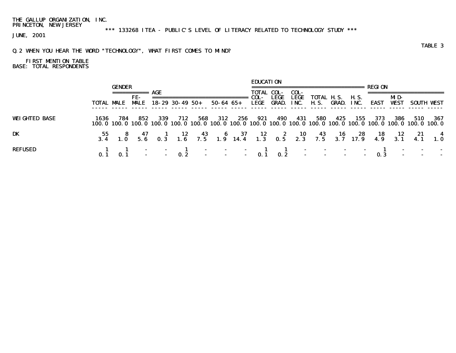\*\*\* 133268 ITEA - PUBLIC'S LEVEL OF LITERACY RELATED TO TECHNOLOGY STUDY \*\*\*

JUNE, 2001

## Q.2 WHEN YOU HEAR THE WORD "TECHNOLOGY", WHAT FIRST COMES TO MIND?

# FIRST MENTION TABLE BASE: TOTAL RESPONDENTS

|                      |                   |               |            |      |                        |     |           |     | <b>EDUCATION</b>  |      |       |                                                                                                                               |                 |       |      |             |     |            |
|----------------------|-------------------|---------------|------------|------|------------------------|-----|-----------|-----|-------------------|------|-------|-------------------------------------------------------------------------------------------------------------------------------|-----------------|-------|------|-------------|-----|------------|
|                      |                   | <b>GENDER</b> |            |      |                        |     |           |     |                   |      |       |                                                                                                                               |                 |       |      |             |     |            |
|                      |                   |               |            |      |                        |     |           |     | <b>TOTAL COL-</b> |      | COL-  |                                                                                                                               |                 |       |      |             |     |            |
|                      |                   |               | FE-        |      |                        |     |           |     | COL-              | LEGE | LEGE  |                                                                                                                               | TOTAL H.S. H.S. |       |      | MD-         |     |            |
|                      | <b>TOTAL MALE</b> |               | <b>MLE</b> |      | $18 - 29$ 30 - 49 50 + |     | 50-64 65+ |     | LEGE              |      |       | <b>GRAD. INC. H.S. GRAD. INC.</b>                                                                                             |                 |       | EAST | <b>WEST</b> |     | SOUTH VEST |
|                      |                   |               |            |      |                        |     |           |     |                   |      |       |                                                                                                                               |                 |       |      |             |     |            |
| <b>WEIGHTED BASE</b> | 1636              | 784           | 852        | -339 | 712                    | 568 | 312       | 256 | 921               | 490  | - 431 | 580<br>100.0 100.0 100.0 100.0 100.0 100.0 100.0 100.0 100.0 100.0 100.0 100.0 100.0 100.0 100.0 100.0 100.0 100.0 100.0      | 425             | - 155 | 373  | 386         | 510 | - 367      |
|                      |                   |               |            |      |                        |     |           |     |                   |      |       |                                                                                                                               |                 |       |      |             |     |            |
| DK                   |                   |               |            |      |                        |     |           |     |                   |      |       | 55 8 47 1 12 43 6 37 12 2 10 43 16 28 18 12 21 4<br>3.4 1.0 5.6 0.3 1.6 7.5 1.9 14.4 1.3 0.5 2.3 7.5 3.7 17.9 4.9 3.1 4.1 1.0 |                 |       |      |             |     |            |
|                      |                   |               |            |      |                        |     |           |     |                   |      |       |                                                                                                                               |                 |       |      |             |     |            |
| <b>REFUSED</b>       |                   |               |            |      |                        |     |           |     |                   |      |       |                                                                                                                               |                 |       |      |             |     |            |
|                      |                   |               |            |      |                        |     |           |     |                   |      |       |                                                                                                                               |                 |       |      |             |     |            |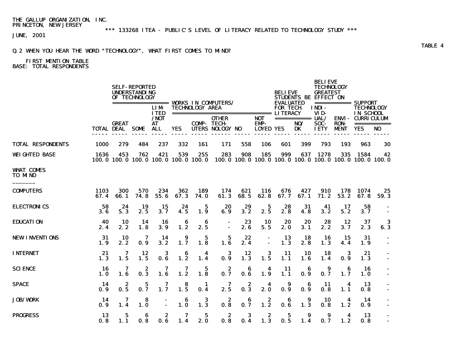\*\*\* 133268 ITEA - PUBLIC'S LEVEL OF LITERACY RELATED TO TECHNOLOGY STUDY \*\*\*

JUNE, 2001

## Q.2 WHEN YOU HEAR THE WORD "TECHNOLOGY", WHAT FIRST COMES TO MIND?

# FIRST MENTION TABLE

BASE: TOTAL RESPONDENTS

|                                    |                     |                                            | <b>SELF-REPORTED</b><br><b>UNDERSTANDING</b><br>OF TECHNOLOGY |                           |                       |                        | ================== WORKS IN COMPUTERS/ |             |                    | <b>BELIEVE</b><br><b>EVALUATED</b> |                          | <b>BELIEVE</b><br><b>TECHNOLOGY</b><br><b>GREATEST</b><br>STUDENTS BE EFFECT ON |             | =========== SUPPORT                                           |                |
|------------------------------------|---------------------|--------------------------------------------|---------------------------------------------------------------|---------------------------|-----------------------|------------------------|----------------------------------------|-------------|--------------------|------------------------------------|--------------------------|---------------------------------------------------------------------------------|-------------|---------------------------------------------------------------|----------------|
|                                    |                     |                                            |                                                               | <b>LIM</b><br><b>ITED</b> |                       | <b>TECHNOLOGY AREA</b> |                                        |             |                    | <b>FOR TECH</b>                    |                          | INDI-<br>VID-                                                                   |             | <b>TECHNOLOGY</b><br>IN SCHOOL                                |                |
|                                    |                     | <b>GREAT</b>                               |                                                               | $/$ NOT<br>AT.            |                       | <b>COMP-TECH-</b>      | <b>OTHER</b>                           |             | <b>NOT</b><br>EMP- |                                    | ============ UAL/<br>NO/ | SOC-                                                                            | <b>RON</b>  | <b>ENVI- CURRICULUM</b>                                       | ===========    |
|                                    |                     | <b>TOTAL DEAL SOME</b>                     |                                                               | <b>ALL</b>                | <b>YES</b>            |                        | UTERS NOLOGY NO                        |             | <b>LOYED YES</b>   |                                    | DK                       | <b>IETY</b>                                                                     | <b>MENT</b> | <b>YES</b>                                                    | N <sub>0</sub> |
| <b>TOTAL RESPONDENTS</b>           | 1000                | 279                                        | 484                                                           | 237                       | 332                   | 161                    | 171                                    | 558         | 106                | 601                                | 399                      | 793                                                                             | 193         | 963                                                           | 30             |
| <b>WEIGHTED BASE</b>               | 1636                | 453<br>100.0 100.0 100.0 100.0 100.0 100.0 | 762                                                           | 421                       | 539                   | 255                    | 283                                    | 908         | 185                | 999                                | 637                      | 1278                                                                            | 335         | 1584<br>100.0 100.0 100.0 100.0 100.0 100.0 100.0 100.0 100.0 | 42             |
| <b>WHAT COMES</b><br><b>TO MND</b> |                     |                                            |                                                               |                           |                       |                        |                                        |             |                    |                                    |                          |                                                                                 |             |                                                               |                |
| <b>COMPUTERS</b>                   | <b>1103</b><br>67.4 | 300<br>66.1                                | 570<br>74.8                                                   | 234<br>55.6               | 362<br>67.3           | 189<br><b>74.0</b>     | 174<br>61.3                            | 621<br>68.5 | 116<br>62.8        | 676<br>67.7                        | 427<br>67.1              | 910<br>71.2                                                                     | 178<br>53.2 | 1074<br>67.8                                                  | 25<br>59.3     |
| <b>ELECTRONICS</b>                 | 58<br>3.6           | 24<br>5.3                                  | 19<br>2.5                                                     | 15<br>3.7                 | 24<br>4.5             | 5<br>1.9               | 20<br>6.9                              | 29<br>3.2   | 5<br>2.5           | 28<br>2.8                          | 31<br>4.8                | 41<br>3.2                                                                       | 17<br>5.2   | 58<br>3.7                                                     | $\blacksquare$ |
| <b>EDUCATION</b>                   | 40<br>2.4           | 10<br>2.2                                  | 14<br>1.8                                                     | 16<br>3.9                 | 6<br>1.2              | 6<br>2.5               |                                        | 23<br>2.6   | <b>10</b><br>5.5   | 20<br>2.0                          | 20<br>3.1                | 28<br>2.2                                                                       | 12<br>3.7   | 37<br>2.3                                                     | 3<br>6.3       |
| <b>NEW INVENTIONS</b>              | 31<br>1.9           | 10<br>2.2                                  | 7<br>0.9                                                      | 14<br>3.2                 | 9<br>1.7              | 5<br>1.8               | 5<br>1.6                               | 22<br>2.4   | $\blacksquare$     | 13<br>1.3                          | 18<br>2.8                | 16<br>1.3                                                                       | 15<br>4.4   | 31<br>1.9                                                     | $\blacksquare$ |
| <b>INTERNET</b>                    | 21<br>1.3           | 7<br>1.5                                   | 12<br>1.5                                                     | 3<br>0.6                  | 6<br>$1.\overline{2}$ | 4<br>1.4               | 3<br>0.9                               | 12<br>1.3   | 3<br>1.5           | 11<br>1.1                          | 10<br>1.6                | 18<br>1.4                                                                       | 3<br>0.9    | 21<br>1.3                                                     |                |
| <b>SCIENCE</b>                     | 16<br>1. 0          | 7<br>1.6                                   | 2<br>0.3                                                      | 7<br>1.6                  | 7<br>1.2              | $\mathbf 5$<br>1.8     | 2<br>0.7                               | 6<br>0.6    | 4<br>1.9           | 11<br>1.1                          | 6<br>0.9                 | 9<br>0.7                                                                        | 6<br>1.7    | 16<br><b>1.0</b>                                              |                |
| <b>SPACE</b>                       | 14<br>0.9           | 2<br>0.5                                   | 5<br>0.7                                                      | 7<br>1.7                  | 8<br>$1.\overline{5}$ | 1<br>0.4               | 7<br>2.5                               | 2<br>0.3    | 4<br>2.0           | 9<br>0.9                           | 6<br>0.9                 | 11<br>0.8                                                                       | 4<br>1.1    | 13<br>0.8                                                     |                |
| <b>JOB/WORK</b>                    | 14<br>0.9           | 7<br>1.4                                   | 8<br>1.0                                                      |                           | 6<br>$1.\overline{0}$ | 3<br>1.3               | 2<br>0.8                               | 6<br>0.7    | 2<br>1.2           | 6<br>0.6                           | 9<br>1.3                 | 10<br>0.8                                                                       | 4<br>1.2    | 14<br>0.9                                                     |                |
| <b>PROGRESS</b>                    | 13<br>0.8           | 5<br>1.1                                   | 6<br>0.8                                                      | 2<br>0.6                  | 7<br>1.4              | 5<br>2.0               | 2<br>0.8                               | 3<br>0.4    | 2<br>1.3           | 5<br>0.5                           | 9<br>1.4                 | 9<br>0.7                                                                        | 4<br>1.2    | 13<br>0.8                                                     | $\sim$         |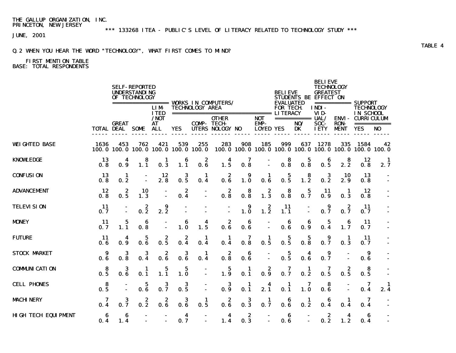\*\*\* 133268 ITEA - PUBLIC'S LEVEL OF LITERACY RELATED TO TECHNOLOGY STUDY \*\*\*

JUNE, 2001

## Q.2 WHEN YOU HEAR THE WORD "TECHNOLOGY", WHAT FIRST COMES TO MIND?

# FIRST MENTION TABLE

BASE: TOTAL RESPONDENTS

|                            |                  |                                        | <b>SELF-REPORTED</b><br><b>UNDERSTANDING</b><br>OF TECHNOLOGY |                                 |              |                        | ================= WORKS IN COMPUTERS/                       |                       |                                               | <b>BELIEVE</b><br><b>EVALUATED</b>  | STUDENTS BE EFFECT ON          | <b>BELIEVE</b><br><b>TECHNOLOGY</b><br><b>GREATEST</b> |                                                       |                                |                               |
|----------------------------|------------------|----------------------------------------|---------------------------------------------------------------|---------------------------------|--------------|------------------------|-------------------------------------------------------------|-----------------------|-----------------------------------------------|-------------------------------------|--------------------------------|--------------------------------------------------------|-------------------------------------------------------|--------------------------------|-------------------------------|
|                            |                  |                                        |                                                               | <b>LIM</b><br><b>ITED</b>       |              | <b>TECHNOLOGY AREA</b> | -------------------------------                             |                       |                                               | <b>FOR TECH</b><br><b>LITERACY</b>  |                                | INDI-<br>VID-                                          |                                                       | <b>TECHNOLOGY</b><br>IN SCHOOL |                               |
|                            |                  | <b>GREAT</b><br><b>TOTAL DEAL SOME</b> |                                                               | /NOT<br><b>AT</b><br><b>ALL</b> | <b>YES</b>   |                        | <b>OTHER</b><br><b>COMP-TECH-</b><br><b>UTERS NOLOGY NO</b> |                       | <b>NOT</b><br><b>EMP-</b><br><b>LOYED YES</b> |                                     | ============ UAL/<br>NO/<br>DK | SOC-<br><b>IETY</b>                                    | <b>ENVI- CURRICULUM</b><br><b>RON-</b><br><b>MENT</b> | <b>YES</b>                     | ===========<br>N <sub>0</sub> |
| <b>WEIGHTED BASE</b>       | 1636             | 453<br>100.0 100.0                     | 762<br>100.0                                                  | 421<br>100.0                    | 539<br>100.0 | 255<br>100.0           | 283<br>100.0                                                | 908<br>100.0          | 185                                           | 999                                 | 637<br>100.0 100.0 100.0       | 1278<br>100.0                                          | 335<br>100.0                                          | 1584                           | 42<br>100.0 100.0             |
| <b>KNOWLEDGE</b>           | 13<br>0.8        | 4<br>0.9                               | 8<br>1.1                                                      | 1<br>0.3                        | 6<br>1.1     | 2<br>0.6               | 4<br>1.5                                                    | 7<br>0.8              |                                               | 8<br>0.8                            | 5<br>$0.\overline{8}$          | 6<br>0.5                                               | 8<br>2.2                                              | 12<br>0.8                      | $\mathbf{I}$<br>2.7           |
| <b>CONFUSION</b>           | 13<br>0.8        | 1<br>0.2                               |                                                               | 12<br>2.8                       | 3<br>0.5     | 1<br>0.4               | 2<br>0.6                                                    | 9<br>1.0              | 1<br>0.6                                      | 5<br>0.5                            | 8<br>$1.\overline{2}$          | 3<br>0.2                                               | 10<br>2.9                                             | 13<br>0.8                      |                               |
| <b>ADVANCEMENT</b>         | 12<br>0.8        | 2<br>0.5                               | 10<br>1.3                                                     |                                 | 2<br>0.4     |                        | 2<br>0.8                                                    | 8<br>0.8              | 2<br>1.3                                      | 8<br>0.8                            | 5<br>0.7                       | 11<br>0.9                                              | 1<br>0.3                                              | 12<br>0.8                      |                               |
| <b>TELEVISION</b>          | <b>11</b><br>0.7 |                                        | 2<br>0.2                                                      | 9<br>2.2                        |              |                        | $\sim$                                                      | 9<br>1.0              | $\boldsymbol{z}$<br>$1.\overline{2}$          | 11<br>1.1                           | $\blacksquare$                 | 9<br>0.7                                               | 2<br>0.7                                              | 11<br>0.7                      | $\blacksquare$                |
| <b>MDNEY</b>               | -11<br>0.7       | 5<br>1.1                               | 6<br>0.8                                                      |                                 | 6<br>1.0     | 4<br>1.5               | $\begin{array}{c} 2 \\ 0.6 \end{array}$                     | 6<br>0.6              | $\blacksquare$                                | 6<br>0.6                            | 6<br>0.9                       | 5<br>0.4                                               | 6<br>1.7                                              | 11<br>0.7                      |                               |
| <b>FUTURE</b>              | 11<br>0.6        | 4<br>0.9                               | 5<br>0.6                                                      | 2<br>0.5                        | 2<br>0.4     | 1<br>0.4               | 1<br>0.4                                                    | 7<br>0.8              | 1<br>0.5                                      | 5<br>0.5                            | 5<br>0.8                       | 9<br>0.7                                               | 1<br>0.3                                              | 11<br>0.7                      |                               |
| <b>STOCK MARKET</b>        | 9<br>0.6         | 3<br>0.8                               | 3<br>0.4                                                      | 2<br>0.6                        | 3<br>0.6     | 1<br>0.4               | 2<br>0.8                                                    | 6<br>0.6              |                                               | 5<br>0.5                            | 4<br>0.6                       | 9<br>0.7                                               |                                                       | 9<br>0.6                       |                               |
| <b>COMMUNICATION</b>       | 8<br>0.5         | 3<br>0.6                               | 1<br>0.1                                                      | $\mathbf 5$<br>$1.\overline{1}$ | 5<br>1.0     |                        | $\mathbf{5}$<br>1.9                                         | 1<br>0.1              | 2<br>0.9                                      | 7<br>0.7                            | 1<br>0.2                       | 7<br>0.5                                               | 2<br>0.5                                              | 8<br>0.5                       |                               |
| <b>CELL PHONES</b>         | 8<br>0.5         |                                        | 5<br>0.6                                                      | 3<br>0.7                        | 3<br>0.5     |                        | 3<br>0.9                                                    | 1<br>0.1              | 2.1                                           | 1<br>$\mathbf{0}, \bar{\mathbf{1}}$ | 7<br>1.0                       | 8<br>$0.\overline{6}$                                  |                                                       | 7<br>0.4                       | $\frac{1}{2.4}$               |
| <b>MACHINERY</b>           | 7<br>0.4         | 3<br>0.7                               | 2<br>0.2                                                      | 2<br>0.6                        | 3<br>0.6     | $\mathbf{1}$<br>0.5    | 2<br>0.6                                                    | 3<br>$0.\overline{3}$ | 1<br>0.7                                      | 6<br>0.6                            | 1<br>0.2                       | 6<br>0.4                                               | 1<br>0.4                                              | 7<br>0.4                       |                               |
| <b>HIGH TECH EQUIPMENT</b> | 6<br>0.4         | 6<br>1.4                               |                                                               |                                 | 4<br>0.7     | $\blacksquare$         | 4<br>1.4                                                    | 2<br>0.3              | $\blacksquare$<br>$\blacksquare$              | 6<br>0.6                            | $\overline{\phantom{a}}$       | 2<br>0.2                                               | 4<br>1.2                                              | 6<br>0.4                       |                               |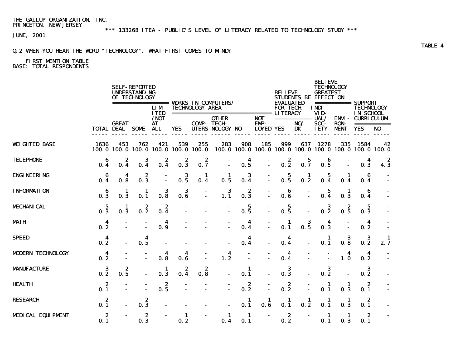\*\*\* 133268 ITEA - PUBLIC'S LEVEL OF LITERACY RELATED TO TECHNOLOGY STUDY \*\*\*

JUNE, 2001

## Q.2 WHEN YOU HEAR THE WORD "TECHNOLOGY", WHAT FIRST COMES TO MIND?

# FIRST MENTION TABLE

BASE: TOTAL RESPONDENTS

|                          |          |                                        | <b>SELF-REPORTED</b><br><b>UNDERSTANDING</b><br>OF TECHNOLOGY |                                 |              |                        | ================= WORKS IN COMPUTERS/                |                     |                                               | <b>BELIEVE</b><br><b>EVALUATED</b> | STUDENTS BE EFFECT ON                | <b>BELIEVE</b><br><b>TECHNOLOGY</b><br><b>GREATEST</b> | =========== SUPPORT        |                                        |                               |
|--------------------------|----------|----------------------------------------|---------------------------------------------------------------|---------------------------------|--------------|------------------------|------------------------------------------------------|---------------------|-----------------------------------------------|------------------------------------|--------------------------------------|--------------------------------------------------------|----------------------------|----------------------------------------|-------------------------------|
|                          |          |                                        |                                                               | <b>LIM</b><br><b>ITED</b>       |              | <b>TECHNOLOGY AREA</b> | ================================                     |                     |                                               | <b>FOR TECH</b><br><b>LITERACY</b> |                                      | INDI-<br>VID-                                          |                            | <b>TECHNOLOGY</b><br>IN SCHOOL         |                               |
|                          |          | <b>GREAT</b><br><b>TOTAL DEAL SOME</b> |                                                               | /NOT<br><b>AT</b><br><b>ALL</b> | <b>YES</b>   |                        | <b>OTHER</b><br><b>COMP-TECH-</b><br>UTERS NOLOGY NO |                     | <b>NOT</b><br><b>EMP-</b><br><b>LOYED YES</b> |                                    | ============ UAL/<br>NO/<br>DK       | SOC-<br><b>IETY</b>                                    | <b>RON-</b><br><b>MENT</b> | <b>ENVI - CURRICULUM</b><br><b>YES</b> | ===========<br>N <sub>0</sub> |
| <b>WEIGHTED BASE</b>     | 1636     | 453<br>100.0 100.0                     | 762<br>100.0                                                  | 421<br>100.0                    | 539<br>100.0 | 255<br>100.0           | 283<br>100.0                                         | 908<br>100. 0       | 185                                           | 999                                | 637<br>100.0 100.0 100.0 100.0 100.0 | 1278                                                   | 335                        | 1584                                   | 42<br>100.0 100.0             |
| <b>TELEPHONE</b>         | 6<br>0.4 | 2<br>0.4                               | 3<br>0.4                                                      | 2<br>0.4                        | 2<br>0.3     | 2<br>0.7               |                                                      | 4<br>0.5            | $\blacksquare$                                | 2<br>0.2                           | 5<br>0.7                             | 6<br>0.5                                               |                            | 4<br>0.3                               | $\boldsymbol{z}$<br>4.3       |
| <b>ENGINEERING</b>       | 6<br>0.4 | 4<br>0.8                               | 2<br>0.3                                                      |                                 | 3<br>0.5     | 1<br>0.4               | 1<br>0.5                                             | 3<br>0.4            | $\overline{a}$                                | $\mathbf{5}$<br>0.5                | 1<br>0.2                             | 5<br>0.4                                               | 1<br>0.4                   | 6<br>0.4                               |                               |
| <b>INFORMATION</b>       | 6<br>0.3 | 1<br>0.3                               | 1<br>0.1                                                      | 3<br>0.8                        | 3<br>0.6     |                        | 3<br>1.1                                             | 2<br>0.3            | $\blacksquare$                                | 6<br>0.6                           |                                      | 5<br>0.4                                               | 1<br>0.3                   | 6<br>0.4                               |                               |
| <b>MECHANICAL</b>        | 5<br>0.3 | 1<br>0.3                               | 2<br>0.2                                                      | $\boldsymbol{2}$<br>0.4         |              |                        | $\blacksquare$                                       | $\mathbf{5}$<br>0.5 | $\overline{a}$                                | 5<br>0.5                           |                                      | $\bf{3}$<br>0.2                                        | $\boldsymbol{z}$<br>0.5    | 5<br>0.3                               |                               |
| <b>MATH</b>              | 4<br>0.2 |                                        |                                                               | 4<br>0.9                        |              |                        |                                                      | 4<br>0.4            | $\overline{a}$                                | 1<br>0.1                           | 3<br>0.5                             | 4<br>0.3                                               |                            | 4<br>0.2                               |                               |
| <b>SPEED</b>             | 4<br>0.2 |                                        | 4<br>0.5                                                      |                                 |              |                        |                                                      | 4<br>0.4            | $\blacksquare$                                | 4<br>0.4                           |                                      | 1<br>0.1                                               | 3<br>0.8                   | 3<br>0.2                               | -1<br>2.7                     |
| <b>MODERN TECHNOLOGY</b> | 4<br>0.2 |                                        |                                                               | 4<br>0.8                        | 4<br>0.6     |                        | 4<br>1.2                                             |                     |                                               | 4<br>0.4                           |                                      |                                                        | 4<br>1.0                   | 4<br>0.2                               |                               |
| <b>MANUFACTURE</b>       | 3<br>0.2 | 2<br>0.5                               |                                                               | 1<br>0.3                        | 2<br>0.4     | 2<br>0.8               |                                                      | 1<br>0.1            |                                               | 3<br>0.3                           |                                      | 3<br>0.2                                               |                            | 3<br>0.2                               |                               |
| <b>HEALTH</b>            | 2<br>0.1 |                                        |                                                               | $\boldsymbol{2}$<br>0.5         |              |                        |                                                      | 2<br>0.2            | $\blacksquare$                                | 2<br>0.2                           | $\blacksquare$                       | 1<br>0.1                                               | 1<br>0.3                   | 2<br>0.1                               |                               |
| <b>RESEARCH</b>          | 2<br>0.1 |                                        | 2<br>0.3                                                      |                                 |              |                        |                                                      | 1<br>0.1            | 1<br>0.6                                      | 1<br>0.1                           | 1<br>0.2                             | 1<br>0.1                                               | 1<br>0.3                   | 2<br>0.1                               |                               |
| <b>MEDICAL EQUIPMENT</b> | 2<br>0.1 |                                        | 2<br>0.3                                                      |                                 | 1<br>0.2     |                        | 1<br>0.4                                             | 1<br>0.1            | $\blacksquare$<br>$\blacksquare$              | 2<br>0.2                           |                                      | 1<br>0.1                                               | 1<br>0.3                   | 2<br>0.1                               |                               |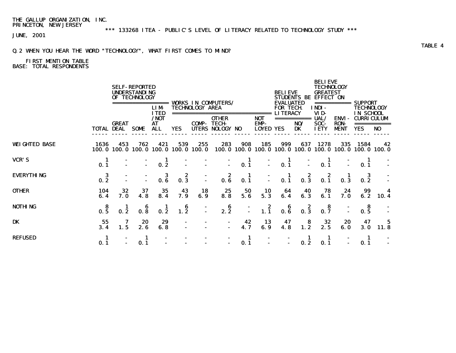\*\*\* 133268 ITEA - PUBLIC'S LEVEL OF LITERACY RELATED TO TECHNOLOGY STUDY \*\*\*

JUNE, 2001

## Q.2 WHEN YOU HEAR THE WORD "TECHNOLOGY", WHAT FIRST COMES TO MIND?

# FIRST MENTION TABLE

BASE: TOTAL RESPONDENTS

|                      |                   |              | <b>SELF-REPORTED</b><br><b>UNDERSTANDING</b><br>OF TECHNOLOGY | =====<br><b>LIM</b>               |                                            | <b>TECHNOLOGY AREA</b> | <b>VORKS IN COMPUTERS/</b>                                                  |                |                                        | <b>BELIEVE</b><br><b>EVALUATED</b><br><b>FOR TECH.</b> | <b>STUDENTS BE</b>              | BELIEVE<br><b>TECHNOLOGY</b><br><b>GREATEST</b><br><b>EFFECT ON</b><br>INDI- |                                     | <b>SUPPORT</b><br>TECHNOLOGY                        |                |  |
|----------------------|-------------------|--------------|---------------------------------------------------------------|-----------------------------------|--------------------------------------------|------------------------|-----------------------------------------------------------------------------|----------------|----------------------------------------|--------------------------------------------------------|---------------------------------|------------------------------------------------------------------------------|-------------------------------------|-----------------------------------------------------|----------------|--|
|                      | <b>TOTAL DEAL</b> | <b>GREAT</b> | <b>SOME</b>                                                   | <b>ITED</b><br>/NOT<br>AT<br>ALL. | <b>YES</b>                                 | COMP-<br>UTERS         | ========================<br><b>OTHER</b><br><b>TECH</b><br><b>NOLOGY NO</b> |                | <b>NOT</b><br>EMP-<br><b>LOYED YES</b> | <b>LITERACY</b>                                        | ===========<br>NO/<br><b>DK</b> | VID-<br>UAL/<br>SOC-<br><b>IETY</b>                                          | ENVI-<br><b>RON-</b><br><b>MENT</b> | <b>IN SCHOOL</b><br><b>CURRICULUM</b><br><b>YES</b> | N <sub>0</sub> |  |
| <b>WEIGHTED BASE</b> | 1636              | 453          | 762                                                           | 421                               | 539<br>100.0 100.0 100.0 100.0 100.0 100.0 | 255                    | 283                                                                         | 908            | 185                                    | 999                                                    | 637                             | 1278<br>100.0 100.0 100.0 100.0 100.0 100.0 100.0 100.0 100.0                | 335                                 | 1584                                                | 42             |  |
| <b>VCR'S</b>         | 1<br>0.1          |              |                                                               | 0.2                               |                                            |                        | $\blacksquare$                                                              | 0.1            |                                        | 1<br>0.1                                               |                                 | 0.1                                                                          |                                     | ш<br>0.1                                            |                |  |
| <b>EVERYTHING</b>    | 3<br>0.2          |              |                                                               | 3<br>0.6                          | 2<br>0.3                                   |                        | 2<br>0.6                                                                    | 1<br>0.1       |                                        | 1<br>0.1                                               | 2<br>0.3                        | 2<br>0.1                                                                     | 0.3                                 | 3<br>0.2                                            |                |  |
| <b>OTHER</b>         | 104<br>6.4        | 32<br>7.0    | 37<br>4.8                                                     | 35<br>8.4                         | 43<br>7.9                                  | 18<br>6.9              | 25<br>8.8                                                                   | 50<br>5.6      | 10<br>5.3                              | 64<br>6.4                                              | 40<br>6.3                       | 78<br>6.1                                                                    | 24<br>7.0                           | 99<br>6.2                                           | 10.4           |  |
| <b>NOTHING</b>       | 8<br>0.5          | 0.2          | 6<br>0.8                                                      | 0.2                               | 6<br>1.2                                   |                        | 6<br>2.2                                                                    | $\blacksquare$ | $\boldsymbol{z}$<br>1.1                | 6<br>0.6                                               | 2<br>0.3                        | 8<br>0.7                                                                     |                                     | 8<br>0.5                                            |                |  |
| DK                   | 55<br>3.4         | 7<br>1.5     | 20<br>2.6                                                     | 29<br>6.8                         |                                            |                        | $\overline{\phantom{a}}$<br>$\blacksquare$                                  | 42<br>4.7      | 13<br>6.9                              | 47<br>4.8                                              | 8<br>1.2                        | 32<br>2.5                                                                    | 20<br>6.0                           | 47<br><b>3. O</b>                                   | 5<br>11.8      |  |
| <b>REFUSED</b>       | 1<br>0.1          |              | 1<br>0.1                                                      |                                   |                                            |                        | $\overline{\phantom{a}}$<br>$\blacksquare$                                  | 1<br>0.1       |                                        |                                                        | 0.2                             | 0.1                                                                          |                                     | п.<br>0.1                                           |                |  |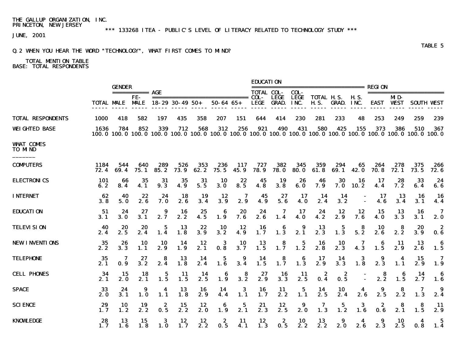\*\*\* 133268 ITEA - PUBLIC'S LEVEL OF LITERACY RELATED TO TECHNOLOGY STUDY \*\*\*

JUNE, 2001

## Q.2 WHEN YOU HEAR THE WORD "TECHNOLOGY", WHAT FIRST COMES TO MIND?

|                                    |              | <b>GENDER</b>                          |                  |             |             |             |                                                                                                                          |             | <b>EDUCATION</b>  |                      |                       |                                  |              |                     |             |                         |                         |                   |
|------------------------------------|--------------|----------------------------------------|------------------|-------------|-------------|-------------|--------------------------------------------------------------------------------------------------------------------------|-------------|-------------------|----------------------|-----------------------|----------------------------------|--------------|---------------------|-------------|-------------------------|-------------------------|-------------------|
|                                    |              |                                        | ============ AGE |             |             |             |                                                                                                                          |             | <b>TOTAL COL-</b> |                      | COL-                  |                                  |              |                     |             |                         | ======================= |                   |
|                                    |              | <b>TOTAL MALE MALE 18-29 30-49 50+</b> | FE-              |             |             |             | $50 - 64$ $65 +$                                                                                                         |             | <b>LEGE</b>       | LEGE<br><b>GRAD.</b> | LEGE<br>INC.          | <b>TOTAL H.S.</b><br><b>H.S.</b> | GRAD.        | <b>H.S.</b><br>INC. |             | MD-<br><b>EAST WEST</b> |                         | <b>SOUTH VEST</b> |
| <b>TOTAL RESPONDENTS</b>           | 1000         | 418                                    | 582              | 197         | 435         | 358         | 207                                                                                                                      | 151         | 644               | 414                  | 230                   | 281                              | 233          | 48                  | 253         | 249                     | 259                     | 239               |
| <b>WEIGHTED BASE</b>               | 1636         | 784                                    | 852              | 339         | 712         | 568         | 312<br>100.0 100.0 100.0 100.0 100.0 100.0 100.0 100.0 100.0 100.0 100.0 100.0 100.0 100.0 100.0 100.0 100.0 100.0 100.0 | 256         | 921               | 490                  | 431                   | 580                              | 425          | 155                 | 373         | 386                     | 510                     | 367               |
| <b>WHAT COMES</b><br><b>TO MND</b> |              |                                        |                  |             |             |             |                                                                                                                          |             |                   |                      |                       |                                  |              |                     |             |                         |                         |                   |
| <b>COMPUTERS</b>                   | 1184<br>72.4 | 544<br>69.4                            | 640<br>75.1      | 289<br>85.2 | 526<br>73.9 | 353<br>62.2 | 236<br>75.5                                                                                                              | 117<br>45.9 | 727<br>78.9       | 382<br>78. O         | 345<br><b>80.0</b>    | 359<br>61.8                      | 294<br>69. 1 | 65<br><b>42.0</b>   | 264<br>70.8 | 278<br>72.1             | 375<br>73.5             | 266<br>72. 6      |
| <b>ELECTRONICS</b>                 | 101<br>6.2   | 66<br>8.4                              | 35<br>4.1        | 31<br>9.3   | 35<br>4.9   | 31<br>5.5   | <b>10</b><br>3.0                                                                                                         | 22<br>8.5   | 45<br>4.8         | 19<br>3.8            | 26<br>6.0             | 46<br>7.9                        | 30<br>7.0    | 16<br>10.2          | 17<br>4.4   | 28<br>7.2               | 33<br>6.4               | 24<br>6.6         |
| <b>INTERNET</b>                    | 62<br>3.8    | 40<br>5.0                              | 22<br>2.6        | 24<br>7. 0  | 18<br>2.6   | 19<br>3.4   | 12<br>3.9                                                                                                                | 7<br>2.9    | 45<br>4.9         | 27<br>5.6            | 17<br>4.0             | 14<br>2.4                        | 14<br>3.2    |                     | 17<br>4.6   | 13<br>3.4               | 16<br>3.1               | -16<br>4.4        |
| <b>EDUCATION</b>                   | 51<br>3.1    | 24<br>3.0                              | 27<br>3.1        | 9<br>2.7    | 16<br>2.2   | 25<br>4.5   | 6<br>1.9                                                                                                                 | 20<br>7.6   | 24<br>2.6         | 7<br>1.4             | 17<br>4.0             | 24<br>4.2                        | 12<br>2.9    | 12<br>7.6           | 15<br>4. 0  | 13<br>3.3               | 16<br>3.1               | 7<br>2.0          |
| <b>TELEVISION</b>                  | 40<br>2.4    | 20<br>2.5                              | 20<br>2.4        | 5<br>1.4    | 13<br>1.8   | 22<br>3.9   | 10<br>3.2                                                                                                                | 12<br>4.9   | 16<br>1.7         | 6<br>1.3             | 9<br>2.1              | 13<br>2.3                        | 5<br>1.3     | 8<br>5.2            | 10<br>2.6   | 8<br>2.2                | 20<br>3.9               | 2<br>0.6          |
| <b>NEW INVENTIONS</b>              | 35<br>2.2    | 26<br>3.3                              | 10<br>1.1        | 10<br>2.9   | 14<br>1.9   | 12<br>2.1   | 3<br>0.8                                                                                                                 | 10<br>3.7   | 13<br>1.5         | 8<br>1.7             | 5<br>1.2              | 16<br>2.8                        | 10<br>2.3    | 7<br>4.3            | 6<br>1.5    | -11<br>2.9              | 13<br>2.6               | 6<br>1.5          |
| <b>TELEPHONE</b>                   | 35<br>2.1    | 7<br>0.9                               | 27<br>3.2        | 8<br>2.4    | 13<br>1.8   | 14<br>2.4   | 5<br>1.6                                                                                                                 | 9<br>3.4    | 14<br>1.5         | 8<br>1.7             | 6<br>$1.\overline{3}$ | 17<br>2.9                        | 14<br>3.3    | 3<br>1.8            | 9<br>2.3    | 4<br>1.1                | 15<br>2.9               | 7<br>1.9          |
| <b>CELL PHONES</b>                 | -34<br>2.1   | 15<br>2.0                              | 18<br>2.1        | 5<br>1.5    | 11<br>1.5   | -14<br>2.5  | 6<br>1.9                                                                                                                 | 8<br>3.2    | 27<br>2.9         | 16<br>3.3            | 11<br>2.5             | 2<br>0.4                         | 2<br>0.5     |                     | 8<br>2.2    | 1.5                     | 14<br>2.7               | -6<br>1.6         |
| <b>SPACE</b>                       | 33<br>2. 0   | 24<br>3.1                              | 9<br>1.0         | 4<br>1.1    | 13<br>1.8   | 16<br>2.9   | 14<br>4.4                                                                                                                | 3<br>1.1    | 16<br>1.7         | 11<br>2.2            | 5<br>1.1              | 14<br>2.5                        | 10<br>2.4    | 4<br>2.6            | 9<br>2.5    | 8<br>2.2                | 7<br>1.3                | -9<br>2.4         |
| <b>SCIENCE</b>                     | 29<br>1.7    | 10<br>1.2                              | 19<br>2.2        | 2<br>0.5    | 15<br>2.2   | 12<br>2.0   | 6<br>1.9                                                                                                                 | 5<br>2.1    | 21<br>2.3         | 12<br>2.5            | 9<br>2.0              | 7<br>1.3                         | 5<br>1.2     | 3<br>1.6            | 2<br>0.6    | 8<br>2.1                | 8<br>$1.\overline{5}$   | 11<br>2.9         |
| <b>KNOWLEDGE</b>                   | 28<br>1.7    | 13<br>1.6                              | 15<br>1.8        | 3<br>1.0    | 12<br>1.7   | 12<br>2.2   | 2<br>0.5                                                                                                                 | 11<br>4.1   | 12<br>1.3         | 2<br>0.5             | 10<br>2.2             | 13<br>2.2                        | 2.0          | 2.6                 | 2.3         | 10<br>2.5               | 4<br>0.8                | 5<br>1.4          |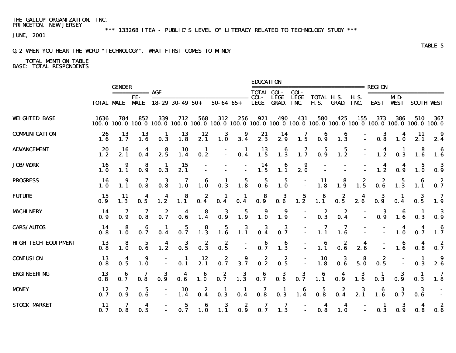\*\*\* 133268 ITEA - PUBLIC'S LEVEL OF LITERACY RELATED TO TECHNOLOGY STUDY \*\*\*

JUNE, 2001

## Q.2 WHEN YOU HEAR THE WORD "TECHNOLOGY", WHAT FIRST COMES TO MIND?

|                            |                        | <b>GENDER</b>                                             |                                                           |                                         |                                                      |                                         |                                         |                                         | <b>EDUCATION</b>                                           |                                                           |                                                           |                                                                          |                                         |                                         | <b>REGION</b>                           |                                                           |                                                                                                                        |                                                           |
|----------------------------|------------------------|-----------------------------------------------------------|-----------------------------------------------------------|-----------------------------------------|------------------------------------------------------|-----------------------------------------|-----------------------------------------|-----------------------------------------|------------------------------------------------------------|-----------------------------------------------------------|-----------------------------------------------------------|--------------------------------------------------------------------------|-----------------------------------------|-----------------------------------------|-----------------------------------------|-----------------------------------------------------------|------------------------------------------------------------------------------------------------------------------------|-----------------------------------------------------------|
|                            |                        |                                                           | =========== <b>AGE</b><br>FE-                             |                                         |                                                      |                                         | ------------------------------          |                                         | <b>TOTAL COL-</b><br>COL-                                  | <b>LEGE</b>                                               | COL-<br><b>LEGE</b>                                       | ------------------------<br>TOTAL H.S.                                   |                                         | <b>H.S.</b>                             |                                         | MD-                                                       | ========================                                                                                               |                                                           |
|                            |                        |                                                           |                                                           | <b>TOTAL MALE MALE 18-29 30-49 50+</b>  |                                                      |                                         | $50 - 64$ $65 +$                        |                                         | LEGE                                                       | <b>GRAD.</b>                                              | INC.                                                      | <b>H.S.</b>                                                              | <b>GRAD. INC.</b>                       |                                         |                                         | <b>EAST WEST</b>                                          |                                                                                                                        | <b>SOUTH VEST</b>                                         |
| <b>WEIGHTED BASE</b>       | 1636                   | 784                                                       | 852                                                       | 339                                     | 712                                                  | 568                                     | 312                                     | 256                                     | 921                                                        | 490                                                       | 431                                                       | 580                                                                      | 425                                     | 155                                     | 373                                     | 386                                                       | 510<br>100.0 100.0 100.0 100.0 100.0 100.0 100.0 100.0 100.0 100.0 100.0 100.0 100.0 100.0 100.0 100.0 100.0 100.0 100 | 367                                                       |
| <b>COMMUNICATION</b>       | 26                     | 13                                                        | $\frac{13}{1.6}$                                          | $\frac{1}{0.3}$                         | $\begin{array}{c} 13 \\ 1.8 \end{array}$             | $\frac{12}{2.1}$                        | $\begin{array}{c} 3 \\ 1.0 \end{array}$ | $\begin{array}{c} 9 \\ 3.4 \end{array}$ | 2.3                                                        | $\frac{14}{2.9}$                                          | $\overline{\mathbf{1.5}}$                                 | $\begin{array}{c} \textbf{6} \\ \textbf{0.9} \end{array}$                | $\begin{array}{c} 6 \\ 1.3 \end{array}$ |                                         | $\frac{3}{0.8}$<br>D.                   | $\frac{4}{1.0}$                                           | $\frac{11}{2.1}$                                                                                                       | 2.4                                                       |
| <b>ADVANCEMENT</b>         | 20<br>$1.\overline{2}$ | 16<br>2.1                                                 | 0.4                                                       | 2.5                                     | $\frac{10}{1.4}$                                     | $\frac{1}{0.2}$                         | D,                                      | 0.4                                     | $\begin{array}{c} \mathbf{13} \\ \mathbf{1.5} \end{array}$ |                                                           |                                                           | $\begin{array}{cccc} 6 & 7 & 5 & 5 \\ 1.3 & 1.7 & 0.9 & 1.2 \end{array}$ |                                         |                                         | $\frac{4}{1.2}$<br>D.                   | $\frac{1}{0.3}$                                           | $\begin{array}{c} 8 \\ 1.6 \end{array}$                                                                                | $\begin{array}{c} \textbf{6} \\ \textbf{1.6} \end{array}$ |
| <b>JOB/WORK</b>            | 16<br>1.0              |                                                           | $\begin{array}{c} 8 \\ 0.9 \end{array}$                   | $\frac{1}{0.3}$                         | $\frac{15}{2.1}$                                     |                                         |                                         | $\mathbb{Z}$                            | $\frac{14}{1.5}$                                           | $\begin{array}{c} \textbf{6} \\ \textbf{1.1} \end{array}$ | $\begin{array}{c} \textbf{9} \\ \textbf{2.0} \end{array}$ |                                                                          |                                         |                                         | $1.2^{4}$                               | 0.9                                                       | $\overline{\mathbf{1.0}}$                                                                                              | $\begin{array}{c} 3 \\ 0.9 \end{array}$                   |
| <b>PROGRESS</b>            | 16<br>1.0              | $\begin{array}{c} \textbf{9} \\ \textbf{1.1} \end{array}$ | $\overline{\mathbf{0.8}}^7$                               | $\begin{array}{c} 3 \\ 0.8 \end{array}$ | 7<br>$1.\dot{0}$                                     | $\begin{array}{c} 6 \\ 1.0 \end{array}$ | $\begin{array}{c} 1 \\ 0.3 \end{array}$ | $\begin{array}{c} 5 \\ 1.8 \end{array}$ | $\begin{array}{c} 5 \\ 0.6 \end{array}$                    | $\overline{1.0}$                                          | $\langle \frac{\pi}{2} \rangle$                           | $\begin{array}{c} \mathbf{11} \\ \mathbf{1.8} \end{array}$               | $\begin{array}{c} 8 \\ 1.9 \end{array}$ | $\begin{array}{c} 2 \\ 1.5 \end{array}$ | $\begin{array}{c} 2 \\ 0.6 \end{array}$ | $\frac{5}{1.3}$                                           | $\begin{array}{c} \mathbf{6} \\ \mathbf{1.1} \end{array}$                                                              | $\begin{array}{c} 2 \\ 0.7 \end{array}$                   |
| <b>FUTURE</b>              | 15<br>0.9              | 11<br>1.3                                                 |                                                           | $\frac{4}{1.2}$                         | $\begin{array}{c} 8 \\ 1.1 \end{array}$              | $\begin{array}{c} 2 \\ 0.4 \end{array}$ | $\frac{1}{0.4}$                         | $\frac{1}{0.4}$                         | $\begin{array}{c} 8 \\ 0.9 \end{array}$                    | $\begin{array}{c} 3 \\ 0.6 \end{array}$                   | $\frac{5}{1.2}$                                           | $\begin{array}{c} 6 \\ 1.1 \end{array}$                                  | $\begin{array}{c} 2 \\ 0.5 \end{array}$ | 2.6                                     | $\frac{3}{0.9}$                         | 0.4                                                       | $\frac{3}{0.5}$                                                                                                        | $\begin{array}{c} 7 \\ 1.9 \end{array}$                   |
| <b>MACHINERY</b>           | -14<br>0.9             |                                                           | $\overline{\mathbf{0.8}}^7$                               | 0.7                                     | $\begin{array}{c} \n\bullet \\ \bullet\n\end{array}$ | $\overline{\mathbf{1.4}}$               | $\frac{3}{0.9}$                         | $\begin{array}{c} 5 \\ 1.9 \end{array}$ | $\overline{\mathbf{1.0}}$                                  | $\begin{array}{c} \textbf{9} \\ \textbf{1.9} \end{array}$ |                                                           | $\begin{array}{c} 2 \\ 0.3 \end{array}$                                  | $\frac{2}{0.4}$                         |                                         | $\frac{3}{0.9}$                         | $\begin{array}{c} \mathbf{6} \\ \mathbf{1.6} \end{array}$ | $\mathbf{1}$<br>0.3                                                                                                    | $\begin{array}{c} 3 \\ 0.9 \end{array}$                   |
| <b>CARS/AUTOS</b>          | 14<br>0.8              |                                                           | $\begin{array}{c} 6 \\ 0.7 \end{array}$                   |                                         | 0.7                                                  | $\begin{array}{c} 8 \\ 1.3 \end{array}$ | $\begin{array}{c} 5 \\ 1.6 \end{array}$ | $\begin{array}{c} 3 \\ 1.1 \end{array}$ | $\begin{array}{c} 3 \\ 0.4 \end{array}$                    | $\frac{3}{2}$                                             | $\mathbb{Z}^+$                                            | $\overline{1.1}$                                                         | $\overline{1.6}$                        |                                         |                                         | 1.0                                                       | $\overline{\mathbf{4}}$<br>0.7                                                                                         | $\begin{array}{c} \mathbf{6} \\ \mathbf{1.7} \end{array}$ |
| <b>HIGH TECH EQUIPMENT</b> | 13<br>0.8              | $\begin{array}{c} 8 \\ 1.0 \end{array}$                   | $\begin{array}{c} 5 \\ \textbf{0.6} \end{array}$          | $\frac{4}{1.2}$                         | $\frac{3}{0.5}$                                      | $0.\overline{3}$                        | $\begin{array}{c} 2 \\ 0.5 \end{array}$ | $\mathbb{I}$                            | $\frac{6}{0.7}$                                            | $\begin{array}{c} 6 \\ 1.3 \end{array}$                   | $\mathbb{Z}^+$                                            | $\begin{array}{c} 6 \\ 1.1 \end{array}$                                  | $\begin{array}{c} 2 \\ 0.6 \end{array}$ | 2.6                                     |                                         | $\begin{array}{c} 6 \\ 1.6 \end{array}$                   | $\overline{\mathbf{4}}$<br>0.8                                                                                         | $\begin{smallmatrix} 2 \\ 0.7 \end{smallmatrix}$          |
| <b>CONFUSION</b>           | 13<br>0.8              | $\frac{4}{0.5}$                                           | $\begin{array}{c} \textbf{9} \\ \textbf{1.0} \end{array}$ |                                         | $\begin{array}{c} 1 \\ 0.1 \end{array}$              | $\frac{12}{2.1}$                        | $0.\overline{7}$                        | 3.7                                     | $0.\overline{2}$                                           | $\overline{0.5}^2$                                        | $\mathbb{Z}^+$                                            | $\begin{array}{c} 10 \\ 1.8 \end{array}$                                 | $\begin{array}{c} 3 \\ 0.6 \end{array}$ | $\begin{array}{c} 8 \\ 5.0 \end{array}$ | $\begin{array}{c} 2 \\ 0.5 \end{array}$ |                                                           | $\frac{1}{0.3}$                                                                                                        | $\begin{array}{c} \textbf{9} \\ \textbf{2.6} \end{array}$ |
| <b>ENGINEERING</b>         | 13<br>0.8              | 0.7                                                       | $\overline{\mathbf{0.8}}^7$                               | $\frac{3}{0.9}$                         | 0.6                                                  | $\begin{array}{c} 6 \\ 1.0 \end{array}$ | $\frac{2}{0.7}$                         | $\overline{1.3}^3$                      | $\begin{array}{c} 6 \\ 0.7 \end{array}$                    | $\begin{array}{c} 3 \\ 0.6 \end{array}$                   | $\frac{3}{2}$                                             | $\overline{1.1}^6$                                                       | $\frac{4}{0.9}$                         | $\begin{array}{c} 3 \\ 1.6 \end{array}$ | $\frac{1}{0.3}$                         | $\frac{3}{9}$                                             | $\blacksquare$<br>0.3                                                                                                  | 7<br>1.8                                                  |
| <b>MONEY</b>               | 12<br>0.7              |                                                           | 5                                                         |                                         | 10<br>1.4                                            | $\frac{2}{0.4}$                         | $\frac{1}{0.3}$                         | $\mathbf{I}$<br>0.4                     | 7<br>0.8                                                   | $\frac{1}{0.3}$                                           | $\begin{array}{c} 6 \\ 1.4 \end{array}$                   | $\frac{5}{0.8}$                                                          | 0.4                                     | $\begin{array}{c} 3 \\ 2.1 \end{array}$ | $\begin{array}{c} 6 \\ 1.6 \end{array}$ | $\frac{3}{0.7}$                                           | $\bf{3}$<br>$0.\overline{6}$                                                                                           |                                                           |
| <b>STOCK MARKET</b>        | 11<br>0.7              | 0.8                                                       | 4<br>0.5                                                  |                                         | 5<br>0.7                                             | $1.\overline{0}$                        | $\overline{1.1}^3$                      | $\frac{2}{9}$                           | 7<br>0.7                                                   | 7<br>1.3                                                  |                                                           | $\overline{\mathbf{4}}$<br>0.8                                           | 4<br>1.0                                |                                         | -1<br>0.3                               | 0.9                                                       | $\overline{\mathbf{4}}$<br>0.8                                                                                         | $\begin{array}{c} 2 \\ 0.6 \end{array}$                   |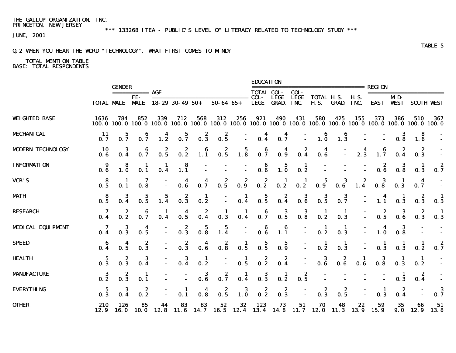\*\*\* 133268 ITEA - PUBLIC'S LEVEL OF LITERACY RELATED TO TECHNOLOGY STUDY \*\*\*

JUNE, 2001

## Q.2 WHEN YOU HEAR THE WORD "TECHNOLOGY", WHAT FIRST COMES TO MIND?

|                          |                                                           | <b>GENDER</b>                           |                                         |                                         |                                                      |                                         |                                         |                                                       | <b>EDUCATION</b>                        |                                                    |                                                                         |                                                                                                                          |                                         |                                                               | <b>REGION</b>                           |                                                       |                                         |                   |
|--------------------------|-----------------------------------------------------------|-----------------------------------------|-----------------------------------------|-----------------------------------------|------------------------------------------------------|-----------------------------------------|-----------------------------------------|-------------------------------------------------------|-----------------------------------------|----------------------------------------------------|-------------------------------------------------------------------------|--------------------------------------------------------------------------------------------------------------------------|-----------------------------------------|---------------------------------------------------------------|-----------------------------------------|-------------------------------------------------------|-----------------------------------------|-------------------|
|                          |                                                           |                                         | ============ <b>AGE</b><br>FE-          | <b>TOTAL MALE MALE 18-29 30-49 50+</b>  |                                                      |                                         | ------------------------------          |                                                       | <b>TOTAL COL-</b><br>COL-<br>LEGE       | <b>LEGE</b><br><b>GRAD.</b>                        | COL-<br><b>LEGE</b><br>INC.                                             | -----------------------<br><b>TOTAL H.S.</b><br><b>H.S.</b>                                                              |                                         | <b>H.S.</b>                                                   |                                         | MD-                                                   | =======================                 |                   |
|                          |                                                           |                                         |                                         |                                         |                                                      |                                         | $50 - 64$ $65 +$                        |                                                       |                                         |                                                    |                                                                         |                                                                                                                          | <b>GRAD. INC.</b>                       |                                                               |                                         | <b>EAST WEST</b>                                      |                                         | <b>SOUTH VEST</b> |
| <b>WEIGHTED BASE</b>     | 1636                                                      | 784                                     | 852                                     | 339                                     | 712                                                  | 568                                     | 312                                     | 256                                                   | 921                                     | 490                                                | 431                                                                     | 580<br>100.0 100.0 100.0 100.0 100.0 100.0 100.0 100.0 100.0 100.0 100.0 100.0 100.0 100.0 100.0 100.0 100.0 100.0 100.0 | 425                                     | 155                                                           | 373                                     | 386                                                   | 510                                     | 367               |
| <b>MECHANICAL</b>        | 11<br>0.7                                                 |                                         | $\frac{6}{0.7}$                         | $\frac{4}{1.2}$                         | $\frac{5}{0.7}$                                      | $\begin{array}{c} 2 \\ 0.3 \end{array}$ | $\begin{array}{c} 2 \\ 0.5 \end{array}$ |                                                       |                                         |                                                    |                                                                         | $\begin{array}{ccc} - & & 6 \\ - & & 1.0 \end{array}$                                                                    | $\begin{array}{c} 6 \\ 1.3 \end{array}$ |                                                               |                                         | $\begin{array}{c} 3 \\ 0.8 \end{array}$               | 8<br>$1.\overline{6}$                   |                   |
| <b>MDDERN TECHNOLOGY</b> | <b>10</b><br>0.6                                          | $\frac{3}{0.4}$                         | $\frac{6}{0.7}$                         | $\begin{array}{c} 2 \\ 0.5 \end{array}$ | $\begin{array}{c} 2 \\ 0.2 \end{array}$              | $\overline{\mathbf{1.1}}$               |                                         | $\begin{array}{ccc} & 2 & 5 \\ 0.5 & 1.8 \end{array}$ | $\begin{array}{c} 6 \\ 0.7 \end{array}$ | 0.9                                                | 0.4                                                                     | $\begin{array}{c} \textbf{4} \\ \textbf{0.6} \end{array}$                                                                |                                         | $2.\overline{3}$<br>Ω.                                        | $\begin{array}{c} 6 \\ 1.7 \end{array}$ | $\begin{array}{c} 2 \\ 0.4 \end{array}$               | $\begin{array}{c} 2 \\ 0.3 \end{array}$ |                   |
| <b>INFORMATION</b>       | $\begin{array}{c} \textbf{9} \\ \textbf{0.6} \end{array}$ |                                         | $\frac{1}{0.1}$                         | $\frac{1}{0.4}$                         | $\begin{array}{c} 8 \\ 1.1 \end{array}$              | $\mathbb{C}$                            |                                         | $\mathbb{C}^{\times}$                                 |                                         | $\begin{array}{cc} 6 & 5 \\ 0.6 & 1.0 \end{array}$ | $\begin{array}{c} \mathbf{1} \\ \mathbf{0.2} \end{array}$               |                                                                                                                          |                                         | Ō,                                                            |                                         | $\begin{array}{ccc} & 2 & 3 \\ 0.6 & 0.8 \end{array}$ | $\frac{1}{0.3}$                         | $0.\overline{7}$  |
| <b>VCR'S</b>             | $\begin{array}{c} 8 \\ 0.5 \end{array}$                   | 0.1                                     | $\overline{\mathbf{0}}$ . 8             |                                         | $\begin{array}{c} \n\bullet \\ \bullet\n\end{array}$ | 0.7                                     | 0.5                                     | $\begin{array}{c} 2 \\ 0.9 \end{array}$               | $0.\overline{2}$                        | $\frac{1}{0.2}$                                    | $\frac{1}{0.2}$                                                         | $\begin{array}{c} 5 \\ \textbf{0.9} \end{array}$                                                                         |                                         | $\begin{array}{cc} & 3 & 2 \\ \textbf{0.6} & 1.4 \end{array}$ |                                         | $\begin{array}{cc} 3 & 1 \\ 0.8 & 0.3 \end{array}$    | 0.7                                     |                   |
| <b>MATH</b>              | $\frac{8}{0.5}$                                           |                                         | $\frac{5}{0.5}$                         | $\frac{5}{1.4}$                         | $0.\overline{3}$                                     | $\frac{1}{2}$                           |                                         | $\frac{1}{0.4}$                                       | $\frac{5}{0.5}$                         |                                                    | $\begin{array}{ccc} & 2 & 3 \\ \textbf{0.4} & \textbf{0.6} \end{array}$ | $\overline{\phantom{a}}$ . 5                                                                                             | $\frac{3}{0.7}$                         |                                                               | $\begin{array}{c} 4 \\ 1.1 \end{array}$ | $\frac{1}{0.3}$                                       | $\begin{array}{c} 2 \\ 0.3 \end{array}$ | $\frac{1}{0.3}$   |
| <b>RESEARCH</b>          |                                                           |                                         | $\frac{6}{0.7}$                         |                                         | 0.5                                                  | 0.4                                     | $\frac{1}{0.3}$                         | 0.4                                                   | $\begin{array}{c} 6 \\ 0.7 \end{array}$ | $\frac{3}{0.5}$                                    | $\begin{array}{c} 3 \\ \textbf{0.8} \end{array}$                        | $\frac{1}{2}$                                                                                                            | $\frac{1}{0.3}$                         |                                                               | $\begin{array}{c} 2 \\ 0.5 \end{array}$ | $\begin{array}{c} 3 \\ 0.6 \end{array}$               | 2<br>0.3                                | - 1<br>0.3        |
| <b>MEDICAL EQUIPMENT</b> |                                                           |                                         | $\frac{4}{0.5}$                         |                                         | $0.\overline{3}$                                     | $\frac{5}{0.8}$                         | $\frac{5}{1.4}$                         | Ō,                                                    | $\begin{array}{c} 6 \\ 0.6 \end{array}$ | $\begin{array}{c} 6 \\ 1.1 \end{array}$            |                                                                         | $\frac{1}{2}$                                                                                                            | $\frac{1}{0.3}$                         |                                                               | $\frac{4}{1.0}$                         | $\frac{3}{0.8}$                                       |                                         |                   |
| <b>SPEED</b>             | $\begin{array}{c} 6 \\ 0.4 \end{array}$                   |                                         | $\begin{array}{c} 2 \\ 0.3 \end{array}$ |                                         | $\begin{array}{c} 2 \\ 0.3 \end{array}$              | 0.6                                     | $\begin{array}{c} 2 \\ 0.8 \end{array}$ | $\frac{1}{0.5}$                                       | 0.5                                     | $\frac{5}{9}$                                      | $\mathbb{Z}^+$                                                          | $\frac{1}{0.2}$                                                                                                          | $\frac{1}{0.3}$                         |                                                               | $\begin{array}{c} 1 \\ 0.3 \end{array}$ | $\frac{1}{0.3}$                                       | 0.2                                     | $\frac{2}{0.7}$   |
| <b>HEALTH</b>            | $\frac{5}{0.3}$                                           |                                         |                                         |                                         | $\frac{3}{0.4}$                                      | $\frac{1}{2}$                           |                                         | $\frac{1}{0.5}$                                       | $\begin{array}{c} 2 \\ 0.2 \end{array}$ | $0.\overline{4}$                                   | $\mathbb{C}^{\times}$                                                   | $\begin{array}{c} 3 \\ 0.6 \end{array}$                                                                                  | $\begin{array}{c} 2 \\ 0.6 \end{array}$ | $\begin{array}{c} 1 \\ 0.6 \end{array}$                       | $\frac{3}{0.8}$                         | $\frac{1}{0.3}$                                       | $\frac{1}{0.2}$                         |                   |
| <b>MANUFACTURE</b>       | $\frac{3}{0.2}$                                           | $\begin{array}{c} 2 \\ 0.3 \end{array}$ | $\mathbf 1$<br>0.1                      |                                         |                                                      | $\begin{array}{c} 3 \\ 0.6 \end{array}$ | $0.\overline{7}$                        | $\frac{1}{0.4}$                                       | $\begin{array}{c} 3 \\ 0.3 \end{array}$ | $\frac{1}{0.2}$                                    | $\overline{\mathbf{0.5}}^2$                                             |                                                                                                                          |                                         |                                                               |                                         | $\frac{1}{0.3}$                                       | $\frac{2}{0.4}$                         |                   |
| <b>EVERYTHING</b>        | - 5<br>0.3                                                |                                         | 2<br>$0.\overline{2}$                   |                                         | $\mathbf{I}$<br>0.1                                  | 0.8                                     | $\frac{2}{0.5}$                         | 3<br>$1.\overline{0}$                                 | $\begin{array}{c} 2 \\ 0.2 \end{array}$ | $\begin{array}{c} 2 \\ 0.3 \end{array}$            |                                                                         | 2<br>0.3                                                                                                                 | z<br>0.5                                |                                                               | 1<br>0.3                                | 2<br>0.4                                              |                                         | 3<br>0.7          |
| <b>OTHER</b>             | 210                                                       | 126                                     | 85                                      | 44                                      | 83                                                   | 83                                      | 52                                      | 32                                                    | 123                                     | 73                                                 | 51                                                                      | 70<br>12.9 16.0 10.0 12.8 11.6 14.7 16.5 12.4 13.4 14.8 11.7 12.0 11.3 13.9 15.9                                         | 48                                      | 22                                                            | 59                                      | 35                                                    | 66<br>$9.0$ 12.9 13.8                   | 51                |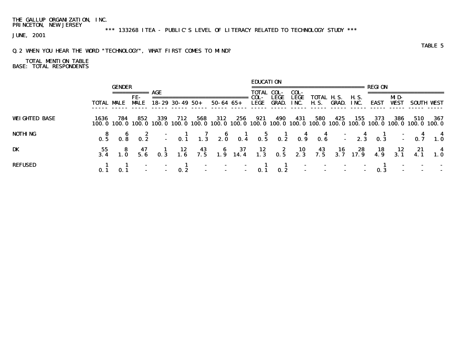\*\*\* 133268 ITEA - PUBLIC'S LEVEL OF LITERACY RELATED TO TECHNOLOGY STUDY \*\*\*

JUNE, 2001

## Q.2 WHEN YOU HEAR THE WORD "TECHNOLOGY", WHAT FIRST COMES TO MIND?

|                      |                   |               |             |                        |     |     |                                                                                                                               | <b>EDUCATION</b>  |                 |      |                                 |     |       |      |             |            |        |
|----------------------|-------------------|---------------|-------------|------------------------|-----|-----|-------------------------------------------------------------------------------------------------------------------------------|-------------------|-----------------|------|---------------------------------|-----|-------|------|-------------|------------|--------|
|                      |                   | <b>GENDER</b> |             |                        |     |     |                                                                                                                               |                   |                 |      |                                 |     |       |      |             |            |        |
|                      |                   |               | =========== | AGE                    |     |     |                                                                                                                               | <b>TOTAL COL-</b> |                 | COL- |                                 |     |       |      |             |            |        |
|                      |                   |               | FE-         |                        |     |     |                                                                                                                               | COL-              | LEGE            | LEGE | TOTAL H.S. H.S.                 |     |       |      | MD-         |            |        |
|                      | <b>TOTAL MALE</b> |               | <b>MALE</b> | $18 - 29$ 30 - 49 50 + |     |     | 50-64 65+                                                                                                                     |                   |                 |      | LEGE GRAD. INC. H.S. GRAD. INC. |     |       | EAST | <b>WEST</b> | SOUTH WEST |        |
|                      |                   |               |             |                        |     |     |                                                                                                                               |                   |                 |      |                                 |     |       |      |             |            |        |
| <b>WEIGHTED BASE</b> | 1636              |               | -852        | -339                   | 712 | 568 | 312                                                                                                                           |                   | 256 921 490 431 |      | 580                             | 425 | - 155 | 373  | - 386       | 510        | -- 367 |
|                      |                   |               |             |                        |     |     | 100.0 100.0 100.0 100.0 100.0 100.0 100.0 100.0 100.0 100.0 100.0 100.0 100.0 100.0 100.0 100.0 100.0 100.0 100.0             |                   |                 |      |                                 |     |       |      |             |            |        |
| <b>NOTHING</b>       |                   |               |             |                        |     |     |                                                                                                                               |                   |                 |      |                                 |     |       |      |             |            |        |
|                      |                   |               |             |                        |     |     | 8 6 2 - 1 7 6 1 5 1 4 4 - 4 1 - 4 4<br>0.5 0.8 0.2 - 0.1 1.3 2.0 0.4 0.5 0.2 0.9 0.6 - 2.3 0.3 - 0.7 1.0                      |                   |                 |      |                                 |     |       |      |             |            |        |
| DK                   |                   |               |             |                        |     |     |                                                                                                                               |                   |                 |      |                                 |     |       |      |             |            |        |
|                      |                   |               |             |                        |     |     | 55 8 47 1 12 43 6 37 12 2 10 43 16 28 18 12 21 4<br>3.4 1.0 5.6 0.3 1.6 7.5 1.9 14.4 1.3 0.5 2.3 7.5 3.7 17.9 4.9 3.1 4.1 1.0 |                   |                 |      |                                 |     |       |      |             |            |        |
| <b>REFUSED</b>       |                   |               |             |                        |     |     |                                                                                                                               |                   |                 |      |                                 |     |       |      |             |            |        |
|                      |                   |               |             |                        |     |     |                                                                                                                               |                   |                 |      |                                 |     |       |      |             |            |        |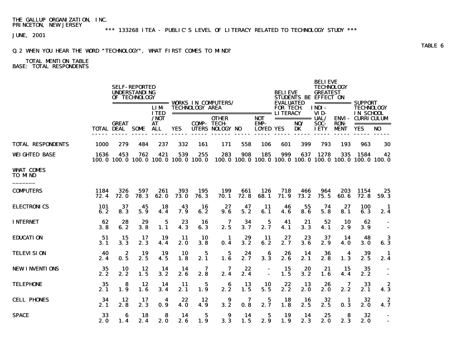\*\*\* 133268 ITEA - PUBLIC'S LEVEL OF LITERACY RELATED TO TECHNOLOGY STUDY \*\*\*

JUNE, 2001

## Q.2 WHEN YOU HEAR THE WORD "TECHNOLOGY", WHAT FIRST COMES TO MIND?

## TOTAL MENTION TABLE BASE: TOTAL RESPONDENTS

|                                    |              |                        | <b>SELF-REPORTED</b><br><b>UNDERSTANDING</b><br>OF TECHNOLOGY |                           |                    |                                            | ================== WORKS IN COMPUTERS/ |             |                    | <b>BELIEVE</b><br><b>EVALUATED</b> | STUDENTS BE EFFECT ON    | <b>BELIEVE</b><br><b>TECHNOLOGY</b><br><b>GREATEST</b> |              | =========== SUPPORT                                           |                         |
|------------------------------------|--------------|------------------------|---------------------------------------------------------------|---------------------------|--------------------|--------------------------------------------|----------------------------------------|-------------|--------------------|------------------------------------|--------------------------|--------------------------------------------------------|--------------|---------------------------------------------------------------|-------------------------|
|                                    |              |                        |                                                               | <b>LIM</b><br><b>ITED</b> |                    | <b>TECHNOLOGY AREA</b>                     |                                        |             |                    | <b>FOR TECH</b>                    |                          | <b>INDI-</b><br>VID-                                   |              | <b>TECHNOLOGY</b><br>IN SCHOOL                                |                         |
|                                    |              | <b>GREAT</b>           |                                                               | /NOT<br><b>AT</b>         |                    |                                            | <b>OTHER</b><br><b>COMP-TECH-</b>      |             | <b>NOT</b><br>EMP- |                                    | ============ UAL/<br>NO/ | <b>SOC-</b>                                            | <b>RON</b>   | <b>ENVI- CURRICULUM</b>                                       | ===========             |
|                                    |              | <b>TOTAL DEAL SOME</b> |                                                               | <b>ALL</b>                | <b>YES</b>         |                                            | UTERS NOLOGY NO                        |             | <b>LOYED YES</b>   |                                    | <b>DK</b>                | <b>IETY</b>                                            | <b>MENT</b>  | <b>YES</b>                                                    | N <sub>0</sub>          |
| <b>TOTAL RESPONDENTS</b>           | 1000         | 279                    | 484                                                           | 237                       | 332                | 161                                        | 171                                    | 558         | 106                | 601                                | 399                      | 793                                                    | 193          | 963                                                           | 30                      |
| <b>WEIGHTED BASE</b>               | 1636         | 453                    | 762                                                           | 421                       | 539                | 255<br>100.0 100.0 100.0 100.0 100.0 100.0 | 283                                    | 908         | 185                | 999                                | 637                      | 1278                                                   | 335          | 1584<br>100.0 100.0 100.0 100.0 100.0 100.0 100.0 100.0 100.0 | 42                      |
| <b>WHAT COMES</b><br><b>TO MND</b> |              |                        |                                                               |                           |                    |                                            |                                        |             |                    |                                    |                          |                                                        |              |                                                               |                         |
| <b>COMPUTERS</b>                   | 1184<br>72.4 | 326<br><b>72.0</b>     | 597<br>78.3                                                   | 261<br>62.0               | 393<br><b>73.0</b> | 195<br>76.3                                | 199<br>70.1                            | 661<br>72.8 | 126<br>68.1        | 718<br>71.9                        | 466<br>73.2              | 964<br>75.5                                            | 203<br>60. 6 | 1154<br>72.8                                                  | 25<br>59.3              |
| <b>ELECTRONICS</b>                 | 101<br>6.2   | 37<br>8.3              | 45<br>5.9                                                     | 18<br>4.4                 | 43<br>7.9          | 16<br>6.2                                  | 27<br>9.6                              | 47<br>5.2   | 11<br>6.1          | 46<br>4.6                          | 55<br>8.6                | 74<br>5.8                                              | 27<br>8.1    | 100<br>6.3                                                    | $\mathbf{I}$<br>2.4     |
| <b>INTERNET</b>                    | 62<br>3.8    | 28<br>6.2              | 29<br>3.8                                                     | 5<br>1.1                  | 23<br>4.3          | 16<br>6.3                                  | 7<br>2.5                               | 34<br>3.7   | 5<br>2.7           | 41<br>4.1                          | 21<br>3.3                | 52<br>4.1                                              | 10<br>2.9    | 62<br>3.9                                                     |                         |
| <b>EDUCATION</b>                   | 51<br>3.1    | 15<br>3.3              | 17<br>2.3                                                     | 19<br>4.4                 | -11<br>2.0         | 10<br>3.8                                  | -1<br>0.4                              | 29<br>3.2   | 11<br>6.2          | 27<br>2.7                          | 23<br>3.6                | 37<br>2.9                                              | 14<br>4.0    | 48<br>3.0                                                     | 3<br>6.3                |
| <b>TELEVISION</b>                  | 40<br>2.4    | 2<br>0.5               | 19<br>2.5                                                     | 19<br>4.5                 | 10<br>1.8          | 5<br>2.1                                   | 5<br>1.6                               | 24<br>2.7   | 6<br>3.3           | 26<br>2.6                          | 14<br>2.1                | 36<br>2.8                                              | 4<br>1.3     | 39<br>2.5                                                     | $\mathbf{1}$<br>2.4     |
| <b>NEW INVENTIONS</b>              | 35<br>2.2    | 10<br>2.2              | 12<br>1.5                                                     | 14<br>3.2                 | 14<br>2.6          | 7<br>2.8                                   | 7<br>2.4                               | 22<br>2.4   | $\blacksquare$     | 15<br>1.5                          | 20<br>3.2                | 21<br>1.6                                              | 15<br>4.4    | 35<br>2.2                                                     | $\blacksquare$          |
| <b>TELEPHONE</b>                   | 35<br>2.1    | 8<br>1.9               | 12<br>1.6                                                     | 14<br>3.4                 | 11<br>2.1          | 5<br>1.9                                   | 6<br>2.2                               | 13<br>1.5   | 10<br>5.5          | 22<br>2.2                          | 13<br>2.0                | 26<br>2.0                                              | 7<br>2.2     | 33<br>2.1                                                     | 2<br>4.3                |
| <b>CELL PHONES</b>                 | 34<br>2.1    | 12<br>2.8              | 17<br>2.3                                                     | 4<br>0.9                  | 22<br>4.0          | 12<br>4.9                                  | 9<br>3.2                               | 7<br>0.8    | 5<br>2.7           | 18<br>1.8                          | 16<br>2.5                | 32<br>2.5                                              | -1<br>0.3    | 32<br>2.0                                                     | $\boldsymbol{z}$<br>4.7 |
| <b>SPACE</b>                       | 33<br>2.0    | 6<br>1.4               | 18<br>2.4                                                     | 8<br>2.0                  | 14<br>2.6          | 5<br>1.9                                   | 9<br>3.3                               | 14<br>1.5   | 5<br>2.9           | 19<br>1.9                          | 14<br>2.3                | 25<br>2.0                                              | 8<br>2.3     | 32<br>2.0                                                     | $\sim$                  |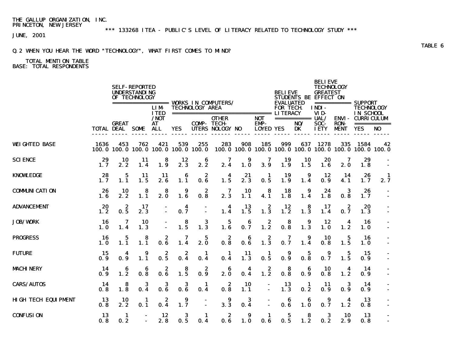\*\*\* 133268 ITEA - PUBLIC'S LEVEL OF LITERACY RELATED TO TECHNOLOGY STUDY \*\*\*

JUNE, 2001

## Q.2 WHEN YOU HEAR THE WORD "TECHNOLOGY", WHAT FIRST COMES TO MIND?

#### TOTAL MENTION TABLE BASE: TOTAL RESPONDENTS

 BELIEVE **SELF-REPORTED TECHNOLOGY**  UNDERSTANDING BELIEVE GREATEST STUDENTS BE EFFECT ON<br>EVALUATED =========== SUPPORT ================= WORKS IN COMPUTERS/ EVALUATED =========== SUPPORT LIM TECHNOLOGYAREA FOR TECH. INDI- TECHNOLOGY<br>ITED ================================ LITERACY VID- IN SCHOOL ITED ============================== LITERACY VID- IN SCHOOL /NOT OTHER NOT =========== UAL/ ENVI- CURRICULUM COMP- TECH- EMP- NO/ SOC- RON- ===========<br>YES UTERS NOLOGY NO LOYED YES DK IETY MENT YES NO TOTAL DEAL SOME ALL ----- ----- ----- ----- ----- ----- ------ ----- ----- ----- ----- ----- ----- ----- ----- WEIGHTED BASE 1636 453 762 421 539 255 283 908 185 999 637 1278 335 1584 42 100.0 100.0 100.0 100.0 100.0 100.0 100.0 100.0 100.0 100.0 100.0 100.0 100.0 100.0 100.0 SCIENCE 29 10 11 8 12 6 7 9 7 19 10 20 7 29 - 1.7 2.2 1.4 1.9 2.3 2.2 2.4 1.0 3.9 1.9 1.5 1.6 2.0 1.8 - KNOWLEDGE 28 5 11 11 6 2 4 21 1 19 9 12 14 26 1 1.7 1.1 1.5 2.6 1.1 0.6 1.5 2.3 0.5 1.9 1.4 0.9 4.1 1.7 2.7 COMMUNICATION 26 10 8 8 9 2 7 10 8 18 9 24 3 26 - 1.6 2.2 1.1 2.0 1.6 0.8 2.3 1.1 4.1 1.8 1.4 1.8 0.8 1.7 - ADVANCEMENT 20 2 17 - 4 - 4 13 2 12 8 17 2 20 - 1.2 0.5 2.3 - 0.7 - 1.4 1.5 1.3 1.2 1.3 1.4 0.7 1.3 - JOB/WORK 16 7 10 - 8 3 5 6 2 8 9 12 4 16 - 1.0 1.4 1.3 - 1.5 1.3 1.6 0.7 1.2 0.8 1.3 1.0 1.2 1.0 - PROGRESS 16 5 8 2 7 5 2 6 2 7 9 10 5 16 - 1.0 1.1 1.1 0.6 1.4 2.0 0.8 0.6 1.3 0.7 1.4 0.8 1.5 1.0 - FUTURE 15 4 9 2 2 1 1 11 1 9 5 9 5 15 - 0.9 0.9 1.1 0.5 0.4 0.4 0.4 1.3 0.5 0.9 0.8 0.7 1.5 0.9 - MACHINERY 14 6 6 2 8 2 6 4 2 8 6 10 4 14 - 0.9 1.2 0.8 0.6 1.5 0.9 2.0 0.4 1.2 0.8 0.9 0.8 1.2 0.9 - CARS/AUTOS 14 8 3 3 3 1 2 10 - 13 1 11 3 14 - 0.8 1.8 0.4 0.6 0.6 0.4 0.8 1.1 - 1.3 0.2 0.9 0.9 0.9 - HIGH TECH EQUIPMENT 13 10 1 2 9 - 9 3 - 6 6 9 4 13<br>0.8 2.2 0.1 0.4 1.7 - 3.3 0.4 - 0.6 1.0 0.7 1.2 0.8 **0.8 2.2 0.1 0.4 1.7** - 3.3 0.4 - 0.6 1.0 0.7 1.2 0.8 -CONFUSION 13 1 - 12 3 1 2 9 1 5 8 3 10 13 -  $0.8$   $0.2$   $0.2$   $0.5$   $0.4$   $0.6$   $1.0$   $0.6$   $0.5$   $1.2$   $0.2$   $2.9$   $0.8$   $0.5$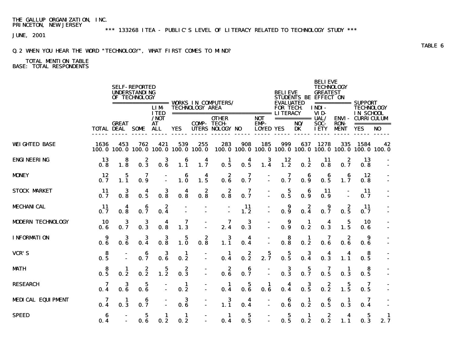\*\*\* 133268 ITEA - PUBLIC'S LEVEL OF LITERACY RELATED TO TECHNOLOGY STUDY \*\*\*

JUNE, 2001

## Q.2 WHEN YOU HEAR THE WORD "TECHNOLOGY", WHAT FIRST COMES TO MIND?

#### TOTAL MENTION TABLE BASE: TOTAL RESPONDENTS

 BELIEVE **SELF-REPORTED TECHNOLOGY**  UNDERSTANDING BELIEVE GREATEST STUDENTS BE EFFECT ON<br>EVALUATED =========== SUPPORT ================= WORKS IN COMPUTERS/ EVALUATED =========== SUPPORT LIM- TECHNOLOGY AREA FOR TECH. INDI- TECHNOLOGY ITED ============================== LITERACY VID- IN SCHOOL /NOT OTHER NOT =========== UAL/ ENVI- CURRICULUM COMP- TECH- EMP- NO/ SOC- RON- ===========<br>YES UTERS NOLOGY NO LOYED YES DK IETY MENT YES NO TOTAL DEAL SOME ALL ----- ----- ----- ----- ----- ----- ------ ----- ----- ----- ----- ----- ----- ----- ----- WEIGHTED BASE 1636 453 762 421 539 255 283 908 185 999 637 1278 335 1584 42 100.0 100.0 100.0 100.0 100.0 100.0 100.0 100.0 100.0 100.0 100.0 100.0 100.0 100.0 100.0 ENGINEERING 13 8 2 3 6 4 1 4 3 12 1 11 2 13 - 0.8 1.8 0.3 0.6 1.1 1.7 0.5 0.5 1.4 1.2 0.2 0.8 0.7 0.8 - MONEY 12 5 7 - 6 4 2 7 - 7 6 6 6 12 -  $\boldsymbol{0.7}$   $\boldsymbol{1.1}$   $\boldsymbol{0.9}$   $\cdot$   $\boldsymbol{1.0}$   $\boldsymbol{1.5}$   $\boldsymbol{0.6}$   $\boldsymbol{0.7}$   $\cdot$   $\boldsymbol{0.7}$   $\boldsymbol{0.9}$   $\boldsymbol{0.5}$   $\boldsymbol{1.7}$   $\boldsymbol{0.8}$   $\cdot$ STOCK MARKET 11 3 4 3 4 2 2 7 - 5 6 11 - 11 - $0.7$   $0.8$   $0.5$   $0.8$   $0.8$   $0.8$   $0.8$   $0.7$   $0.5$   $0.9$   $0.9$   $0.7$   $-$ MECHANICAL 11 4 6 2 - - - 11 - 9 2 9 2 11 - $0.7$   $0.8$   $0.7$   $0.4$   $0.2$   $0.2$   $0.3$   $0.7$   $0.5$   $0.7$   $0.7$ MODERN TECHNOLOGY 10 3 3 4 7 - 7 3 - 9 1 4 5 10<br>0.6 0.7 0.3 0.8 1.3 - 2.4 0.3 - 0.9 0.2 0.3 1.5 0.6 0.6 0.7 0.3 0.8 1.3 - 2.4 0.3 - 0.9 0.2 0.3 1.5 0.6 - INFORMATION 9 3 3 3 5 2 3 4 - 8 1 7 2 9 - 0.6 0.6 0.4 0.8 1.0 0.8 1.1 0.4 - 0.8 0.2 0.6 0.6 0.6 - VCR'S 8 - 6 3 1 - 1 2 5 5 3 4 4 8 -  $\mathbf{0.5}$  -  $\mathbf{0.7}$   $\mathbf{0.6}$   $\mathbf{0.2}$  -  $\mathbf{0.4}$   $\mathbf{0.2}$   $\mathbf{2.7}$   $\mathbf{0.5}$   $\mathbf{0.4}$   $\mathbf{0.3}$   $\mathbf{1.1}$   $\mathbf{0.5}$  -MATH 8 2 3 2 - 2 6 - 3 5 7 1 8 - $0.5$   $0.2$   $0.2$   $1.2$   $0.3$   $0.6$   $0.7$   $0.3$   $0.7$   $0.5$   $0.3$   $0.5$   $-$ RESEARCH 7 3 5 - 1 - 1 5 1 4 3 2 5 7 - 0.4 0.6 0.6 - 0.2 - 0.4 0.6 0.6 0.4 0.5 0.2 1.5 0.5 - MEDICAL EQUIPMENT 7 1 6 - 3 - 3 4 - 6 1 6 1 7<br>0.4 0.3 0.7 - 0.6 - 1.1 0.4 - 0.6 0.2 0.5 0.3 0.4 **0.4 0.3 0.7** - **0.6** - 1.1 **0.4** - **0.6 0.2 0.5 0.3 0.4** -SPEED 6 - 5 1 1 - 1 5 - 5 1 2 4 5 1  $\mathbf{0.4}$  -  $\mathbf{0.6}$   $\mathbf{0.2}$   $\mathbf{0.2}$  -  $\mathbf{0.4}$   $\mathbf{0.5}$  -  $\mathbf{0.5}$   $\mathbf{0.2}$   $\mathbf{0.2}$   $\mathbf{1.1}$   $\mathbf{0.3}$   $\mathbf{2.7}$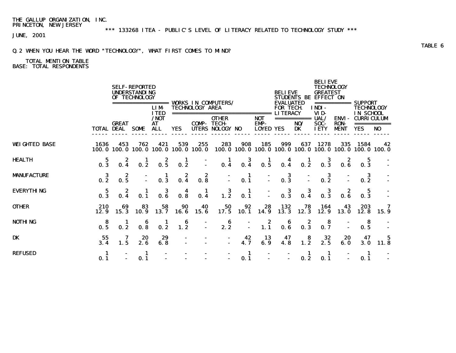\*\*\* 133268 ITEA - PUBLIC'S LEVEL OF LITERACY RELATED TO TECHNOLOGY STUDY \*\*\*

JUNE, 2001

#### Q.2 WHEN YOU HEAR THE WORD "TECHNOLOGY", WHAT FIRST COMES TO MIND?

#### TOTAL MENTION TABLE BASE: TOTAL RESPONDENTS

 BELIEVE **SELF-REPORTED TECHNOLOGY**  UNDERSTANDING BELIEVE GREATEST STUDENTS BE EFFECT ON<br>EVALUATED =========== SUPPORT ================= WORKS IN COMPUTERS/ EVALUATED =========== SUPPORT LIM- TECHNOLOGY AREA FOR TECH. INDI- TECHNOLOGY ITED ============================== LITERACY VID- IN SCHOOL /NOT OTHER NOT =========== UAL/ ENVI- CURRICULUM EMP- NO/ SOC- RON- ===========<br>LOYED YES DK IETY MENT YES NO TOTAL DEAL SOME ALL YES UTERS NOLOGY NO ----- ----- ----- ----- ----- ----- ------ ----- ----- ----- ----- ----- ----- ----- ----- WEIGHTED BASE 1636 453 762 421 539 255 283 908 185 999 637 1278 335 1584 42 100.0 100.0 100.0 100.0 100.0 100.0 100.0 100.0 100.0 100.0 100.0 100.0 100.0 100.0 100.0 HEALTH 5 2 1 2 1 - 1 3 1 4 1 3 2 5 - 0.3 0.4 0.2 0.5 0.2 - 0.4 0.4 0.5 0.4 0.2 0.3 0.6 0.3 - MANUFACTURE 3 2 - 1 2 2 - 1 - 3 - 3 - 3 -  $0.2$   $0.5$   $0.3$   $0.4$   $0.8$   $0.1$   $0.3$   $0.2$   $0.2$   $0.2$ EVERYTHING 5 2 1 3 4 1 3 1 - 3 3 3 2 5 - 0.3 0.4 0.1 0.6 0.8 0.4 1.2 0.1 - 0.3 0.4 0.3 0.6 0.3 - OTHER 210 69 83 58 90 40 50 92 28 132 78 164 43 203 7 12.9 15.3 10.9 13.7 16.6 15.6 17.5 10.1 14.9 13.3 12.3 12.9 13.0 12.8 15.9 NOTHING 8 1 6 1 6 - 6 - 2 6 2 8 - 8 -**0.5 0.2 0.8 0.2 1.2 - 2.2 - 1.1 0.6 0.3 0.7 - 0.5** -DK 55 7 20 29 - - - 42 13 47 8 32 20 47 5 3.4 1.5 2.6 6.8 - - - 4.7 6.9 4.8 1.2 2.5 6.0 3.0 11.8 **REFUSED 1 - 1 - - - - 1 - - 1 1 - 1** -**0.** 1 - 0. 1 - - - - - 0. 1 - 0. 2 0. 1 - 0. 1 -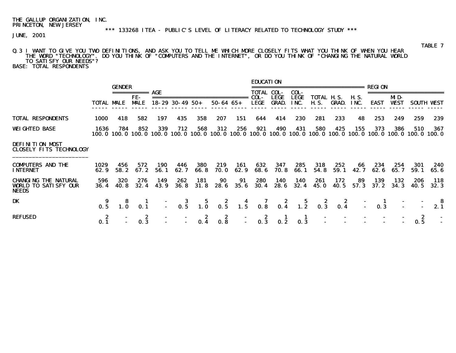\*\*\* 133268 ITEA - PUBLIC'S LEVEL OF LITERACY RELATED TO TECHNOLOGY STUDY \*\*\*

JUNE, 2001

## Q.3 I WANT TO GIVE YOU TWO DEFINITIONS, AND ASK YOU TO TELL ME WHICH MORE CLOSELY FITS WHAT YOU THINK OF WHEN YOU HEAR THE WORD "TECHNOLOGY". DO YOU THINK OF "COMPUTERS AND THE INTERNET", OR DO YOU THINK OF "CHANGING THE NATURAL WORLD TO SATISFY OUR NEEDS"?

BASE: TOTAL RESPONDENTS

|                                                                            |                   | <b>GENDER</b>      | $\begin{array}{cccccccccc} \multicolumn{2}{c}{} & \multicolumn{2}{c}{} & \multicolumn{2}{c}{} & \multicolumn{2}{c}{} & \multicolumn{2}{c}{} & \multicolumn{2}{c}{} & \multicolumn{2}{c}{} & \multicolumn{2}{c}{} & \multicolumn{2}{c}{} & \multicolumn{2}{c}{} & \multicolumn{2}{c}{} & \multicolumn{2}{c}{} & \multicolumn{2}{c}{} & \multicolumn{2}{c}{} & \multicolumn{2}{c}{} & \multicolumn{2}{c}{} & \multicolumn{2}{c}{} & \multicolumn{2}{c}{} & \multicolumn{2}{c}{} & \mult$ | AGE                |                                                                                                                |             |                    |             | <b>EDUCATION</b><br><b>TOTAL COL-</b> |                             | COL-         | :======================= |                            |                     | <b>REGTON</b>   |                    |                                                                                                                        |                   |
|----------------------------------------------------------------------------|-------------------|--------------------|----------------------------------------------------------------------------------------------------------------------------------------------------------------------------------------------------------------------------------------------------------------------------------------------------------------------------------------------------------------------------------------------------------------------------------------------------------------------------------------|--------------------|----------------------------------------------------------------------------------------------------------------|-------------|--------------------|-------------|---------------------------------------|-----------------------------|--------------|--------------------------|----------------------------|---------------------|-----------------|--------------------|------------------------------------------------------------------------------------------------------------------------|-------------------|
|                                                                            | <b>TOTAL MALE</b> |                    | FE-<br><b>MALE</b>                                                                                                                                                                                                                                                                                                                                                                                                                                                                     |                    | $18 - 29$ 30 - 49 50 +                                                                                         |             | $50 - 64$ $65 +$   |             | COL-<br>LEGE                          | <b>LEGE</b><br><b>GRAD.</b> | LEGE<br>INC. | <b>H.S.</b>              | TOTAL H.S.<br><b>GRAD.</b> | <b>H.S.</b><br>INC. | <b>EAST</b>     | MD-<br><b>WEST</b> |                                                                                                                        | <b>SOUTH VEST</b> |
| <b>TOTAL RESPONDENTS</b>                                                   | 1000              | 418                | 582                                                                                                                                                                                                                                                                                                                                                                                                                                                                                    | 197                | 435                                                                                                            | 358         | 207                | 151         | 644                                   | 414                         | 230          | 281                      | 233                        | 48                  | 253             | 249                | 259                                                                                                                    | 239               |
| <b>WEIGHTED BASE</b>                                                       | 1636              | 784                | 852                                                                                                                                                                                                                                                                                                                                                                                                                                                                                    | 339                | 712                                                                                                            | 568         | 312                | 256         | 921                                   | 490                         | 431          | 580                      | 425                        | 155                 | 373             | 386                | 510<br>100, 0 100, 0 100, 0 100, 0 100, 0 100, 0 100, 0 100, 0 100, 0 100, 0 100, 0 100, 0 100, 0 100, 0 100, 0 100, 0 | 367<br>100. 0     |
| <b>DEFINITION MDST</b><br><b>CLOSELY FITS TECHNOLOGY</b>                   |                   |                    |                                                                                                                                                                                                                                                                                                                                                                                                                                                                                        |                    |                                                                                                                |             |                    |             |                                       |                             |              |                          |                            |                     |                 |                    |                                                                                                                        |                   |
| <b>COMPUTERS AND THE</b><br><b>INTERNET</b>                                | 1029<br>62.9      | 456<br>58.2        | 572<br>67.2                                                                                                                                                                                                                                                                                                                                                                                                                                                                            | <b>190</b><br>56.1 | 446<br>62.7                                                                                                    | 380<br>66.8 | 219<br><b>70.0</b> | 161<br>62.9 | 632<br>68.6                           | 347<br>70.8                 | 285<br>66.1  | 318<br>54.8              | 252<br>59.1                | 66<br>42.7          | 234<br>62.6     | 254<br>65.7        | 301<br>59.1                                                                                                            | 240<br>65. 6      |
| <b>CHANGING THE NATURAL</b><br><b>WORLD TO SATISFY OUR</b><br><b>NEEDS</b> | 596<br>36.4       | <b>320</b><br>40.8 | 276<br>32.4                                                                                                                                                                                                                                                                                                                                                                                                                                                                            | 149<br>43.9        | 262<br><b>36. 8</b>                                                                                            | 181<br>31.8 | 90<br>28.6         | 91<br>35.6  | 280<br>30.4                           | 140<br>28.6                 | 140<br>32.4  | 261<br>45. 0             | 172<br>40.5                | 89<br>57.3          | 139<br>37.2     | 132<br>34.3        | 206<br><b>40.5</b>                                                                                                     | 118<br>32.3       |
| DK                                                                         | $\frac{9}{0.5}$   |                    | $\frac{1}{0.1}$                                                                                                                                                                                                                                                                                                                                                                                                                                                                        |                    | $-3$ $-5$ $-2$ $-4$ $-7$ $-2$ $-5$ $-2$ $-2$<br>$-0.5$ $-1.0$ $-0.5$ $-1.5$ $-0.8$ $-0.4$ $-1.2$ $-0.3$ $-0.4$ |             |                    |             |                                       |                             |              |                          |                            |                     | $\frac{1}{0.3}$ |                    |                                                                                                                        | 2.1               |
| <b>REFUSED</b>                                                             | 2<br>0.1          |                    | 0.3                                                                                                                                                                                                                                                                                                                                                                                                                                                                                    |                    |                                                                                                                |             | 2<br>0.8           |             | $\frac{z}{0.3}$                       | 0.2                         | 0.3          |                          |                            |                     |                 |                    | 0.5                                                                                                                    |                   |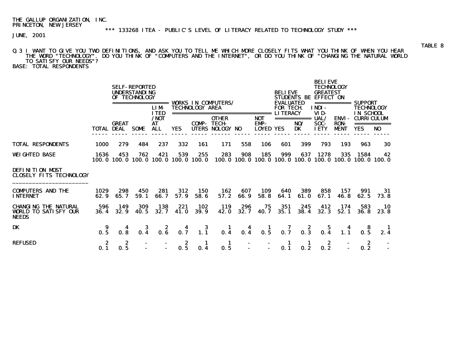JUNE, 2001

## Q.3 I WANT TO GIVE YOU TWO DEFINITIONS, AND ASK YOU TO TELL ME WHICH MORE CLOSELY FITS WHAT YOU THINK OF WHEN YOU HEAR THE WORD "TECHNOLOGY". DO YOU THINK OF "COMPUTERS AND THE INTERNET", OR DO YOU THINK OF "CHANGING THE NATURAL WORLD TO SATISFY OUR NEEDS"?

BASE: TOTAL RESPONDENTS

|                                                                            |              |                                   | <b>SELF-REPORTED</b><br><b>UNDERSTANDING</b><br>OF TECHNOLOGY<br>================= | <b>LIM</b><br><b>ITED</b> |                                                  | <b>TECHNOLOGY AREA</b>                  | <b>VORKS IN COMPUTERS/</b>                                         |                                                                       |                                               | <b>BELIEVE</b><br><b>EVALUATED</b><br><b>FOR TECH</b><br><b>LITERACY</b> | <b>STUDENTS BE</b>                      | <b>BELIEVE</b><br><b>TECHNOLOGY</b><br><b>GREATEST</b><br><b>EFFECT ON</b><br>INDI-<br>VID- |                                             | =========== SUPPORT<br><b>TECHNOLOGY</b><br>IN SCHOOL |                 |
|----------------------------------------------------------------------------|--------------|-----------------------------------|------------------------------------------------------------------------------------|---------------------------|--------------------------------------------------|-----------------------------------------|--------------------------------------------------------------------|-----------------------------------------------------------------------|-----------------------------------------------|--------------------------------------------------------------------------|-----------------------------------------|---------------------------------------------------------------------------------------------|---------------------------------------------|-------------------------------------------------------|-----------------|
|                                                                            |              | <b>GREAT</b><br><b>TOTAL DEAL</b> | SOME                                                                               | /NOT<br>AT<br><b>ALL</b>  | YES.                                             | <b>COMP-TECH-</b>                       | ===============================<br><b>OTHER</b><br>UTERS NOLOGY NO |                                                                       | <b>NOT</b><br><b>EMP-</b><br><b>LOYED YES</b> |                                                                          | NO/<br>DK                               | UAL/<br>SOC-<br><b>IETY</b>                                                                 | <b>ENVI</b> -<br><b>RON-</b><br><b>MENT</b> | <b>CURRICULUM</b><br>YES                              | NO <sub>1</sub> |
| <b>TOTAL RESPONDENTS</b>                                                   | <b>1000</b>  | 279                               | 484                                                                                | 237                       | 332                                              | 161                                     | 171                                                                | 558                                                                   | 106                                           | 601                                                                      | 399                                     | 793                                                                                         | 193                                         | 963                                                   | 30              |
| <b>WEIGHTED BASE</b>                                                       | 1636         | 453                               | 762                                                                                | 421                       | 539<br>100, 0 100, 0 100, 0 100, 0 100, 0 100, 0 | 255                                     | 283                                                                | 908<br>100, 0 100, 0 100, 0 100, 0 100, 0 100, 0 100, 0 100, 0 100, 0 | 185                                           | 999                                                                      | 637                                     | 1278                                                                                        | 335                                         | 1584                                                  | 42              |
| <b>DEFINITION MOST</b><br><b>CLOSELY FITS TECHNOLOGY</b>                   |              |                                   |                                                                                    |                           |                                                  |                                         |                                                                    |                                                                       |                                               |                                                                          |                                         |                                                                                             |                                             |                                                       |                 |
| <b>COMPUTERS AND THE</b><br><b>INTERNET</b>                                | 1029<br>62.9 | 298<br>65.7                       | 450<br>59.1                                                                        | 281<br>66.7               | 312<br>57.9                                      | <b>150</b><br>58.6                      | 162<br>57.2                                                        | 607<br>66.9                                                           | 109<br>58.8                                   | 640<br>64.1                                                              | 389<br>61.0                             | 858<br>67.1                                                                                 | 157<br><b>46. 8</b>                         | 991<br>62.5                                           | -31<br>73.8     |
| <b>CHANGING THE NATURAL</b><br><b>WORLD TO SATISFY OUR</b><br><b>NEEDS</b> | 596<br>36.4  | 149<br>32.9                       | 309<br>40.5                                                                        | 138<br>32.7               | 221<br>41.0                                      | 102<br><b>39.9</b>                      | 119<br>42.0                                                        | 296<br>32.7                                                           | 75<br>40.7                                    | 351<br>35.1                                                              | 245<br>38.4                             | 412<br>32.3                                                                                 | 174<br>52.1                                 | 583<br><b>36. 8</b>                                   | 10<br>23.8      |
| DK                                                                         | -9<br>0.5    | 4<br>0.8                          | 3<br>0.4                                                                           | 2<br>0.6                  | 0.7                                              | $\begin{array}{c} 3 \\ 1.1 \end{array}$ | -1<br>0.4                                                          | 0.4                                                                   | $\frac{1}{0.5}$                               | 7<br>0.7                                                                 | $\begin{array}{c} 2 \\ 0.3 \end{array}$ | $\frac{5}{0.4}$                                                                             |                                             | 0.5                                                   |                 |
| <b>REFUSED</b>                                                             | 2<br>0.1     | 2<br>0.5                          |                                                                                    |                           | 0.5                                              | 0.4                                     | 1<br>0.5                                                           | $\sim$                                                                |                                               | 0.1                                                                      | 0.2                                     | 2<br>0.2                                                                                    |                                             | 2<br>0.2                                              |                 |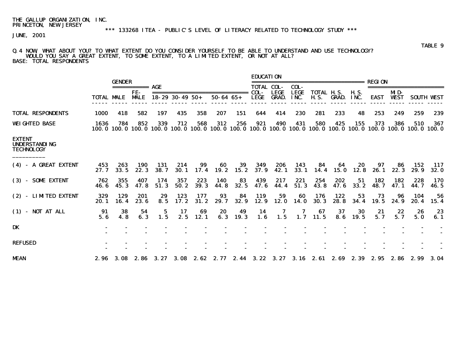# \*\*\* 133268 ITEA - PUBLIC'S LEVEL OF LITERACY RELATED TO TECHNOLOGY STUDY \*\*\*

JUNE, 2001

#### Q.4 NOW, WHAT ABOUT YOU? TO WHAT EXTENT DO YOU CONSIDER YOURSELF TO BE ABLE TO UNDERSTAND AND USE TECHNOLOGY? WOULD YOU SAY A GREAT EXTENT, TO SOME EXTENT, TO A LIMITED EXTENT, OR NOT AT ALL? BASE: TOTAL RESPONDENTS

|                                                            |                | <b>GENDER</b> |                    |               |                        |               |                    |                   | <b>EDUCATION</b>    |                             |                     |                      |                       |                     | REGT ON       |                    |                    |                    |
|------------------------------------------------------------|----------------|---------------|--------------------|---------------|------------------------|---------------|--------------------|-------------------|---------------------|-----------------------------|---------------------|----------------------|-----------------------|---------------------|---------------|--------------------|--------------------|--------------------|
|                                                            |                |               | ===========        | AGE           |                        |               |                    |                   | <b>TOTAL COL-</b>   |                             | COL-                |                      |                       |                     |               |                    |                    |                    |
|                                                            | TOTAL MALE     |               | FE-<br><b>MALE</b> |               | $18 - 29$ 30 - 49 50 + |               | $50 - 64 65 +$     |                   | COL-<br><b>LEGE</b> | <b>LEGE</b><br><b>GRAD.</b> | <b>LEGE</b><br>INC. | TOTAL<br><b>H.S.</b> | IL S.<br><b>GRAD.</b> | <b>H.S.</b><br>INC. | <b>EAST</b>   | MD-<br><b>WEST</b> | <b>SOUTH</b>       | WEST               |
| <b>TOTAL RESPONDENTS</b>                                   | <b>1000</b>    | 418           | 582                | 197           | 435                    | 358           | 207                | 151               | 644                 | 414                         | 230                 | 281                  | 233                   | 48                  | 253           | 249                | 259                | 239                |
| <b>WEIGHTED BASE</b>                                       | 1636<br>100. 0 | 784<br>100. O | 852<br>100. 0      | 339<br>100. 0 | 712<br>100. 0          | 568<br>100. 0 | 312<br>100. O      | 256               | 921<br>100.0 100.0  | 490<br>100. 0               | 431<br>100. 0       | 580<br>100. 0        | 425                   | 155<br>100.0 100.0  | 373<br>100. 0 | 386                | 510<br>100.0 100.0 | 367<br>100. 0      |
| <b>EXTENT</b><br><b>UNDERSTANDING</b><br><b>TECHNOLOGY</b> |                |               |                    |               |                        |               |                    |                   |                     |                             |                     |                      |                       |                     |               |                    |                    |                    |
| (4) - A GREAT EXTENT                                       | 453<br>27.7    | 263<br>33.5   | 190<br>22.3        | 131<br>38.7   | 214<br><b>30.1</b>     | 99<br>17.4    | 60<br>19. 2        | 39<br>15.2        | 349<br>37.9         | 206<br>42.1                 | 143<br>33.1         | 84<br>14.4           | 64<br>15.0            | 20<br>12.8          | 97<br>26.1    | 86<br>22.3         | 152<br>29.9        | 117<br><b>32.0</b> |
| (3) - SOME EXTENT                                          | 762<br>46.6    | 355<br>45.3   | 407<br>47.8        | 174<br>51.3   | 357<br>50.2            | 223<br>39.3   | <b>140</b><br>44.8 | 83<br>32.5        | 439<br>47.6         | 217<br>44.4                 | 221<br>51.3         | 254<br>43.8          | 202<br>47.6           | 51<br>33.2          | 182<br>48.7   | 182<br>47.1        | 228<br>44.7        | 170<br>46.5        |
| (2) - LIMTED EXTENT                                        | 329<br>20.1    | 129<br>16.4   | 201<br>23.6        | 29<br>8.5     | 123<br>17.2            | 177<br>31.2   | 93<br>29.7         | 84<br>32.9        | 119<br>12.9         | 59<br>12.0                  | 60<br><b>14. O</b>  | 176<br>30.3          | 122<br>28.8           | 53<br>34.4          | 73<br>19.5    | 96<br>24.9         | 104<br>20.4        | 56<br>15.4         |
| $(1)$ - NOT AT ALL                                         | 91<br>5.6      | 38<br>4.8     | 54<br>6.3          | 5<br>1.5      | 17<br>2.5              | 69<br>12.1    | 20<br>6.3          | 49<br><b>19.3</b> | 14<br>1.6           | 7<br>1.5                    | 1.7                 | 67<br>11.5           | 37<br>8.6             | 30<br>19.5          | 21<br>5.7     | 22<br>5.7          | 26<br>5.0          | 23<br>6.1          |
| DK                                                         |                |               |                    |               |                        |               |                    |                   |                     |                             |                     |                      |                       |                     |               |                    |                    |                    |
| <b>REFUSED</b>                                             |                |               |                    |               |                        |               |                    |                   |                     |                             |                     |                      |                       |                     |               |                    |                    |                    |
| <b>MEAN</b>                                                | 2.96           | - 3. 08       | 2.86               | 3. 27         | 3.08                   | 2. 62         | 2.77               | 2.44              | 3. 22               | 3. 27                       |                     | 3.16 2.61            | 2. 69                 | 2. 39               | 2.95          | 2.86               | 2.99               | 3. 04              |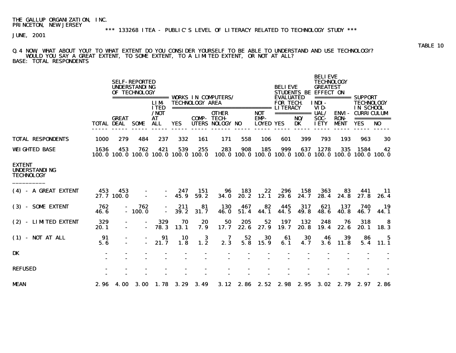JUNE, 2001

#### Q.4 NOW, WHAT ABOUT YOU? TO WHAT EXTENT DO YOU CONSIDER YOURSELF TO BE ABLE TO UNDERSTAND AND USE TECHNOLOGY? WOULD YOU SAY A GREAT EXTENT, TO SOME EXTENT, TO A LIMITED EXTENT, OR NOT AT ALL? BASE: TOTAL RESPONDENTS

|                                                            |                   |                   | <b>SELF-REPORTED</b><br><b>UNDERSTANDING</b><br>OF TECHNOLOGY |                                            |             |                        | ================= WORKS IN COMPUTERS/ |                   |                                        | <b>BELIEVE</b><br><b>EVALUATED</b> |                          | <b>BELIEVE</b><br><b>TECHNOLOGY</b><br><b>GREATEST</b><br>STUDENTS BE EFFECT ON |                                      | =========== SUPPORT                                           |                |
|------------------------------------------------------------|-------------------|-------------------|---------------------------------------------------------------|--------------------------------------------|-------------|------------------------|---------------------------------------|-------------------|----------------------------------------|------------------------------------|--------------------------|---------------------------------------------------------------------------------|--------------------------------------|---------------------------------------------------------------|----------------|
|                                                            |                   |                   |                                                               | <b>LIM</b><br><b>ITED</b>                  |             | <b>TECHNOLOGY AREA</b> | ===============================       |                   |                                        | <b>FOR TECH</b><br><b>LITERACY</b> |                          | <b>INDI-</b><br>VID-                                                            |                                      | <b>TECHNOLOGY</b><br><b>IN SCHOOL</b>                         |                |
|                                                            | <b>TOTAL DEAL</b> | <b>GREAT</b>      | SOME                                                          | / <sub>N</sub><br>AT<br><b>ALL</b>         | <b>YES</b>  | <b>COMP-TECH-</b>      | <b>OTHER</b><br>UTERS NOLOGY NO       |                   | <b>NOT</b><br>EMP-<br><b>LOYED YES</b> |                                    | ===========<br>NO/<br>DK | <b>UAL/</b><br>SOC-<br><b>IETY</b>                                              | ENVI -<br><b>RON-</b><br><b>MENT</b> | CURRICULUM<br>===========<br><b>YES</b>                       | N <sub>0</sub> |
| <b>TOTAL RESPONDENTS</b>                                   | <b>1000</b>       | 279               | 484                                                           | 237                                        | 332         | 161                    | 171                                   | 558               | 106                                    | 601                                | 399                      | 793                                                                             | 193                                  | 963                                                           | 30             |
| <b>WEIGHTED BASE</b>                                       | 1636              | 453               | 762                                                           | 421<br>100.0 100.0 100.0 100.0 100.0 100.0 | 539         | 255                    | 283                                   | 908               | 185                                    | 999                                | 637                      | 1278                                                                            | 335                                  | 1584<br>100.0 100.0 100.0 100.0 100.0 100.0 100.0 100.0 100.0 | 42             |
| <b>EXTENT</b><br><b>UNDERSTANDING</b><br><b>TECHNOLOGY</b> |                   |                   |                                                               |                                            |             |                        |                                       |                   |                                        |                                    |                          |                                                                                 |                                      |                                                               |                |
| (4) - A GREAT EXTENT                                       | 453               | 453<br>27.7 100.0 |                                                               | $\blacksquare$                             | 247<br>45.9 | 151<br>59.2            | 96<br><b>34.0</b>                     | 183<br>20.2       | 22<br>12.1                             | 296<br>29.6                        | 158<br>24.7              | 363<br>28.4                                                                     | 83<br>24.8                           | 441<br>27.8                                                   | 11<br>26.4     |
| (3) - SOME EXTENT                                          | 762<br>46.6       |                   | 762<br>$-100.0$                                               |                                            | 211<br>39.2 | 81<br>31.7             | <b>130</b><br>46.0                    | 467<br>51.4       | 82<br>44.1                             | 445<br>44.5                        | 317<br>49.8              | 621<br>48.6                                                                     | 137<br>40.8                          | 740<br>46.7                                                   | 19<br>44.1     |
| (2) - LIMTED EXTENT                                        | 329<br>20.1       |                   | $\blacksquare$                                                | 329<br>78.3                                | 70<br>13.1  | 20<br>7.9              | 50<br>17.7                            | 205<br>22.6       | 52<br>27.9                             | 197<br>19.7                        | 132<br>20.8              | 248<br>19.4                                                                     | 76<br>22.6                           | 318<br>20.1                                                   | 8<br>18.3      |
| $(1)$ - NOT AT ALL                                         | 91<br>5.6         |                   | $\blacksquare$                                                | 91<br>21.7                                 | 10<br>1.8   | 3<br>1.2               | 7<br>2.3                              | 52<br>5.8         | 30<br>15.9                             | 61<br>6.1                          | 30<br>4.7                | 46<br>3.6                                                                       | 39<br>11.8                           | 86<br>5.4                                                     | 5<br>11.1      |
| <b>DK</b>                                                  |                   |                   |                                                               |                                            |             |                        |                                       |                   |                                        |                                    |                          |                                                                                 |                                      |                                                               |                |
| <b>REFUSED</b>                                             |                   |                   |                                                               |                                            |             |                        |                                       |                   |                                        |                                    |                          |                                                                                 |                                      |                                                               |                |
| <b>MEAN</b>                                                | 2.96              | 4.00              | <b>3.00</b>                                                   |                                            | 1.78 3.29   | 3.49                   |                                       | $3.12 \quad 2.86$ | 2.52                                   | 2.98                               | 2.95                     | 3.02                                                                            | 2.79                                 | 2.97                                                          | 2.86           |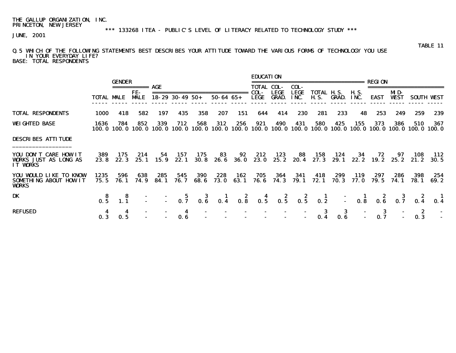\*\*\* 133268 ITEA - PUBLIC'S LEVEL OF LITERACY RELATED TO TECHNOLOGY STUDY \*\*\*

JUNE, 2001

#### Q.5 WHICH OF THE FOLLOWING STATEMENTS BEST DESCRIBES YOUR ATTITUDE TOWARD THE VARIOUS FORMS OF TECHNOLOGY YOU USE IN YOUR EVERYDAY LIFE? BASE: TOTAL RESPONDENTS

|                                                                          |                   | <b>GENDER</b>   |                          |             |                                |              |                    |             | <b>EDUCATION</b>  |                             |                     | ======================                           |              |                     | REGION                               |                    |              |                   |
|--------------------------------------------------------------------------|-------------------|-----------------|--------------------------|-------------|--------------------------------|--------------|--------------------|-------------|-------------------|-----------------------------|---------------------|--------------------------------------------------|--------------|---------------------|--------------------------------------|--------------------|--------------|-------------------|
|                                                                          |                   |                 |                          | AGE         |                                |              |                    |             | <b>TOTAL COL-</b> |                             | COL-                |                                                  |              |                     |                                      |                    |              |                   |
|                                                                          | <b>TOTAL MALE</b> |                 | FE-<br><b>MALE</b>       |             | $18 - 29$ 30 - 49 50 +         |              | $50 - 64$ $65 +$   |             | COL-<br>LEGE      | <b>LEGE</b><br><b>GRAD.</b> | <b>LEGE</b><br>INC. | TOTAL H.S.<br><b>H.S.</b>                        | GRAD.        | <b>H.S.</b><br>INC. | EAST                                 | MD-<br><b>WEST</b> |              | <b>SOUTH WEST</b> |
| <b>TOTAL RESPONDENTS</b>                                                 | 1000              | 418             | 582                      | 197         | 435                            | 358          | 207                | 151         | 644               | 414                         | 230                 | 281                                              | 233          | 48                  | 253                                  | 249                | 259          | 239               |
| <b>WEIGHTED BASE</b>                                                     | 1636<br>100. O    | 784             | 852<br>100.0 100.0 100.0 | 339         | 712<br>100.0 100.0             | 568          | 312                | 256         | 921               | 490                         | 431                 | 580<br>100.0 100.0 100.0 100.0 100.0 100.0 100.0 | 425          | 155                 | 373<br>100.0 100.0 100.0 100.0 100.0 | 386                | 510          | 367               |
| <b>DESCRIBES ATTITUDE</b>                                                |                   |                 |                          |             |                                |              |                    |             |                   |                             |                     |                                                  |              |                     |                                      |                    |              |                   |
| YOU DON'T CARE HOW IT<br><b>VORKS JUST AS LONG AS</b><br><b>IT WORKS</b> | 389<br>23.8       | 175<br>22.3     | 214<br>25.1              | 54.<br>15.9 | 157<br>22. 1                   | 175<br>30. 8 | 83<br>26. 6        | 92<br>36. O | 212<br>23. 0      | 123<br>25. 2                | 88<br>20.4          | 158<br>27.3                                      | 124<br>29. 1 | 34                  | 72<br>$22.2$ 19.2 $25.2$             | 97                 | 108<br>21. 2 | 112<br>30. 5      |
| YOU WOULD LIKE TO KNOW<br>SOMETHING ABOUT HOW IT<br><b>VORKS</b>         | 1235<br>75. 5     | 596<br>76. 1    | 638<br>74.9              | 285<br>84.1 | 545<br>76. 7                   | 390<br>68.6  | 228<br><b>73.0</b> | 162<br>63.1 | 705<br>76.6       | 364<br>74.3                 | 341<br>79. 1        | 418<br>72.1                                      | 299<br>70.3  | 119<br><b>77.0</b>  | 297<br>79. 5                         | 286<br>74. 1       | 398<br>78. 1 | 254<br>69.2       |
| DK                                                                       | $0.\overline{5}$  | $\frac{8}{1.1}$ | Ē.                       |             |                                |              |                    |             |                   |                             |                     |                                                  |              |                     |                                      |                    |              | $\frac{1}{0.4}$   |
| <b>REFUSED</b>                                                           | 0.3               | 4<br>0.5        | $\sim$                   |             | $\overline{\mathbf{4}}$<br>0.6 | $\sim$       |                    |             |                   | $\sim$ 100 $\mu$            | ÷.                  | - 3<br>0.4                                       | -3<br>0.6    |                     | 3<br>0.7                             |                    | 0.3          |                   |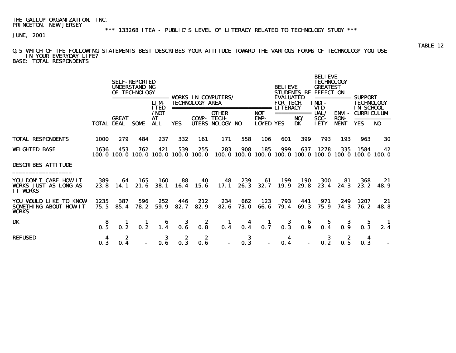\*\*\* 133268 ITEA - PUBLIC'S LEVEL OF LITERACY RELATED TO TECHNOLOGY STUDY \*\*\*

JUNE, 2001

## TABLE 12 Q.5 WHICH OF THE FOLLOWING STATEMENTS BEST DESCRIBES YOUR ATTITUDE TOWARD THE VARIOUS FORMS OF TECHNOLOGY YOU USE IN YOUR EVERYDAY LIFE?

BASE: TOTAL RESPONDENTS

|                                                                          |                 |                                   | <b>SELF-REPORTED</b><br><b>UNDERSTANDING</b><br>OF TECHNOLOGY<br>================= | <b>LIM</b><br><b>ITED</b>               |                                            | <b>TECHNOLOGY AREA</b>                  | <b>VORKS IN COMPUTERS/</b><br>================================ |                                |                                 | <b>BELIEVE</b><br><b>EVALUATED</b><br><b>FOR TECH</b><br><b>LITERACY</b> | <b>STUDENTS BE</b>                                                                                                                                                                                                                                                                                                                                                                                                                                                                                  | <b>BELIEVE</b><br><b>TECHNOLOGY</b><br><b>GREATEST</b><br><b>EFFECT ON</b><br>INDI-<br>VID- |                                            | =========== SUPPORT<br><b>TECHNOLOGY</b><br>IN SCHOOL |                                                                      |
|--------------------------------------------------------------------------|-----------------|-----------------------------------|------------------------------------------------------------------------------------|-----------------------------------------|--------------------------------------------|-----------------------------------------|----------------------------------------------------------------|--------------------------------|---------------------------------|--------------------------------------------------------------------------|-----------------------------------------------------------------------------------------------------------------------------------------------------------------------------------------------------------------------------------------------------------------------------------------------------------------------------------------------------------------------------------------------------------------------------------------------------------------------------------------------------|---------------------------------------------------------------------------------------------|--------------------------------------------|-------------------------------------------------------|----------------------------------------------------------------------|
|                                                                          |                 | <b>GREAT</b><br><b>TOTAL DEAL</b> | SOME                                                                               | $/$ NOT<br>AT<br>ALL.                   | YES.                                       | <b>COMP-TECH-</b>                       | <b>OTHER</b><br>UTERS NOLOGY NO                                |                                | NOT<br>EMP-<br><b>LOYED YES</b> |                                                                          | $\begin{array}{cccccccccc} \multicolumn{2}{c}{} & \multicolumn{2}{c}{} & \multicolumn{2}{c}{} & \multicolumn{2}{c}{} & \multicolumn{2}{c}{} & \multicolumn{2}{c}{} & \multicolumn{2}{c}{} & \multicolumn{2}{c}{} & \multicolumn{2}{c}{} & \multicolumn{2}{c}{} & \multicolumn{2}{c}{} & \multicolumn{2}{c}{} & \multicolumn{2}{c}{} & \multicolumn{2}{c}{} & \multicolumn{2}{c}{} & \multicolumn{2}{c}{} & \multicolumn{2}{c}{} & \multicolumn{2}{c}{} & \multicolumn{2}{c}{} & \mult$<br>NO/<br>DK | UAL/<br>SOC-<br><b>IETY</b>                                                                 | <b>ENVI-</b><br><b>RON-</b><br><b>MENT</b> | <b>CURRICULUM</b><br>YES                              | NO.                                                                  |
| <b>TOTAL RESPONDENTS</b>                                                 | 1000            | 279                               | 484                                                                                | 237                                     | 332                                        | 161                                     | 171                                                            | 558                            | 106                             | 601                                                                      | 399                                                                                                                                                                                                                                                                                                                                                                                                                                                                                                 | 793                                                                                         | 193                                        | 963                                                   | 30                                                                   |
| <b>WEIGHTED BASE</b>                                                     | 1636            | 453                               | 762                                                                                | 421                                     | 539<br>100.0 100.0 100.0 100.0 100.0 100.0 | 255                                     | 283                                                            | 908                            | 185                             | 999                                                                      | 637                                                                                                                                                                                                                                                                                                                                                                                                                                                                                                 | 1278                                                                                        | 335                                        | 1584                                                  | 42<br>100, 0 100, 0 100, 0 100, 0 100, 0 100, 0 100, 0 100, 0 100, 0 |
| <b>DESCRIBES ATTITUDE</b>                                                |                 |                                   |                                                                                    |                                         |                                            |                                         |                                                                |                                |                                 |                                                                          |                                                                                                                                                                                                                                                                                                                                                                                                                                                                                                     |                                                                                             |                                            |                                                       |                                                                      |
| YOU DON'T CARE HOW IT<br><b>VORKS JUST AS LONG AS</b><br><b>IT WORKS</b> | 389<br>23.8     | 64<br>14.1                        | 165<br>21.6                                                                        | 160<br><b>38.1</b>                      | 88<br>16.4                                 | 40<br>15.6                              | 48<br>17.1                                                     | 239<br>26.3                    | 61<br>32.7                      | 199<br>19.9                                                              | <b>190</b><br>29.8                                                                                                                                                                                                                                                                                                                                                                                                                                                                                  | <b>300</b><br>23.4                                                                          | 81<br>24.3                                 | 368<br>23. 2                                          | 21<br>48.9                                                           |
| YOU WOULD LIKE TO KNOW<br><b>SOMETHING ABOUT HOW IT</b><br><b>VORKS</b>  | 1235<br>75.5    | 387<br>85.4                       | 596<br>78.2                                                                        | 252<br>59.9                             | 446<br>82.7                                | 212<br>82.9                             | 234<br>82.6                                                    | 662<br><b>73.0</b>             | 123<br>66.6                     | 793<br>79.4                                                              | 441<br>69.3                                                                                                                                                                                                                                                                                                                                                                                                                                                                                         | 971<br>75.9                                                                                 | 249<br>74.3                                | 1207<br>76. 2                                         | 21<br>48. 8                                                          |
| DK                                                                       | $\frac{8}{0.5}$ | $\mathbf{L}$<br>0.2               | 0.2                                                                                | $\begin{array}{c} 6 \\ 1.4 \end{array}$ | $\begin{array}{c} 3 \\ 0.6 \end{array}$    | $\begin{array}{c} 2 \\ 0.8 \end{array}$ | -1<br>0.4                                                      | $\overline{\mathbf{4}}$<br>0.4 | $\frac{1}{0.7}$                 | $\frac{3}{0.3}$                                                          | $\begin{array}{c} 6 \\ 0.9 \end{array}$                                                                                                                                                                                                                                                                                                                                                                                                                                                             | 0.4                                                                                         | -35<br>0.9                                 | 0.3                                                   |                                                                      |
| <b>REFUSED</b>                                                           | 4<br>0.3        | 2<br>0.4                          |                                                                                    | 3<br>0.6                                | 2<br>0.3                                   | 2<br>0.6                                | $\blacksquare$                                                 | 3<br>0.3                       | $\sim$                          | $\overline{\mathbf{4}}$<br>0.4                                           |                                                                                                                                                                                                                                                                                                                                                                                                                                                                                                     | 3                                                                                           | 0.5                                        | 4<br>0.3                                              |                                                                      |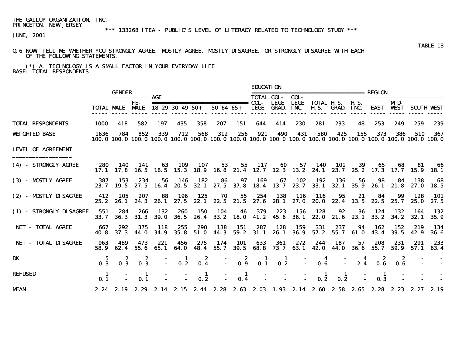# \*\*\* 133268 ITEA - PUBLIC'S LEVEL OF LITERACY RELATED TO TECHNOLOGY STUDY \*\*\*

JUNE, 2001

#### Q.6 NOW, TELL ME WHETHER YOU STRONGLY AGREE, MOSTLY AGREE, MOSTLY DISAGREE, OR STRONGLY DISAGREE WITH EACH OF THE FOLLOWING STATEMENTS.

 (\*) A. TECHNOLOGY IS A SMALL FACTOR IN YOUR EVERYDAY LIFE BASE: TOTAL RESPONDENTS

|                             |              |                        |                        |                    |                        |              |                                                                                                                                      |             | <b>EDUCATION</b>          |                  |                    |                         |                        |              |                                   |                 |               |                    |
|-----------------------------|--------------|------------------------|------------------------|--------------------|------------------------|--------------|--------------------------------------------------------------------------------------------------------------------------------------|-------------|---------------------------|------------------|--------------------|-------------------------|------------------------|--------------|-----------------------------------|-----------------|---------------|--------------------|
|                             |              | <b>GENDER</b>          | =========== <b>AGE</b> |                    |                        |              |                                                                                                                                      |             | <b>TOTAL COL-</b>         |                  | COL-               |                         |                        |              | :========================= REGION |                 |               |                    |
|                             |              | <b>TOTAL MALE MALE</b> | FE-                    |                    | $18 - 29$ 30 - 49 50 + |              |                                                                                                                                      |             | 50-64 65+ LEGE GRAD. INC. | <b>LEGE</b>      | <b>LEGE</b>        | TOTAL H.S.              | <b>H.S. GRAD. INC.</b> | H. S.        | <b>EAST WEST</b>                  | MD-             |               | <b>SOUTH WEST</b>  |
| <b>TOTAL RESPONDENTS</b>    | 1000         | 418                    | 582                    | 197                | 435                    | 358          | 207                                                                                                                                  | 151         | 644                       | 414              | 230                | 281                     | 233                    | 48           | 253                               | 249             | 259           | 239                |
| <b>WEIGHTED BASE</b>        | 1636         | 784                    | 852                    | 339                | 712                    | 568          | 312<br>100, 0 100, 0 100, 0 100, 0 100, 0 100, 0 100, 0 100, 0 100, 0 100, 0 100, 0 100, 0 100, 0 100, 0 100, 0 100, 0 100, 0 100, 0 | 256         | 921                       | 490              | 431                | 580                     | 425                    | 155          | 373                               | 386             | 510           | - 367              |
| <b>LEVEL OF AGREEMENT</b>   |              |                        |                        |                    |                        |              |                                                                                                                                      |             |                           |                  |                    |                         |                        |              |                                   |                 |               |                    |
| (4) - STRONGLY AGREE        | 280          | 140                    | - 141                  | 63                 | 109                    | 107          | 17.1 17.8 16.5 18.5 15.3 18.9 16.8 21.4 12.7 12.3 13.2 24.1 23.7                                                                     |             |                           |                  |                    | 53 55 117 60 57 140 101 |                        | - 39<br>25.2 | 17.3 17.7 15.9 18.1               | 65 68           | 81            | - 66               |
| (3) - MOSTLY AGREE          |              | 387 153                | 234                    | 56                 | - 146                  | 182          | 86<br>23.7 19.5 27.5 16.4 20.5 32.1 27.5 37.8 18.4 13.7 23.7 33.1                                                                    |             | 97 169                    |                  | 67 102             | 192                     | 136<br>32.1            | 56           | 98<br>35.9 26.1 21.8 27.0 18.5    |                 | 84 138        | - 68               |
| (2) - MOSTLY DISAGREE       | 412<br>25.2  | 205                    | 207<br>26.1 24.3       | 88                 | 196                    | 125          | 70<br>26.1 27.5 22.1 22.5 21.5 27.6 28.1 27.0 20.0 22.4 13.5                                                                         | 55          | 254                       | 138              | -- 116             | 116                     | 95                     | 21           | 84                                | 99<br>22.5 25.7 | 128<br>25. O  | <b>101</b><br>27.5 |
| (1) - STRONGLY DISAGREE     | 551<br>33.7  | 284<br>36. 3           | 266<br>31.3            | 132<br><b>39.0</b> | 260<br>36. 5           | 150<br>26. 4 | 104<br>33.2                                                                                                                          | 46<br>18. O | 379                       | 223<br>41.2 45.6 | 156<br><b>36.1</b> | 128<br>22.0             | 92<br>21.6             | 36<br>23. 1  | 124<br>33.2                       | 132<br>34.2     | - 164<br>32.1 | 132<br>35.9        |
| NET - TOTAL AGREE           | 667<br>40. S | 292<br>37.3            | 375<br>44. O           | 118<br>34.9        | 255<br>35.8            | 290<br>51.0  | 138<br>44.3                                                                                                                          | 151<br>59.2 | 287<br>31.1               | 128<br>26.1      | 159<br><b>36.9</b> | 331<br>57.2             | 237<br>55.7            | 94<br>61. 0  | 162<br>43.4                       | 152<br>39.5     | 219<br>42.9   | - 134<br>36. 6     |
| <b>NET - TOTAL DISAGREE</b> | 963<br>58.9  | 489<br>62.4            | 473<br>55.6            | 221<br>65. 1       | 456<br>64. O           | 275<br>48.4  | 174<br>55.7                                                                                                                          | 101         | 633<br>39.5 68.8          | 361<br>73. 7     | 272<br>63. 1       | 244<br>42.0             | 187<br>44. O           | 57<br>36. 6  | 208<br>55.7                       | 231<br>59.9     | 291<br>57.1   | 233<br>63.4        |
| DK                          | 0.3          | 0.3                    | 0.3                    |                    | 0.2                    | 0.4          |                                                                                                                                      | 2<br>0.9    | 0.1                       | п.<br>0.2        |                    | 0.6                     |                        | 2.4          | 2<br>0.6                          | 0. B            |               |                    |
| <b>REFUSED</b>              | - 1<br>0.1   |                        | 0.1                    |                    |                        | -1<br>0.2    |                                                                                                                                      | -1<br>0.4   |                           |                  |                    | -1<br>0.2               | -1<br>0.2              |              | -1<br>0.3                         |                 |               |                    |
| <b>MEAN</b>                 |              |                        |                        |                    |                        |              | 2.24 2.19 2.29 2.14 2.15 2.44 2.28 2.63 2.03 1.93 2.14 2.60 2.58 2.65 2.28 2.23 2.27 2.19                                            |             |                           |                  |                    |                         |                        |              |                                   |                 |               |                    |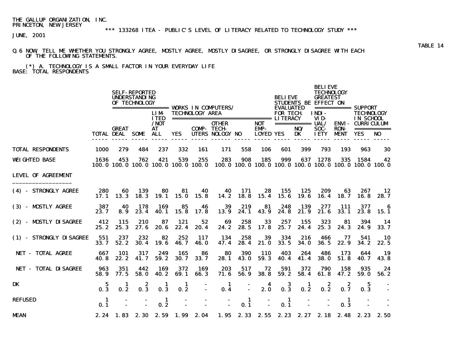JUNE, 2001

#### Q.6 NOW, TELL ME WHETHER YOU STRONGLY AGREE, MOSTLY AGREE, MOSTLY DISAGREE, OR STRONGLY DISAGREE WITH EACH OF THE FOLLOWING STATEMENTS.

 (\*) A. TECHNOLOGY IS A SMALL FACTOR IN YOUR EVERYDAY LIFE BASE: TOTAL RESPONDENTS

|                             |              |                                        | <b>SELF-REPORTED</b><br><b>UNDERSTANDING</b><br>OF TECHNOLOGY |                                      |              |                        | ================== WORKS IN COMPUTERS/                                                                          |                    |                          | <b>BELIEVE</b><br><b>EVALUATED</b> |                    | <b>BELIEVE</b><br><b>TECHNOLOGY</b><br><b>GREATEST</b><br><b>STUDENTS BE EFFECT ON</b> |                           |                                                                                    |                                |
|-----------------------------|--------------|----------------------------------------|---------------------------------------------------------------|--------------------------------------|--------------|------------------------|-----------------------------------------------------------------------------------------------------------------|--------------------|--------------------------|------------------------------------|--------------------|----------------------------------------------------------------------------------------|---------------------------|------------------------------------------------------------------------------------|--------------------------------|
|                             |              |                                        |                                                               | <b>LIM</b><br><b>ITED</b><br>$/$ NOT |              | <b>TECHNOLOGY AREA</b> | <b>OTHER</b>                                                                                                    |                    | <b>NOT</b>               | <b>FOR TECH</b>                    | =========== UAL/   | INDI-<br>VID-                                                                          |                           | ============ SUPPORT<br><b>TECHNOLOGY</b><br>IN SCHOOL<br><b>ENVI - CURRICULUM</b> |                                |
|                             |              | <b>GREAT</b><br><b>TOTAL DEAL SOME</b> |                                                               | <b>AT</b><br>ALL                     | <b>YES</b>   |                        | <b>COMP- TECH-</b><br>UTERS NOLOGY NO                                                                           |                    | EMP-<br><b>LOYED YES</b> |                                    | NO/<br>DK          | SOC-<br><b>IETY</b>                                                                    | <b>RON</b><br><b>MENT</b> | <b>YES</b>                                                                         | ===========<br>NO <sub>1</sub> |
| <b>TOTAL RESPONDENTS</b>    | 1000         | 279                                    | 484                                                           | 237                                  | 332          | 161                    | 171                                                                                                             | 558                | 106                      | 601                                | 399                | 793                                                                                    | 193                       | 963                                                                                | 30                             |
| <b>WEIGHTED BASE</b>        | 1636         | 453                                    | 762                                                           | 421                                  | 539          | 255                    | 283<br>100, 0 100, 0 100, 0 100, 0 100, 0 100, 0 100, 0 100, 0 100, 0 100, 0 100, 0 100, 0 100, 0 100, 0 100, 0 | 908                | 185                      | 999                                |                    | 637 1278                                                                               |                           | 335 1584 42                                                                        |                                |
| <b>LEVEL OF AGREEMENT</b>   |              |                                        |                                                               |                                      |              |                        |                                                                                                                 |                    |                          |                                    |                    |                                                                                        |                           |                                                                                    |                                |
| (4) - STRONGLY AGREE        | 280<br>17.1  | 60<br>13.3                             | 139<br>18.3                                                   | 80<br>19.1                           | 81<br>15.0   | 40<br>15.8             | 40<br>14.2                                                                                                      | - 171<br>18.8      | 28<br>15.4               | 155<br>15.6                        | 125<br>19.6        | 209<br>16.4                                                                            | 63<br>18.7                | 267<br>16. 8                                                                       | 12<br>28. 7                    |
| (3) - MOSTLY AGREE          | 387<br>23.7  | 40<br>8.9                              | 178<br>23.4                                                   | 169<br>40.1                          | 85<br>15.8   | 46<br>17.8             | 39<br>13.9                                                                                                      | 219<br>24.1        | 81<br>43.9               | 248<br>24.8                        | 139<br>21.9        | 277<br>21.6                                                                            | 111<br>33.1               | 377<br>23.8                                                                        | 6<br>- 15. 1                   |
| (2) - MOSTLY DISAGREE       | 412<br>25.2  | 115<br>25.3                            | 210<br>27.6                                                   | 87<br>20.6                           | 121<br>22.4  | 52<br>20.4             | 69<br>24.2                                                                                                      | 258<br>28.5        | 33<br>17.8               | 257<br>25.7                        | 155<br>24.4        | 323<br>25.3                                                                            | 81<br>24.3                | 394<br>24.9                                                                        | - 14<br>33.7                   |
| (1) - STRONGLY DISAGREE     | 551<br>33.7  | 237<br>52.2                            | 232<br>30.4                                                   | 82<br>19.6                           | 252<br>46. 7 | 117<br><b>46.0</b>     | 134<br>47.4                                                                                                     | 258<br>28.4        | 39<br>21.0               | 334<br>33.5                        | 216<br><b>34.0</b> | 466<br>36. 5                                                                           | 77<br>22.9                | 541<br>34.2                                                                        | -10<br>22.5                    |
| <b>NET - TOTAL AGREE</b>    | 667<br>40. 8 | 101<br>22.2                            | 317<br>41.7                                                   | 249<br>59.2                          | 165<br>30. 7 | 86<br>33.7             | 80<br>28.1                                                                                                      | 390<br><b>43.0</b> | 110<br>59.3              | 403<br>40.4                        | 264<br>41.4        | 486<br><b>38.0</b>                                                                     | 173<br>51.8               | 644<br>40. 7                                                                       | - 19<br>43.8                   |
| <b>NET - TOTAL DISAGREE</b> | 963<br>58.9  | 351<br>77.5                            | 442<br>58.0                                                   | 169<br>40.2                          | 372<br>69.1  | 169<br>66.3            | 203<br>71.6                                                                                                     | 517<br>56.9        | 72<br><b>38.8</b>        | 591<br>59.2                        | 372<br>58.4        | 790<br>61.8                                                                            | 158<br>47.2               | 935<br>59. 0                                                                       | 24<br>56.2                     |
| DK                          | 5<br>0.3     | 1<br>0.2                               | 2<br>0.3                                                      | -1<br>0.3                            | 1<br>0.2     |                        | -1<br>0.4                                                                                                       | $\mathbf{r}$       | 4<br>2.0                 | 3<br>0.3                           | 1<br>0.2           | 2<br>0.2                                                                               | 2<br>0.7                  | 5<br>0.3                                                                           |                                |
| <b>REFUSED</b>              | - 1<br>0.1   |                                        |                                                               | -1<br>0.2                            |              |                        |                                                                                                                 | -1<br>0.1          |                          | $\blacksquare$<br>0.1              |                    |                                                                                        | -1<br>0.3                 |                                                                                    |                                |
| <b>MEAN</b>                 |              | 2.24 1.83 2.30                         |                                                               |                                      |              | 2.59 1.99 2.04         |                                                                                                                 |                    |                          |                                    |                    |                                                                                        |                           | 1.95 2.33 2.55 2.23 2.27 2.18 2.48 2.23 2.50                                       |                                |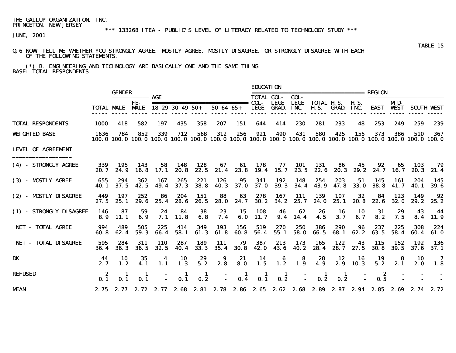# \*\*\* 133268 ITEA - PUBLIC'S LEVEL OF LITERACY RELATED TO TECHNOLOGY STUDY \*\*\*

JUNE, 2001

#### Q.6 NOW, TELL ME WHETHER YOU STRONGLY AGREE, MOSTLY AGREE, MOSTLY DISAGREE, OR STRONGLY DISAGREE WITH EACH OF THE FOLLOWING STATEMENTS.

 (\*) B. ENGINEERING AND TECHNOLOGY ARE BASICALLY ONE AND THE SAME THING BASE: TOTAL RESPONDENTS

|                           |              |                        |                     |                    |                          |                    |                    |                     | <b>EDUCATION</b>      |                     |                    |                                                                                                                        |                                                  |                   |                    |                    |                    |                   |
|---------------------------|--------------|------------------------|---------------------|--------------------|--------------------------|--------------------|--------------------|---------------------|-----------------------|---------------------|--------------------|------------------------------------------------------------------------------------------------------------------------|--------------------------------------------------|-------------------|--------------------|--------------------|--------------------|-------------------|
|                           |              | <b>GENDER</b>          | $=$ =========== AGE |                    |                          |                    |                    |                     | <b>TOTAL COL-</b>     |                     | COL-               | ----------------------------                                                                                           |                                                  |                   | REGION             |                    | ================== |                   |
|                           |              | <b>TOTAL MALE MALE</b> | FE-                 |                    | $18 - 29$ 30 - 49 50 +   |                    | $50 - 64$ $65 +$   |                     |                       | LEGE<br>LEGE GRAD.  | LEGE<br>INC.       |                                                                                                                        | <b>TOTAL H.S. H.S.</b><br><b>H.S. GRAD. INC.</b> |                   | EAST               | MD-<br><b>WEST</b> |                    | <b>SOUTH VEST</b> |
| <b>TOTAL RESPONDENTS</b>  | 1000         | 418                    | 582                 | 197                | 435                      | 358                | 207                | 151                 | 644                   | 414                 | 230                | 281                                                                                                                    | 233                                              | 48                | 253                | 249                | 259                | 239               |
| <b>WEIGHTED BASE</b>      | 1636         | 784                    | 852                 | 339                | 712                      | 568                | 312                | 256                 | 921                   | 490                 | 431                | 580<br>100.0 100.0 100.0 100.0 100.0 100.0 100.0 100.0 100.0 100.0 100.0 100.0 100.0 100.0 100.0 100.0 100.0 100.0 100 | 425                                              | 155               | 373                | 386                | 510                | 367               |
| <b>LEVEL OF AGREEMENT</b> |              |                        |                     |                    |                          |                    |                    |                     |                       |                     |                    |                                                                                                                        |                                                  |                   |                    |                    |                    |                   |
| (4) - STRONGLY AGREE      | 339<br>20. 7 | 195<br>24.9            | 143<br>16.8         | 58<br>17. 1        | 148<br>20. 8             | 128<br>22.5        | 67<br>21.4         | 61<br>23.8          | 178<br>19.4           | 77<br>15.7          | <b>101</b><br>23.5 | 131<br>22. 6                                                                                                           | 86<br>20.3                                       | 45<br>29. 2       | 92                 | 65<br>24.7 16.7    | 103<br>20. 3       | 79<br>21.4        |
| (3) - MOSTLY AGREE        | 655<br>40. 1 | 294<br>37.5            | 362<br>42.5         | 167<br>49.4        | 265<br>37.3              | 221<br><b>38.8</b> | 126<br><b>40.3</b> | 95<br>37. O         | 341<br><b>37.0</b>    | 192<br>39. 3        | 148<br>34.4        | 254<br>43.9                                                                                                            | 203<br>47.8                                      | 51<br><b>33.0</b> | 145                | 161<br>38.8 41.7   | 204<br>40.1        | - 145<br>39. 6    |
| (2) - MISTLY DISAGREE     | 449<br>27.5  | 197<br>25.1            | 252<br>29. 6        | 86<br>25.4         | 204<br>28.6              | 151<br>26.5        | 88<br><b>28.0</b>  | 63<br>24. 7         | 278<br>30. 2          | 167<br>34.2         | <b>111</b><br>25.7 | 139<br>24. 0                                                                                                           | 107<br>25.1                                      | 32<br>20. 8       | 84<br>22. 6        | 123<br>32.0        | 149<br>29. 2       | 92<br>25.2        |
| (1) - STRONGLY DISAGREE   | 146<br>8.9   | 87<br>11.1             | 59<br>6.9           | 24<br>7. 1         | 84<br>11.8               | 38<br>6.8          | 23<br>7.4          | 15<br>6.0           | 108<br>11.7           | 46<br>9.4           | 62<br>14.4         | 26<br>4.5                                                                                                              | 16<br>3.7                                        | 10<br>6.7         | -31<br>8.2         | 29<br>7.5          | 43<br>8.4          | -44<br>11.9       |
| NET - TOTAL AGREE         | 994<br>60. S | 489<br>62.4            | 505<br>59.3         | 225<br>66.4        | 414<br>58.1              | 349<br>61.3        | 193<br>61.8        | 156<br>60.8         | 519<br>56.4           | 270<br>55.1         | 250<br>58.0        | 386<br>66.5                                                                                                            | 290<br>68.1                                      | 96<br>62.2        | 237<br>63.5        | 225<br>58.4        | 308<br>60.4        | 224<br>61.0       |
| NET - TOTAL DISAGREE      | 595<br>36. 4 | 284<br>36.3            | 311<br>36.5         | <b>110</b><br>32.5 | 287<br>40.4              | 189<br>33.3        | 111<br>35.4        | 79<br><b>30.8</b>   | 387<br><b>42. O</b>   | 213<br>43.6         | 173<br>40.2        | 165<br>28.4                                                                                                            | 122<br>28.7                                      | 43<br>27.5        | 115<br><b>30.8</b> | 152<br>39.5        | 192<br>37. 6       | - 136<br>37.1     |
| <b>DK</b>                 | 44<br>2.7    | 10<br>1.2              | 35<br>4.1           | 4<br>1.1           | 10<br>$1.\overline{3}$   | 29<br>5.2          | 9<br>2.8           | 21<br>8.0           | 14<br>1.5             | 6<br>1.2            | -8<br>1.9          | 28<br>4.9                                                                                                              | 12<br>2.9                                        | - 16<br>10.3      | 19<br>5.2          | -8<br>2.1          | 10<br>2.0          | - 7<br>1.8        |
| <b>REFUSED</b>            | 0.1          | 0.1                    | 0.1                 |                    | -1<br>0.1                | -1<br>0.2          |                    | $\mathbf{I}$<br>0.4 | $\blacksquare$<br>0.1 | $\mathbf{I}$<br>0.2 |                    | -1<br>0.2                                                                                                              | -1<br>0.2                                        |                   | 2<br>0.5           |                    |                    |                   |
| <b>MEAN</b>               |              |                        |                     |                    | 2.75 2.77 2.72 2.77 2.68 |                    |                    |                     |                       |                     |                    | 2.81 2.78 2.86 2.65 2.62 2.68 2.89 2.87 2.94 2.85 2.69                                                                 |                                                  |                   |                    |                    | 2.74               | 2.72              |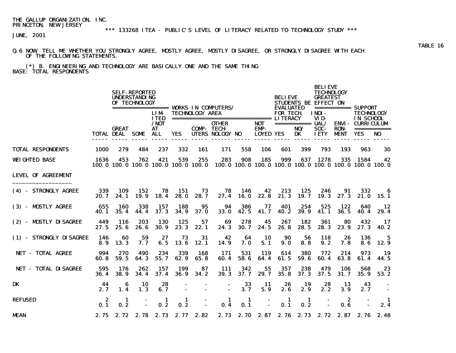# \*\*\* 133268 ITEA - PUBLIC'S LEVEL OF LITERACY RELATED TO TECHNOLOGY STUDY \*\*\*

JUNE, 2001

#### Q.6 NOW, TELL ME WHETHER YOU STRONGLY AGREE, MOSTLY AGREE, MOSTLY DISAGREE, OR STRONGLY DISAGREE WITH EACH OF THE FOLLOWING STATEMENTS.

 (\*) B. ENGINEERING AND TECHNOLOGY ARE BASICALLY ONE AND THE SAME THING BASE: TOTAL RESPONDENTS

|                             |              | <b>SELF-REPORTED</b><br><b>UNDERSTANDING</b><br>OF TECHNOLOGY |             |                             |                      |                               |                                                                                                  |                    |                                        |                  | <b>BELIEVE</b><br><b>EVALUATED</b> | <b>BELIEVE</b><br><b>TECHNOLOGY</b><br><b>GREATEST</b><br><b>STUDENTS BE EFFECT ON</b> |                            | ============ SUPPORT                         |                               |
|-----------------------------|--------------|---------------------------------------------------------------|-------------|-----------------------------|----------------------|-------------------------------|--------------------------------------------------------------------------------------------------|--------------------|----------------------------------------|------------------|------------------------------------|----------------------------------------------------------------------------------------|----------------------------|----------------------------------------------|-------------------------------|
|                             |              |                                                               |             | <b>LIM</b><br><b>ITED</b>   |                      | <b>TECHNOLOGY AREA</b>        | ===================================== LITERACY                                                   |                    |                                        | <b>FOR TECH.</b> |                                    | <b>TNDT-</b><br>VID-                                                                   |                            | <b>TECHNOLOGY</b><br>IN SCHOOL               |                               |
|                             |              | <b>GREAT</b><br><b>TOTAL DEAL SOME</b>                        |             | $/$ NOT<br><b>AT</b><br>ALL | <b>YES</b>           |                               | <b>OTHER</b><br><b>COMP-TECH-</b><br>UTERS NOLOGY NO                                             |                    | <b>NOT</b><br>EMP-<br><b>LOYED YES</b> |                  | ============ UAL/<br>NO/<br>DK     | <b>SOC-</b><br><b>IETY</b>                                                             | <b>RON-</b><br><b>MENT</b> | <b>ENVI- CURRICULUM</b><br><b>YES</b>        | ===========<br>N <sub>0</sub> |
| <b>TOTAL RESPONDENTS</b>    | 1000         | 279                                                           | 484         | 237                         | 332                  | 161                           | 171                                                                                              | 558                | 106                                    | 601              | 399                                | 793                                                                                    | 193                        | 963                                          | 30                            |
| <b>WEIGHTED BASE</b>        | 1636         | 453                                                           | 762         | 421                         | 539                  | 255                           | 283<br>100.0 100.0 100.0 100.0 100.0 100.0 100.0 100.0 100.0 100.0 100.0 100.0 100.0 100.0 100.0 | 908                | 185                                    | 999              | 637                                | 1278                                                                                   |                            | 335 1584                                     | 42                            |
| <b>LEVEL OF AGREEMENT</b>   |              |                                                               |             |                             |                      |                               |                                                                                                  |                    |                                        |                  |                                    |                                                                                        |                            |                                              |                               |
| (4) - STRONGLY AGREE        | 339<br>20. 7 | 109<br>24.1                                                   | 152<br>19.9 | 78<br>18.4                  | - 151<br><b>28.0</b> | 73<br>28.7                    | 78<br>27.4                                                                                       | - 146<br>16.0      | 42<br>22.8                             | 213<br>21.3      | 125<br>19. 7                       | 246<br>19.3                                                                            | 91<br>27.3                 | 332                                          | 6<br>21.0 15.1                |
| (3) - MOSTLY AGREE          | 655<br>40. 1 | 160<br>35.4                                                   | 338<br>44.4 | 157<br>37.3                 | 188<br>34.9          | 95<br>37.0                    | 94<br><b>33.0</b>                                                                                | 386<br>42.5        | 77<br>41.7                             | 401<br>40.2      | 254<br>39.9                        | 525<br>41.1                                                                            | 122<br>36.5                | 640                                          | 12<br>40.4 29.4               |
| (2) - MOSTLY DISAGREE       | 449<br>27.5  | 116<br>25.6                                                   | 203<br>26.6 | 130<br><b>30.9</b>          | 125<br>23.3          | 57<br>22.1                    | 69<br>24.3                                                                                       | 278<br><b>30.7</b> | 45<br>24.5                             | 267<br>26.8      | 182<br>28.5                        | 361<br>28.3                                                                            | 80<br>23.9                 | 432<br>27.3                                  | 17<br>40. 2                   |
| (1) - STRONGLY DISAGREE     | 146<br>8.9   | 60<br>13.3                                                    | 59<br>7. 7  | 27<br>6.5                   | 73<br>13.6           | 31<br>12.1                    | 42<br>14.9                                                                                       | 64<br>7. 0         | 10<br>5.1                              | 90<br>9.0        | 56<br>8.8                          | 118<br>9.2                                                                             | 26<br>7.8                  | 136<br>8.6                                   | 5<br>12.9                     |
| NET - TOTAL AGREE           | 994<br>60. 8 | 270<br>59.5                                                   | 490<br>64.3 | 234<br>55.7                 | 339<br>62.9          | 168<br>65.8                   | 171<br>60.4                                                                                      | 531<br>58. 6       | 119<br>64.4                            | 614<br>61.5      | <b>380</b><br>59. 6                | 772<br>60.4                                                                            | 214<br>63. 8               | 973<br>61.4                                  | 19<br>44.5                    |
| <b>NET - TOTAL DISAGREE</b> | 595<br>36.4  | - 176<br><b>38.9</b>                                          | 262<br>34.4 | 157<br>37.4                 | 199<br>36. 9         | 87<br>34.2                    | -111<br>39.3                                                                                     | 342<br>37.7        | 55<br>29.7                             | 357<br>35.8      | 238<br>37.3                        | 479<br>37.5                                                                            | 106<br>31.7                | 568<br>35.9                                  | 23<br>53.2                    |
| DK                          | 44<br>2.7    | 6<br>1.4                                                      | 10<br>1.3   | 28<br>6.7                   |                      |                               |                                                                                                  | 33<br>3.7          | -11<br>5.9                             | 26<br>2.6        | 19<br>2.9                          | 28<br>2.2                                                                              | 13<br>3.9                  | 43<br>2.7                                    |                               |
| <b>REFUSED</b>              | - 2<br>0.1   | -1<br>0.2                                                     |             | -1<br>0.2                   | 1<br>0.2             |                               | -1<br>0.4                                                                                        | - 1<br>0.1         |                                        | -1<br>0.1        | 1<br>0.2                           |                                                                                        | - 2<br>0.6                 |                                              | 2.4                           |
| <b>MEAN</b>                 |              |                                                               |             |                             |                      | 2.75 2.72 2.78 2.73 2.77 2.82 |                                                                                                  |                    |                                        |                  |                                    |                                                                                        |                            | 2.73 2.70 2.87 2.76 2.73 2.72 2.87 2.76 2.48 |                               |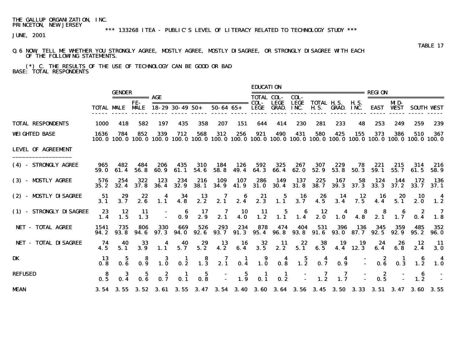# \*\*\* 133268 ITEA - PUBLIC'S LEVEL OF LITERACY RELATED TO TECHNOLOGY STUDY \*\*\*

JUNE, 2001

#### Q.6 NOW, TELL ME WHETHER YOU STRONGLY AGREE, MOSTLY AGREE, MOSTLY DISAGREE, OR STRONGLY DISAGREE WITH EACH OF THE FOLLOWING STATEMENTS.

 (\*) C. THE RESULTS OF THE USE OF TECHNOLOGY CAN BE GOOD OR BAD BASE: TOTAL RESPONDENTS

|                           |              |                        |                                         |                  |                                         |                                         |                  |                       | <b>EDUCATION</b>                                                           |                    |                                         |                                                                                                                          |                                                  |                                                        |                                             |                         |                         |                         |  |
|---------------------------|--------------|------------------------|-----------------------------------------|------------------|-----------------------------------------|-----------------------------------------|------------------|-----------------------|----------------------------------------------------------------------------|--------------------|-----------------------------------------|--------------------------------------------------------------------------------------------------------------------------|--------------------------------------------------|--------------------------------------------------------|---------------------------------------------|-------------------------|-------------------------|-------------------------|--|
|                           |              | <b>GENDER</b>          | ============ <b>AGE</b>                 |                  |                                         |                                         |                  |                       |                                                                            | <b>TOTAL COL-</b>  | COL-                                    | -----------------------                                                                                                  |                                                  |                                                        | <b>REGION</b>                               |                         | ======================= |                         |  |
|                           |              | <b>TOTAL MALE MALE</b> | FE-                                     |                  | $18 - 29$ 30 - 49 50 +                  |                                         | $50 - 64$ $65 +$ |                       |                                                                            | LEGE<br>LEGE GRAD. | <b>LEGE</b><br>INC.                     |                                                                                                                          | <b>TOTAL H.S. H.S.</b><br><b>H.S. GRAD. INC.</b> |                                                        |                                             | MD-<br><b>EAST WEST</b> |                         | <b>SOUTH VEST</b>       |  |
| <b>TOTAL RESPONDENTS</b>  | <b>1000</b>  | 418                    | 582                                     | 197              | 435                                     | 358                                     | 207              | 151                   | 644                                                                        | 414                | 230                                     | 281                                                                                                                      | 233                                              | 48                                                     | 253                                         | 249                     | 259                     | 239                     |  |
| <b>WEIGHTED BASE</b>      | 1636         | 784                    | 852                                     | 339              | 712                                     | 568                                     | 312              | 256                   | 921                                                                        | 490                | 431                                     | 580<br>100.0 100.0 100.0 100.0 100.0 100.0 100.0 100.0 100.0 100.0 100.0 100.0 100.0 100.0 100.0 100.0 100.0 100.0 100.0 | 425                                              | 155                                                    | 373                                         | 386                     | 510                     | 367                     |  |
| <b>LEVEL OF AGREEMENT</b> |              |                        |                                         |                  |                                         |                                         |                  |                       |                                                                            |                    |                                         |                                                                                                                          |                                                  |                                                        |                                             |                         |                         |                         |  |
| (4) - STRONGLY AGREE      | 965<br>59. 0 | 482<br>61.4            | 484<br>56.8                             | 206<br>60.9      | 435<br>61. 1                            | 310<br>54.6                             | 184<br>58.8      | 126<br>49.4           | 592                                                                        | 325<br>64.3 66.4   | 267<br>62.0                             | 307<br>52.9                                                                                                              | 229<br>53.8                                      | 78<br>50.3                                             | 221<br>59. 1                                | 215<br>55.7             | 314<br>61.5             | 216<br>58. 9            |  |
| (3) - MOSTLY AGREE        | 576<br>35.2  | 254<br>32.4            | 322<br>37.8                             | 123<br>36.4      | 234<br>32.9                             | 216<br><b>38.1</b>                      | 109<br>34.9      | 107<br>41.9           | 286<br>31.0                                                                | 149                | 137<br>$30.4$ $31.8$                    | 225<br><b>38.7</b>                                                                                                       | 167                                              | 58<br>$39.3$ $37.3$                                    | 124                                         | 144<br>33.3 37.2        | 172<br>33.7             | -- 136<br>37.1          |  |
| (2) - MOSTLY DISAGREE     | -51<br>3.1   | 29<br>3.7              | $22$<br>$2.6$                           | $\frac{4}{1.1}$  | $\frac{34}{4.8}$                        | $\frac{13}{2.2}$                        | 2.1              |                       | $\begin{array}{cccc} 6 & 21 & 5 & 16 \\ 2.4 & 2.3 & 1.1 & 3.7 \end{array}$ |                    |                                         | $26$<br>4.5                                                                                                              |                                                  | $\begin{array}{cc}\n14 & 12 \\ 3.4 & 7.5\n\end{array}$ | $\begin{array}{c} \n16 \\ 4.4\n\end{array}$ | 20<br>5.1               | 10<br>2.0               | $\boldsymbol{4}$<br>1.2 |  |
| (1) - STRONGLY DISAGREE   | 23<br>1.4    | 12<br>1.5              | -11<br>1.3                              | Î.               | $\begin{array}{c} 6 \\ 0.9 \end{array}$ | $\frac{17}{2.9}$                        | 2.1              | $\frac{10}{4.0}$      | $\frac{11}{1.2}$                                                           | $\bf{5}$<br>1.1    | $\begin{array}{c} 6 \\ 1.4 \end{array}$ | 2.0                                                                                                                      | $\overline{\mathbf{4}}$<br>1.0                   | $\begin{array}{c} 8 \\ 4.8 \end{array}$                | 8<br>2.1                                    | 1.7                     | -2<br>0.4               | - 7<br>1.8              |  |
| NET - TOTAL AGREE         | 1541<br>94.2 | 735<br>93.8            | 806<br>94. 6                            | 330<br>97.3      | 669<br>94. O                            | 526<br>92.6                             | 293<br>93. 7     | 234                   | 878<br>$91.3$ $95.4$ $96.8$                                                | 474                | 404                                     | 531<br>93.8 91.6                                                                                                         | 396                                              | 136<br>93.0 87.7                                       | 345<br>92.5                                 | 359<br>92.9             | 485<br>95.2             | 352<br><b>96. 0</b>     |  |
| NET - TOTAL DISAGREE      | 74<br>4.5    | 40<br>5.1              | 33<br>3.9                               | 4<br>1.1         | 40<br>5.7                               | 29<br>5.2                               | 13<br>4.2        | 16<br>6.4             | 32<br>3.5                                                                  | -11<br>2.2         | 22<br>5.1                               | 38<br>6.5                                                                                                                | 19                                               | 19<br>4.4 12.3                                         | 24<br>6.4                                   | 26<br>6.8               | 12<br>2.4               | - 11<br><b>3.0</b>      |  |
| DK                        | -13<br>0.8   | 0.6                    | 0.9                                     | $1.\overline{0}$ | $\mathbf{1}$<br>0.2                     | $\begin{array}{c} 8 \\ 1.3 \end{array}$ | 2.1              | $\frac{1}{0.4}$       | $\begin{array}{c} \textbf{9} \\ \textbf{1.0} \end{array}$                  | $0.3^{4}$          | $\frac{5}{1.2}$                         | 0.7                                                                                                                      | 0.9                                              |                                                        | 0.6                                         | 0.3                     | 6<br>1.2                | 4<br><b>1.0</b>         |  |
| <b>REFUSED</b>            | 0.5          |                        | $\begin{array}{c} 5 \\ 0.6 \end{array}$ | $0.\overline{7}$ | 0.1                                     | $0.\overline{8}$                        |                  | 5<br>$1.\overline{9}$ | $\blacksquare$<br>0.1                                                      | $\frac{1}{2}$      |                                         | $\frac{7}{1.2}$                                                                                                          | $\frac{7}{1.7}$                                  |                                                        | - 2<br>0.5                                  |                         | -6<br>1.2               |                         |  |
| <b>MEAN</b>               |              |                        |                                         |                  |                                         |                                         |                  |                       |                                                                            |                    |                                         | 3.54 3.55 3.52 3.61 3.55 3.47 3.54 3.40 3.60 3.64 3.56 3.45 3.50 3.33 3.51 3.47 3.60 3.55                                |                                                  |                                                        |                                             |                         |                         |                         |  |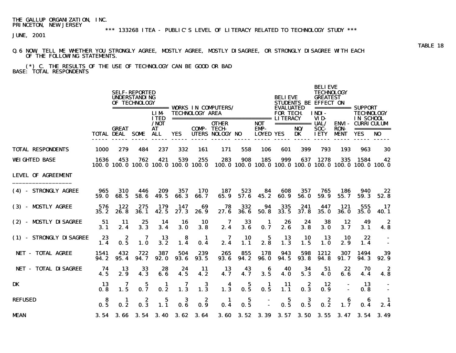# \*\*\* 133268 ITEA - PUBLIC'S LEVEL OF LITERACY RELATED TO TECHNOLOGY STUDY \*\*\*

JUNE, 2001

#### Q.6 NOW, TELL ME WHETHER YOU STRONGLY AGREE, MOSTLY AGREE, MOSTLY DISAGREE, OR STRONGLY DISAGREE WITH EACH OF THE FOLLOWING STATEMENTS.

 (\*) C. THE RESULTS OF THE USE OF TECHNOLOGY CAN BE GOOD OR BAD BASE: TOTAL RESPONDENTS

|                             |              |                                        | <b>SELF-REPORTED</b><br><b>UNDERSTANDING</b><br>OF TECHNOLOGY |                                    |                  |                               |                                                                                                  |                  |                                        | <b>BELIEVE</b>                      |                                | <b>BELIEVE</b><br><b>TECHNOLOGY</b><br><b>GREATEST</b><br><b>STUDENTS BE EFFECT ON</b> |                           | =========== SUPPORT                          |                                |  |
|-----------------------------|--------------|----------------------------------------|---------------------------------------------------------------|------------------------------------|------------------|-------------------------------|--------------------------------------------------------------------------------------------------|------------------|----------------------------------------|-------------------------------------|--------------------------------|----------------------------------------------------------------------------------------|---------------------------|----------------------------------------------|--------------------------------|--|
|                             |              |                                        |                                                               | <b>LIM</b><br><b>ITED</b>          |                  | <b>TECHNOLOGY AREA</b>        |                                                                                                  |                  |                                        | <b>EVALUATED</b><br><b>FOR TECH</b> |                                | INDI-<br>VID-                                                                          |                           | <b>TECHNOLOGY</b><br><b>IN SCHOOL</b>        |                                |  |
|                             |              | <b>GREAT</b><br><b>TOTAL DEAL SOME</b> |                                                               | $/$ NOT<br><b>AT</b><br><b>ALL</b> | <b>YES</b>       |                               | <b>OTHER</b><br><b>COMP-TECH-</b><br>UTERS NOLOGY NO                                             |                  | <b>NOT</b><br>EMP-<br><b>LOYED YES</b> |                                     | ============ UAL/<br>NO/<br>DK | SOC-<br><b>IETY</b>                                                                    | <b>RON</b><br><b>MENT</b> | <b>ENVI- CURRICULUM</b><br><b>YES</b>        | ===========<br>NO <sub>1</sub> |  |
| <b>TOTAL RESPONDENTS</b>    | <b>1000</b>  | 279                                    | 484                                                           | 237                                | 332              | 161                           | 171                                                                                              | 558              | 106                                    | 601                                 | 399                            | 793                                                                                    | 193                       | 963                                          | 30                             |  |
| <b>WEIGHTED BASE</b>        | 1636         | 453                                    | 762                                                           | 421                                | 539              | 255                           | 283<br>100.0 100.0 100.0 100.0 100.0 100.0 100.0 100.0 100.0 100.0 100.0 100.0 100.0 100.0 100.0 | 908              | 185                                    | 999                                 |                                | 637 1278                                                                               |                           | 335 1584 42                                  |                                |  |
| <b>LEVEL OF AGREEMENT</b>   |              |                                        |                                                               |                                    |                  |                               |                                                                                                  |                  |                                        |                                     |                                |                                                                                        |                           |                                              |                                |  |
| (4) - STRONGLY AGREE        | 965<br>59.0  | 310<br>68.5                            | 446<br>58.6                                                   | 209<br>49.5                        | 357<br>66.3      | <b>170</b><br>66.7            | 187<br>65.9                                                                                      | 523<br>57.6      | 84<br>45.2                             | 608<br>60.9                         | 357<br>56.0                    | 765<br>59.9                                                                            | 186<br>55.7               | 940<br>59.3                                  | 22<br>52.8                     |  |
| (3) - MOSTLY AGREE          | 576<br>35.2  | 122<br>26.8                            | 275<br>36.1                                                   | 179<br>42.5                        | 147<br>27.3      | 69<br>26.9                    | 78<br>27.6                                                                                       | 332<br>36.6      | 94<br>50.8                             | 335<br>33.5                         | 241<br>37.8                    | 447<br>35.0                                                                            | 121<br><b>36.0</b>        | 555<br><b>35.0</b>                           | 17<br><b>40.1</b>              |  |
| (2) - MISTLY DISAGREE       | 51<br>3.1    | -11<br>2.4                             | 25<br>3.3                                                     | 14<br>3.4                          | 16<br>3.0        | 10<br>3.8                     | 7<br>2.4                                                                                         | 33<br>3.6        | -1<br>0.7                              | 26<br>2.6                           | 24<br>3.8                      | 38<br><b>3.0</b>                                                                       | 12<br>3.7                 | 49<br>3.1                                    | -2<br>4.8                      |  |
| (1) - STRONGLY DISAGREE     | 23<br>1.4    | 2<br>0.5                               | 7<br>1.0                                                      | -13<br>3.2                         | -8<br>1.4        | - 1<br>0.4                    | 2.4                                                                                              | <b>10</b><br>1.1 | 5<br>2.8                               | -13<br>1.3                          | 10<br>1.5                      | 13<br><b>1.0</b>                                                                       | 10<br>2.9                 | 22<br>1.4                                    |                                |  |
| <b>NET - TOTAL AGREE</b>    | 1541<br>94.2 | 432<br>95.4                            | 722<br>94.7                                                   | 387<br>92.0                        | 504<br>93.6      | 239<br>93.5                   | 265<br>93.6                                                                                      | 855<br>94.2      | 178<br><b>96.0</b>                     | 943<br>94.5                         | 598<br>93.8                    | 1212<br>94.8                                                                           | 307<br>91. 7              | 1494<br>94.3                                 | 39<br>92.9                     |  |
| <b>NET - TOTAL DISAGREE</b> | 74<br>4.5    | 13<br>2.9                              | 33<br>4.3                                                     | 28<br>6.6                          | 24<br>4.5        | -11<br>4.2                    | 13<br>4.7                                                                                        | 43<br>4.7        | 6<br>3.5                               | 40<br>4.0                           | 34<br>5.3                      | 51<br>4.0                                                                              | 22<br>6.6                 | 70<br>4.4                                    | -2<br>4.8                      |  |
| DK                          | -13<br>0.8   | 7<br>1.5                               | 5<br>0.7                                                      | -1<br>0.2                          | $1.\overline{3}$ | 3<br>1.3                      | 1.3                                                                                              | 5<br>0.5         | -1<br>0.5                              | 11<br>1.1                           | 2<br>0.3                       | 12<br>0.9                                                                              |                           | 13<br>0.8                                    |                                |  |
| <b>REFUSED</b>              | 8<br>0.5     | -1<br>0.2                              | 2<br>0.3                                                      | 5<br>1.1                           | 3<br>0.6         | 2<br>0.9                      | -1<br>0.4                                                                                        | 5<br>0.5         |                                        | $\mathbf 5$<br>0.5                  | 3<br>0.5                       | 2<br>0.2                                                                               | 6<br>1.7                  | -6<br>0.4                                    | 2.4                            |  |
| <b>MEAN</b>                 |              |                                        |                                                               |                                    |                  | 3.54 3.66 3.54 3.40 3.62 3.64 |                                                                                                  |                  |                                        |                                     |                                |                                                                                        |                           | 3.60 3.52 3.39 3.57 3.50 3.55 3.47 3.54 3.49 |                                |  |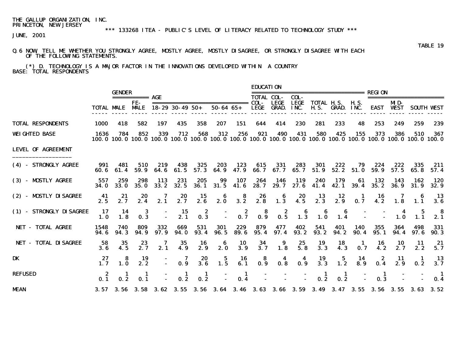## \*\*\* 133268 ITEA - PUBLIC'S LEVEL OF LITERACY RELATED TO TECHNOLOGY STUDY \*\*\*

JUNE, 2001

#### Q.6 NOW, TELL ME WHETHER YOU STRONGLY AGREE, MOSTLY AGREE, MOSTLY DISAGREE, OR STRONGLY DISAGREE WITH EACH OF THE FOLLOWING STATEMENTS.

 (\*) D. TECHNOLOGY IS A MAJOR FACTOR IN THE INNOVATIONS DEVELOPED WITHIN A COUNTRY BASE: TOTAL RESPONDENTS

|                             |                     | <b>GENDER</b>          |                               |                                                                                                                        |                        |                        |                                                   |             | <b>EDUCATION</b><br>======================= |                             |                                         |                                  |                              |                    |             | <b>REGION</b>      |                                    |                       |  |  |
|-----------------------------|---------------------|------------------------|-------------------------------|------------------------------------------------------------------------------------------------------------------------|------------------------|------------------------|---------------------------------------------------|-------------|---------------------------------------------|-----------------------------|-----------------------------------------|----------------------------------|------------------------------|--------------------|-------------|--------------------|------------------------------------|-----------------------|--|--|
|                             |                     | <b>TOTAL MALE MALE</b> | =========== <b>AGE</b><br>FF- |                                                                                                                        | $18 - 29$ 30 - 49 50 + |                        | ===============================<br>$50 - 64 65 +$ |             | <b>TOTAL COL-</b><br>COL-<br><b>LEGE</b>    | <b>LEGE</b><br><b>GRAD.</b> | COL-<br><b>LEGE</b><br>INC.             | <b>TOTAL H.S.</b><br><b>H.S.</b> | <b>GRAD. INC.</b>            | <b>H.S.</b>        | EAST        | MD-<br><b>WEST</b> |                                    | <b>SOUTH VEST</b>     |  |  |
| <b>TOTAL RESPONDENTS</b>    | <b>1000</b>         | 418                    | 582                           | 197                                                                                                                    | 435                    | 358                    | 207                                               | 151         | 644                                         | 414                         | 230                                     | 281                              | 233                          | 48                 | 253         | 249                | 259                                | 239                   |  |  |
| <b>WEIGHTED BASE</b>        | 1636                | 784                    | 852                           | 339<br>100.0 100.0 100.0 100.0 100.0 100.0 100.0 100.0 100.0 100.0 100.0 100.0 100.0 100.0 100.0 100.0 100.0 100.0 100 | 712                    | 568                    | 312                                               | 256         | 921                                         | 490                         | 431                                     | 580                              | 425                          | 155                | 373         | 386                | 510                                | 367                   |  |  |
| <b>LEVEL OF AGREEMENT</b>   |                     |                        |                               |                                                                                                                        |                        |                        |                                                   |             |                                             |                             |                                         |                                  |                              |                    |             |                    |                                    |                       |  |  |
| (4) - STRONGLY AGREE        | 991<br>60. 6        | 481<br>61.4            | 510<br>59.9                   | 219<br>64.6                                                                                                            | 438<br>61.5            | 325<br>57.3            | 203<br>64.9                                       | 123<br>47.9 | 615<br>66.7                                 | 331<br>67. 7                | 283<br>65.7                             | 301<br>51.9                      | 222<br>52.2                  | 79<br>51.0         | 224<br>59.9 | 222<br>57.5        | 335<br>65.8                        | 211<br>57.4           |  |  |
| (3) - MISTLY AGREE          | 557<br><b>34. O</b> | 259<br><b>33.0</b>     | 298<br>35.0                   | 113<br>33.2                                                                                                            | 231<br>32.5            | 205<br><b>36.1</b>     | 99<br>31.5                                        | 107<br>41.6 | 264<br>28.7                                 | 146<br>29.7                 | 119<br>27.6                             | 240<br>41.4                      | 179<br>42.1                  | 61<br>39.4         | 132<br>35.2 | 143<br>36.9        | 162<br>31.9                        | 120<br>32.9           |  |  |
| (2) - MOSTLY DISAGREE       | 41<br>2.5           | 21<br>2.7              | 20<br>2.4                     | 7<br>2.1                                                                                                               | 20<br>2.7              | 15<br>2.6              | 2.0                                               | 8<br>3.2    | 26<br>2.8                                   | 6<br>1.3                    | 20<br>4.5                               | 13<br>2.3                        | 12<br>2.9                    | 1<br>0.7           | 16<br>4.2   | 1.8                | -6<br>1.1                          | -13<br>3.6            |  |  |
| (1) - STRONGLY DISAGREE     | 17<br>1.0           | 14<br>1.8              | 3<br>0.3                      |                                                                                                                        | 15<br>2.1              | 2<br>0.3               |                                                   | 2<br>0.7    | $\begin{array}{c} 8 \\ 0.9 \end{array}$     | $\frac{2}{0.5}$             | $\begin{array}{c} 6 \\ 1.3 \end{array}$ | 6<br>1.0                         | 6<br>1.4                     |                    |             | 1.0                | 5<br>1.1                           | -8<br>2.1             |  |  |
| NET - TOTAL AGREE           | 1548<br>94. 6       | 740<br>94.3            | 809<br>94.9                   | 332<br>97.9                                                                                                            | 669<br>94.0            | 531<br>93.4            | 301<br><b>96.5</b>                                | 229<br>89.6 | 879<br>95.4                                 | 477<br>97.4                 | 402<br>93.2                             | 541<br>93.2                      | 401<br>94.2                  | <b>140</b><br>90.4 | 355<br>95.1 | 364<br>94.4        | 498<br>97.6                        | 331<br>90.3           |  |  |
| <b>NET - TOTAL DISAGREE</b> | 58<br>3.6           | 35                     | 23<br>2.7                     | 2.1                                                                                                                    | 35<br>4.9              | 16<br>2.9              | 6<br>2.0                                          | 10<br>3.9   | 34<br>3.7                                   | 9<br>1.8                    | 25<br>5.8                               | 19<br>3.3                        | 18<br>4.3                    | -1<br>0.7          | 16<br>4.2   | 10<br>2.7          | 11<br>2.2                          | -21<br>5.7            |  |  |
| DK                          | 27<br>1.7           | 8<br>$\mathbf{1.0}$    | 19<br>2.2                     | $\sim$                                                                                                                 | 7<br>0.9               | 20<br>$3.\overline{6}$ | $\frac{5}{1.5}$                                   | 16<br>6.1   | 8<br>0.9                                    | 4<br>0.8                    | 4<br>0.9                                | 19<br>3.3                        | $\bf{5}$<br>$1.\overline{2}$ | 14<br>8.9          | 2<br>0.4    | -11<br>2.9         | -1<br>0.2                          | 13<br>3.7             |  |  |
| <b>REFUSED</b>              | 0.1                 | 0.2                    | 0.1                           |                                                                                                                        | $\mathbf{I}$<br>0.2    | 0.2                    |                                                   | 1<br>0.4    |                                             |                             |                                         | 0.2                              | 0.2                          |                    | 1<br>0.3    |                    |                                    | $\blacksquare$<br>0.4 |  |  |
| <b>MEAN</b>                 |                     |                        |                               | $3.57$ $3.56$ $3.58$ $3.62$                                                                                            |                        |                        | $3.55$ $3.56$ $3.64$                              |             |                                             | $3.46$ $3.63$ $3.66$        |                                         |                                  |                              |                    |             |                    | 3.59 3.49 3.47 3.55 3.56 3.55 3.63 | 3.52                  |  |  |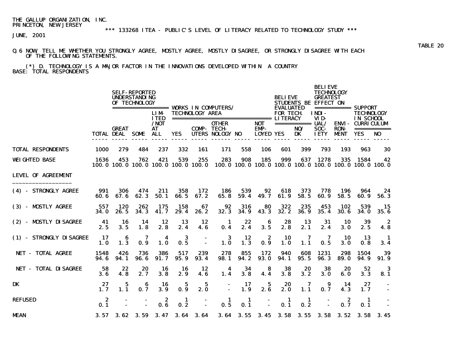## \*\*\* 133268 ITEA - PUBLIC'S LEVEL OF LITERACY RELATED TO TECHNOLOGY STUDY \*\*\*

JUNE, 2001

#### Q.6 NOW, TELL ME WHETHER YOU STRONGLY AGREE, MOSTLY AGREE, MOSTLY DISAGREE, OR STRONGLY DISAGREE WITH EACH OF THE FOLLOWING STATEMENTS.

 (\*) D. TECHNOLOGY IS A MAJOR FACTOR IN THE INNOVATIONS DEVELOPED WITHIN A COUNTRY BASE: TOTAL RESPONDENTS

|                             |                         | <b>SELF-REPORTED</b><br><b>UNDERSTANDING</b><br><b>BELIEVE</b><br>OF TECHNOLOGY |             |                                           |             |                        |                                                                                                                 |                       |                          |                                     |                    | <b>BELIEVE</b><br><b>TECHNOLOGY</b><br><b>GREATEST</b><br><b>STUDENTS BE EFFECT ON</b> |                            | ============ SUPPORT                                       |                       |
|-----------------------------|-------------------------|---------------------------------------------------------------------------------|-------------|-------------------------------------------|-------------|------------------------|-----------------------------------------------------------------------------------------------------------------|-----------------------|--------------------------|-------------------------------------|--------------------|----------------------------------------------------------------------------------------|----------------------------|------------------------------------------------------------|-----------------------|
|                             |                         |                                                                                 |             | <b>LIM</b><br><b>ITED</b><br>/ <b>NOT</b> |             | <b>TECHNOLOGY AREA</b> | ===================================== LITERACY<br><b>OTHER</b>                                                  |                       | <b>NOT</b>               | <b>EVALUATED</b><br><b>FOR TECH</b> | =========== UAL/   | INDI-<br>VID-                                                                          |                            | <b>TECHNOLOGY</b><br>IN SCHOOL<br><b>ENVI - CURRICULUM</b> |                       |
|                             |                         | <b>GREAT</b><br><b>TOTAL DEAL SOME</b>                                          |             | AT<br>ALL                                 | <b>YES</b>  |                        | <b>COMP-TECH-</b><br>UTERS NOLOGY NO                                                                            |                       | EMP-<br><b>LOYED YES</b> |                                     | NO/<br>DK          | SOC-<br><b>IETY</b>                                                                    | <b>RON-</b><br><b>MENT</b> | <b>YES</b>                                                 | ===========<br>NO     |
| <b>TOTAL RESPONDENTS</b>    | 1000                    | 279                                                                             | 484         | 237                                       | 332         | 161                    | 171                                                                                                             | 558                   | <b>106</b>               | 601                                 | 399                | 793                                                                                    | 193                        | 963                                                        | 30                    |
| <b>WEIGHTED BASE</b>        | 1636                    | 453                                                                             | 762         | 421                                       | 539         | 255                    | 283<br>100, 0 100, 0 100, 0 100, 0 100, 0 100, 0 100, 0 100, 0 100, 0 100, 0 100, 0 100, 0 100, 0 100, 0 100, 0 | 908                   | 185                      | 999                                 | 637                | 1278                                                                                   | 335                        | 1584                                                       | 42                    |
| <b>LEVEL OF AGREEMENT</b>   |                         |                                                                                 |             |                                           |             |                        |                                                                                                                 |                       |                          |                                     |                    |                                                                                        |                            |                                                            |                       |
| (4) - STRONGLY AGREE        | 991<br>60. 6            | 306<br>67.6                                                                     | 474<br>62.3 | 211<br>50.1                               | 358<br>66.5 | 172<br>67.2            | 186<br>65.8                                                                                                     | 539<br>59.4           | 92<br>49.7               | 618<br>61.9                         | 373<br>58.5        | 778<br>60.9                                                                            | 196<br>58.5                | 964<br>60.9                                                | 24<br>56.3            |
| (3) - MOSTLY AGREE          | 557<br><b>34.0</b>      | 120<br>26.5                                                                     | 262<br>34.3 | 175<br>41.7                               | 158<br>29.4 | 67<br>26.2             | 92<br>32.3                                                                                                      | 316<br>34.9           | 80<br>43.3               | 322<br>32.2                         | 235<br><b>36.9</b> | 453<br>35.4                                                                            | 102<br>30.6                | 539<br>34. O                                               | 15<br>35. G           |
| (2) - MOSTLY DISAGREE       | - 41<br>2.5             | 16<br>3.5                                                                       | 14<br>1.8   | 12<br>2.8                                 | 13<br>2.4   | 12<br>4.6              | -1<br>0.4                                                                                                       | 22<br>2.4             | 6<br>3.5                 | 28<br>2.8                           | 13<br>2.1          | 31<br>2.4                                                                              | 10<br><b>3. O</b>          | 39<br>2.5                                                  | - 2<br>4.8            |
| (1) - STRONGLY DISAGREE     | 17<br>1.0               | 6<br>1.3                                                                        | 7<br>0.9    | 4<br>1.0                                  | 3<br>0.5    |                        | 3<br>1.0                                                                                                        | 12<br>1.3             | 2<br>0.9                 | 10<br>1.0                           | 7<br>1.1           | 0.5                                                                                    | 10<br>3.0                  | 13<br>0.8                                                  | $\blacksquare$<br>3.4 |
| <b>NET - TOTAL AGREE</b>    | 1548<br>94. 6           | 426<br>94.1                                                                     | 736<br>96.6 | 386<br>91.7                               | 517<br>95.9 | 239<br>93.4            | 278<br>98.1                                                                                                     | 855<br>94.2           | 172<br>93.0              | 940<br>94.1                         | 608<br>95.5        | 1231<br>96.3                                                                           | 298<br>89. O               | 1504<br>94. 9                                              | 39<br>91.9            |
| <b>NET - TOTAL DISAGREE</b> | 58<br>3.6               | 22<br>4.8                                                                       | 20<br>2.7   | 16<br>3.8                                 | 16<br>2.9   | 12<br>4.6              | 4<br>1.4                                                                                                        | 34<br>3.8             | 8<br>4.4                 | 38<br>3.8                           | 20<br>3.2          | 38<br>3.0                                                                              | 20<br>6.0                  | 52<br>3.3                                                  | - 3<br>8.1            |
| DK                          | 27<br>1.7               | 5<br>1.1                                                                        | 6<br>0.7    | 16<br>3.9                                 | 5<br>0.9    | 5<br>2.0               | $\overline{a}$                                                                                                  | 17<br>1.9             | 5<br>2.6                 | 20<br>2.0                           | 7<br>1.1           | 9<br>0.7                                                                               | 14<br>4.3                  | 27<br>1.7                                                  |                       |
| <b>REFUSED</b>              | $\boldsymbol{2}$<br>0.1 |                                                                                 |             | 2<br>0.6                                  | 1<br>0.2    |                        | -1.<br>0.5                                                                                                      | $\blacksquare$<br>0.1 |                          | -1<br>0.1                           | 1<br>0.2           |                                                                                        | 2<br>0.7                   | - 1<br>0.1                                                 |                       |
| <b>MEAN</b>                 |                         | $3.57$ $3.62$ $3.59$                                                            |             |                                           |             | $3.47$ $3.64$ $3.64$   |                                                                                                                 |                       |                          |                                     |                    |                                                                                        |                            | 3.64 3.55 3.45 3.58 3.55 3.58 3.52 3.58 3.45               |                       |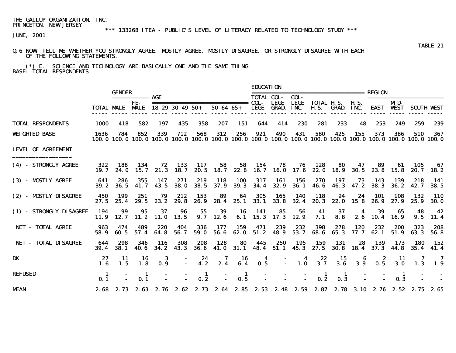# \*\*\* 133268 ITEA - PUBLIC'S LEVEL OF LITERACY RELATED TO TECHNOLOGY STUDY \*\*\*

JUNE, 2001

#### Q.6 NOW, TELL ME WHETHER YOU STRONGLY AGREE, MOSTLY AGREE, MOSTLY DISAGREE, OR STRONGLY DISAGREE WITH EACH OF THE FOLLOWING STATEMENTS.

 (\*) E. SCIENCE AND TECHNOLOGY ARE BASICALLY ONE AND THE SAME THING BASE: TOTAL RESPONDENTS

|                           |              |                             |                  |              |                        |                     |                  |                    | <b>EDUCATION</b>  |                                     |                         | ---------------------------- |                                                  |                 |                    |                         |                                                                                                                        |                    |
|---------------------------|--------------|-----------------------------|------------------|--------------|------------------------|---------------------|------------------|--------------------|-------------------|-------------------------------------|-------------------------|------------------------------|--------------------------------------------------|-----------------|--------------------|-------------------------|------------------------------------------------------------------------------------------------------------------------|--------------------|
|                           |              | <b>GENDER</b>               |                  |              |                        |                     |                  |                    | <b>TOTAL COL-</b> | COL-                                |                         |                              |                                                  | REGION          |                    | ==================      |                                                                                                                        |                    |
|                           |              | <b>TOTAL MALE MALE</b>      | FE-              |              | $18 - 29$ 30 - 49 50 + |                     |                  | 50-64 65+          | <b>LEGE GRAD.</b> | LECE                                | LEGE<br>INC.            |                              | <b>TOTAL H.S. H.S.</b><br><b>H.S. GRAD. INC.</b> |                 |                    | MD-<br><b>EAST WEST</b> |                                                                                                                        | <b>SOUTH VEST</b>  |
| <b>TOTAL RESPONDENTS</b>  | 1000         | 418                         | 582              | 197          | 435                    | 358                 | 207              | 151                | 644               | 414                                 | 230                     | 281                          | 233                                              | 48              | 253                | 249                     | 259                                                                                                                    | 239                |
| <b>WEIGHTED BASE</b>      | 1636         | 784                         | 852              | 339          | 712                    | 568                 | 312              | 256                | 921               | 490                                 | 431                     | 580                          | 425                                              | 155             | 373                | 386                     | 510<br>100.0 100.0 100.0 100.0 100.0 100.0 100.0 100.0 100.0 100.0 100.0 100.0 100.0 100.0 100.0 100.0 100.0 100.0 100 | 367                |
| <b>LEVEL OF AGREEMENT</b> |              |                             |                  |              |                        |                     |                  |                    |                   |                                     |                         |                              |                                                  |                 |                    |                         |                                                                                                                        |                    |
| (4) - STRONGLY AGREE      | 322<br>19. 7 | 188                         | 134<br>24.0 15.7 | 72<br>21.3   | 133<br>18. 7           | 117                 |                  | 58 58              | 154               | 78<br>20.5 18.7 22.8 16.7 16.0 17.6 | 76                      | 128<br>22.0 18.9             | 80                                               | 47<br>30. 5     | 89                 | 61<br>23.8 15.8         | 105                                                                                                                    | - 67<br>20.7 18.2  |
| (3) - MOSTLY AGREE        | 641<br>39. 2 | 286<br>36. 5                | 355<br>41.7      | 147<br>43.5  | 271<br><b>38. O</b>    | 219<br><b>38.5</b>  | 118<br>37.9      | <b>100</b><br>39.3 | 317<br>34.4       | 161<br>32.9                         | 156<br><b>36.1</b>      | 270<br>46. 6                 | 197                                              | 73<br>46.3 47.2 | 143<br><b>38.3</b> | 139<br>36. 2            | 218<br>42.7                                                                                                            | - 141<br>38.5      |
| (2) - MOSTLY DISAGREE     | 450          | 199<br>$27.5$ $25.4$ $29.5$ | 251              | 79<br>23. 2  | 212<br>29. 8           | 153                 | 89<br>26.9 28.4  | 64<br>25. 1        | 305               | 165<br>$33.1$ $33.8$                | - 140<br>32.4           | 118<br>20. 3                 | 94<br>22. 0                                      | 24<br>15.8      | 101<br>26. 9       | 108<br>27. 9            | 132<br>25.9                                                                                                            | 110<br><b>30.0</b> |
| (1) - STRONGLY DISAGREE   | 194<br>11.9  | 99<br>12. 7                 | 95<br>11.2       | 37<br>11.0   | 96<br>13.5             | 55                  | 39<br>$9.7$ 12.6 | 16                 | - 141             | 85<br>6.1 15.3 17.3                 | 56<br>12.9              | 41<br>7. 1                   | 37<br>8.8                                        | 4<br>2.6        | 39<br>10.4         | 65<br>16. 9             | 48<br>9.5                                                                                                              | 42<br>11.4         |
| NET - TOTAL AGREE         | 963<br>58.9  | 474<br>60. 5                | 489<br>57.4      | 220<br>64.8  | 404<br>56. 7           | 336<br>59.0         | 177<br>56.6      | 159<br>62. 0       | 471<br>51.2       | 239<br>48.9                         | 232<br>53.7             | 398<br>68.6                  | 278<br>65.3                                      | 120<br>77. 7    | 232<br>62.1        | 200<br>51.9             | 323<br>63. 3                                                                                                           | 208<br>56.8        |
| NET - TOTAL DISAGREE      | 644<br>39.4  | 298<br><b>38.1</b>          | 346<br>40. 6     | 116<br>34. 2 | 308<br>43.3            | 208<br><b>36. 6</b> | 128<br>41.0      | 80<br>31.1         | 445               | 250<br>48.4 51.1 45.3 27.5          | 195                     | 159                          | 131                                              | 28<br>30.8 18.4 | 139                | 173<br>$37.3$ 44.8      | 180<br>35.4                                                                                                            | -- 152<br>41.4     |
| DK                        | 27<br>1.6    | -11-<br>1.5                 | 16<br>1.8        | 3<br>0.9     | $\sim 100$             | 24<br>4.2           | 7<br>2.4         | 16<br>6.4          | 4<br>0.5          | $\sim$                              | 4<br>$\blacksquare$ 1.0 | 22<br>3.7                    | 15<br>3.6                                        | 3.9             | z<br>0.5           | -11<br>3.0              | 7<br>1.3                                                                                                               | - 7<br>1.9         |
| <b>REFUSED</b>            | -1<br>0.1    |                             | п<br>0.1         |              |                        | -1<br>0.2           |                  | -1<br>0.5          |                   |                                     |                         | 0.2                          | 0.3                                              |                 |                    | -1<br>0.3               |                                                                                                                        |                    |
| <b>MEAN</b>               |              |                             |                  |              |                        |                     |                  |                    |                   |                                     |                         |                              |                                                  |                 |                    |                         | 2.68 2.73 2.63 2.76 2.62 2.73 2.64 2.85 2.53 2.48 2.59 2.87 2.78 3.10 2.76 2.52 2.75 2.65                              |                    |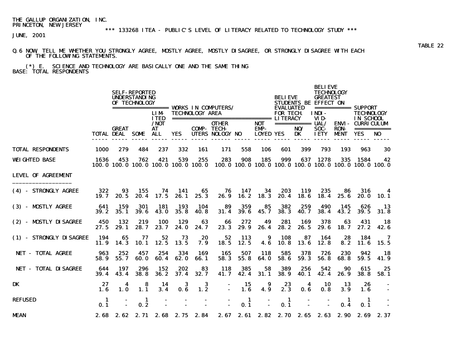# \*\*\* 133268 ITEA - PUBLIC'S LEVEL OF LITERACY RELATED TO TECHNOLOGY STUDY \*\*\*

JUNE, 2001

#### Q.6 NOW, TELL ME WHETHER YOU STRONGLY AGREE, MOSTLY AGREE, MOSTLY DISAGREE, OR STRONGLY DISAGREE WITH EACH OF THE FOLLOWING STATEMENTS.

 (\*) E. SCIENCE AND TECHNOLOGY ARE BASICALLY ONE AND THE SAME THING BASE: TOTAL RESPONDENTS

|                             |              | <b>SELF-REPORTED</b><br><b>UNDERSTANDING</b><br>OF TECHNOLOGY<br>================= WORKS IN COMPUTERS/ |             |                                  |              |                        |                                                                                                                 |                                     |                                        |                                     | <b>BELIEVE</b>                 | <b>BELIEVE</b><br><b>TECHNOLOGY</b><br><b>GREATEST</b><br><b>STUDENTS BE EFFECT ON</b> |                            | $\equiv$ =========== SUPPORT                 |                                      |  |  |
|-----------------------------|--------------|--------------------------------------------------------------------------------------------------------|-------------|----------------------------------|--------------|------------------------|-----------------------------------------------------------------------------------------------------------------|-------------------------------------|----------------------------------------|-------------------------------------|--------------------------------|----------------------------------------------------------------------------------------|----------------------------|----------------------------------------------|--------------------------------------|--|--|
|                             |              |                                                                                                        |             | <b>LIM</b><br><b>ITED</b>        |              | <b>TECHNOLOGY AREA</b> | ===================================== LITERACY                                                                  |                                     |                                        | <b>EVALUATED</b><br><b>FOR TECH</b> |                                | <b>INDI-</b><br>VID-                                                                   |                            | <b>TECHNOLOGY</b><br>IN SCHOOL               |                                      |  |  |
|                             |              | <b>GREAT</b><br><b>TOTAL DEAL SOME</b>                                                                 |             | / <b>NOT</b><br><b>AT</b><br>ALL | <b>YES</b>   |                        | <b>OTHER</b><br><b>COMP- TECH-</b><br>UTERS NOLOGY NO                                                           |                                     | <b>NOT</b><br>EMP-<br><b>LOYED YES</b> |                                     | ============ UAL/<br>NO/<br>DK | SOC-<br><b>IETY</b>                                                                    | <b>RON-</b><br><b>MENT</b> | <b>ENVI - CURRICULUM</b><br><b>YES</b>       | ===========<br>NO                    |  |  |
| <b>TOTAL RESPONDENTS</b>    | 1000         | 279                                                                                                    | 484         | 237                              | 332          | 161                    | 171                                                                                                             | 558                                 | 106                                    | 601                                 | 399                            | 793                                                                                    | 193                        | 963                                          | 30                                   |  |  |
| <b>WEIGHTED BASE</b>        | 1636         | 453                                                                                                    | 762         | 421                              | 539          | 255                    | 283<br>100, 0 100, 0 100, 0 100, 0 100, 0 100, 0 100, 0 100, 0 100, 0 100, 0 100, 0 100, 0 100, 0 100, 0 100, 0 | 908                                 | 185                                    | 999                                 |                                | 637 1278                                                                               |                            | 335 1584                                     | 42                                   |  |  |
| <b>LEVEL OF AGREEMENT</b>   |              |                                                                                                        |             |                                  |              |                        |                                                                                                                 |                                     |                                        |                                     |                                |                                                                                        |                            |                                              |                                      |  |  |
| (4) - STRONGLY AGREE        | 322<br>19. 7 | 93<br>20. 5                                                                                            | 155<br>20.4 | 74<br>17.5                       | 141<br>26. 1 | 65<br>25.3             | 76<br>26.9                                                                                                      | 147<br>16.2                         | 34<br>18.3                             | 203<br>20.4                         | 119<br>18.6                    | 235<br>18.4                                                                            | 86<br>25. 6                | 316                                          | 4<br>20.0 10.1                       |  |  |
| (3) - MOSTLY AGREE          | 641<br>39.2  | 159<br>35.1                                                                                            | 301<br>39.6 | 181<br>43.0                      | 193<br>35.8  | 104<br><b>40.8</b>     | - 89<br>31.4                                                                                                    | 359<br>39.6                         | 85<br>45.7                             | 382<br>38.3                         | 259<br>40.7                    | 490<br>38.4                                                                            | 145<br>43.2                | 626<br>39.5                                  | <b>13</b><br>31.8                    |  |  |
| (2) - MOSTLY DISAGREE       | 450<br>27.5  | 132<br>29.1                                                                                            | 219<br>28.7 | 100<br>23.7                      | 129<br>24. 0 | 63<br>24. 7            | 66<br>23.3                                                                                                      | 272<br>29.9                         | 49<br>26.4                             | 281<br>28.2                         | 169<br>26.5                    | 378<br>29.6                                                                            | 63<br>18. 7                | 431<br>27. 2                                 | - 18<br>42. 6                        |  |  |
| (1) - STRONGLY DISAGREE     | 194<br>11.9  | 65<br>14.3                                                                                             | 77<br>10. 1 | 52<br>12.5                       | 73<br>13.5   | 20<br>7.9              | 52                                                                                                              | 113<br>$18.5$ 12.5                  | 9<br>4.6                               | 108<br><b>10.8</b>                  | 87<br>13. 6                    | 164<br>12.8                                                                            | 28<br>8.2                  | 184                                          | $\overline{\mathbf{7}}$<br>11.6 15.5 |  |  |
| <b>NET - TOTAL AGREE</b>    | 963<br>58.9  | 252<br>55.7                                                                                            | 457<br>60.0 | 254<br>60.4                      | 334<br>62. 0 | 169<br>66. 1           | 165<br>58.3                                                                                                     | 507<br>55.8                         | 118<br>64.0                            | 585<br>58.6                         | 378<br>59.3                    | 726<br>56.8                                                                            | 230<br>68. 8               | 942<br>59.5                                  | 18<br>41.9                           |  |  |
| <b>NET - TOTAL DISAGREE</b> | 644<br>39.4  | 197<br>43.4                                                                                            | 296<br>38.8 | 152<br>36.2                      | 202<br>37.4  | 83<br>32.7             | 118<br>41.7                                                                                                     | 385<br>42.4                         | 58<br>31.1                             | 389<br>38.9                         | 256<br><b>40.1</b>             | 542<br>42.4                                                                            | 90<br>26.9                 | 615<br>38. S                                 | 25<br>58.1                           |  |  |
| DK                          | 27<br>1.6    | 4<br><b>1.0</b>                                                                                        | 8<br>1.1    | 14<br>3.4                        | 3<br>0.6     | 3<br>1.2               |                                                                                                                 | 15<br>$\Delta \sim 10^{-11}$<br>1.6 | 9<br>4.9                               | 23<br>2.3                           | 4<br>0.6                       | -10<br>0.8                                                                             | -13<br>3.9                 | 26<br>1.6                                    |                                      |  |  |
| <b>REFUSED</b>              | - 1<br>0.1   |                                                                                                        | -1<br>0.2   |                                  |              |                        |                                                                                                                 | -1<br>0.1                           |                                        | - 1<br>0.1                          |                                |                                                                                        | -1<br>0.4                  | - 1<br>0.1                                   |                                      |  |  |
| <b>MEAN</b>                 |              | 2.68 2.62                                                                                              |             |                                  |              | 2.71 2.68 2.75 2.84    |                                                                                                                 |                                     |                                        |                                     |                                |                                                                                        |                            | 2.67 2.61 2.82 2.70 2.65 2.63 2.90 2.69 2.37 |                                      |  |  |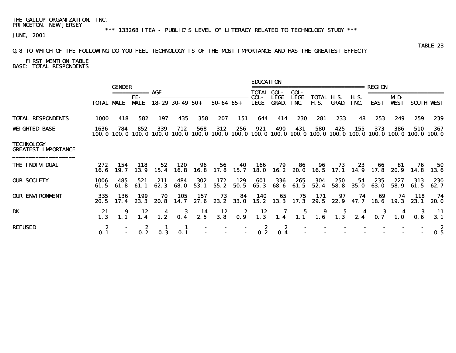\*\*\* 133268 ITEA - PUBLIC'S LEVEL OF LITERACY RELATED TO TECHNOLOGY STUDY \*\*\*

JUNE, 2001

### Q.8 TO WHICH OF THE FOLLOWING DO YOU FEEL TECHNOLOGY IS OF THE MOST IMPORTANCE AND HAS THE GREATEST EFFECT?

# FIRST MENTION TABLE BASE: TOTAL RESPONDENTS

|                                                 |                    |               |                    |                 |                        |                  |                                          |                                         | <b>EDUCATION</b>                                                 |                             |                     |                                          |              |                     |              |                                                      |              |                   |
|-------------------------------------------------|--------------------|---------------|--------------------|-----------------|------------------------|------------------|------------------------------------------|-----------------------------------------|------------------------------------------------------------------|-----------------------------|---------------------|------------------------------------------|--------------|---------------------|--------------|------------------------------------------------------|--------------|-------------------|
|                                                 |                    | <b>GENDER</b> | ===========        | AGE             |                        |                  |                                          |                                         | <b>TOTAL COL-</b>                                                |                             | COL-                | =====================                    |              |                     | REGION       |                                                      |              |                   |
|                                                 | <b>TOTAL MALE</b>  |               | FE-<br><b>MALE</b> |                 | $18 - 29$ 30 - 49 50 + |                  | $50 - 64$ $65 +$                         |                                         | COL-<br>LEGE                                                     | <b>LEGE</b><br><b>GRAD.</b> | <b>LEGE</b><br>INC. | TOTAL H.S.<br>H. S.                      | <b>GRAD.</b> | <b>H.S.</b><br>INC. | EAST         | MD-<br><b>VEST</b>                                   |              | <b>SOUTH VEST</b> |
| <b>TOTAL RESPONDENTS</b>                        | <b>1000</b>        | 418           | 582                | 197             | 435                    | 358              | 207                                      | 151                                     | 644                                                              | 414                         | 230                 | 281                                      | 233          | 48                  | 253          | 249                                                  | 259          | 239               |
| <b>WEIGHTED BASE</b>                            | 1636<br>100. O     | 784           | 852<br>100.0 100.0 | 339             | 712<br>100.0 100.0     | 568<br>100. 0    | 312<br>100. 0                            | 256<br>100.0                            | 921                                                              | 490<br>100.0 100.0          | 431                 | 580<br>100.0 100.0 100.0                 | 425          | 155                 | 373          | 386<br>100, 0 100, 0 100, 0 100, 0 100, 0            | 510          | 367               |
| <b>TECHNOLOGY</b><br><b>GREATEST IMPORTANCE</b> |                    |               |                    |                 |                        |                  |                                          |                                         |                                                                  |                             |                     |                                          |              |                     |              |                                                      |              |                   |
| <b>THE INDIVIDUAL</b>                           | 272<br>16. 6       | 154<br>19. 7  | 118<br>13.9        | 52<br>15.4      | 120                    | 96<br>16.8 16.8  | 56                                       | 40<br>17.8 15.7                         | 166                                                              | 79                          | 86                  | 96<br>18.0 16.2 20.0 16.5 17.1 14.9 17.8 | 73           | 23                  | 66           | -81<br>20. 9                                         | 76<br>14. 8  | 50<br>13. 6       |
| <b>OUR SOCIETY</b>                              | 1006<br>61.5       | 485<br>61.8   | 521<br>61. 1       | 211<br>62.3     | 484<br>68. O           | 302<br>53.1      | 172<br>55.2                              | 129<br>50.5                             | 601<br>65.3                                                      | 336<br>68. 6                | 265<br>61.5         | 304<br>52.4                              | 250<br>58.8  | 54<br>35. O         | 235<br>63. O | 227<br>58.9                                          | 313<br>61.5  | 230<br>62. 7      |
| <b>OUR ENVIRONMENT</b>                          | 335<br><b>20.5</b> | 136<br>17.4   | 199<br>23.3        | 70<br>20. 8     | 105                    | 157<br>14.7 27.6 | 73<br>23. 2                              | 84<br><b>33. O</b>                      | 140                                                              | 65                          | 75                  | 171<br>15.2 13.3 17.3 29.5 22.9          | 97           | 74<br>47. 7         | 69<br>18.6   | 74<br>19.3                                           | 118<br>23. 1 | 74<br>20. 0       |
| DK                                              | 21<br>1.3          |               | 12<br>1.4          | $\frac{4}{1.2}$ |                        | $\frac{14}{2.5}$ | $\begin{array}{c} 12 \\ 3.8 \end{array}$ | $\begin{array}{c} 2 \\ 0.9 \end{array}$ | $\begin{array}{c} \n \textbf{12} \\  \textbf{1.3}\n \end{array}$ |                             |                     |                                          |              |                     |              | 4 7 5 9 5 4 3 4 3<br>1.4 1.1 1.6 1.3 2.4 0.7 1.0 0.6 |              | - 11<br>3.1       |
| <b>REFUSED</b>                                  | 2<br>0.1           |               |                    | 0.3             | 0.1                    |                  |                                          |                                         | - 2<br>0.2                                                       | 2<br>0.4                    |                     |                                          |              |                     |              |                                                      |              | 2<br>0.5          |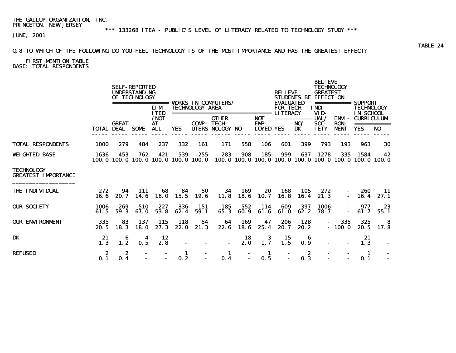### Q.8 TO WHICH OF THE FOLLOWING DO YOU FEEL TECHNOLOGY IS OF THE MOST IMPORTANCE AND HAS THE GREATEST EFFECT?

### FIRST MENTION TABLE BASE: TOTAL RESPONDENTS

|                                                 |              |                          | <b>SELF-REPORTED</b><br><b>UNDERSTANDING</b><br>OF TECHNOLOGY | ======<br><b>LIM</b><br><b>ITED</b> |                          | <b>TECHNOLOGY AREA</b> | <b>VORKS IN COMPUTERS/</b>                                         |             |                                        | <b>BELIEVE</b><br><b>EVALUATED</b><br><b>FOR TECH</b><br><b>LITERACY</b> | <b>STUDENTS BE</b>                                                                                                                                                                                                                                                                                                                                                                                                                               | <b>BELIEVE</b><br><b>TECHNOLOGY</b><br><b>GREATEST</b><br><b>EFFECT ON</b><br>INDI-<br>VID- | ===========                          | <b>SUPPORT</b><br><b>TECHNOLOGY</b><br>IN SCHOOL                       |                |  |
|-------------------------------------------------|--------------|--------------------------|---------------------------------------------------------------|-------------------------------------|--------------------------|------------------------|--------------------------------------------------------------------|-------------|----------------------------------------|--------------------------------------------------------------------------|--------------------------------------------------------------------------------------------------------------------------------------------------------------------------------------------------------------------------------------------------------------------------------------------------------------------------------------------------------------------------------------------------------------------------------------------------|---------------------------------------------------------------------------------------------|--------------------------------------|------------------------------------------------------------------------|----------------|--|
|                                                 | TOTAL DEAL   | <b>GREAT</b>             | <b>SOME</b>                                                   | /NOT<br>AT<br><b>ALL</b>            | <b>YES</b>               | <b>COMP-TECH-</b>      | -------------------------------<br><b>OTHER</b><br>UTERS NOLOGY NO |             | <b>NOT</b><br>EMP-<br><b>LOYED YES</b> |                                                                          | $\begin{array}{cccccccccc} \texttt{m} & \texttt{m} & \texttt{m} & \texttt{m} & \texttt{m} & \texttt{m} & \texttt{m} & \texttt{m} & \texttt{m} & \texttt{m} & \texttt{m} & \texttt{m} & \texttt{m} & \texttt{m} & \texttt{m} & \texttt{m} & \texttt{m} & \texttt{m} & \texttt{m} & \texttt{m} & \texttt{m} & \texttt{m} & \texttt{m} & \texttt{m} & \texttt{m} & \texttt{m} & \texttt{m} & \texttt{m} & \texttt{m} & \texttt{m} & \$<br>NO/<br>DK | UAL/<br><b>SOC-</b><br><b>IETY</b>                                                          | ENVI -<br><b>RON-</b><br><b>MENT</b> | <b>CURRICULUM</b><br><b>YES</b>                                        | N <sub>0</sub> |  |
| <b>TOTAL RESPONDENTS</b>                        | <b>1000</b>  | 279                      | 484                                                           | 237                                 | 332                      | 161                    | 171                                                                | 558         | 106                                    | 601                                                                      | 399                                                                                                                                                                                                                                                                                                                                                                                                                                              | 793                                                                                         | 193                                  | 963                                                                    | 30             |  |
| <b>WEIGHTED BASE</b>                            | 1636         | 453<br>100.0 100.0 100.0 | 762                                                           | 421                                 | 539<br>100.0 100.0 100.0 | 255                    | 283                                                                | 908         | 185                                    | 999                                                                      | 637                                                                                                                                                                                                                                                                                                                                                                                                                                              | 1278                                                                                        | 335                                  | 1584<br>100, 0 100, 0 100, 0 100, 0 100, 0 100, 0 100, 0 100, 0 100, 0 | 42             |  |
| <b>TECHNOLOGY</b><br><b>GREATEST IMPORTANCE</b> |              |                          |                                                               |                                     |                          |                        |                                                                    |             |                                        |                                                                          |                                                                                                                                                                                                                                                                                                                                                                                                                                                  |                                                                                             |                                      |                                                                        |                |  |
| <b>THE INDIVIDUAL</b>                           | 272<br>16. 6 | 94<br>20.7               | 111<br>14.6                                                   | 68<br>16. 0                         | 84<br>15.5               | 50<br>19. 6            | 34<br>11.8                                                         | 169<br>18.6 | 20<br>10. 7                            | 168<br>16.8                                                              | 105<br>16.4                                                                                                                                                                                                                                                                                                                                                                                                                                      | 272<br>21.3                                                                                 | $\sim$                               | 260<br>16.4                                                            | -11<br>27.1    |  |
| <b>OUR SOCIETY</b>                              | 1006<br>61.5 | 269<br>59.3              | 510<br>67.0                                                   | 227<br>53.8                         | 336<br>62.4              | 151<br>59.1            | 185<br>65.3                                                        | 552<br>60.9 | 114<br>61.6                            | 609<br>61.0                                                              | 397<br>62.2                                                                                                                                                                                                                                                                                                                                                                                                                                      | 1006<br>78.7                                                                                |                                      | 977<br>61.7                                                            | 23<br>55.1     |  |
| <b>OUR ENVIRONMENT</b>                          | 335<br>20.5  | 83<br>18.3               | 137<br><b>18.0</b>                                            | <b>115</b><br>27.3                  | 118<br>22.0              | 54<br>21.3             | 64<br>22.6                                                         | 169<br>18.6 | 47<br>25.4                             | 206<br>20.7                                                              | 128<br>20.2                                                                                                                                                                                                                                                                                                                                                                                                                                      | $\sim$                                                                                      | 335<br>$-100.0$                      | 325<br><b>20.5</b>                                                     | -8<br>17.8     |  |
| <b>DK</b>                                       | 21<br>1.3    | 6<br>1.2                 | 4<br>0.5                                                      | 12<br>2.8                           |                          |                        |                                                                    | 18<br>2. 0  | 3<br>1.7                               | 15<br>1.5                                                                | 6<br>0.9                                                                                                                                                                                                                                                                                                                                                                                                                                         |                                                                                             |                                      | 21<br>1.3                                                              |                |  |
| <b>REFUSED</b>                                  | 2<br>0.1     | 2<br>0.4                 |                                                               |                                     | 1<br>0.2                 |                        | 1<br>0.4                                                           |             | -1<br>0.5                              |                                                                          | 2<br>0.3                                                                                                                                                                                                                                                                                                                                                                                                                                         |                                                                                             |                                      | -1<br>0.1                                                              |                |  |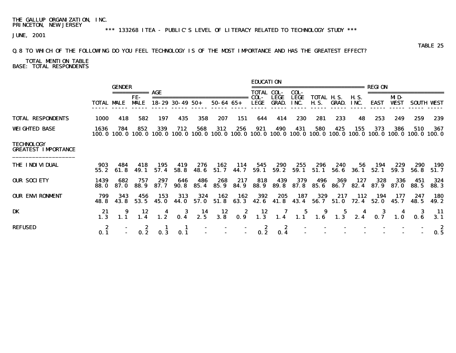\*\*\* 133268 ITEA - PUBLIC'S LEVEL OF LITERACY RELATED TO TECHNOLOGY STUDY \*\*\*

JUNE, 2001

### Q.8 TO WHICH OF THE FOLLOWING DO YOU FEEL TECHNOLOGY IS OF THE MOST IMPORTANCE AND HAS THE GREATEST EFFECT?

 TOTAL MENTION TABLE BASE: TOTAL RESPONDENTS

|                                                 |                   |                          |                                                                                                                                                                                                                                                                                                                                                                                                                                                                                        |               |                        |                    |                  |              | <b>EDUCATION</b>  |                             |                     |                                  |                           |                     |              |                                                                          |              |                     |
|-------------------------------------------------|-------------------|--------------------------|----------------------------------------------------------------------------------------------------------------------------------------------------------------------------------------------------------------------------------------------------------------------------------------------------------------------------------------------------------------------------------------------------------------------------------------------------------------------------------------|---------------|------------------------|--------------------|------------------|--------------|-------------------|-----------------------------|---------------------|----------------------------------|---------------------------|---------------------|--------------|--------------------------------------------------------------------------|--------------|---------------------|
|                                                 |                   | <b>GENDER</b>            | $\begin{array}{cccccccccc} \multicolumn{2}{c}{} & \multicolumn{2}{c}{} & \multicolumn{2}{c}{} & \multicolumn{2}{c}{} & \multicolumn{2}{c}{} & \multicolumn{2}{c}{} & \multicolumn{2}{c}{} & \multicolumn{2}{c}{} & \multicolumn{2}{c}{} & \multicolumn{2}{c}{} & \multicolumn{2}{c}{} & \multicolumn{2}{c}{} & \multicolumn{2}{c}{} & \multicolumn{2}{c}{} & \multicolumn{2}{c}{} & \multicolumn{2}{c}{} & \multicolumn{2}{c}{} & \multicolumn{2}{c}{} & \multicolumn{2}{c}{} & \mult$ | AGE           |                        |                    |                  |              | <b>TOTAL COL-</b> |                             | COL-                | =====================            |                           |                     | REGION       |                                                                          |              |                     |
|                                                 | <b>TOTAL MALE</b> |                          | FE-<br><b>MLE</b>                                                                                                                                                                                                                                                                                                                                                                                                                                                                      |               | $18 - 29$ 30 - 49 50 + |                    | $50 - 64$ $65 +$ |              | COL-<br>LEGE      | <b>LEGE</b><br><b>GRAD.</b> | <b>LEGE</b><br>INC. | <b>TOTAL H.S.</b><br><b>H.S.</b> | GRAD.                     | <b>H.S.</b><br>INC. | EAST         | MD-<br><b>VEST</b>                                                       |              | <b>SOUTH VEST</b>   |
| <b>TOTAL RESPONDENTS</b>                        | 1000              | 418                      | 582                                                                                                                                                                                                                                                                                                                                                                                                                                                                                    | 197           | 435                    | 358                | 207              | 151          | 644               | 414                         | 230                 | 281                              | 233                       | 48                  | 253          | 249                                                                      | 259          | 239                 |
| <b>WEIGHTED BASE</b>                            | 1636              | 784<br>100.0 100.0 100.0 | 852                                                                                                                                                                                                                                                                                                                                                                                                                                                                                    | 339<br>100. O | 712                    | 568<br>100.0 100.0 | 312<br>100. O    | 256          | 921               | 490                         | 431                 | 580                              | 425                       | 155                 | 373          | 386<br>100.0 100.0 100.0 100.0 100.0 100.0 100.0 100.0 100.0 100.0 100.0 | 510          | 367                 |
| <b>TECHNOLOGY</b><br><b>GREATEST IMPORTANCE</b> |                   |                          |                                                                                                                                                                                                                                                                                                                                                                                                                                                                                        |               |                        |                    |                  |              |                   |                             |                     |                                  |                           |                     |              |                                                                          |              |                     |
| <b>THE INDIVIDUAL</b>                           | 903<br>55.2       | 484<br>61. 8             | 418<br>49. 1                                                                                                                                                                                                                                                                                                                                                                                                                                                                           | 195<br>57.4   | 419<br>58.8            | 276<br><b>48.6</b> | 162<br>51.7      | 114<br>44.7  | 545<br>59. 1      | 290<br>59. 2                | 255<br>59. 1        | 296<br>51. 1                     | 240<br>56. 6              | 56<br>36. 1         | 194<br>52.1  | 229<br>59.3                                                              | 290<br>56. 8 | <b>190</b><br>51.7  |
| <b>OUR SOCIETY</b>                              | 1439<br>88. O     | 682<br>87. O             | 757<br>88. 9                                                                                                                                                                                                                                                                                                                                                                                                                                                                           | 297<br>87.7   | 646<br>90. 8           | 486<br>85.4        | 268<br>85.9      | 217<br>84. 9 | 818<br>88. 9      | 439<br>89. 8                | 379                 | 496<br>87.8 85.6                 | 369<br><b>86.</b> 7       | 127<br>82.4         | 328<br>87. 9 | 336<br>87. 0                                                             | 451<br>88. 5 | 324<br>88. 3        |
| <b>OUR ENVIRONMENT</b>                          | 799<br>48. 8      | 343<br>43. 8             | 456<br>53.5                                                                                                                                                                                                                                                                                                                                                                                                                                                                            | 153<br>45. 0  | 313<br>44. O           | 324<br>57. O       | 162<br>51.8      | 162<br>63.3  | 392               | 205                         | 187                 | 329<br>42.6 41.8 43.4 56.7 51.0  | 217                       | 112<br>72.4         | 194<br>52. O | 177<br>45.7                                                              | 247<br>48. 5 | <b>180</b><br>49. 2 |
| DK                                              | 21<br>1.3         | 1.1                      | 12<br>1.4                                                                                                                                                                                                                                                                                                                                                                                                                                                                              | 1.2           | 3<br>0.4               | 14<br>2.5          | 12<br>3.8        | 2<br>0.9     | 12<br>1.3         | 7<br>1.4                    | 5<br>1.1            | 9<br>1.6                         | $\overline{\mathbf{1.3}}$ | 2.4                 | 3<br>0.7     |                                                                          | 3            | - 11<br>3.1         |
| <b>REFUSED</b>                                  | -2<br>0.1         |                          | 0.2                                                                                                                                                                                                                                                                                                                                                                                                                                                                                    |               | 0.1                    |                    |                  |              | 0.2               | 2<br>0.4                    |                     |                                  |                           |                     |              |                                                                          |              | 0.5                 |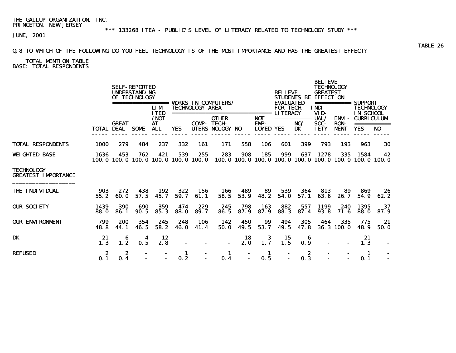### Q.8 TO WHICH OF THE FOLLOWING DO YOU FEEL TECHNOLOGY IS OF THE MOST IMPORTANCE AND HAS THE GREATEST EFFECT?

 TOTAL MENTION TABLE BASE: TOTAL RESPONDENTS

|                                                 |                   |                          | <b>SELF-REPORTED</b><br><b>UNDERSTANDING</b><br>OF TECHNOLOGY | =====<br><b>LIM</b><br><b>ITED</b> |                          | <b>TECHNOLOGY AREA</b> | <b>VORKS IN COMPUTERS/</b><br>=================== |             |                                                  | <b>BELIEVE</b><br><b>EVALUATED</b><br><b>FOR TECH</b><br><b>LITERACY</b> |                          | <b>BELIEVE</b><br><b>TECHNOLOGY</b><br><b>GREATEST</b><br>STUDENTS BE EFFECT ON<br>INDI-<br>VID- |                                     | <b>SUPPORT</b><br><b>TECHNOLOGY</b><br>IN SCHOOL |                |  |
|-------------------------------------------------|-------------------|--------------------------|---------------------------------------------------------------|------------------------------------|--------------------------|------------------------|---------------------------------------------------|-------------|--------------------------------------------------|--------------------------------------------------------------------------|--------------------------|--------------------------------------------------------------------------------------------------|-------------------------------------|--------------------------------------------------|----------------|--|
|                                                 | <b>TOTAL DEAL</b> | <b>GREAT</b>             | <b>SOME</b>                                                   | $/$ NOT<br><b>AT</b><br><b>ALL</b> | YES                      | <b>COMP-TECH-</b>      | <b>OTHER</b><br><b>UTERS NOLOGY NO</b>            |             | ======<br><b>NOT</b><br>EMP-<br><b>LOYED YES</b> |                                                                          | ===========<br>NO/<br>DK | UAL/<br>SOC-<br><b>IETY</b>                                                                      | <b>ENVI-</b><br><b>RON-</b><br>MENT | <b>CURRICULUM</b><br><b>YES</b>                  | N <sub>0</sub> |  |
| <b>TOTAL RESPONDENTS</b>                        | 1000              | 279                      | 484                                                           | 237                                | 332                      | 161                    | 171                                               | 558         | 106                                              | 601                                                                      | 399                      | 793                                                                                              | 193                                 | 963                                              | 30             |  |
| <b>WEIGHTED BASE</b>                            | 1636              | 453<br>100.0 100.0 100.0 | 762                                                           | 421                                | 539<br>100.0 100.0 100.0 | 255                    | 283                                               | 908         | 185                                              | 999                                                                      | 637                      | 1278<br>100, 0 100, 0 100, 0 100, 0 100, 0 100, 0 100, 0 100, 0 100, 0                           | 335                                 | 1584                                             | 42             |  |
| <b>TECHNOLOGY</b><br><b>GREATEST IMPORTANCE</b> |                   |                          |                                                               |                                    |                          |                        |                                                   |             |                                                  |                                                                          |                          |                                                                                                  |                                     |                                                  |                |  |
| <b>THE INDIVIDUAL</b>                           | 903<br>55.2       | 272<br>60. O             | 438<br>57.5                                                   | 192<br>45.7                        | 322<br>59.7              | 156<br>61.1            | 166<br>58.5                                       | 489<br>53.9 | 89<br>48.2                                       | 539<br>54.0                                                              | 364<br>57.1              | 813<br>63.6                                                                                      | 89<br>26.7                          | 869<br>54.9                                      | 26<br>62.2     |  |
| <b>OUR SOCIETY</b>                              | 1439<br>88. O     | 390<br>86.1              | 690<br>90.5                                                   | 359<br>85.3                        | 474<br><b>88.0</b>       | 229<br>89.7            | 245<br>86.5                                       | 798<br>87.9 | 163<br>87.9                                      | 882<br>88.3                                                              | 557<br>87.4              | 1199<br>93.8                                                                                     | 240<br>71.6                         | 1395<br>88. O                                    | 37<br>87.9     |  |
| <b>OUR ENVIRONMENT</b>                          | 799<br>48.8       | 200<br>44.1              | 354<br>46.5                                                   | 245<br>58.2                        | 248<br><b>46.0</b>       | 106<br>41.4            | 142<br>50.0                                       | 450<br>49.5 | 99<br>53.7                                       | 494<br>49.5                                                              | 305<br>47.8              | 464                                                                                              | 335<br>36.3 100.0                   | 775<br>48.9                                      | 21<br>50.0     |  |
| <b>DK</b>                                       | 21<br>1.3         | 6<br>1.2                 | 4<br>0.5                                                      | 12<br>2.8                          |                          |                        | $\overline{a}$                                    | 18<br>2.0   | 3<br>1.7                                         | 15<br>1.5                                                                | 6<br>0.9                 |                                                                                                  |                                     | 21<br>1.3                                        |                |  |
| <b>REFUSED</b>                                  | 2<br>0.1          | 2<br>0.4                 |                                                               |                                    | 1<br>0.2                 |                        | 1<br>0.4                                          |             | 1<br>0.5                                         |                                                                          | 2<br>0.3                 |                                                                                                  |                                     | -1<br>0.1                                        |                |  |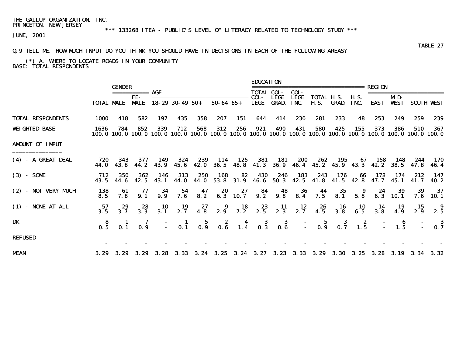# \*\*\* 133268 ITEA - PUBLIC'S LEVEL OF LITERACY RELATED TO TECHNOLOGY STUDY \*\*\*

JUNE, 2001

### TABLE 27 Q.9 TELL ME, HOW MUCH INPUT DO YOU THINK YOU SHOULD HAVE IN DECISIONS IN EACH OF THE FOLLOWING AREAS?

 (\*) A. WHERE TO LOCATE ROADS IN YOUR COMMUNITY BASE: TOTAL RESPONDENTS

|                          |                 | <b>GENDER</b>   |                                        |                  |                                         |                  |                                                                |                       | <b>FDUCATION</b>                         |                                         |                                          |                                  |                                          |                                                            | REGI ON               |                       |                                                                                                                        |                   |
|--------------------------|-----------------|-----------------|----------------------------------------|------------------|-----------------------------------------|------------------|----------------------------------------------------------------|-----------------------|------------------------------------------|-----------------------------------------|------------------------------------------|----------------------------------|------------------------------------------|------------------------------------------------------------|-----------------------|-----------------------|------------------------------------------------------------------------------------------------------------------------|-------------------|
|                          | TOTAL MALE      |                 | $=$ ===========<br>FE-<br><b>MALE</b>  | AGE              | $18 - 29$ 30 - 49 50 +                  |                  | $50 - 64$ $65 +$                                               |                       | <b>TOTAL COL-</b><br>COL-<br><b>LEGE</b> | <b>LEGE</b><br><b>GRAD.</b>             | COL-<br><b>LEGE</b><br>INC.              | <b>TOTAL H.S.</b><br><b>H.S.</b> | GRAD.                                    | <b>H.S.</b><br>INC.                                        | <b>EAST</b>           | MD-<br><b>WEST</b>    |                                                                                                                        | <b>SOUTH VEST</b> |
| <b>TOTAL RESPONDENTS</b> | <b>1000</b>     | 418             | 582                                    | 197              | 435                                     | 358              | 207                                                            | 151                   | 644                                      | 414                                     | 230                                      | 281                              | 233                                      | 48                                                         | 253                   | 249                   | 259                                                                                                                    | 239               |
| <b>WEIGHTED BASE</b>     | 1636            | 784             | 852                                    | 339              | 712                                     | 568              | 312                                                            | 256                   | 921                                      | 490                                     | 431                                      | 580                              | 425                                      | 155                                                        | 373                   | 386                   | 510<br>100.0 100.0 100.0 100.0 100.0 100.0 100.0 100.0 100.0 100.0 100.0 100.0 100.0 100.0 100.0 100.0 100.0 100.0 100 | 367               |
| <b>AMDUNT OF IMPUT</b>   |                 |                 |                                        |                  |                                         |                  |                                                                |                       |                                          |                                         |                                          |                                  |                                          |                                                            |                       |                       |                                                                                                                        |                   |
| (4) - A GREAT DEAL       | 720<br>44. 0    | 343<br>43.8     | 377<br>44. 2                           | 149<br>43.9      | 324<br>45. 6                            | 239<br>42.0      | 114<br>36. 5                                                   | 125                   | 381<br>48.8 41.3                         | 181<br><b>36.9</b>                      | 200                                      | 262<br>46.4 45.2                 | 195                                      | 67                                                         | 158<br>45.9 43.3 42.2 | 148<br><b>38.5</b>    | 244<br>47.8                                                                                                            | 170<br>46. 4      |
| $(3) - S0ME$             | 712<br>43.5     | 350<br>44. 6    | 362<br>42.5                            | 146<br>43.1      | 313<br>44. O                            | 250<br>44. O     | 168<br>53.8                                                    | 82<br>31.9            | 430<br>46. 6                             | 246<br>50.3                             | 183                                      | 243<br>42.5 41.8                 | 176<br>41.5                              | 66<br>42.8                                                 | 178                   | 174<br>47.7 45.1 41.7 | 212                                                                                                                    | - 147<br>40. 2    |
| (2) - NOT VERY MUCH      | 138<br>8.5      | 61<br>7.8       | 77<br>9.1                              | 34<br>9.9        | 54<br>7.6                               | $\frac{47}{8.2}$ |                                                                | $20$ $27$<br>6.3 10.7 | $84$<br>9.2                              | 9.8                                     | 36<br>8.4                                | 7.5                              | $35$<br>8.1                              | $\begin{array}{c} 9 \\ 5.8 \end{array}$                    | 24                    | 39<br>6.3 10.1        | 39<br>7.6                                                                                                              | -37<br>10. 1      |
| $(1)$ - NONE AT ALL      | 57<br>3.5       | 29<br>3.7       | $28$<br>3.3                            | $\frac{10}{3.1}$ | $\frac{19}{2.7}$                        | $27$<br>4.8      | 2.9                                                            | $7.2^{18}$            | $2.3$<br>$2.5$                           | $\frac{11}{2.3}$                        | $\begin{array}{c} 12 \\ 2.7 \end{array}$ | $26$<br>4.5                      | $\begin{array}{c} 16 \\ 3.8 \end{array}$ | $\begin{array}{c} \mathbf{10} \\ \mathbf{6.5} \end{array}$ | $\frac{14}{3.8}$      | $\frac{19}{4.9}$      | 15<br>2.9                                                                                                              | 9<br>2.5          |
| DK                       | $\frac{8}{0.5}$ | $\frac{1}{0.1}$ | $\overline{\mathbf{0.9}}^{\mathbf{7}}$ |                  | $\begin{array}{c} 1 \\ 0.1 \end{array}$ |                  | $\begin{array}{cccc} 5 & 2 & 4 \\ 0.9 & 0.6 & 1.4 \end{array}$ |                       | $\frac{3}{0.3}$                          | $\begin{array}{c} 3 \\ 0.6 \end{array}$ |                                          | $  5$ $3$ $2$<br>$-$ 0.9 0.7 1.5 |                                          |                                                            |                       | 1.5                   |                                                                                                                        | -3<br>0.7         |
| <b>REFUSED</b>           |                 |                 |                                        |                  |                                         |                  |                                                                |                       |                                          |                                         |                                          |                                  |                                          |                                                            |                       |                       |                                                                                                                        |                   |
| <b>MEAN</b>              |                 | 3.29 3.29       | 3. 29                                  |                  |                                         |                  |                                                                |                       |                                          |                                         |                                          |                                  |                                          |                                                            |                       |                       | 3.28 3.33 3.24 3.25 3.24 3.27 3.23 3.33 3.29 3.30 3.25 3.28 3.19 3.34 3.32                                             |                   |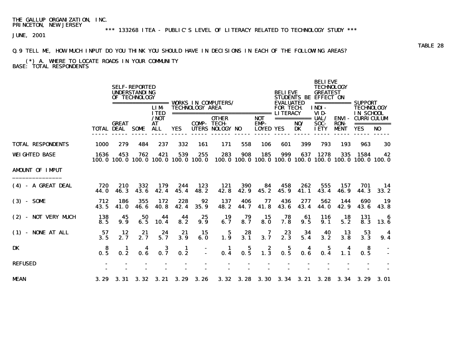# \*\*\* 133268 ITEA - PUBLIC'S LEVEL OF LITERACY RELATED TO TECHNOLOGY STUDY \*\*\*

JUNE, 2001

### Q.9 TELL ME, HOW MUCH INPUT DO YOU THINK YOU SHOULD HAVE IN DECISIONS IN EACH OF THE FOLLOWING AREAS?

### (\*) A. WHERE TO LOCATE ROADS IN YOUR COMMUNITY BASE: TOTAL RESPONDENTS

|                          |                        |              | <b>SELF-REPORTED</b><br><b>UNDERSTANDING</b><br>OF TECHNOLOGY |                                                |                          |                        | <b>VORKS IN COMPUTERS/</b>       |                       |                                         | <b>BELIEVE</b><br><b>EVALUATED</b> |                                                                                                                                                                                                                                                                                                                                                                                                                                            | <b>BELIEVE</b><br><b>TECHNOLOGY</b><br><b>GREATEST</b><br>STUDENTS BE EFFECT ON |                             | SUPPORT                                                       |             |  |
|--------------------------|------------------------|--------------|---------------------------------------------------------------|------------------------------------------------|--------------------------|------------------------|----------------------------------|-----------------------|-----------------------------------------|------------------------------------|--------------------------------------------------------------------------------------------------------------------------------------------------------------------------------------------------------------------------------------------------------------------------------------------------------------------------------------------------------------------------------------------------------------------------------------------|---------------------------------------------------------------------------------|-----------------------------|---------------------------------------------------------------|-------------|--|
|                          |                        |              |                                                               | =================<br><b>LIM</b><br><b>ITED</b> |                          | <b>TECHNOLOGY AREA</b> | ================================ |                       |                                         | <b>FOR TECH</b><br><b>LITERACY</b> |                                                                                                                                                                                                                                                                                                                                                                                                                                            | INDI-<br>VID-                                                                   | ===========                 | <b>TECHNOLOGY</b><br>IN SCHOOL                                |             |  |
|                          |                        | <b>GREAT</b> |                                                               | / <b>NOT</b><br>AT                             |                          | <b>COMP-TECH-</b>      | <b>OTHER</b>                     |                       | <b>NOT</b><br><b>EMP-</b>               |                                    | $\begin{array}{cccccccccc} \texttt{m} & \texttt{m} & \texttt{m} & \texttt{m} & \texttt{m} & \texttt{m} & \texttt{m} & \texttt{m} & \texttt{m} & \texttt{m} & \texttt{m} & \texttt{m} & \texttt{m} & \texttt{m} & \texttt{m} & \texttt{m} & \texttt{m} & \texttt{m} & \texttt{m} & \texttt{m} & \texttt{m} & \texttt{m} & \texttt{m} & \texttt{m} & \texttt{m} & \texttt{m} & \texttt{m} & \texttt{m} & \texttt{m} & \texttt{m} & \$<br>NO/ | UAL/<br>SOC-                                                                    | <b>ENVI-</b><br><b>RON-</b> | <b>CURRICULUM</b>                                             | =========== |  |
|                          | TOTAL DEAL             |              | <b>SOME</b>                                                   | <b>ALL</b>                                     | YES                      |                        | UTERS NOLOGY NO                  |                       | <b>LOYED YES</b>                        |                                    | <b>DK</b>                                                                                                                                                                                                                                                                                                                                                                                                                                  | <b>IETY</b>                                                                     | <b>MENT</b>                 | YES                                                           | NO          |  |
| <b>TOTAL RESPONDENTS</b> | 1000                   | 279          | 484                                                           | 237                                            | 332                      | 161                    | 171                              | 558                   | 106                                     | 601                                | 399                                                                                                                                                                                                                                                                                                                                                                                                                                        | 793                                                                             | 193                         | 963                                                           | 30          |  |
| <b>WEIGHTED BASE</b>     | 1636                   | 453          | 762<br>100.0 100.0 100.0                                      | 421                                            | 539<br>100.0 100.0 100.0 | 255                    | 283                              | 908                   | 185                                     | 999                                | 637                                                                                                                                                                                                                                                                                                                                                                                                                                        | 1278                                                                            | 335                         | 1584<br>100.0 100.0 100.0 100.0 100.0 100.0 100.0 100.0 100.0 | 42          |  |
| <b>AMDUNT OF IMPUT</b>   |                        |              |                                                               |                                                |                          |                        |                                  |                       |                                         |                                    |                                                                                                                                                                                                                                                                                                                                                                                                                                            |                                                                                 |                             |                                                               |             |  |
| (4) - A GREAT DEAL       | 720<br>44.0            | 210<br>46.3  | 332<br>43.6                                                   | 179<br>42.4                                    | 244<br>45.4              | 123<br>48.2            | 121<br>42.8                      | 390<br>42.9           | 84<br>45.2                              | 458<br>45.9                        | 262<br>41.1                                                                                                                                                                                                                                                                                                                                                                                                                                | 555<br>43.4                                                                     | 157<br>46.9                 | 701<br>44.3                                                   | 14<br>33.2  |  |
| $(3) - S0ME$             | 712<br>43.5            | 186<br>41.0  | 355<br>46.6                                                   | 172<br>40.8                                    | 228<br>42.4              | 92<br>35.9             | 137<br>48.2                      | 406<br>44.7           | 77<br>41.8                              | 436<br>43.6                        | 277<br>43.4                                                                                                                                                                                                                                                                                                                                                                                                                                | 562<br>44.0                                                                     | 144<br>42.9                 | 690<br>43.6                                                   | 19<br>43.8  |  |
| (2) - NOT VERY MUCH      | 138<br>8.5             | 45<br>9.9    | 50<br>6.5                                                     | 44<br>10.4                                     | 44<br>8.2                | 25<br>9.9              | 19<br>6.7                        | 79<br>8.7             | 15<br>8.0                               | 78<br>7.8                          | 61<br>9.5                                                                                                                                                                                                                                                                                                                                                                                                                                  | 116<br>9.1                                                                      | 18<br>5.2                   | 131<br>8.3                                                    | -6<br>13.6  |  |
| (1) - NONE AT ALL        | 57<br>3.5              | 12<br>2.7    | 21<br>2.7                                                     | 24<br>5.7                                      | 21<br>3.9                | 15<br>6.0              | 5<br>1.9                         | 28<br>3.1             | 7<br>3.7                                | 23<br>2.3                          | 34<br>5.4                                                                                                                                                                                                                                                                                                                                                                                                                                  | 40<br>3.2                                                                       | 13<br>3.8                   | 53<br>3.3                                                     | 4<br>9.4    |  |
| DK                       | -8<br>$0.\overline{5}$ | п<br>0.2     | 0. R                                                          | 0.7                                            | -1<br>0.2                |                        | $\blacksquare$<br>0.4            | 5<br>$0.\overline{5}$ | $\begin{array}{c} 2 \\ 1.3 \end{array}$ | 5<br>0.5                           | 0.6                                                                                                                                                                                                                                                                                                                                                                                                                                        | 0.4                                                                             | 1.1                         | -8<br>0.5                                                     |             |  |
| <b>REFUSED</b>           |                        |              |                                                               |                                                |                          |                        |                                  |                       |                                         |                                    |                                                                                                                                                                                                                                                                                                                                                                                                                                            |                                                                                 |                             |                                                               |             |  |
| <b>MEAN</b>              | 3.29                   | 3. 31        | 3.32                                                          | 3.21                                           | 3.29                     | 3.26                   | 3.32                             | 3.28                  | 3.30                                    | 3.34                               | 3.21                                                                                                                                                                                                                                                                                                                                                                                                                                       | 3.28                                                                            | 3.34                        | 3. 29                                                         | 3.01        |  |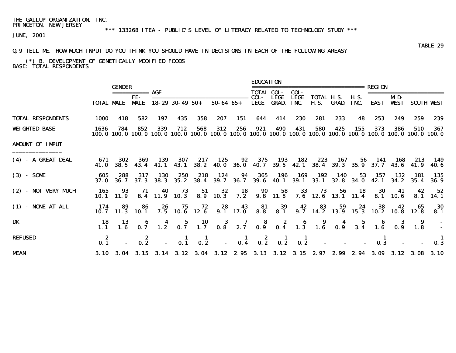# \*\*\* 133268 ITEA - PUBLIC'S LEVEL OF LITERACY RELATED TO TECHNOLOGY STUDY \*\*\*

JUNE, 2001

### Q.9 TELL ME, HOW MUCH INPUT DO YOU THINK YOU SHOULD HAVE IN DECISIONS IN EACH OF THE FOLLOWING AREAS?

#### (\*) B. DEVELOPMENT OF GENETICALLY MODIFIED FOODS BASE: TOTAL RESPONDENTS

|                          |                   |                         |                        |                           |                                         |                    |                  |                           | <b>EDUCATION</b>                                               |                             |                                                                                   |                                           |            |                     |             |                    |                                                                                                                          |                   |
|--------------------------|-------------------|-------------------------|------------------------|---------------------------|-----------------------------------------|--------------------|------------------|---------------------------|----------------------------------------------------------------|-----------------------------|-----------------------------------------------------------------------------------|-------------------------------------------|------------|---------------------|-------------|--------------------|--------------------------------------------------------------------------------------------------------------------------|-------------------|
|                          |                   | <b>GENDER</b>           | =========== <b>AGE</b> |                           |                                         |                    |                  |                           | <b>TOTAL COL-</b>                                              |                             | COL-                                                                              | ======================                    |            |                     | REGI ON     |                    |                                                                                                                          |                   |
|                          | <b>TOTAL MALE</b> |                         | FE-<br><b>MALE</b>     |                           | $18 - 29$ 30 - 49 50 +                  |                    | $50 - 64$ $65 +$ |                           | COL-<br><b>LEGE</b>                                            | <b>LEGE</b><br><b>GRAD.</b> | <b>LEGE</b><br>INC.                                                               | <b>TOTAL H.S.</b><br><b>H.S.</b>          | GRAD.      | <b>H.S.</b><br>INC. | <b>EAST</b> | MD-<br><b>WEST</b> |                                                                                                                          | <b>SOUTH VEST</b> |
| <b>TOTAL RESPONDENTS</b> | 1000              | 418                     | 582                    | 197                       | 435                                     | 358                | 207              | 151                       | 644                                                            | 414                         | 230                                                                               | 281                                       | 233        | 48                  | 253         | 249                | 259                                                                                                                      | 239               |
| <b>WEIGHTED BASE</b>     | 1636              | 784                     | 852                    | 339                       | 712                                     | 568                | 312              | 256                       | 921                                                            | 490                         | 431                                                                               | 580                                       | 425        | 155                 | 373         | 386                | 510<br>100.0 100.0 100.0 100.0 100.0 100.0 100.0 100.0 100.0 100.0 100.0 100.0 100.0 100.0 100.0 100.0 100.0 100.0 100.0 | 367               |
| <b>AMDUNT OF IMPUT</b>   |                   |                         |                        |                           |                                         |                    |                  |                           |                                                                |                             |                                                                                   |                                           |            |                     |             |                    |                                                                                                                          |                   |
| (4) - A GREAT DEAL       | 671<br>41.0       | 302                     | 369<br>38.5 43.4       | 139<br>41.1               | 307<br>43. 1                            | 217<br>38. 2       | 125              | 92                        | 375                                                            | 193                         | 182                                                                               | 223                                       | 167        | 56                  | - 141       |                    | 168 213<br>40.0 36.0 40.7 39.5 42.1 38.4 39.3 35.9 37.7 43.6 41.9                                                        | - 149<br>40. 6    |
| $(3) - S0ME$             | 605<br>37. O      | 288<br>36. 7            | 317<br>37.3            | <b>130</b><br><b>38.3</b> | 250<br>35. 2                            | 218<br><b>38.4</b> | 124<br>39. 7     | 94                        | 365<br>36.7 39.6 40.1                                          | 196                         | 169                                                                               | 192<br>$39.1$ $33.1$ $32.8$ $34.0$ $42.1$ | <b>140</b> | 53                  | 157         | 132<br>34.2        | 181<br>35.4                                                                                                              | - 135<br>36. 9    |
| (2) - NOT VERY MUCH      | 165               | 93<br>$10.1 \quad 11.9$ | 71                     | 40<br>8.4 11.9 10.3       | 73                                      | 51                 | 32<br>8.9 10.3   |                           |                                                                |                             | 18 90 58 33 73 56 18<br>7.2 9.8 11.8 7.6 12.6 13.1 11.4                           |                                           |            |                     | 30          | 41<br>8.1 10.6     | 42<br>8.1                                                                                                                | 52<br>14. 1       |
| $(1)$ - NONE AT ALL      | 174               | 89<br>$10.7$ 11.3 10.1  | 86                     | 26                        | 75<br>$7.5$ 10.6 12.6                   | 72                 |                  | $28$ 43<br>9.1 17.0<br>43 | 81                                                             | 39<br>8.8 8.1               | 42                                                                                | 83                                        | 59         | 24                  | 38          | 42                 | 65<br>9.7 14.2 13.9 15.3 10.2 10.8 12.8                                                                                  | 30<br>8.1         |
| DK                       | -18<br>1.1        | 13<br>1.6               |                        |                           |                                         |                    |                  |                           |                                                                |                             | 6 4 5 10 3 7 8 2 6 9 4 5 6<br>0.7 1.2 0.7 1.7 0.8 2.7 0.9 0.4 1.3 1.6 0.9 3.4 1.6 |                                           |            |                     |             |                    | 9<br>$0.9$ 1.8                                                                                                           |                   |
| <b>REFUSED</b>           | 0.1               |                         | $\frac{2}{0.2}$        |                           | $\begin{array}{c} 1 \\ 0.1 \end{array}$ | $\frac{1}{2}$      | $\sim 10^{-1}$   |                           | $\begin{array}{cccc} 1 & 2 & 1 \\ 0.4 & 0.2 & 0.2 \end{array}$ |                             | $\frac{1}{0.2}$                                                                   |                                           |            |                     | 0.3         |                    |                                                                                                                          | -1<br>0.3         |
| <b>MEAN</b>              |                   |                         |                        |                           |                                         |                    |                  |                           |                                                                |                             |                                                                                   |                                           |            |                     |             |                    | 3.10 3.04 3.15 3.14 3.12 3.04 3.12 2.95 3.13 3.12 3.15 2.97 2.99 2.94 3.09 3.12 3.08 3.10                                |                   |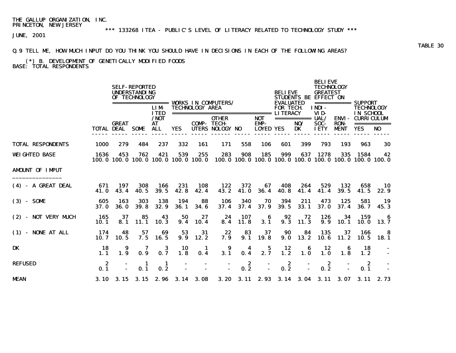# \*\*\* 133268 ITEA - PUBLIC'S LEVEL OF LITERACY RELATED TO TECHNOLOGY STUDY \*\*\*

JUNE, 2001

### Q.9 TELL ME, HOW MUCH INPUT DO YOU THINK YOU SHOULD HAVE IN DECISIONS IN EACH OF THE FOLLOWING AREAS?

#### (\*) B. DEVELOPMENT OF GENETICALLY MODIFIED FOODS BASE: TOTAL RESPONDENTS

|                          |                    |                            | <b>SELF-REPORTED</b><br><b>UNDERSTANDING</b><br>OF TECHNOLOGY |                           |                    |                        |                                 |             |                                               | <b>BELIEVE</b>                      |                              | <b>BELIEVE</b><br><b>TECHNOLOGY</b><br><b>GREATEST</b><br>STUDENTS BE EFFECT ON |                                      |                                                               |                               |
|--------------------------|--------------------|----------------------------|---------------------------------------------------------------|---------------------------|--------------------|------------------------|---------------------------------|-------------|-----------------------------------------------|-------------------------------------|------------------------------|---------------------------------------------------------------------------------|--------------------------------------|---------------------------------------------------------------|-------------------------------|
|                          |                    |                            |                                                               | <b>LIM</b><br><b>ITED</b> |                    | <b>TECHNOLOGY AREA</b> |                                 |             |                                               | <b>EVALUATED</b><br><b>FOR TECH</b> |                              | INDI-<br>VID-                                                                   | ===========                          | SUPPORT<br><b>TECHNOLOGY</b><br>IN SCHOOL                     |                               |
|                          |                    | <b>GREAT</b><br>TOTAL DEAL | SOME                                                          | /NOT<br>AT<br><b>ALL</b>  | <b>YES</b>         | <b>COMP- TECH-</b>     | <b>OTHER</b><br>UTERS NOLOGY NO |             | <b>NOT</b><br><b>EMP-</b><br><b>LOYED YES</b> |                                     | $=$ ===========<br>NO/<br>DK | UAL/<br>SOC-<br><b>IETY</b>                                                     | ENVI -<br><b>RON-</b><br><b>MENT</b> | <b>CURRICULUM</b><br><b>YES</b>                               | ===========<br>N <sub>0</sub> |
| <b>TOTAL RESPONDENTS</b> | <b>1000</b>        | 279                        | 484                                                           | 237                       | 332                | 161                    | 171                             | 558         | 106                                           | 601                                 | 399                          | 793                                                                             | 193                                  | 963                                                           | 30                            |
| <b>WEIGHTED BASE</b>     | 1636               | 453                        | 762<br>100.0 100.0 100.0 100.0 100.0 100.0                    | 421                       | 539                | 255                    | 283                             | 908         | 185                                           | 999                                 | 637                          | 1278                                                                            | 335                                  | 1584<br>100.0 100.0 100.0 100.0 100.0 100.0 100.0 100.0 100.0 | 42                            |
| <b>AMDUNT OF IMPUT</b>   |                    |                            |                                                               |                           |                    |                        |                                 |             |                                               |                                     |                              |                                                                                 |                                      |                                                               |                               |
| (4) - A GREAT DEAL       | 671<br>41.0        | 197<br>43.4                | 308<br>40.5                                                   | 166<br>39.5               | 231<br>42.8        | 108<br>42.4            | 122<br>43.2                     | 372<br>41.0 | 67<br>36.4                                    | 408<br>40.8                         | 264<br>41.4                  | 529<br>41.4                                                                     | 132<br>39.5                          | 658<br>41.5                                                   | - 10<br>22.9                  |
| $(3) - S0ME$             | 605<br>37.0        | 163<br><b>36.0</b>         | 303<br>39.8                                                   | 138<br>32.9               | 194<br><b>36.1</b> | 88<br>34.6             | 106<br>37.4                     | 340<br>37.4 | 70<br>37.9                                    | 394<br>39.5                         | 211<br>33.1                  | 473<br>37.0                                                                     | 125<br>37.4                          | 581<br>36.7                                                   | -19<br>45.3                   |
| (2) - NOT VERY MUCH      | 165<br><b>10.1</b> | 37<br>8.1                  | 85<br>11.1                                                    | 43<br>10.3                | 50<br>9.4          | 27<br>10.4             | 24<br>8.4                       | 107<br>11.8 | -6<br>3.1                                     | 92<br>9.3                           | 72<br>11.3                   | 126<br>9.9                                                                      | 34<br>10.1                           | 159<br>10. O                                                  | -6<br>13.7                    |
| $(1)$ - NONE AT ALL      | - 174<br>10.7      | 48<br>10.5                 | 57<br>7.5                                                     | 69<br>16.5                | 53<br>9.9          | 31<br>12.2             | 22<br>7.9                       | 83<br>9.1   | 37<br>19.8                                    | 90<br>9.0                           | 84<br>13.2                   | 135<br>10.6                                                                     | 37<br>11.2                           | 166<br>10.5                                                   | -8<br>18. 1                   |
| DK                       | 18<br>1.1          | 9<br>1.9                   | 0.9                                                           | 3<br>0.7                  | 10<br>1.8          | -1<br>0.4              | 9<br>3.1                        | 0.4         | 5<br>2.7                                      | 12<br>1.2                           | 6<br>1.0                     | 12<br>1.0                                                                       | 1.8                                  | 18<br>1.2                                                     |                               |
| <b>REFUSED</b>           | -2<br>0.1          |                            | -1<br>0.1                                                     | -1<br>0.2                 |                    |                        |                                 | 2<br>0.2    |                                               | 2<br>0.2                            |                              | 2<br>0.2                                                                        |                                      | -2<br>0.1                                                     |                               |
| <b>MEAN</b>              |                    |                            | 3.10 3.15 3.15 2.96 3.14 3.08                                 |                           |                    |                        |                                 |             |                                               |                                     |                              |                                                                                 |                                      | 3. 20 3. 11 2. 93 3. 14 3. 04 3. 11 3. 07 3. 11 2. 73         |                               |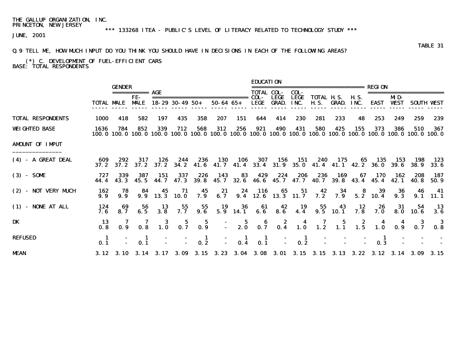# \*\*\* 133268 ITEA - PUBLIC'S LEVEL OF LITERACY RELATED TO TECHNOLOGY STUDY \*\*\*

JUNE, 2001

### TABLE 31 Q.9 TELL ME, HOW MUCH INPUT DO YOU THINK YOU SHOULD HAVE IN DECISIONS IN EACH OF THE FOLLOWING AREAS?

 (\*) C. DEVELOPMENT OF FUEL-EFFICIENT CARS BASE: TOTAL RESPONDENTS

|                          |                               | <b>GENDER</b>                            | =========== AGE      |                                          |                                    |                                          |                                                 |                                                       | <b>EDUCATION</b><br><b>TOTAL COL-</b>     |                                                      | COL-                |                                    |                                                       |                                                            | <b>REGION</b>                |                    |                                                                                                                        |                                                           |
|--------------------------|-------------------------------|------------------------------------------|----------------------|------------------------------------------|------------------------------------|------------------------------------------|-------------------------------------------------|-------------------------------------------------------|-------------------------------------------|------------------------------------------------------|---------------------|------------------------------------|-------------------------------------------------------|------------------------------------------------------------|------------------------------|--------------------|------------------------------------------------------------------------------------------------------------------------|-----------------------------------------------------------|
|                          |                               | <b>TOTAL MALE</b>                        | FE-<br><b>MALE</b>   |                                          | $18 - 29$ 30 - 49 50 +             |                                          | $50 - 64$ $65 +$                                |                                                       | COL-<br>LEGE                              | <b>LEGE</b><br><b>GRAD.</b>                          | <b>LEGE</b><br>INC. | TOTAL H.S.                         | <b>H.S. GRAD. INC.</b>                                | <b>H.S.</b>                                                | EAST                         | MD-<br><b>WEST</b> |                                                                                                                        | <b>SOUTH VEST</b>                                         |
| <b>TOTAL RESPONDENTS</b> | 1000                          | 418                                      | 582                  | 197                                      | 435                                | 358                                      | 207                                             | 151                                                   | 644                                       | 414                                                  | 230                 | 281                                | 233                                                   | 48                                                         | 253                          | 249                | 259                                                                                                                    | 239                                                       |
| <b>WEIGHTED BASE</b>     | 1636                          | 784                                      | 852                  | 339                                      | 712                                | 568                                      | 312                                             | 256                                                   | 921                                       | 490                                                  | 431                 | 580                                | 425                                                   | 155                                                        | 373                          | 386                | 510<br>100.0 100.0 100.0 100.0 100.0 100.0 100.0 100.0 100.0 100.0 100.0 100.0 100.0 100.0 100.0 100.0 100.0 100.0 100 | 367                                                       |
| <b>AMDUNT OF IMPUT</b>   |                               |                                          |                      |                                          |                                    |                                          |                                                 |                                                       |                                           |                                                      |                     |                                    |                                                       |                                                            |                              |                    |                                                                                                                        |                                                           |
| (4) - A GREAT DEAL       | 609<br>37. 2                  | 292                                      | 317<br>$37.2$ $37.2$ | 126<br>37.2                              | 244<br>34. 2                       | 236                                      | <b>130</b>                                      | 106                                                   | 307<br>41.6 41.7 41.4 33.4 31.9           | - 156                                                | - 151               | 240<br>$35.0$ $41.4$ $41.1$ $42.2$ | 175                                                   |                                                            | 65 135<br>36. O              | 153<br>39. 6       | 198<br>38. 9                                                                                                           | 123<br>33. 6                                              |
| $(3) - S0ME$             | 727<br>44.4                   | 339<br>43.3                              | 387<br>45.5          | 151                                      | 337<br>44.7 47.3                   | 226<br><b>39. 8</b>                      | 143<br>45.7                                     | 83                                                    | 429<br>32.6 46.6 45.7 47.7 40.7           | 224                                                  | 206                 | 236                                | 169                                                   | 67                                                         | 170<br>$39.8$ 43.4 45.4 42.1 | 162                | 208<br>40. 8                                                                                                           | 187<br>50. 9                                              |
| (2) - NOT VERY MUCH      | 162<br>9.9                    | 78<br>9.9                                | 84                   | 45                                       | 71<br>$9.9$ 13.3 10.0              | 45<br>7.9                                | 8.7                                             |                                                       | <b>24</b> 116 65 51<br>9.4 12.6 13.3 11.7 |                                                      |                     | $7.2^{42}$                         | $\frac{34}{7.9}$                                      | - 8                                                        | 39<br>$5.2 \quad 10.4$       | 36<br>9.3          | 46                                                                                                                     | - 41<br>$9.1$ 11.1                                        |
| $(1)$ - NONE AT ALL      | 124<br>7. 6                   | $\begin{array}{c} 69 \\ 8.7 \end{array}$ | $\frac{56}{6.5}$     | $\begin{array}{c} 13 \\ 3.8 \end{array}$ | $\frac{55}{7.7}$                   | $\begin{array}{c} 55 \\ 9.6 \end{array}$ |                                                 | $\begin{array}{cc} 19 & 36 \\ 5.9 & 14.1 \end{array}$ |                                           | $\begin{array}{cc} 61 & 42 \\ 6.6 & 8.6 \end{array}$ | $\frac{19}{4.4}$    |                                    | $\begin{array}{cc} 55 & 43 \\ 9.5 & 10.1 \end{array}$ | $\begin{array}{c} \mathbf{12} \\ \mathbf{7.8} \end{array}$ | 7.0                          |                    | $\begin{array}{cc} 31 & 54 \\ 8.0 & 10.6 \end{array}$                                                                  | - 13<br>3.6                                               |
| DK                       | 13<br>0.8                     |                                          |                      |                                          | $7$ $7$ $3$ $5$<br>0.9 0.8 1.0 0.7 | $\frac{5}{0.9}$                          |                                                 |                                                       |                                           |                                                      |                     |                                    |                                                       |                                                            |                              |                    | $-$ 5 6 2 4 7 5 2 4 4 3<br>$-$ 2.0 0.7 0.4 1.0 1.2 1.1 1.5 1.0 0.9 0.7                                                 | $\begin{array}{c} \textbf{3} \\ \textbf{0.8} \end{array}$ |
| <b>REFUSED</b>           | $\mathbf{0}.\bar{\mathbf{1}}$ |                                          |                      |                                          |                                    |                                          | $\begin{array}{ccc} 1 & - \\ 0 & 2 \end{array}$ | $\begin{array}{c} 1 \\ 0.4 \end{array}$               | $\begin{array}{c} 1 \\ 0.1 \end{array}$   |                                                      | $\frac{1}{2}$       |                                    |                                                       |                                                            | 0.3                          |                    |                                                                                                                        |                                                           |
| <b>MEAN</b>              |                               |                                          |                      |                                          |                                    |                                          |                                                 |                                                       |                                           |                                                      |                     |                                    |                                                       |                                                            |                              |                    | 3.12 3.10 3.14 3.17 3.09 3.15 3.23 3.04 3.08 3.01 3.15 3.15 3.13 3.22 3.12 3.14 3.09 3.15                              |                                                           |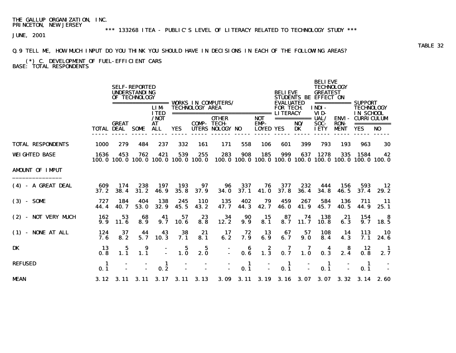# \*\*\* 133268 ITEA - PUBLIC'S LEVEL OF LITERACY RELATED TO TECHNOLOGY STUDY \*\*\*

JUNE, 2001

### Q.9 TELL ME, HOW MUCH INPUT DO YOU THINK YOU SHOULD HAVE IN DECISIONS IN EACH OF THE FOLLOWING AREAS?

#### (\*) C. DEVELOPMENT OF FUEL-EFFICIENT CARS BASE: TOTAL RESPONDENTS

|                          |             |              | <b>SELF-REPORTED</b><br><b>UNDERSTANDING</b><br>OF TECHNOLOGY |                                                |                      |                        | <b>VORKS IN COMPUTERS/</b>      |             |                                        | <b>BELIEVE</b><br><b>EVALUATED</b> |                          | <b>BELIEVE</b><br><b>TECHNOLOGY</b><br><b>GREATEST</b><br><b>STUDENTS BE EFFECT ON</b> |                                            | SUPPORT                                                                |                   |  |
|--------------------------|-------------|--------------|---------------------------------------------------------------|------------------------------------------------|----------------------|------------------------|---------------------------------|-------------|----------------------------------------|------------------------------------|--------------------------|----------------------------------------------------------------------------------------|--------------------------------------------|------------------------------------------------------------------------|-------------------|--|
|                          |             |              |                                                               | =================<br><b>LIM</b><br><b>ITED</b> |                      | <b>TECHNOLOGY AREA</b> | =============================== |             |                                        | <b>FOR TECH</b><br><b>LITERACY</b> |                          | <b>INDI-</b><br>VID-                                                                   | ===========                                | <b>TECHNOLOGY</b><br>IN SCHOOL                                         |                   |  |
|                          | TOTAL DEAL  | <b>GREAT</b> | <b>SOME</b>                                                   | /NOT<br>AT<br><b>ALL</b>                       | <b>YES</b>           | <b>COMP-TECH-</b>      | <b>OTHER</b><br>UTERS NOLOGY NO |             | <b>NOT</b><br>EMP-<br><b>LOYED YES</b> |                                    | ===========<br>NO/<br>DK | UAL/<br>SOC-<br><b>IETY</b>                                                            | <b>ENVI-</b><br><b>RON-</b><br><b>MENT</b> | <b>CURRICULUM</b><br><b>YES</b>                                        | ===========<br>NO |  |
| <b>TOTAL RESPONDENTS</b> | 1000        | 279          | 484                                                           | 237                                            | 332                  | 161                    | 171                             | 558         | 106                                    | 601                                | 399                      | 793                                                                                    | 193                                        | 963                                                                    | 30                |  |
| <b>WEIGHTED BASE</b>     | 1636        | 453          | 762                                                           | 421<br>100.0 100.0 100.0 100.0 100.0 100.0     | 539                  | 255                    | 283                             | 908         | 185                                    | 999                                | 637                      | 1278                                                                                   | 335                                        | 1584<br>100, 0 100, 0 100, 0 100, 0 100, 0 100, 0 100, 0 100, 0 100, 0 | 42                |  |
| <b>AMDUNT OF IMPUT</b>   |             |              |                                                               |                                                |                      |                        |                                 |             |                                        |                                    |                          |                                                                                        |                                            |                                                                        |                   |  |
| (4) - A GREAT DEAL       | 609<br>37.2 | 174<br>38.4  | 238<br>31.2                                                   | 197<br>46.9                                    | 193<br>35.8          | 97<br>37.9             | 96<br>34.0                      | 337<br>37.1 | 76<br>41.0                             | 377<br>37.8                        | 232<br>36.4              | 444<br>34.8                                                                            | 156<br>46.5                                | 593<br>37.4                                                            | 12<br>29. 2       |  |
| $(3) - S0ME$             | 727<br>44.4 | 184<br>40.7  | 404<br>53.0                                                   | 138<br>32.9                                    | 245<br>45.5          | <b>110</b><br>43.2     | 135<br>47.7                     | 402<br>44.3 | 79<br>42.7                             | 459<br>46.0                        | 267<br>41.9              | 584<br>45.7                                                                            | 136<br>40.5                                | 711<br>44.9                                                            | -11<br>25.1       |  |
| (2) - NOT VERY MUCH      | 162<br>9.9  | 53<br>11.6   | 68<br>8.9                                                     | 41<br>9.7                                      | 57<br>10.6           | 23<br>8.8              | 34<br>12.2                      | 90<br>9.9   | 15<br>8.1                              | 87<br>8.7                          | 74<br>11.7               | 138<br>10.8                                                                            | 21<br>6.3                                  | 154<br>9.7                                                             | -8<br>18.5        |  |
| $(1)$ - NONE AT ALL      | 124<br>7.6  | 37<br>8.2    | 44<br>5.7                                                     | 43<br><b>10.3</b>                              | 38<br>7.1            | 21<br>8.1              | 17<br>6.2                       | 72<br>7.9   | 13<br>6.9                              | 67<br>6.7                          | 57<br>9.0                | 108<br>8.4                                                                             | 14<br>4.3                                  | 113<br>7. 1                                                            | <b>10</b><br>24.6 |  |
| DK                       | 13<br>0.8   | 5<br>1.1     | 9<br>1.1                                                      |                                                | 5<br>1.0             | 5<br>2.0               | $\blacksquare$                  | 6<br>0.6    | 2<br>$1.\overline{3}$                  | 7<br>0.7                           | 1.0                      | 0.3                                                                                    | 8<br>2.4                                   | 12<br>0.8                                                              | -1<br>2.7         |  |
| <b>REFUSED</b>           | -1<br>0.1   |              |                                                               | 1<br>0.2                                       |                      |                        |                                 | 1<br>0.1    |                                        | 1<br>0.1                           |                          | -1<br>0.1                                                                              |                                            | -1<br>0.1                                                              |                   |  |
| <b>MEAN</b>              | 3.12        |              | $3.11 \quad 3.11$                                             |                                                | $3.17$ $3.11$ $3.13$ |                        | <b>3.09</b>                     |             | 3.11 3.19 3.16 3.07                    |                                    |                          |                                                                                        | $3.07 \quad 3.32$                          |                                                                        | $3.14$ 2.60       |  |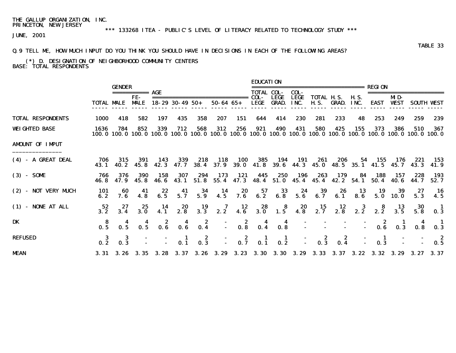# \*\*\* 133268 ITEA - PUBLIC'S LEVEL OF LITERACY RELATED TO TECHNOLOGY STUDY \*\*\*

JUNE, 2001

### Q.9 TELL ME, HOW MUCH INPUT DO YOU THINK YOU SHOULD HAVE IN DECISIONS IN EACH OF THE FOLLOWING AREAS?

#### (\*) D. DESIGNATION OF NEIGHBORHOOD COMMUNITY CENTERS BASE: TOTAL RESPONDENTS

|                          |                   |                 |                    |                                           |                        |                                                            |                                |                                                            | <b>EDUCATION</b>  |                                                       |                     |                                                                                                                        |                                         |                                          |                                         |                                                           |                                          |                                    |
|--------------------------|-------------------|-----------------|--------------------|-------------------------------------------|------------------------|------------------------------------------------------------|--------------------------------|------------------------------------------------------------|-------------------|-------------------------------------------------------|---------------------|------------------------------------------------------------------------------------------------------------------------|-----------------------------------------|------------------------------------------|-----------------------------------------|-----------------------------------------------------------|------------------------------------------|------------------------------------|
|                          |                   | <b>GENDER</b>   | =========== AGE    |                                           |                        |                                                            |                                |                                                            | <b>TOTAL COL-</b> |                                                       | COL-                |                                                                                                                        |                                         |                                          | <b>REGION</b>                           |                                                           |                                          |                                    |
|                          | <b>TOTAL MALE</b> |                 | FE-<br><b>MALE</b> |                                           | $18 - 29$ 30 - 49 50 + |                                                            | $50 - 64$ $65 +$               |                                                            | COL-<br>LEGE      | <b>LEGE</b><br><b>GRAD.</b>                           | <b>LEGE</b><br>INC. | <b>TOTAL H.S.</b><br><b>H.S.</b>                                                                                       | GRAD.                                   | <b>H.S.</b><br>INC.                      | <b>EAST</b>                             | MD-<br><b>WEST</b>                                        |                                          | <b>SOUTH VEST</b>                  |
| <b>TOTAL RESPONDENTS</b> | 1000              | 418             | 582                | 197                                       | 435                    | 358                                                        | 207                            | 151                                                        | 644               | 414                                                   | 230                 | 281                                                                                                                    | 233                                     | 48                                       | 253                                     | 249                                                       | 259                                      | 239                                |
| <b>WEIGHTED BASE</b>     | 1636              | 784             | 852                | 339                                       | 712                    | 568                                                        | 312                            | 256                                                        | 921               | 490                                                   | 431                 | 580<br>100.0 100.0 100.0 100.0 100.0 100.0 100.0 100.0 100.0 100.0 100.0 100.0 100.0 100.0 100.0 100.0 100.0 100.0 100 | 425                                     | 155                                      | 373                                     | 386                                                       | 510                                      | 367                                |
| <b>AMDUNT OF IMPUT</b>   |                   |                 |                    |                                           |                        |                                                            |                                |                                                            |                   |                                                       |                     |                                                                                                                        |                                         |                                          |                                         |                                                           |                                          |                                    |
| (4) - A GREAT DEAL       | 706<br>43. 1      | 315<br>40. 2    | 391<br>45.8        | 143<br>42.3                               | 339<br>47. 7           | 218<br>38.4                                                | 118<br>37.9                    | <b>100</b>                                                 | 385<br>39.041.8   | 194<br><b>39. 6</b>                                   | 191                 | 261<br>44.3 45.0 48.5 35.1 41.5 45.7                                                                                   | 206                                     | 54                                       | 155                                     | 176                                                       | 221<br>43. 3                             | 153<br>41.9                        |
| $(3) - S0ME$             | 766               | 376<br>47.9     | 390<br>45.8        | 158<br>46.6                               | 307<br>43. 1           | 294<br>51.8                                                | 173<br>55.4                    | 121                                                        | 445               | 250<br>47.3 48.4 51.0                                 | 196                 | 263<br>45.4 45.4                                                                                                       | 179                                     | 84<br>42.2 54.1                          | 188<br>50.4                             | 157<br>40. 6                                              | 228<br>44. 7                             | 193<br>52.7                        |
| (2) - NOT VERY MUCH      | 101<br>6.2        | 60<br>7. 6      | 41<br>4.8          | 22<br>6.5                                 | 41<br>5.7              | 34<br>5.9                                                  | 14<br>4.5                      | $\begin{array}{c} \textbf{20} \\ \textbf{7.6} \end{array}$ | 57<br>6.2         | 33<br>6.8                                             | 24<br>5.6           | 39<br>6.7                                                                                                              | 26<br>6.1                               | $\begin{array}{c} 13 \\ 8.6 \end{array}$ | 19<br>5.0                               | 39<br>10.0                                                | 27<br>5.3                                | - 16<br>4.5                        |
| $(1)$ - NONE AT ALL      | 52<br>3.2         | 27<br>3.4       | 25<br>3.0          | 14<br>4.1                                 | 2.8                    | $\begin{array}{c} \mathbf{19} \\ \mathbf{3.3} \end{array}$ | $\overline{\mathbf{z}}$<br>2.2 | $\frac{12}{4.6}$                                           | $28$<br>3.0       | $\begin{array}{c} 8 \\ 1.5 \end{array}$               | $20$<br>4.8         | $\frac{15}{2.7}$                                                                                                       | $\frac{12}{2.8}$                        | 2.2                                      | 2.2                                     | $\begin{array}{c} \mathbf{13}\\ \mathbf{3.5} \end{array}$ | $\begin{array}{c} 30 \\ 5.8 \end{array}$ | $\blacksquare$<br>0.3              |
| DK                       | 0.5               | 0.5             | 0.5                | $\overline{\mathbf{0.6}}^2$               | $0.\overline{6}$       | $\begin{array}{c} 2 \\ 0.4 \end{array}$                    | Ī.                             | $\begin{array}{c} 2 \\ 0.8 \end{array}$                    | 0.4               | $0.3^{4}$                                             |                     |                                                                                                                        |                                         |                                          | $\begin{array}{c} 2 \\ 0.6 \end{array}$ | $\frac{1}{0.3}$                                           | 0.8                                      | $\blacksquare$<br>$0.\overline{3}$ |
| <b>REFUSED</b>           | $\frac{3}{0.2}$   | $\frac{3}{0.3}$ |                    |                                           |                        | $\frac{2}{0.3}$                                            |                                | $\frac{2}{0.7}$<br>I.                                      |                   | $\begin{array}{ccc} & 1 & 1 \\ 0.1 & 0.2 \end{array}$ |                     | $\begin{array}{c} 2 \\ 0.3 \end{array}$                                                                                | $\begin{array}{c} 2 \\ 0.4 \end{array}$ |                                          | -1<br>0.3                               |                                                           |                                          | $\frac{2}{0.5}$                    |
| <b>MEAN</b>              |                   |                 |                    | 3. 31 3. 26 3. 35 3. 28 3. 37 3. 26 3. 29 |                        |                                                            |                                |                                                            |                   |                                                       |                     | 3.23 3.30 3.30 3.29 3.33 3.37 3.22                                                                                     |                                         |                                          |                                         | $3.32 \quad 3.29$                                         | 3. 27                                    | 3.37                               |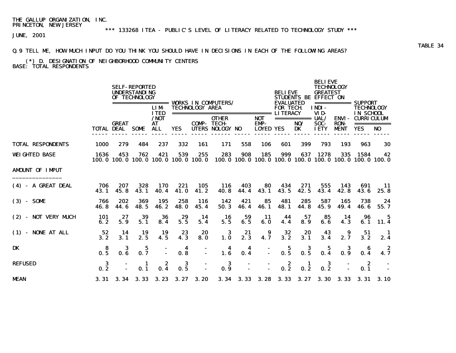# \*\*\* 133268 ITEA - PUBLIC'S LEVEL OF LITERACY RELATED TO TECHNOLOGY STUDY \*\*\*

JUNE, 2001

### Q.9 TELL ME, HOW MUCH INPUT DO YOU THINK YOU SHOULD HAVE IN DECISIONS IN EACH OF THE FOLLOWING AREAS?

#### (\*) D. DESIGNATION OF NEIGHBORHOOD COMMUNITY CENTERS BASE: TOTAL RESPONDENTS

|                          |             |                   | <b>SELF-REPORTED</b><br><b>UNDERSTANDING</b><br>OF TECHNOLOGY |                                                |                          |                        |                                                               |             |                                               | <b>BELIEVE</b>                                         |                                 | <b>BELIEVE</b><br><b>TECHNOLOGY</b><br><b>GREATEST</b><br>STUDENTS BE EFFECT ON |                                            |                                                                        |                   |  |
|--------------------------|-------------|-------------------|---------------------------------------------------------------|------------------------------------------------|--------------------------|------------------------|---------------------------------------------------------------|-------------|-----------------------------------------------|--------------------------------------------------------|---------------------------------|---------------------------------------------------------------------------------|--------------------------------------------|------------------------------------------------------------------------|-------------------|--|
|                          |             |                   |                                                               | =================<br><b>LIM</b><br><b>ITED</b> |                          | <b>TECHNOLOGY AREA</b> | <b>VORKS IN COMPUTERS/</b><br>------------------------------- |             |                                               | <b>EVALUATED</b><br><b>FOR TECH</b><br><b>LITERACY</b> |                                 | INDI-<br>VID-                                                                   | ===========                                | SUPPORT<br><b>TECHNOLOGY</b><br>IN SCHOOL                              |                   |  |
|                          | TOTAL DEAL  | <b>GREAT</b>      | <b>SOME</b>                                                   | / <b>NOT</b><br>AT<br><b>ALL</b>               | <b>YES</b>               | <b>COMP-TECH-</b>      | <b>OTHER</b><br>UTERS NOLOGY NO                               |             | <b>NOT</b><br><b>EMP-</b><br><b>LOYED YES</b> |                                                        | ===========<br>NO/<br><b>DK</b> | UAL/<br>SOC-<br><b>IETY</b>                                                     | <b>ENVI-</b><br><b>RON-</b><br><b>MENT</b> | <b>CURRICULUM</b><br><b>YES</b>                                        | ===========<br>NO |  |
|                          |             |                   |                                                               |                                                |                          |                        |                                                               |             |                                               |                                                        |                                 |                                                                                 |                                            |                                                                        |                   |  |
| <b>TOTAL RESPONDENTS</b> | 1000        | 279               | 484                                                           | 237                                            | 332                      | 161                    | 171                                                           | 558         | 106                                           | 601                                                    | 399                             | 793                                                                             | 193                                        | 963                                                                    | 30                |  |
| <b>WEIGHTED BASE</b>     | 1636        | 453               | 762<br>100.0 100.0 100.0                                      | 421                                            | 539<br>100.0 100.0 100.0 | 255                    | 283                                                           | 908         | 185                                           | 999                                                    | 637                             | 1278                                                                            | 335                                        | 1584<br>100, 0 100, 0 100, 0 100, 0 100, 0 100, 0 100, 0 100, 0 100, 0 | 42                |  |
| <b>AMDUNT OF IMPUT</b>   |             |                   |                                                               |                                                |                          |                        |                                                               |             |                                               |                                                        |                                 |                                                                                 |                                            |                                                                        |                   |  |
| (4) - A GREAT DEAL       | 706<br>43.1 | 207<br>45.8       | 328<br>43.1                                                   | 170<br>40.4                                    | 221<br>41.0              | 105<br>41.2            | 116<br>40.8                                                   | 403<br>44.4 | 80<br>43.1                                    | 434<br>43.5                                            | 271<br>42.5                     | 555<br>43.4                                                                     | 143<br>42.8                                | 691<br>43.6                                                            | -11<br>25.8       |  |
| $(3) - S0ME$             | 766<br>46.8 | 202<br>44.6       | 369<br>48.5                                                   | 195<br>46.2                                    | 258<br><b>48.0</b>       | 116<br>45.4            | 142<br>50.3                                                   | 421<br>46.4 | 85<br>46.1                                    | 481<br>48.1                                            | 285<br>44.8                     | 587<br>45.9                                                                     | 165<br>49.4                                | 738<br>46.6                                                            | 24<br>55.7        |  |
| (2) - NOT VERY MUCH      | 101<br>6.2  | 27<br>5.9         | 39<br>5.1                                                     | 36<br>8.4                                      | 29<br>5.5                | 14<br>5.4              | 16<br>5.5                                                     | 59<br>6.5   | -11<br>6.0                                    | 44<br>4.4                                              | 57<br>8.9                       | 85<br>6.6                                                                       | 14<br>4.3                                  | 96<br>6.1                                                              | 5<br>11.4         |  |
| (1) - NONE AT ALL        | 52<br>3.2   | 14<br>3.1         | 19<br>2.5                                                     | 19<br>4.5                                      | 23<br>4.3                | 20<br>8.0              | 3<br>1.0                                                      | 21<br>2.3   | 9<br>4.7                                      | 32<br>3.2                                              | 20<br>3.1                       | 43<br>3.4                                                                       | 9<br>2.7                                   | 51<br>3.2                                                              | 2.4               |  |
| DK                       | 8<br>0.5    | 3<br>0.6          | 5<br>0.7                                                      |                                                | 4<br>0.8                 |                        | 4<br>1.6                                                      | 4<br>0.4    |                                               | 5<br>0.5                                               | 3<br>0.5                        | 5<br>0.4                                                                        | 3<br>0.9                                   | 0.4                                                                    | 4.7               |  |
| <b>REFUSED</b>           | 3<br>0.2    |                   | 1<br>0.1                                                      | 2<br>0.4                                       | 3<br>$0.\overline{5}$    |                        | 3<br>0.9                                                      |             |                                               | $\begin{array}{c} 2 \\ 0.2 \end{array}$                | 1<br>0.2                        | 3<br>0.2                                                                        |                                            | -2<br>0.1                                                              |                   |  |
| <b>MEAN</b>              |             | $3.31 \quad 3.34$ | 3.33                                                          | 3.23                                           | 3.27                     | 3.20                   | 3.34                                                          | 3.33        | 3.28                                          | 3.33                                                   | 3.27                            | <b>3.30</b>                                                                     | 3.33                                       |                                                                        | 3.31 3.10         |  |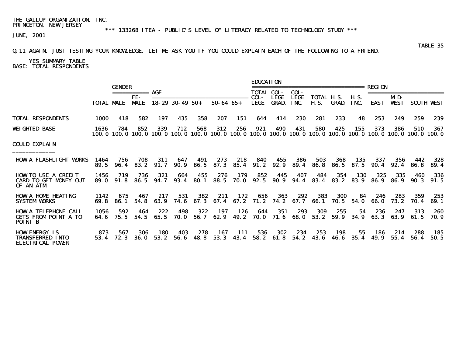\*\*\* 133268 ITEA - PUBLIC'S LEVEL OF LITERACY RELATED TO TECHNOLOGY STUDY \*\*\*

TABLE 35

JUNE, 2001

### Q.11 AGAIN, JUST TESTING YOUR KNOWLEDGE. LET ME ASK YOU IF YOU COULD EXPLAIN EACH OF THE FOLLOWING TO A FRIEND.

YES SUMMARY TABLE BASE: TOTAL RESPONDENTS

|                                                                              |               |                  |                    |              |                                                     |              |                  |              | <b>EDUCATION</b>      |               |              |                                           |                                                  |                   |                                                                                                                        |                    |              |                   |
|------------------------------------------------------------------------------|---------------|------------------|--------------------|--------------|-----------------------------------------------------|--------------|------------------|--------------|-----------------------|---------------|--------------|-------------------------------------------|--------------------------------------------------|-------------------|------------------------------------------------------------------------------------------------------------------------|--------------------|--------------|-------------------|
|                                                                              |               | <b>GENDER</b>    |                    |              |                                                     |              |                  |              | <b>TOTAL COL-</b>     |               | COL-         | . _________________________               |                                                  |                   | <b>REGTON</b>                                                                                                          |                    |              |                   |
|                                                                              |               | TOTAL MALE       | FE-<br><b>MALE</b> |              | ==============================<br>$18-29$ 30-49 50+ |              | $50 - 64$ $65 +$ |              | COL-<br>LEGE          | LEGE<br>GRAD. | LEGE<br>INC. |                                           | <b>TOTAL H.S. H.S.</b><br><b>H.S. GRAD. INC.</b> |                   | <b>EAST</b>                                                                                                            | MD-<br><b>VEST</b> |              | <b>SOUTH VEST</b> |
| <b>TOTAL RESPONDENTS</b>                                                     | 1000          | 418              | 582                | 197          | 435                                                 | 358          | 207              | 151          | 644                   | 414           | 230          | 281                                       | 233                                              | 48                | 253                                                                                                                    | 249                | 259          | 239               |
| WEIGHTED BASE                                                                | 1636          | 784              | 852                | 339          | 712                                                 | 568          | 312              | 256          | 921                   | 490           | 431          | 580                                       | 425                                              | 155               | 373<br>100.0 100.0 100.0 100.0 100.0 100.0 100.0 100.0 100.0 100.0 100.0 100.0 100.0 100.0 100.0 100.0 100.0 100.0 100 | 386                | 510          | 367               |
| COULD EXPLAIN                                                                |               |                  |                    |              |                                                     |              |                  |              |                       |               |              |                                           |                                                  |                   |                                                                                                                        |                    |              |                   |
| <b>HOW A FLASHLIGHT VORKS</b>                                                | 1464<br>89. 5 | 756<br>96.4      | 708<br>83. 2       | 311<br>91.7  | 647<br>90. 9                                        | 491<br>86. 5 | 273<br>87.3      | 218<br>85.4  | 840<br>91. 2          | 455<br>92. 9  | 386<br>89.4  | 503<br>86. 8                              | 368<br>86. 5                                     | 135<br>87.5       | 337<br>90.4                                                                                                            | 356<br>92.4        | 442<br>86. 8 | 328<br>89.4       |
| <b>HOW TO USE A CREDIT</b><br><b>CARD TO GET MONEY OUT</b><br>OF AN ATM      | 1456<br>89. O | 719<br>91.8      | 736<br>86. 5       | 321<br>94. 7 | 664<br>93.4                                         | 455<br>80. 1 | 276<br>88.5      | <b>70. 0</b> | 179 852 445<br>92.5   | 90. 9         | 407<br>94.4  | 484<br>83.4                               | 354<br>83. 2                                     | 130<br>83. 9      | 325<br><b>86.9</b>                                                                                                     | 335<br>86. 9       | 460<br>90.3  | 336<br>91.5       |
| <b>HOW A HOME HEATING</b><br><b>SYSTEM VORKS</b>                             | 1142          | 675<br>69.8 86.1 | 467<br>54. 8       | 217<br>63. 9 | 531<br>74. 6                                        | 382          | 211              | 172          | 656                   | 363           | 292          | 383<br>67.3 67.4 67.2 71.2 74.2 67.7 66.1 | 300                                              | - 84<br>70.5 54.0 | 246<br>66. O                                                                                                           | 283<br>73. 2       | 359<br>70. 4 | 253<br>69. 1      |
| <b>HOW A TELEPHONE CALL</b><br><b>GETS FROM POINT A TO</b><br><b>POINT B</b> | 1056<br>64. 6 | 592<br>75.5      | 464<br>54.5        | 222<br>65.5  | 498<br>70. O                                        | 322<br>56. 7 | 197<br>62. 9     | 126          | 644<br>49.2 70.0 71.6 | 351           | 293<br>68. O | 309<br>53.2                               | 255<br>59.9                                      | 54<br>34.9        | 236<br>63.3                                                                                                            | 247<br>63. 9       | 313<br>61.5  | 260<br>70. 9      |
| <b>HOW ENERGY IS</b><br><b>TRANSFERRED INTO</b><br><b>ELECTRICAL POWER</b>   | 873<br>53.4   | 567<br>72.3      | 306<br>36. O       | 180<br>53.2  | 403<br>56. 6                                        | 278<br>48. 8 | 167<br>53.3      | 111<br>43.4  | 536<br>58.2           | 302<br>61. 8  | 234<br>54. 2 | 253<br>43. 6                              | 198<br>46. 6                                     | 55<br>35.4        | 186<br>49. 9                                                                                                           | 214<br>55.4        | 288<br>56.4  | 185<br>50.5       |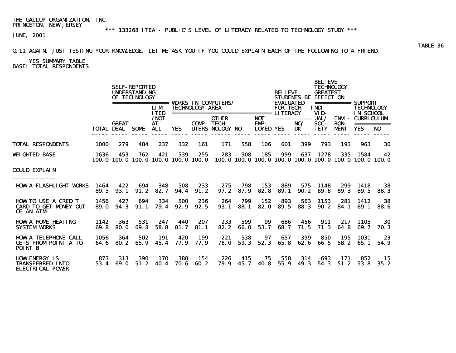\*\*\* 133268 ITEA - PUBLIC'S LEVEL OF LITERACY RELATED TO TECHNOLOGY STUDY \*\*\*

JUNE, 2001

### Q.11 AGAIN, JUST TESTING YOUR KNOWLEDGE. LET ME ASK YOU IF YOU COULD EXPLAIN EACH OF THE FOLLOWING TO A FRIEND.

YES SUMMARY TABLE

BASE: TOTAL RESPONDENTS

|                                                                              |              |                                        | <b>SELF-REPORTED</b><br><b>UNDERSTANDING</b><br>OF TECHNOLOGY |                                                         |                                                  |                                              |                                                              |             |                                        | <b>BELIEVE</b><br><b>EVALUATED</b> |                          | <b>BELIEVE</b><br><b>TECHNOLOGY</b><br><b>GREATEST</b><br>STUDENTS BE EFFECT ON |                                            | $=$ =========== SUPPORT                                                |                                |  |
|------------------------------------------------------------------------------|--------------|----------------------------------------|---------------------------------------------------------------|---------------------------------------------------------|--------------------------------------------------|----------------------------------------------|--------------------------------------------------------------|-------------|----------------------------------------|------------------------------------|--------------------------|---------------------------------------------------------------------------------|--------------------------------------------|------------------------------------------------------------------------|--------------------------------|--|
|                                                                              |              | <b>GREAT</b><br><b>TOTAL DEAL SOME</b> |                                                               | <b>LIM</b><br><b>TTED</b><br>/ <b>NOT</b><br>AT<br>ALL. | <b>YES</b>                                       | <b>TECHNOLOGY AREA</b><br><b>COMP- TECH-</b> | ================================<br>OTHER<br>UTERS NOLOGY NO |             | <b>NOT</b><br>EMP-<br><b>LOYED YES</b> | <b>FOR TECH</b><br><b>LITERACY</b> | ===========<br>NO/<br>DK | <b>INDI-</b><br>VID-<br>UAL/<br>SOC-<br><b>IETY</b>                             | <b>ENVI-</b><br><b>RON-</b><br><b>MENT</b> | <b>TECHNOLOGY</b><br>IN SCHOOL<br><b>CURRICULUM</b><br><b>YES</b>      | ===========<br>NO <sub>1</sub> |  |
| <b>TOTAL RESPONDENTS</b>                                                     | 1000         | 279                                    | 484                                                           | 237                                                     | 332                                              | 161                                          | 171                                                          | 558         | 106                                    | 601                                | 399                      | 793                                                                             | 193                                        | 963                                                                    | 30                             |  |
| WEIGHTED BASE                                                                | 1636         | 453                                    | 762                                                           | 421                                                     | 539<br>100, 0 100, 0 100, 0 100, 0 100, 0 100, 0 | 255                                          | 283                                                          | 908         | 185                                    | 999                                | 637                      | 1278                                                                            | 335                                        | 1584<br>100, 0 100, 0 100, 0 100, 0 100, 0 100, 0 100, 0 100, 0 100, 0 | 42                             |  |
| COULD EXPLAIN                                                                |              |                                        |                                                               |                                                         |                                                  |                                              |                                                              |             |                                        |                                    |                          |                                                                                 |                                            |                                                                        |                                |  |
| <b>HOW A FLASHLIGHT VORKS</b>                                                | 1464<br>89.5 | 422<br>93.1                            | 694<br>91.2                                                   | 348<br>82.7                                             | 508<br>94.4                                      | 233<br>91.2                                  | 275<br>97.2                                                  | 798<br>87.9 | 153<br>82.8                            | 889<br>89.1                        | 575<br>90.2              | 1148<br>89.8                                                                    | 299<br>89.3                                | 1418<br>89.5                                                           | 38<br>88.3                     |  |
| <b>HOW TO USE A CREDIT</b><br><b>CARD TO GET MONEY OUT</b><br>OF AN ATM      | 1456<br>89.0 | 427<br>94.3                            | 694<br>91.1                                                   | 334<br>79.4                                             | 500<br>92.9                                      | 236<br>92.5                                  | 264<br>93.1                                                  | 799<br>88.1 | 152<br>82.0                            | 893<br>89.5                        | 563<br>88.3              | 1153<br>90.2                                                                    | 281<br>84.1                                | 1412<br>89.1                                                           | 38<br>88.6                     |  |
| <b>HOW A HOME HEATING</b><br><b>SYSTEM VORKS</b>                             | 1142<br>69.8 | 363<br>80.0                            | 531<br>69.8                                                   | 247<br>58.8                                             | 440<br>81.7                                      | 207<br>81.1                                  | 233<br>82.2                                                  | 599<br>66.0 | 99<br>53.7                             | 686<br>68.7                        | 456<br>71.5              | 911<br>71.3                                                                     | 217<br>64.8                                | 1105<br>69.7                                                           | 30<br>70. 3                    |  |
| <b>HOW A TELEPHONE CALL</b><br><b>GETS FROM POINT A TO</b><br><b>POINT B</b> | 1056<br>64.6 | 364<br>80.2                            | 502<br>65.9                                                   | 191<br>45.4                                             | 420<br>77.9                                      | 199<br>77.9                                  | 221<br><b>78.0</b>                                           | 538<br>59.3 | 97<br>52.3                             | 657<br>65.8                        | 399<br>62.6              | 850<br>66.5                                                                     | 195<br>58.2                                | 1031<br>65.1                                                           | 23<br>54.9                     |  |
| <b>HOW ENERGY IS</b><br><b>TRANSFERRED INTO</b><br><b>ELECTRICAL POWER</b>   | 873<br>53.4  | 313<br>69. 0                           | 390<br>51.2                                                   | 170<br>40.4                                             | 380<br>70.6                                      | 154<br>60.2                                  | 226<br>79.9                                                  | 415<br>45.7 | 75<br><b>40.8</b>                      | 558<br>55.9                        | 314<br>49.3              | 693<br>54.3                                                                     | 171<br>51.2                                | 852<br>53.8                                                            | -15<br>35.2                    |  |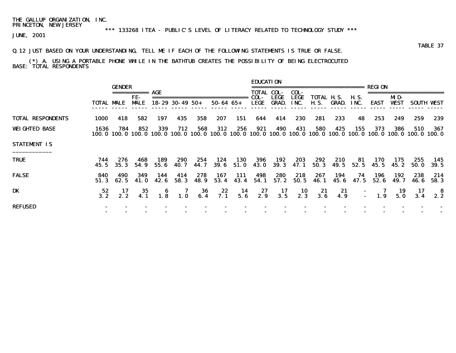### \*\*\* 133268 ITEA - PUBLIC'S LEVEL OF LITERACY RELATED TO TECHNOLOGY STUDY \*\*\*

JUNE, 2001

### Q.12 JUST BASED ON YOUR UNDERSTANDING, TELL ME IF EACH OF THE FOLLOWING STATEMENTS IS TRUE OR FALSE.

#### (\*) A. USING A PORTABLE PHONE WHILE IN THE BATHTUB CREATES THE POSSIBILITY OF BEING ELECTROCUTED BASE: TOTAL RESPONDENTS

|                          |             | <b>GENDER</b> |                                   |                                |                        |              |                     |                    | <b>EDUCATION</b> |                                           |                             | =========================                                             |              |               | REGION                               |                    |              |                    |
|--------------------------|-------------|---------------|-----------------------------------|--------------------------------|------------------------|--------------|---------------------|--------------------|------------------|-------------------------------------------|-----------------------------|-----------------------------------------------------------------------|--------------|---------------|--------------------------------------|--------------------|--------------|--------------------|
|                          | TOTAL MALE  |               | ===========<br>FE-<br><b>MALE</b> | AGE                            | $18 - 29$ 30 - 49 50 + |              | $50 - 64$ $65 +$    |                    | COL-<br>LEGE     | TOTAL COL-<br><b>LEGE</b><br><b>GRAD.</b> | COL-<br><b>LEGE</b><br>INC. | TOTAL H.S.<br><b>H.S.</b>                                             | GRAD.        | H. S.<br>INC. | EAST                                 | MD-<br><b>VEST</b> |              | <b>SOUTH WEST</b>  |
| <b>TOTAL RESPONDENTS</b> | 1000        | 418           | 582                               | 197                            | 435                    | 358          | 207                 | 151                | 644              | 414                                       | 230                         | 281                                                                   | 233          | 48            | 253                                  | 249                | 259          | 239                |
| <b>WEIGHTED BASE</b>     | 1636        | 784           | 852                               | 339<br>100.0 100.0 100.0 100.0 | 712                    | 568          | 312                 | 256                | 921              | 490                                       | 431                         | 580<br>100. 0 100. 0 100. 0 100. 0 100. 0 100. 0 100. 0 100. 0 100. 0 | 425          | 155           | 373<br>100.0 100.0 100.0 100.0 100.0 | 386                | 510          | 367                |
| <b>STATEMENT IS</b>      |             |               |                                   |                                |                        |              |                     |                    |                  |                                           |                             |                                                                       |              |               |                                      |                    |              |                    |
| <b>TRUE</b>              | 744<br>45.5 | 276<br>35.3   | 468<br>54. 9                      | 189<br>55. 6                   | 290<br>40. 7           | 254<br>44. 7 | 124<br><b>39. 6</b> | <b>130</b><br>51.0 | 396<br>43. O     | 192<br>39. 3                              | 203<br>47. 1                | 292<br>50.3                                                           | 210<br>49. 5 | 81<br>52.5    | 170<br>45.5                          | 175<br>45. 2       | 255<br>50. O | 145<br><b>39.5</b> |
| <b>FALSE</b>             | 840<br>51.3 | 490<br>62.5   | 349<br>41. 0                      | 144<br>42.6                    | 414<br>58.3            | 278<br>48.9  | 167<br>53.4         | 111<br>43.4        | 498<br>54.1      | 280<br>57.2                               | 218<br>50.5                 | 267<br>46.1                                                           | 194<br>45.6  | 74<br>47.5    | 196<br>52.6                          | 192<br>49.7        | 238<br>46.6  | 214<br>58.3        |
| DK                       | 52<br>3.2   | 17<br>2.2     | 35<br>4.1                         | 6<br>1.8                       | 1.0                    | 36<br>6.4    | 22<br>7.1           | 14<br>5.6          | 27<br>2.9        | 17<br>3.5                                 | $\blacksquare$<br>2.3       | 21<br>3.6                                                             | 21<br>4.9    |               | 7<br>Ī.<br>1.9                       | 19<br>5.0          | 17<br>3.4    | - 8                |
| <b>REFUSED</b>           |             |               |                                   |                                |                        |              |                     |                    |                  |                                           |                             |                                                                       |              |               |                                      |                    |              |                    |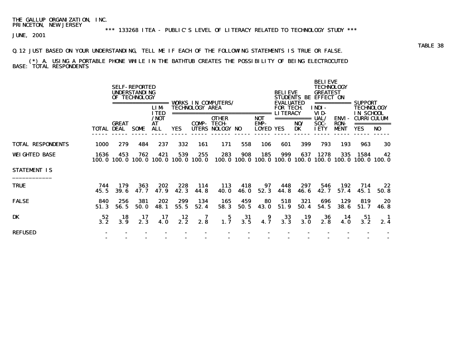\*\*\* 133268 ITEA - PUBLIC'S LEVEL OF LITERACY RELATED TO TECHNOLOGY STUDY \*\*\*

JUNE, 2001

### Q.12 JUST BASED ON YOUR UNDERSTANDING, TELL ME IF EACH OF THE FOLLOWING STATEMENTS IS TRUE OR FALSE.

 (\*) A. USING A PORTABLE PHONE WHILE IN THE BATHTUB CREATES THE POSSIBILITY OF BEING ELECTROCUTED BASE: TOTAL RESPONDENTS

|                          |             |                                   | <b>SELF-REPORTED</b><br><b>UNDERSTANDING</b><br>OF TECHNOLOGY | ======<br><b>LIM</b><br><b>ITED</b> |                                            | <b>TECHNOLOGY AREA</b> | <b>VORKS IN COMPUTERS/</b>               |                    |                                           | <b>BELIEVE</b><br><b>EVALUATED</b><br><b>FOR TECH</b><br><b>LITERACY</b> | <b>STUDENTS BE</b>       | <b>BELIEVE</b><br><b>TECHNOLOGY</b><br><b>GREATEST</b><br><b>EFFECT ON</b><br>INDI-<br>VID- | ===========                         | SUPPORT<br><b>TECHNOLOGY</b><br><b>IN SCHOOL</b> |                                                             |
|--------------------------|-------------|-----------------------------------|---------------------------------------------------------------|-------------------------------------|--------------------------------------------|------------------------|------------------------------------------|--------------------|-------------------------------------------|--------------------------------------------------------------------------|--------------------------|---------------------------------------------------------------------------------------------|-------------------------------------|--------------------------------------------------|-------------------------------------------------------------|
|                          |             | <b>GREAT</b><br><b>TOTAL DEAL</b> | <b>SOME</b>                                                   | /NOT<br>AT<br><b>ALL</b>            | <b>YES</b>                                 | ===========<br>COMP-   | OTHER<br><b>TECH-</b><br>UTERS NOLOGY NO |                    | ======<br>NOT<br>EMP-<br><b>LOYED YES</b> |                                                                          | ===========<br>NO/<br>DK | UAL/<br>SOC-<br><b>IETY</b>                                                                 | ENVI-<br><b>RON-</b><br><b>MENT</b> | <b>CURRICULUM</b><br><b>YES</b>                  | N <sub>0</sub>                                              |
| <b>TOTAL RESPONDENTS</b> | 1000        | 279                               | 484                                                           | 237                                 | 332                                        | 161                    | 171                                      | 558                | 106                                       | 601                                                                      | 399                      | 793                                                                                         | 193                                 | 963                                              | 30                                                          |
| <b>WEIGHTED BASE</b>     | 1636        | 453                               | 762                                                           | 421                                 | 539<br>100.0 100.0 100.0 100.0 100.0 100.0 | 255                    | 283                                      | 908                | 185                                       | 999                                                                      | 637                      | 1278                                                                                        | 335                                 | 1584                                             | 42<br>100.0 100.0 100.0 100.0 100.0 100.0 100.0 100.0 100.0 |
| <b>STATEMENT IS</b>      |             |                                   |                                                               |                                     |                                            |                        |                                          |                    |                                           |                                                                          |                          |                                                                                             |                                     |                                                  |                                                             |
| <b>TRUE</b>              | 744<br>45.5 | 179<br>39.6                       | 363<br>47.7                                                   | 202<br>47.9                         | 228<br>42.3                                | 114<br>44.8            | 113<br><b>40.0</b>                       | 418<br><b>46.0</b> | 97<br>52.3                                | 448<br>44.8                                                              | 297<br>46.6              | 546<br>42.7                                                                                 | 192<br>57.4                         | 714<br>45.1                                      | 22<br>50.8                                                  |
| <b>FALSE</b>             | 840<br>51.3 | 256<br>56.5                       | 381<br>50.0                                                   | 202<br>48.1                         | 299<br>55.5                                | 134<br>52.4            | 165<br>58.3                              | 459<br>50.5        | 80<br><b>43.0</b>                         | 518<br>51.9                                                              | 321<br>50.4              | 696<br>54.5                                                                                 | 129<br>38.6                         | 819<br>51.7                                      | 20<br>46.8                                                  |
| DK                       | 52<br>3.2   | 18<br>3.9                         | 17<br>2.3                                                     | 17<br>4.0                           | 12<br>2.2                                  | 7<br>2.8               | $\begin{array}{c} 5 \\ 1.7 \end{array}$  | 31<br>3.5          | 9<br>4.7                                  | 33<br>3.3                                                                | 19<br>3.0                | 36<br>2.8                                                                                   | 14<br>4. 0                          | 51<br>3.2                                        | - 1<br>2.4                                                  |
| <b>REFUSED</b>           |             |                                   |                                                               |                                     |                                            |                        |                                          |                    |                                           |                                                                          |                          |                                                                                             |                                     |                                                  |                                                             |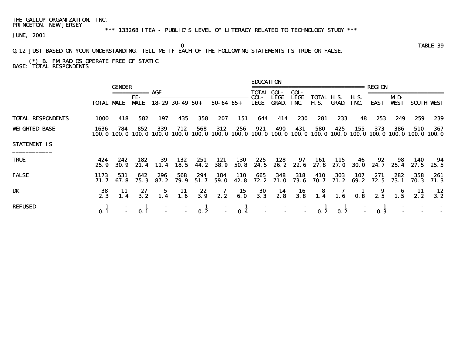\*\*\* 133268 ITEA - PUBLIC'S LEVEL OF LITERACY RELATED TO TECHNOLOGY STUDY \*\*\*

JUNE, 2001

### Q.12 JUST BASED ON YOUR UNDERSTANDING, TELL ME IF EACH OF THE FOLLOWING STATEMENTS IS TRUE OR FALSE.

 (\*) B. FM RADIOS OPERATE FREE OF STATIC BASE: TOTAL RESPONDENTS

|                          |                   | <b>GENDER</b>      | ===========       | AGE           |                        |               |                     |               | <b>EDUCATION</b><br><b>TOTAL COL-</b> |                      | COL-                                     | , _________________________ |                  |                     | REGION            |                    |                          |                   |
|--------------------------|-------------------|--------------------|-------------------|---------------|------------------------|---------------|---------------------|---------------|---------------------------------------|----------------------|------------------------------------------|-----------------------------|------------------|---------------------|-------------------|--------------------|--------------------------|-------------------|
|                          | <b>TOTAL MALE</b> |                    | FE-<br><b>MLE</b> |               | $18 - 29$ 30 - 49 50 + |               | $50 - 64$ $65 +$    |               | COL-<br>LEGE                          | LEGE<br><b>GRAD.</b> | <b>LEGE</b><br>INC.                      | TOTAL H.S.<br>H. S.         | GRAD.            | <b>H.S.</b><br>INC. | EAST              | MD-<br><b>VEST</b> |                          | <b>SOUTH WEST</b> |
| <b>TOTAL RESPONDENTS</b> | 1000              | 418                | 582               | 197           | 435                    | 358           | 207                 | 151           | 644                                   | 414                  | 230                                      | 281                         | 233              | 48                  | 253               | 249                | 259                      | 239               |
| <b>WEIGHTED BASE</b>     | 1636              | 784<br>100.0 100.0 | 852<br>100. O     | 339<br>100. O | 712<br>100. O          | 568<br>100. 0 | 312<br>100. O       | 256<br>100. O | 921                                   | 490<br>100.0 100.0   | 431<br>100. 0                            | 580<br>100. O               | 425<br>100.0     | 155<br>100. O       | 373               | 386                | 510<br>100.0 100.0 100.0 | 367<br>100. 0     |
| <b>STATEMENT IS</b>      |                   |                    |                   |               |                        |               |                     |               |                                       |                      |                                          |                             |                  |                     |                   |                    |                          |                   |
| <b>TRUE</b>              | 424<br>25.9       | 242<br><b>30.9</b> | 182<br>21.4       | 39<br>11.4    | 132<br>18.5            | 251<br>44. 2  | 121<br><b>38. 9</b> | 130<br>50.8   | 225<br>24. 5                          | 128<br>26. 2         | 97                                       | 161<br>22.6 27.8            | 115<br>27. O     | 46                  | 92<br>$30.0$ 24.7 | 98<br>25.4         | 140<br>27.5              | 94<br>25.5        |
| <b>FALSE</b>             | 1173<br>71. 7     | 531<br>67. 8       | 642<br>75.3       | 296<br>87. 2  | 568<br>79.9            | 294<br>51.7   | 184<br>59.0         | 110<br>42.8   | 665<br>72.2                           | 348<br>71. O         | 318<br>73.6                              | 410<br>70. 7                | 303<br>71. 2     | 107<br>69. 2        | 271<br>72.5       | 282<br>73. 1       | 358<br>70. 3             | 261<br>71.3       |
| <b>DK</b>                | 38<br>2.3         | 11<br>1.4          | 27<br>3.2         | $5^{\circ}$   | -11<br>1.6             | 22<br>3.9     | 7<br>2.2            | 15<br>6.0     | 30<br>3.3                             | $\frac{14}{2.8}$     | $\begin{array}{c} 16 \\ 3.8 \end{array}$ | $\frac{8}{1.4}$             | $\overline{1.6}$ | $\frac{1}{0.8}$     | 9<br>2.5          |                    | 11<br>2.2                | 12<br>3.2         |
| <b>REFUSED</b>           | 0.1               |                    | 0.1               |               |                        | 0.2           |                     | -1<br>0.4     |                                       |                      | $\blacksquare$                           | 0.2                         | 0.2              |                     | 0.3               |                    |                          |                   |

o and the contract of the contract of the contract of the contract of the contract of the contract of the contract of the contract of the contract of the contract of the contract of the contract of the contract of the cont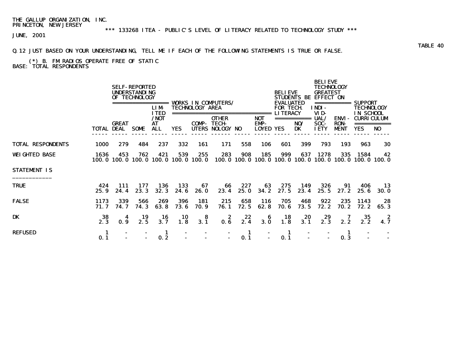\*\*\* 133268 ITEA - PUBLIC'S LEVEL OF LITERACY RELATED TO TECHNOLOGY STUDY \*\*\*

JUNE, 2001

Q.12 JUST BASED ON YOUR UNDERSTANDING, TELL ME IF EACH OF THE FOLLOWING STATEMENTS IS TRUE OR FALSE.

### (\*) B. FM RADIOS OPERATE FREE OF STATIC BASE: TOTAL RESPONDENTS

|                          |              |                                   | <b>SELF-REPORTED</b><br><b>UNDERSTANDING</b><br>OF TECHNOLOGY | .======<br><b>LIM</b><br><b>ITED</b> |                                            | <b>TECHNOLOGY AREA</b> | <b>VORKS IN COMPUTERS/</b>                      |             |                                       | <b>BELIEVE</b><br><b>EVALUATED</b><br><b>FOR TECH</b><br><b>LITERACY</b> | <b>STUDENTS BE</b>       | <b>BELIEVE</b><br><b>TECHNOLOGY</b><br><b>GREATEST</b><br><b>EFFECT ON</b><br>INDI-<br>VID- | ===========                                | <b>SUPPORT</b><br>TECHNOLOGY<br><b>IN SCHOOL</b>              |                   |
|--------------------------|--------------|-----------------------------------|---------------------------------------------------------------|--------------------------------------|--------------------------------------------|------------------------|-------------------------------------------------|-------------|---------------------------------------|--------------------------------------------------------------------------|--------------------------|---------------------------------------------------------------------------------------------|--------------------------------------------|---------------------------------------------------------------|-------------------|
|                          |              | <b>GREAT</b><br><b>TOTAL DEAL</b> | <b>SOME</b>                                                   | /NOT<br>AT<br><b>ALL</b>             | <b>YES</b>                                 | ============<br>COMP-  | <b>OTHER</b><br><b>TECH-</b><br>UTERS NOLOGY NO |             | ======<br><b>NOT</b><br>EMP-<br>LOYED | YES                                                                      | ===========<br>NO/<br>DK | UAL/<br>SOC-<br><b>IETY</b>                                                                 | <b>ENVI-</b><br><b>RON-</b><br><b>MENT</b> | <b>CURRICULUM</b><br><b>YES</b>                               | N <sub>0</sub>    |
| <b>TOTAL RESPONDENTS</b> | 1000         | 279                               | 484                                                           | 237                                  | 332                                        | 161                    | 171                                             | 558         | 106                                   | 601                                                                      | 399                      | 793                                                                                         | 193                                        | 963                                                           | 30                |
| <b>WEIGHTED BASE</b>     | 1636         | 453                               | 762                                                           | 421                                  | 539<br>100.0 100.0 100.0 100.0 100.0 100.0 | 255                    | 283                                             | 908         | 185                                   | 999                                                                      | 637                      | 1278                                                                                        | 335                                        | 1584<br>100.0 100.0 100.0 100.0 100.0 100.0 100.0 100.0 100.0 | 42                |
| <b>STATEMENT IS</b>      |              |                                   |                                                               |                                      |                                            |                        |                                                 |             |                                       |                                                                          |                          |                                                                                             |                                            |                                                               |                   |
| <b>TRUE</b>              | 424<br>25.9  | 111<br>24.4                       | 177<br>23.3                                                   | 136<br>32.3                          | 133<br>24.6                                | 67<br><b>26.0</b>      | 66<br>23.4                                      | 227<br>25.0 | 63<br>34.2                            | 275<br>27.5                                                              | 149<br>23.4              | 326<br>25.5                                                                                 | 91<br>27.2                                 | 406<br>25.6                                                   | 13<br><b>30.0</b> |
| <b>FALSE</b>             | 1173<br>71.7 | 339<br>74.7                       | 566<br>74.3                                                   | 269<br>63.8                          | 396<br>73.6                                | 181<br>70.9            | 215<br>76.1                                     | 658<br>72.5 | 116<br>62.8                           | 705<br>70.6                                                              | 468<br>73.5              | 922<br>72.2                                                                                 | 235<br>70.2                                | 1143<br>72.2                                                  | 28<br>65.3        |
| DK                       | 38<br>2.3    | 4<br>0.9                          | 19<br>2.5                                                     | 16<br>3.7                            | 10<br>1.8                                  | 8<br>3.1               | 2<br>0.6                                        | 22<br>2.4   | 6<br>3.0                              | 18<br>1.8                                                                | 20<br>3.1                | 29<br>2.3                                                                                   | 2.2                                        | 35<br>2.2                                                     | - 2<br>4.7        |
| <b>REFUSED</b>           | 1<br>0.1     |                                   |                                                               | 1<br>0.2                             |                                            |                        |                                                 | 1<br>0.1    |                                       | -1<br>0.1                                                                |                          |                                                                                             | -1<br>0.3                                  |                                                               |                   |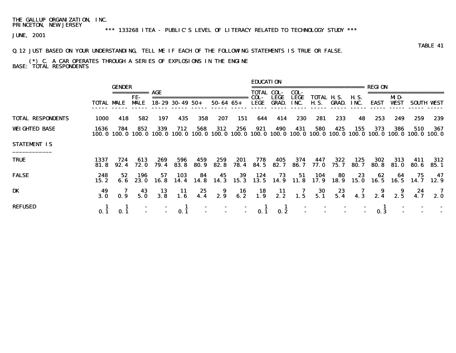# \*\*\* 133268 ITEA - PUBLIC'S LEVEL OF LITERACY RELATED TO TECHNOLOGY STUDY \*\*\*

JUNE, 2001

### Q.12 JUST BASED ON YOUR UNDERSTANDING, TELL ME IF EACH OF THE FOLLOWING STATEMENTS IS TRUE OR FALSE.

#### (\*) C. A CAR OPERATES THROUGH A SERIES OF EXPLOSIONS IN THE ENGINE BASE: TOTAL RESPONDENTS

|                          |                   | <b>GENDER</b> | ===========        | AGE         |                        |               |                  |                 | <b>EDUCATION</b><br><b>TOTAL COL-</b> |                             | COL-         | , ---------------------                                                  |                 |                     | REGI ON      |                    |              |                   |
|--------------------------|-------------------|---------------|--------------------|-------------|------------------------|---------------|------------------|-----------------|---------------------------------------|-----------------------------|--------------|--------------------------------------------------------------------------|-----------------|---------------------|--------------|--------------------|--------------|-------------------|
|                          | <b>TOTAL MALE</b> |               | FE-<br><b>MALE</b> |             | $18 - 29$ 30 - 49 50 + |               | $50 - 64$ $65 +$ |                 | COL-<br>LEGE                          | <b>LEGE</b><br><b>GRAD.</b> | LEGE<br>INC. | TOTAL H.S.<br>H. S.                                                      | GRAD.           | <b>H.S.</b><br>INC. | <b>EAST</b>  | MD-<br><b>WEST</b> |              | <b>SOUTH VEST</b> |
| <b>TOTAL RESPONDENTS</b> | 1000              | 418           | 582                | 197         | 435                    | 358           | 207              | 151             | 644                                   | 414                         | 230          | 281                                                                      | 233             | 48                  | 253          | 249                | 259          | 239               |
| <b>WEIGHTED BASE</b>     | 1636<br>100. O    | 784<br>100. 0 | 852<br>100. O      | 339         | 712<br>100.0 100.0     | 568<br>100. 0 | 312              | 256             | 921                                   | 490                         | 431          | 580<br>100.0 100.0 100.0 100.0 100.0 100.0 100.0 100.0 100.0 100.0 100.0 | 425             | 155                 | 373          | 386                | 510          | 367<br>100. 0     |
| <b>STATEMENT IS</b>      |                   |               |                    |             |                        |               |                  |                 |                                       |                             |              |                                                                          |                 |                     |              |                    |              |                   |
| <b>TRUE</b>              | 1337<br>81.8      | 724<br>92.4   | 613<br>72. O       | 269<br>79.4 | 596<br>83. 8           | 459<br>80.9   | 259<br>82.8      | 201<br>78.4     | 778<br>84.5                           | 405<br>82.7                 | 374<br>86. 7 | 447<br>77. O                                                             | 322<br>75. 7    | 125<br>80.7         | 302<br>80. 8 | 313<br>81. 0       | 411<br>80. G | 312<br>85.1       |
| <b>FALSE</b>             | 248<br>15.2       | 52<br>6. 6    | 196<br>23. O       | 57<br>16. 8 | 103<br>14.4            | 84<br>14.8    | 45               | 39<br>14.3 15.3 | 124                                   | 73<br>13.5 14.9 11.8        | 51           | 104                                                                      | 80<br>17.9 18.9 | 23<br>15.0          | 62           | -64<br>16.5 16.5   | 75<br>14. 7  | 47<br>12.9        |
| DK                       | 3.0               | 0.9           | 43<br>5.0          | 13<br>3.8   | 11<br>1.6              | 25<br>4.4     | - 9<br>2.9       | 16<br>6.2       | $\frac{18}{1.9}$                      | $\frac{11}{2.2}$            | 7<br>1.5     | $\begin{array}{c} 30 \\ 5.1 \end{array}$                                 | $23$<br>5.4     | 4.3                 | 2.4          | 9<br>2.5           | 24<br>4.7    | - 7<br>2. 0       |
| <b>REFUSED</b>           | 0.1               |               |                    |             |                        |               |                  | $\blacksquare$  |                                       |                             |              |                                                                          |                 |                     | 0.3          |                    |              |                   |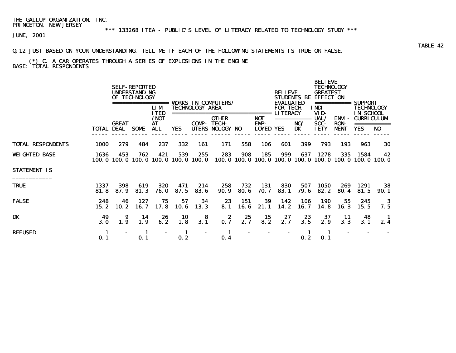# \*\*\* 133268 ITEA - PUBLIC'S LEVEL OF LITERACY RELATED TO TECHNOLOGY STUDY \*\*\*

JUNE, 2001

### Q.12 JUST BASED ON YOUR UNDERSTANDING, TELL ME IF EACH OF THE FOLLOWING STATEMENTS IS TRUE OR FALSE.

#### (\*) C. A CAR OPERATES THROUGH A SERIES OF EXPLOSIONS IN THE ENGINE BASE: TOTAL RESPONDENTS

|                          |                   |              | <b>SELF-REPORTED</b><br><b>UNDERSTANDING</b><br>OF TECHNOLOGY | =======<br><b>LIM</b><br><b>ITED</b> |                                            | <b>TECHNOLOGY AREA</b> | <b>VORKS IN COMPUTERS/</b>                             |                    |                                           | <b>BELIEVE</b><br><b>EVALUATED</b><br><b>FOR TECH</b> | <b>STUDENTS BE</b>       | <b>BELIEVE</b><br><b>TECHNOLOGY</b><br><b>GREATEST</b><br><b>EFFECT ON</b><br>INDI- | ===========                                | SUPPORT<br><b>TECHNOLOGY</b>                        |                     |  |
|--------------------------|-------------------|--------------|---------------------------------------------------------------|--------------------------------------|--------------------------------------------|------------------------|--------------------------------------------------------|--------------------|-------------------------------------------|-------------------------------------------------------|--------------------------|-------------------------------------------------------------------------------------|--------------------------------------------|-----------------------------------------------------|---------------------|--|
|                          | <b>TOTAL DEAL</b> | <b>GREAT</b> | <b>SOME</b>                                                   | /NOT<br>AT<br><b>ALL</b>             | <b>YES</b>                                 | ===========<br>COMP-   | <b>OTHER</b><br><b>TECH-</b><br><b>UTERS NOLOGY NO</b> |                    | ======<br>NOT<br>EMP-<br><b>LOYED YES</b> | <b>LITERACY</b>                                       | ===========<br>NO/<br>DK | VID-<br>UAL/<br>SOC-<br><b>IETY</b>                                                 | <b>ENVI-</b><br><b>RON-</b><br><b>MENT</b> | <b>IN SCHOOL</b><br><b>CURRICULUM</b><br><b>YES</b> | N <sub>0</sub>      |  |
| <b>TOTAL RESPONDENTS</b> | 1000              | 279          | 484                                                           | 237                                  | 332                                        | 161                    | 171                                                    | 558                | 106                                       | 601                                                   | 399                      | 793                                                                                 | 193                                        | 963                                                 | 30                  |  |
| <b>WEIGHTED BASE</b>     | 1636              | 453          | 762                                                           | 421                                  | 539<br>100.0 100.0 100.0 100.0 100.0 100.0 | 255                    | 283                                                    | 908                | 185                                       | 999                                                   | 637                      | 1278<br>100.0 100.0 100.0 100.0 100.0 100.0 100.0 100.0 100.0                       | 335                                        | 1584                                                | 42                  |  |
| <b>STATEMENT IS</b>      |                   |              |                                                               |                                      |                                            |                        |                                                        |                    |                                           |                                                       |                          |                                                                                     |                                            |                                                     |                     |  |
| <b>TRUE</b>              | 1337<br>81.8      | 398<br>87.9  | 619<br>81.3                                                   | 320<br><b>76.0</b>                   | 471<br>87.5                                | 214<br>83.6            | 258<br><b>90.9</b>                                     | 732<br><b>80.6</b> | 131<br>70.7                               | 830<br>83.1                                           | 507<br>79.6              | 1050<br>82.2                                                                        | 269<br>80.4                                | 1291<br>81.5                                        | 38<br>90. 1         |  |
| <b>FALSE</b>             | 248<br>15.2       | 46<br>10.2   | 127<br>16.7                                                   | 75<br>17.8                           | 57<br>10.6                                 | 34<br>13.3             | 23<br>8.1                                              | 151<br>16.6        | 39<br>21.1                                | 142<br>14.2                                           | 106<br>16.7              | <b>190</b><br>14.8                                                                  | 55<br>16.3                                 | 245<br>15.5                                         | -3<br>7.5           |  |
| DK                       | 49<br>3.0         | 9<br>1.9     | 14<br>1.9                                                     | 26<br>6.2                            | 10<br>1.8                                  | 8<br>3.1               | 2<br>0.7                                               | 25<br>2.7          | 15<br>8.2                                 | 27<br>2.7                                             | 23<br>3.5                | 37<br>2.9                                                                           | 11<br>3.3                                  | 48<br>3.1                                           | $\mathbf{I}$<br>2.4 |  |
| <b>REFUSED</b>           | 1<br>0.1          |              | 1<br>0.1                                                      |                                      | 1<br>0.2                                   |                        | -1<br>0.4                                              |                    |                                           |                                                       | 1<br>0.2                 | 1<br>0.1                                                                            |                                            |                                                     |                     |  |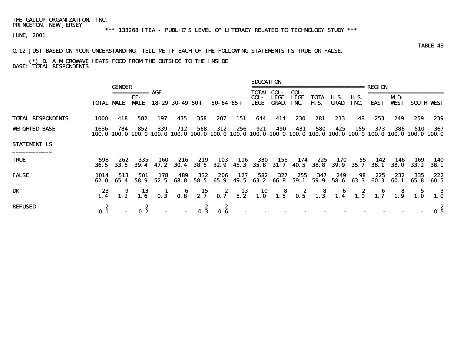# \*\*\* 133268 ITEA - PUBLIC'S LEVEL OF LITERACY RELATED TO TECHNOLOGY STUDY \*\*\*

JUNE, 2001

### Q.12 JUST BASED ON YOUR UNDERSTANDING, TELL ME IF EACH OF THE FOLLOWING STATEMENTS IS TRUE OR FALSE.

#### (\*) D. A MICROWAVE HEATS FOOD FROM THE OUTSIDE TO THE INSIDE BASE: TOTAL RESPONDENTS

|                          | TOTAL MALE       | <b>GENDER</b> | FE-<br><b>MLE</b>      |                                                                                                                          | $18 - 29$ 30 - 49 50 + |                                                           | $50 - 64$ $65 +$                                                                     |             | <b>EDUCATION</b><br>TOTAL COL-<br>COL-<br>LEGE | <b>LEGE</b><br>GRAD. | COL-<br>LEGE<br>INC. |             | <b>TOTAL H.S.</b><br><b>H.S. GRAD. INC.</b> | <b>H.S.</b> | EAST         | MD-<br><b>WEST</b> |              | <b>SOUTH WEST</b>   |
|--------------------------|------------------|---------------|------------------------|--------------------------------------------------------------------------------------------------------------------------|------------------------|-----------------------------------------------------------|--------------------------------------------------------------------------------------|-------------|------------------------------------------------|----------------------|----------------------|-------------|---------------------------------------------|-------------|--------------|--------------------|--------------|---------------------|
|                          |                  |               |                        |                                                                                                                          |                        |                                                           |                                                                                      |             |                                                |                      |                      |             |                                             |             |              |                    |              |                     |
| <b>TOTAL RESPONDENTS</b> | 1000             | 418           | 582                    | 197                                                                                                                      | 435                    | 358                                                       | 207                                                                                  | 151         | 644                                            | 414                  | 230                  | 281         | 233                                         | 48          | 253          | 249                | 259          | 239                 |
| <b>WEIGHTED BASE</b>     | 1636             | 784           | 852                    | 339<br>100.0 100.0 100.0 100.0 100.0 100.0 100.0 100.0 100.0 100.0 100.0 100.0 100.0 100.0 100.0 100.0 100.0 100.0 100.0 | 712                    | 568                                                       | 312                                                                                  | 256         | 921                                            | 490                  | 431                  | 580         | 425                                         | 155         | 373          | 386                | 510          | 367                 |
| <b>STATEMENT IS</b>      |                  |               |                        |                                                                                                                          |                        |                                                           |                                                                                      |             |                                                |                      |                      |             |                                             |             |              |                    |              |                     |
| <b>TRUE</b>              | 598<br>36. 5     | 262<br>33.5   | 335<br>39.4            | 160                                                                                                                      | 216                    | 219                                                       | 103<br>47. 2 30. 4 38. 5 32. 9 45. 3 35. 8 31. 7 40. 5 38. 8 39. 9 35. 7 38. 1 38. 0 | - 116       | <b>330</b>                                     | 155                  | 174                  | 225         | 170                                         | 55          | 142          | 146                | 169<br>33. 2 | 140<br><b>38. 1</b> |
| <b>FALSE</b>             | 1014<br>62. O    | 513<br>65.4   | 501<br>58.9            | 178<br>52.5                                                                                                              | 489<br>68. 8           | 332<br>58.5                                               | 206<br>65.9                                                                          | 127<br>49.5 | 582<br>63.2                                    | 327<br>66. 8         | 255<br>59.1          | 347<br>59.9 | 249<br>58.6                                 | 98<br>63.3  | 225<br>60. 3 | 232<br>60. 1       | 335<br>65.8  | 222<br>60. 5        |
| DK                       |                  |               |                        | 9 13 1 6 15 2 13 10 8 2 8 6 2 6 8 5 3<br>1.2 1.6 0.3 0.8 2.7 0.7 5.2 1.0 1.5 0.5 1.3 1.4 1.0 1.7 1.9 1.0 1.0             |                        |                                                           |                                                                                      |             |                                                |                      |                      |             |                                             |             |              |                    |              |                     |
| <b>REFUSED</b>           | $0.\overline{1}$ |               | -2<br>$0.\overline{2}$ |                                                                                                                          |                        | $\begin{array}{c} \textbf{2} \\ \textbf{0.3} \end{array}$ | $\begin{array}{c} 2 \\ 0.6 \end{array}$                                              |             |                                                |                      |                      |             |                                             |             |              |                    |              | -2<br>0.5           |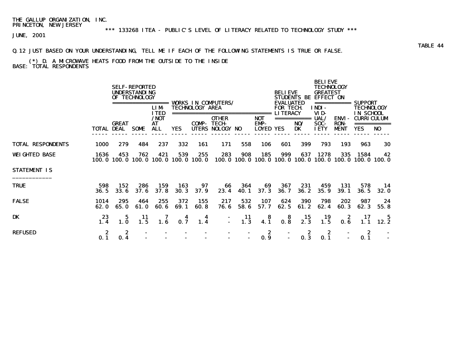# \*\*\* 133268 ITEA - PUBLIC'S LEVEL OF LITERACY RELATED TO TECHNOLOGY STUDY \*\*\*

JUNE, 2001

### Q.12 JUST BASED ON YOUR UNDERSTANDING, TELL ME IF EACH OF THE FOLLOWING STATEMENTS IS TRUE OR FALSE.

#### (\*) D. A MICROWAVE HEATS FOOD FROM THE OUTSIDE TO THE INSIDE BASE: TOTAL RESPONDENTS

|                          |                   |              | <b>SELF-REPORTED</b><br><b>UNDERSTANDING</b><br>OF TECHNOLOGY | =======<br><b>LIM</b>                   |                                            | <b>TECHNOLOGY AREA</b> | <b>VORKS IN COMPUTERS/</b>                             |                                  |                                           | <b>BELIEVE</b><br><b>EVALUATED</b><br><b>FOR TECH</b> | <b>STUDENTS BE</b>       | <b>BELIEVE</b><br><b>TECHNOLOGY</b><br><b>GREATEST</b><br><b>EFFECT ON</b><br>INDI- | ===========                                | SUPPORT<br><b>TECHNOLOGY</b>                        |                   |  |
|--------------------------|-------------------|--------------|---------------------------------------------------------------|-----------------------------------------|--------------------------------------------|------------------------|--------------------------------------------------------|----------------------------------|-------------------------------------------|-------------------------------------------------------|--------------------------|-------------------------------------------------------------------------------------|--------------------------------------------|-----------------------------------------------------|-------------------|--|
|                          | <b>TOTAL DEAL</b> | <b>GREAT</b> | <b>SOME</b>                                                   | <b>ITED</b><br>/NOT<br>AT<br><b>ALL</b> | <b>YES</b>                                 | ===========<br>COMP-   | <b>OTHER</b><br><b>TECH-</b><br><b>UTERS NOLOGY NO</b> |                                  | ======<br>NOT<br>EMP-<br><b>LOYED YES</b> | <b>LITERACY</b>                                       | ===========<br>NO/<br>DK | VID-<br>UAL/<br>SOC-<br><b>IETY</b>                                                 | <b>ENVI-</b><br><b>RON-</b><br><b>MENT</b> | <b>IN SCHOOL</b><br><b>CURRICULUM</b><br><b>YES</b> | N <sub>0</sub>    |  |
| <b>TOTAL RESPONDENTS</b> | 1000              | 279          | 484                                                           | 237                                     | 332                                        | 161                    | 171                                                    | 558                              | 106                                       | 601                                                   | 399                      | 793                                                                                 | 193                                        | 963                                                 | 30                |  |
| <b>WEIGHTED BASE</b>     | 1636              | 453          | 762                                                           | 421                                     | 539<br>100.0 100.0 100.0 100.0 100.0 100.0 | 255                    | 283                                                    | 908                              | 185                                       | 999                                                   | 637                      | 1278<br>100.0 100.0 100.0 100.0 100.0 100.0 100.0 100.0 100.0                       | 335                                        | 1584                                                | 42                |  |
| <b>STATEMENT IS</b>      |                   |              |                                                               |                                         |                                            |                        |                                                        |                                  |                                           |                                                       |                          |                                                                                     |                                            |                                                     |                   |  |
| <b>TRUE</b>              | 598<br>36.5       | 152<br>33.6  | 286<br>37.6                                                   | 159<br>37.8                             | 163<br>30.3                                | 97<br>37.9             | 66<br>23.4                                             | 364<br><b>40.1</b>               | 69<br>37.3                                | 367<br><b>36.7</b>                                    | 231<br><b>36.2</b>       | 459<br>35.9                                                                         | 131<br>39.1                                | 578<br>36.5                                         | 14<br><b>32.0</b> |  |
| <b>FALSE</b>             | 1014<br>62.0      | 295<br>65.0  | 464<br>61.0                                                   | 255<br>60.6                             | 372<br>69.1                                | 155<br>60.8            | 217<br>76.6                                            | 532<br>58.6                      | 107<br>57.7                               | 624<br>62.5                                           | 390<br>61.2              | 798<br>62.4                                                                         | 202<br>60.3                                | 987<br>62.3                                         | 24<br>55.8        |  |
| DK                       | 23<br>1.4         | 5<br>1.0     | 11<br>1.5                                                     | 7<br>1.6                                | 4<br>0.7                                   | 4<br>1.4               | $\blacksquare$                                         | 11<br>1.3                        | 8<br>4.1                                  | 8<br>0.8                                              | 15<br>2.3                | 19<br>1.5                                                                           | z<br>0.6                                   | 17<br>1.1                                           | - 5<br>12.2       |  |
| <b>REFUSED</b>           | 2<br>0.1          | 2<br>0.4     |                                                               |                                         |                                            |                        |                                                        | $\blacksquare$<br>$\blacksquare$ | 2<br>0.9                                  |                                                       | 2<br>0.3                 | 2<br>0.1                                                                            |                                            | 2<br>0.1                                            |                   |  |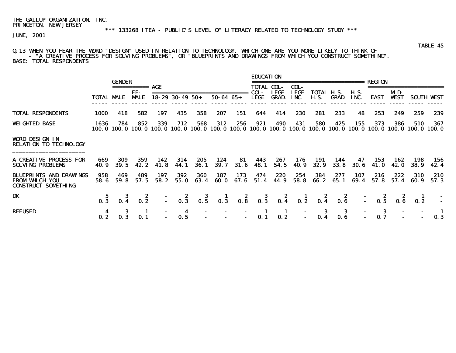#### Q.13 WHEN YOU HEAR THE WORD "DESIGN" USED IN RELATION TO TECHNOLOGY, WHICH ONE ARE YOU MORE LIKELY TO THINK OF - "A CREATIVE PROCESS FOR SOLVING PROBLEMS", OR "BLUEPRINTS AND DRAWINGS FROM WHICH YOU CONSTRUCT SOMETHING". BASE: TOTAL RESPONDENTS

|                                                                                       |                    | <b>GENDER</b>      |                                         |             |                                |                          |                  |              | <b>EDUCATION</b>  |                             |                     | ======================                                                                                          |                                         |                     | REGION                                                        |                     |                    |                   |
|---------------------------------------------------------------------------------------|--------------------|--------------------|-----------------------------------------|-------------|--------------------------------|--------------------------|------------------|--------------|-------------------|-----------------------------|---------------------|-----------------------------------------------------------------------------------------------------------------|-----------------------------------------|---------------------|---------------------------------------------------------------|---------------------|--------------------|-------------------|
|                                                                                       |                    |                    |                                         | AGE         |                                |                          |                  |              | <b>TOTAL COL-</b> |                             | COL-                |                                                                                                                 |                                         |                     |                                                               |                     |                    |                   |
|                                                                                       | <b>TOTAL MALE</b>  |                    | FE-<br><b>MALE</b>                      |             | $18 - 29$ 30 - 49 50 +         |                          | $50 - 64$ $65 +$ |              | COL-<br>LEGE      | <b>LEGE</b><br><b>GRAD.</b> | <b>LEGE</b><br>INC. | TOTAL H.S.<br><b>H.S.</b>                                                                                       | GRAD.                                   | <b>H.S.</b><br>INC. | <b>EAST</b>                                                   | MD-<br><b>WEST</b>  |                    | <b>SOUTH WEST</b> |
| <b>TOTAL RESPONDENTS</b>                                                              | <b>1000</b>        | 418                | 582                                     | 197         | 435                            | 358                      | 207              | 151          | 644               | 414                         | 230                 | 281                                                                                                             | 233                                     | 48                  | 253                                                           | 249                 | 259                | 239               |
| <b>WEIGHTED BASE</b>                                                                  | 1636               | 784<br>100.0 100.0 | 852                                     | 339         | 712                            | 568                      | 312              | 256          | 921               | 490                         | 431                 | 580<br>100, 0 100, 0 100, 0 100, 0 100, 0 100, 0 100, 0 100, 0 100, 0 100, 0 100, 0 100, 0 100, 0 100, 0 100, 0 | 425                                     | 155                 | 373                                                           | 386                 | 510                | 367<br>100. 0     |
| <b>VORD DESIGN IN</b><br><b>RELATION TO TECHNOLOGY</b>                                |                    |                    |                                         |             |                                |                          |                  |              |                   |                             |                     |                                                                                                                 |                                         |                     |                                                               |                     |                    |                   |
| <b>A CREATIVE PROCESS FOR</b><br><b>SOLVING PROBLEMS</b>                              | 669<br><b>40.9</b> | 309<br><b>39.5</b> | 359<br>42. 2                            | 142<br>41.8 | 314<br>44. 1                   | 205<br><b>36.1</b>       | 124<br>39. 7     | -81<br>31. 6 | 443<br>48.1       | 267<br>54.5                 | 176<br>40.9         | 191<br>32.9                                                                                                     | 144<br>33.8                             | 47<br><b>30.6</b>   | 153<br>41. O                                                  | 162<br><b>42. O</b> | 198<br><b>38.9</b> | 156<br>42.4       |
| <b>BLUEPRINTS AND DRAWINGS</b><br><b>FROM WILCH YOU</b><br><b>CONSTRUCT SOMETHING</b> | 958<br>58. 6       | 469<br>59.8        | 489<br>57.5                             | 197<br>58.2 | 392<br>55.0                    | 360<br>63.4              | 187<br>60. O     | 173<br>67.6  | 474<br>51.4       | 220<br>44.9                 | 254<br>58.8         | 384<br>66. 2                                                                                                    | 277<br>65.1                             | 107<br>69.4         | 216<br>57.8                                                   | 222<br>57.4         | 310<br>60.9        | 210<br>57.3       |
| <b>DK</b>                                                                             | $0.\overline{3}$   |                    | $\begin{array}{c} 2 \\ 0.2 \end{array}$ |             |                                |                          |                  |              |                   |                             |                     | 2 3 1 2 3 2 1 2 2<br>0.3 0.5 0.3 0.8 0.3 0.4 0.2 0.4 0.6                                                        |                                         |                     | $\begin{array}{cccc} -2 & 2 & 2 \\ - & 0.5 & 0.6 \end{array}$ |                     |                    |                   |
| <b>REFUSED</b>                                                                        | 0.2                |                    | 0.1                                     |             | $\overline{\mathbf{4}}$<br>0.5 | $\overline{\phantom{a}}$ |                  | ÷.           | $\frac{1}{0.1}$   | $\frac{1}{2}$               |                     | - 3<br>0.4                                                                                                      | $\begin{array}{c} 3 \\ 0.6 \end{array}$ |                     | 3<br>0.7                                                      |                     |                    | 0.3               |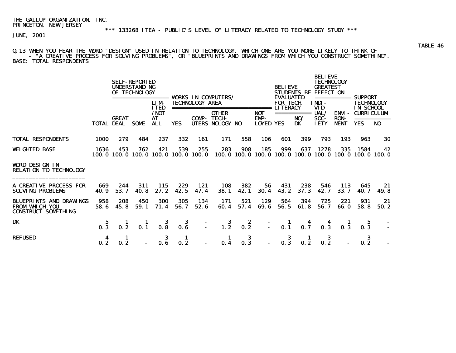\*\*\* 133268 ITEA - PUBLIC'S LEVEL OF LITERACY RELATED TO TECHNOLOGY STUDY \*\*\*

JUNE, 2001

Q.13 WHEN YOU HEAR THE WORD "DESIGN" USED IN RELATION TO TECHNOLOGY, WHICH ONE ARE YOU MORE LIKELY TO THINK OF - "A CREATIVE PROCESS FOR SOLVING PROBLEMS", OR "BLUEPRINTS AND DRAWINGS FROM WHICH YOU CONSTRUCT SOMETHING". BASE: TOTAL RESPONDENTS

|                                                                                       |                   |              | <b>SELF-REPORTED</b><br><b>UNDERSTANDING</b><br>OF TECHNOLOGY<br>================= | <b>LIM</b><br><b>ITED</b> |                                            | <b>TECHNOLOGY AREA</b> | <b>VORKS IN COMPUTERS/</b><br>=============================== |                                                                       |                                        | <b>BELIEVE</b><br><b>EVALUATED</b><br><b>FOR TECH</b><br><b>LITERACY</b> | <b>STUDENTS BE</b>       | <b>BELIEVE</b><br><b>TECHNOLOGY</b><br><b>GREATEST</b><br><b>EFFECT ON</b><br>INDI-<br>VID- |                                            | =========== SUPPORT<br><b>TECHNOLOGY</b><br>IN SCHOOL |            |
|---------------------------------------------------------------------------------------|-------------------|--------------|------------------------------------------------------------------------------------|---------------------------|--------------------------------------------|------------------------|---------------------------------------------------------------|-----------------------------------------------------------------------|----------------------------------------|--------------------------------------------------------------------------|--------------------------|---------------------------------------------------------------------------------------------|--------------------------------------------|-------------------------------------------------------|------------|
|                                                                                       | <b>TOTAL DEAL</b> | <b>GREAT</b> | <b>SOME</b>                                                                        | /NOT<br>AT<br>ALL         | YES.                                       | <b>COMP-TECH-</b>      | <b>OTHER</b><br>UTERS NOLOGY NO                               |                                                                       | <b>NOT</b><br>EMP-<br><b>LOYED YES</b> |                                                                          | ===========<br>NO/<br>DK | UAL/<br>SOC-<br><b>IETY</b>                                                                 | <b>ENVI-</b><br><b>RON-</b><br><b>MENT</b> | <b>CURRICULUM</b><br>YES                              | NO.        |
| <b>TOTAL RESPONDENTS</b>                                                              | 1000              | 279          | 484                                                                                | 237                       | 332                                        | 161                    | 171                                                           | 558                                                                   | 106                                    | 601                                                                      | 399                      | 793                                                                                         | 193                                        | 963                                                   | 30         |
| <b>WEIGHTED BASE</b>                                                                  | 1636              | 453          | 762                                                                                | 421                       | 539<br>100.0 100.0 100.0 100.0 100.0 100.0 | 255                    | 283                                                           | 908<br>100, 0 100, 0 100, 0 100, 0 100, 0 100, 0 100, 0 100, 0 100, 0 | 185                                    | 999                                                                      | 637                      | 1278                                                                                        | 335                                        | 1584                                                  | 42         |
| <b>VORD DESIGN IN</b><br><b>RELATION TO TECHNOLOGY</b>                                |                   |              |                                                                                    |                           |                                            |                        |                                                               |                                                                       |                                        |                                                                          |                          |                                                                                             |                                            |                                                       |            |
| <b>A CREATIVE PROCESS FOR</b><br><b>SOLVING PROBLEMS</b>                              | 669<br>40.9       | 244<br>53.7  | 311<br>40.8                                                                        | 115<br>27.2               | 229<br>42.5                                | 121<br>47.4            | 108<br>38.1                                                   | 382<br>42.1                                                           | 56<br>30.4                             | 431<br>43.2                                                              | 238<br>37.3              | 546<br>42.7                                                                                 | 113<br>33.7                                | 645<br>40. 7                                          | 21<br>49.8 |
| <b>BLUEPRINTS AND DRAWINGS</b><br><b>FROM WILCH YOU</b><br><b>CONSTRUCT SOMETHING</b> | 958<br>58.6       | 208<br>45.8  | 450<br>59.1                                                                        | <b>300</b><br>71.4        | 305<br>56.7                                | 134<br>52.6            | 171<br>60.4                                                   | 521<br>57.4                                                           | 129<br>69.6                            | 564<br>56.5                                                              | 394<br>61.8              | 725<br>56.7                                                                                 | 221<br>66.0                                | 931<br>58.8                                           | 21<br>50.2 |
| DK                                                                                    | -5<br>0.3         | 0.2          | 0.1                                                                                | 3<br>0.8                  | -3<br>0.6                                  |                        | $\frac{3}{1.2}$                                               | 2<br>0.2                                                              |                                        | $\frac{1}{0.1}$                                                          | 0.7                      | 0.3                                                                                         | 0.3                                        | 0.3                                                   |            |
| <b>REFUSED</b>                                                                        | 4<br>0.2          | п<br>0.2     |                                                                                    | 3                         | п.<br>0.2                                  |                        | 0.4                                                           | 3<br>0.3                                                              | $\blacksquare$                         | 3<br>0.3                                                                 | 1<br>0.2                 | 3<br>0.2                                                                                    |                                            | 3<br>0.2                                              |            |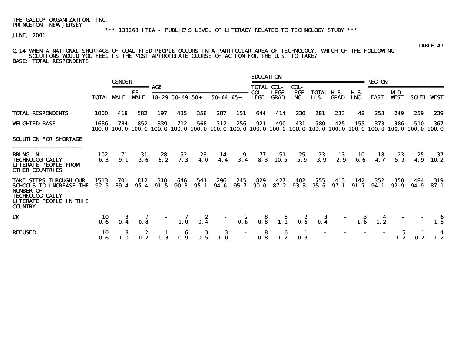### \*\*\* 133268 ITEA - PUBLIC'S LEVEL OF LITERACY RELATED TO TECHNOLOGY STUDY \*\*\*

JUNE, 2001

#### Q.14 WHEN A NATIONAL SHORTAGE OF QUALIFIED PEOPLE OCCURS IN A PARTICULAR AREA OF TECHNOLOGY, WHICH OF THE FOLLOWING SOLUTIONS WOULD YOU FEEL IS THE MOST APPROPRIATE COURSE OF ACTION FOR THE U.S. TO TAKE? BASE: TOTAL RESPONDENTS

|                                                                                                                         |              | <b>GENDER</b> |                                                            |             |                                                             |                                                      |                  |                                                       | <b>EDUCATION</b>          |              |                     | ________________________                                                                                                                    |                                                            |                                         | <b>REGION</b>                                        |             |                         |                   |
|-------------------------------------------------------------------------------------------------------------------------|--------------|---------------|------------------------------------------------------------|-------------|-------------------------------------------------------------|------------------------------------------------------|------------------|-------------------------------------------------------|---------------------------|--------------|---------------------|---------------------------------------------------------------------------------------------------------------------------------------------|------------------------------------------------------------|-----------------------------------------|------------------------------------------------------|-------------|-------------------------|-------------------|
|                                                                                                                         |              |               | =========== AGE<br>FE-                                     |             |                                                             |                                                      |                  | =============================                         | <b>TOTAL COL-</b><br>COL- | <b>LEGE</b>  | COL-<br>LEGE        | <b>TOTAL H.S.</b>                                                                                                                           |                                                            | <b>H.S.</b>                             |                                                      | MD-         | ======================= |                   |
|                                                                                                                         | TOTAL MALE   |               | <b>MALE</b>                                                |             | $18 - 29$ 30 - 49 50 +                                      |                                                      | $50 - 64$ $65 +$ |                                                       | <b>LEGE</b>               | <b>GRAD.</b> | INC.                |                                                                                                                                             | <b>H.S. GRAD.</b>                                          | INC.                                    | EAST                                                 | <b>WEST</b> |                         | <b>SOUTH WEST</b> |
| <b>TOTAL RESPONDENTS</b>                                                                                                | 1000         | 418           | 582                                                        | 197         | 435                                                         | 358                                                  | 207              | 151                                                   | 644                       | 414          | 230                 | 281                                                                                                                                         | 233                                                        | 48                                      | 253                                                  | 249         | 259                     | 239               |
| <b>WEIGHTED BASE</b>                                                                                                    | 1636         | 784           | 852                                                        | 339         | 712                                                         | 568                                                  | 312              | 256                                                   | 921                       | 490          | 431                 | 580<br>100, 0 100, 0 100, 0 100, 0 100, 0 100, 0 100, 0 100, 0 100, 0 100, 0 100, 0 100, 0 100, 0 100, 0 100, 0 100, 0 100, 0 100, 0 100, 0 | 425                                                        | 155                                     | 373                                                  | 386         | 510                     | 367               |
| SOLUTION FOR SHORTAGE                                                                                                   |              |               |                                                            |             |                                                             |                                                      |                  |                                                       |                           |              |                     |                                                                                                                                             |                                                            |                                         |                                                      |             |                         |                   |
| <b>BRING IN</b><br>TECHNOLOGICALLY<br>LITERATE PEOPLE FROM<br>OTHER COUNTRIES                                           | 102<br>6.3   | $71 \n9.1$    | $\begin{array}{c} \mathbf{31} \\ \mathbf{3.6} \end{array}$ | $28$<br>8.2 |                                                             | $\begin{array}{cc} 52 & 23 \\ 7.3 & 4.0 \end{array}$ |                  | 14   9   77   51   25<br>4.4   3.4   8.3   10.5   5.9 |                           |              |                     | 23<br>3.9                                                                                                                                   | $\begin{array}{c} \mathbf{13} \\ \mathbf{2.9} \end{array}$ |                                         | $\begin{array}{cc} 10 & 18 \\ 6.6 & 4.7 \end{array}$ | $23$<br>5.9 | 25<br>4.9               | $\frac{37}{10.2}$ |
| TAKE STEPS THROUGH OUR<br>SCHOOLS TO INCREASE THE<br>NUMBER OF<br>TECHNOLOGICALLY<br>LITERATE PEOPLE IN THIS<br>COUNTRY | 1513<br>92.5 | 701<br>89.4   | 812<br>95.4                                                | 310<br>91.5 | 646<br>90. 8                                                | 541<br>95. 1                                         | 296<br>94.6      | 245<br>95. 7                                          | 829<br>90. O              | 427<br>87.2  | 402<br>93.3         | 555<br>95. 6                                                                                                                                | 413<br>97. 1                                               | 142<br>91.7                             | 352<br>94. 1                                         | 358<br>92.9 | 484<br>94. 9            | 319<br>87. 1      |
| DK                                                                                                                      | -10-<br>0.6  |               | 0.8                                                        |             | $\begin{array}{ccc} - & 7 & 2 \\ - & 1.0 & 0.4 \end{array}$ |                                                      |                  |                                                       |                           |              |                     | $-2$ 8 5 2 3<br>$-$ 0.8 0.8 1.1 0.5 0.4                                                                                                     | $\bar{1}$                                                  | $\begin{array}{c} 3 \\ 1.6 \end{array}$ | 1.2                                                  |             |                         | 1.5               |
| REFUSED                                                                                                                 | 10<br>0.6    |               | 0.2                                                        | 0.3         | 0.9                                                         | -3<br>0.5                                            | 3<br>1.0         |                                                       | -8<br>0.8                 | -6<br>1.2    | $\mathbf{I}$<br>0.3 |                                                                                                                                             |                                                            |                                         |                                                      |             | 0.2                     | 1.2               |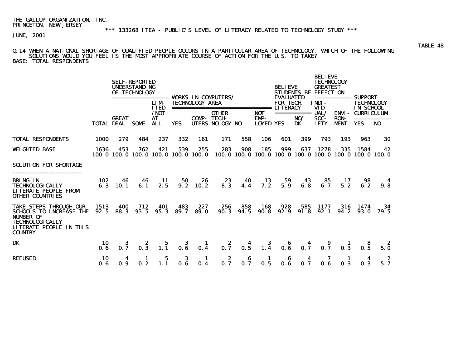#### Q.14 WHEN A NATIONAL SHORTAGE OF QUALIFIED PEOPLE OCCURS IN A PARTICULAR AREA OF TECHNOLOGY, WHICH OF THE FOLLOWING SOLUTIONS WOULD YOU FEEL IS THE MOST APPROPRIATE COURSE OF ACTION FOR THE U.S. TO TAKE? BASE: TOTAL RESPONDENTS

 BELIEVE **SELF-REPORTED TECHNOLOGY**  UNDERSTANDING BELIEVE GREATEST OF TECHNOLOGY STUDENTS BE EFFECT ON ================= WORKS IN COMPUTERS/ EVALUATED =========== SUPPORT LIM- TECHNOLOGY AREA FOR TECH. INDI- TECHNOLOGY ITED ============================== LITERACY VID- IN SCHOOL /NOT OTHER NOT =========== UAL/ ENVI- CURRICULUM COMP- TECH- EMP- NO/ SOC- RON- ===========<br>YES UTERS NOLOGY NO LOYED YES DK IETY MENT YES NO TOTAL DEAL SOME ALL ----- ----- ----- ----- ----- ----- ------ ----- ----- ----- ----- ----- ----- ----- ----- TOTAL RESPONDENTS 1000 279 484 237 332 161 171 558 106 601 399 793 193 963 30 WEIGHTED BASE 1636 453 762 421 539 255 283 908 185 999 637 1278 335 1584 42 100.0 100.0 100.0 100.0 100.0 100.0 100.0 100.0 100.0 100.0 100.0 100.0 100.0 100.0 100.0 SOLUTION FOR SHORTAGE \_\_\_\_\_\_\_\_\_\_\_\_\_\_\_\_\_\_\_\_\_ BRING IN 102 46 46 11 50 26 23 40 13 59 43 85 17 98 4 TECHNOLOGICALLY 6.3 10.1 6.1 2.5 9.2 10.2 8.3 4.4 7.2 5.9 6.8 6.7 5.2 6.2 9.8 LITERATE PEOPLE FROM OTHER COUNTRIES TAKE STEPS THROUGH OUR 1513 400 712 401 483 227 256 858 168 928 585 1177 316 1474 34 SCHOOLS TO INCREASE THE 92.5 88.3 93.5 95.3 89.7 89.0 NUMBER OF TECHNOLOGICALLY LITERATE PEOPLE IN THIS **COUNTRY** DK 10 3 2 5 3 1 2 4 3 6 4 9 1 8 2 0.6 0.7 0.3 1.1 0.6 0.4 0.7 0.5 1.4 0.6 0.7 0.7 0.3 0.5 5.0 REFUSED 10 4 1 5 3 1 2 6 1 6 4 7 1 4 2 0.6 0.9 0.2 1.1 0.6 0.4 0.7 0.7 0.5 0.6 0.7 0.6 0.3 0.3 5.7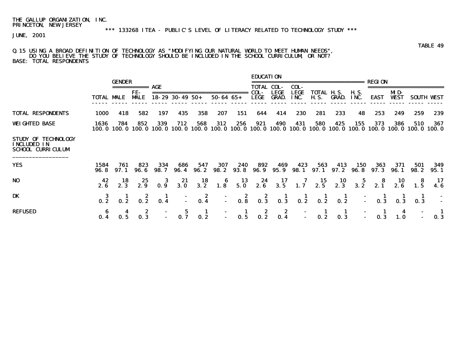#### Q.15 USING A BROAD DEFINITION OF TECHNOLOGY AS "MODIFYING OUR NATURAL WORLD TO MEET HUMAN NEEDS", DO YOU BELIEVE THE STUDY OF TECHNOLOGY SHOULD BE INCLUDED IN THE SCHOOL CURRICULUM, OR NOT? BASE: TOTAL RESPONDENTS

|                                                                       |                   | <b>GENDER</b> |                    |                 |                        |                                          |                                         |                  | <b>EDUCATION</b>                        |                                         |                     | =====================                                              |                                                            |                    | REGION                                             |                    |                                         |                   |
|-----------------------------------------------------------------------|-------------------|---------------|--------------------|-----------------|------------------------|------------------------------------------|-----------------------------------------|------------------|-----------------------------------------|-----------------------------------------|---------------------|--------------------------------------------------------------------|------------------------------------------------------------|--------------------|----------------------------------------------------|--------------------|-----------------------------------------|-------------------|
|                                                                       |                   |               |                    | AGE             |                        |                                          |                                         |                  | <b>TOTAL COL-</b>                       |                                         | COL-                |                                                                    |                                                            |                    |                                                    |                    |                                         |                   |
|                                                                       | <b>TOTAL MALE</b> |               | FE-<br><b>MALE</b> |                 | $18 - 29$ 30 - 49 50 + |                                          | $50 - 64$ $65 +$                        |                  | COL-<br>LEGE                            | <b>LEGE</b><br><b>GRAD.</b>             | <b>LEGE</b><br>INC. | TOTAL H.S.<br>H. S.                                                | GRAD.                                                      | H. S.<br>INC.      | <b>EAST</b>                                        | MD-<br><b>WEST</b> |                                         | <b>SOUTH WEST</b> |
| <b>TOTAL RESPONDENTS</b>                                              | 1000              | 418           | 582                | 197             | 435                    | 358                                      | 207                                     | 151              | 644                                     | 414                                     | 230                 | 281                                                                | 233                                                        | 48                 | 253                                                | 249                | 259                                     | 239               |
| <b>WEIGHTED BASE</b>                                                  | 1636<br>100. O    | 784           | 852<br>100.0 100.0 | 339<br>100. 0   | 712                    | 568                                      | 312                                     | 256              | 921                                     | 490                                     | 431                 | 580<br>100.0 100.0 100.0 100.0 100.0 100.0 100.0 100.0 100.0 100.0 | 425                                                        | 155                | 373<br>100.0 100.0 100.0 100.0                     | 386                | 510                                     | 367               |
| STUDY OF TECHNOLOGY<br><b>INCLUDED IN</b><br><b>SCHOOL CURRICULUM</b> |                   |               |                    |                 |                        |                                          |                                         |                  |                                         |                                         |                     |                                                                    |                                                            |                    |                                                    |                    |                                         |                   |
| <b>YES</b>                                                            | 1584<br>96. S     | 761<br>97. 1  | 823<br>96. 6       | 334<br>98. 7    | 686<br>96.4            | 547<br><b>96. 2</b>                      | 307<br>98. 2                            | 240<br>93. 8     | 892<br>96. 9                            | 469<br>95. 9                            | 423<br>98. 1        | 563                                                                | 413<br>$97.1$ $97.2$                                       | 150<br><b>96.8</b> | 363<br>97. 3                                       | 371<br>96.1        | 501<br>98. 2                            | 349<br>95.1       |
| NO                                                                    | 42<br>2.6         | 18<br>2.3     | 25<br>2.9          | 3<br>0.9        | 21<br>3.0              | $\begin{array}{c} 18 \\ 3.2 \end{array}$ | $\begin{array}{c} 6 \\ 1.8 \end{array}$ | $\frac{13}{5.0}$ |                                         | $2.6$ $3.5$                             | $\frac{7}{1.7}$     | $\begin{array}{c} \textbf{15}\\ \textbf{2.5} \end{array}$          | $\begin{array}{c} \textbf{10} \\ \textbf{2.3} \end{array}$ |                    | $\begin{array}{cc} 5 & 8 \\ 3.2 & 2.1 \end{array}$ | $\frac{10}{2.6}$   | $\begin{array}{c} 8 \\ 1.5 \end{array}$ | 17                |
| DK                                                                    | $0.\overline{2}$  | 0.2           | $0.\overline{2}$   | $\frac{1}{0.4}$ |                        | $\frac{2}{0.4}$                          |                                         | $0.\overline{8}$ | $\begin{array}{c} 2 \\ 0.3 \end{array}$ | $\frac{1}{0.3}$                         | $0.\overline{2}$    | $0.\bar{2}$                                                        | $\frac{1}{0.2}$                                            | Ō,                 | $0.\overline{3}$                                   | 0.3                | $0.\overline{3}$                        |                   |
| <b>REFUSED</b>                                                        | 0.4               | 0.5           | 0.3                |                 | 0.7                    | $\blacksquare$<br>$0.\overline{2}$       | $\Delta \phi$                           | $\frac{1}{0.5}$  | $0.\overline{2}$                        | $\begin{array}{c} 2 \\ 0.4 \end{array}$ | $\mathbb{Z}^+$      | 0.2                                                                | 0.3                                                        |                    | 0.3                                                | 1.0                |                                         | 0.3               |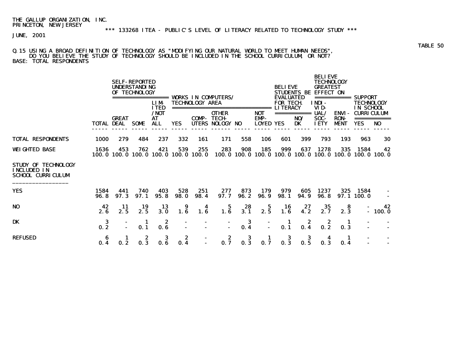#### Q.15 USING A BROAD DEFINITION OF TECHNOLOGY AS "MODIFYING OUR NATURAL WORLD TO MEET HUMAN NEEDS", DO YOU BELIEVE THE STUDY OF TECHNOLOGY SHOULD BE INCLUDED IN THE SCHOOL CURRICULUM, OR NOT? BASE: TOTAL RESPONDENTS

|                                                                              |                   |              | <b>SELF-REPORTED</b><br><b>UNDERSTANDING</b><br>OF TECHNOLOGY | ======<br><b>LIM</b><br><b>ITED</b> |             | <b>TECHNOLOGY AREA</b> | <b>VORKS IN COMPUTERS/</b><br>=============================== |             |                             | <b>BELIEVE</b><br><b>EVALUATED</b><br><b>FOR TECH</b><br><b>LITERACY</b> |             | <b>BELIEVE</b><br><b>TECHNOLOGY</b><br><b>GREATEST</b><br><b>STUDENTS BE EFFECT ON</b><br>INDI-<br>VID- | ===========                                | <b>SUPPORT</b><br><b>TECHNOLOGY</b><br>IN SCHOOL                       |                |
|------------------------------------------------------------------------------|-------------------|--------------|---------------------------------------------------------------|-------------------------------------|-------------|------------------------|---------------------------------------------------------------|-------------|-----------------------------|--------------------------------------------------------------------------|-------------|---------------------------------------------------------------------------------------------------------|--------------------------------------------|------------------------------------------------------------------------|----------------|
|                                                                              | <b>TOTAL DEAL</b> | <b>GREAT</b> | <b>SOME</b>                                                   | /NOT<br><b>AT</b><br><b>ALL</b>     | YES.        | COMP-                  | <b>OTHER</b><br><b>TECH-</b><br>UTERS NOLOGY NO               |             | <b>NOT</b><br>EMP-<br>LOYED | <b>YES</b>                                                               | NO/<br>DK   | UAL/<br>SOC-<br><b>IETY</b>                                                                             | <b>ENVI-</b><br><b>RON-</b><br><b>MENT</b> | <b>CURRICULUM</b><br><b>YES</b>                                        | N <sub>0</sub> |
| <b>TOTAL RESPONDENTS</b>                                                     | <b>1000</b>       | 279          | 484                                                           | 237                                 | 332         | 161                    | 171                                                           | 558         | 106                         | 601                                                                      | 399         | 793                                                                                                     | 193                                        | 963                                                                    | 30             |
| <b>WEIGHTED BASE</b>                                                         | 1636              | 453          | 762<br>100.0 100.0 100.0 100.0 100.0 100.0                    | 421                                 | 539         | 255                    | 283                                                           | 908         | 185                         | 999                                                                      | 637         | 1278                                                                                                    | 335                                        | 1584<br>100, 0 100, 0 100, 0 100, 0 100, 0 100, 0 100, 0 100, 0 100, 0 | 42             |
| <b>STUDY OF TECHNOLOGY</b><br><b>INCLUDED IN</b><br><b>SCHOOL CURRICULUM</b> |                   |              |                                                               |                                     |             |                        |                                                               |             |                             |                                                                          |             |                                                                                                         |                                            |                                                                        |                |
| <b>YES</b>                                                                   | 1584<br>96. 8     | 441<br>97.3  | 740<br>97.1                                                   | 403<br>95.8                         | 528<br>98.0 | 251<br>98.4            | 277<br>97.7                                                   | 873<br>96.2 | 179<br>96.9                 | 979<br>98.1                                                              | 605<br>94.9 | 1237<br>96. 8                                                                                           | 325                                        | 1584<br>97.1100.0                                                      |                |
| N <sub>0</sub>                                                               | 42<br>2.6         | 11<br>2.5    | 19<br>2.5                                                     | 13<br>3.0                           | 9<br>1.6    | 4<br>1.6               | 5<br>1.6                                                      | 28<br>3.1   | 5<br>2.5                    | 16<br>1.6                                                                | 27<br>4.2   | 35<br>2.7                                                                                               | 8<br>2.3                                   |                                                                        | 42<br>$-100.0$ |
| <b>DK</b>                                                                    | 3<br>0.2          |              | 1<br>0.1                                                      | 2<br>0.6                            |             |                        | $\blacksquare$                                                | 3<br>0.4    |                             | 0.1                                                                      | 2<br>0.4    | 2<br>0.2                                                                                                | п<br>0.3                                   |                                                                        |                |
| <b>REFUSED</b>                                                               | 6<br>0.4          | 1<br>0.2     | 2<br>0.3                                                      | 3<br>0.6                            | 2<br>0.4    |                        | 2<br>0.7                                                      | 3<br>0.3    | 0.7                         | 3<br>0.3                                                                 | 3<br>0.5    | 0.3                                                                                                     | 1<br>0.4                                   |                                                                        |                |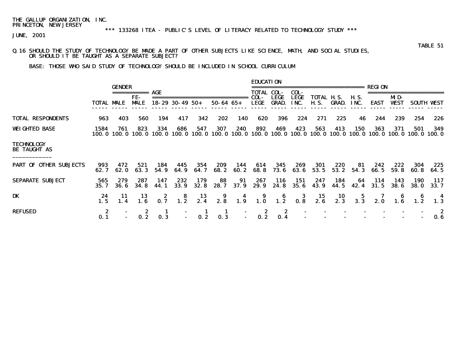\*\*\* 133268 ITEA - PUBLIC'S LEVEL OF LITERACY RELATED TO TECHNOLOGY STUDY \*\*\*

JUNE, 2001

#### Q.16 SHOULD THE STUDY OF TECHNOLOGY BE MADE A PART OF OTHER SUBJECTS LIKE SCIENCE, MATH, AND SOCIAL STUDIES, OR SHOULD IT BE TAUGHT AS A SEPARATE SUBJECT?

BASE: THOSE WHO SAID STUDY OF TECHNOLOGY SHOULD BE INCLUDED IN SCHOOL CURRICULUM

|                                          |                   |                      |                   |                 |                        |                  |                     |                                | <b>EDUCATION</b>                                          |                                         |                    |                           |                  |                                         |               |                    |                     |                    |
|------------------------------------------|-------------------|----------------------|-------------------|-----------------|------------------------|------------------|---------------------|--------------------------------|-----------------------------------------------------------|-----------------------------------------|--------------------|---------------------------|------------------|-----------------------------------------|---------------|--------------------|---------------------|--------------------|
|                                          |                   | <b>GENDER</b>        |                   | AGE             |                        |                  |                     |                                | <b>TOTAL COL-</b>                                         |                                         | COL-               |                           |                  |                                         | REGION        |                    |                     |                    |
|                                          | <b>TOTAL MALE</b> |                      | FE-<br><b>MLE</b> |                 | $18 - 29$ 30 - 49 50 + |                  | $50 - 64$ $65 +$    |                                | COL-<br><b>LEGE</b>                                       | <b>LEGE</b><br><b>GRAD.</b>             | LEGE<br>INC.       | TOTAL H.S.<br><b>H.S.</b> | <b>GRAD.</b>     | <b>H.S.</b><br>INC.                     | <b>EAST</b>   | MD-<br><b>VEST</b> | <b>SOUTH</b>        | <b>WIST</b>        |
|                                          |                   |                      |                   |                 |                        |                  |                     |                                |                                                           |                                         |                    |                           |                  |                                         |               |                    |                     |                    |
| <b>TOTAL RESPONDENTS</b>                 | 963               | 403                  | 560               | 194             | 417                    | 342              | 202                 | 140                            | 620                                                       | 396                                     | 224                | 271                       | 225              | 46                                      | 244           | 239                | 254                 | 226                |
| <b>WEIGHTED BASE</b>                     | 1584<br>100. O    | 761<br><b>100. O</b> | 823<br>100. O     | 334<br>100.0    | 686<br>100. O          | 547<br>100.0     | 307<br>100.0        | 240<br>100. O                  | 892<br>100.0                                              | 469<br>100.0                            | 423<br>100. O      | 563<br>100.0              | 413<br>100.0     | <b>150</b><br><b>100. 0</b>             | 363<br>100. 0 | 371<br>100. 0      | 501<br>100. 0       | 349<br>100.0       |
| <b>TECHNOLOGY</b><br><b>BE TAUGHT AS</b> |                   |                      |                   |                 |                        |                  |                     |                                |                                                           |                                         |                    |                           |                  |                                         |               |                    |                     |                    |
| <b>PART OF OTHER SUBJECTS</b>            | 993<br>62.7       | 472<br>62.0          | 521<br>63.3       | 184<br>54.9     | 445<br>64. 9           | 354<br>64.7      | 209<br>68.2         | 144<br>60. 2                   | 614<br>68.8                                               | 345<br>73.6                             | 269<br>63.6        | 301<br>53.5               | 220<br>53.2      | 81<br>54.3                              | 242<br>66.5   | 222<br>59.8        | 304<br>60. 8        | 225<br>64.5        |
| <b>SEPARATE SURJECT</b>                  | 565<br>35.7       | 279<br><b>36.6</b>   | 287<br>34.8       | 147<br>44. 1    | 232<br><b>33.9</b>     | 179<br>32.8      | 88<br>28.7          | 91<br>37.9                     | 267<br>29.9                                               | 116<br>24.8                             | 151<br><b>35.6</b> | 247<br>43.9               | 184<br>44.5      | 64<br>42.4                              | 114<br>31.5   | 143<br><b>38.6</b> | 190<br><b>38. O</b> | 117<br><b>33.7</b> |
| DK                                       | 24<br>1.5         | 11<br>1.4            | 13<br>1.6         | $\frac{2}{0.7}$ | $\frac{8}{1.2}$        | $\frac{13}{2.4}$ | 2.8                 | $\overline{\mathbf{4}}$<br>1.9 | $\begin{array}{c} \textbf{9} \\ \textbf{1.0} \end{array}$ | $\begin{array}{c} 6 \\ 1.2 \end{array}$ | $\frac{3}{0.8}$    | $\frac{15}{2.6}$          | $\frac{10}{2.3}$ | $\begin{array}{c} 5 \\ 3.3 \end{array}$ | 2.0           |                    |                     | 4                  |
| <b>REFUSED</b>                           | 2<br>0.1          |                      | z<br>0.2          | 0.3             |                        | 0.2              | $\mathbf{I}$<br>0.3 | $\sim$                         | 2<br>0.2                                                  | 2<br>0.4                                |                    |                           |                  |                                         |               |                    |                     | 2<br>0.6           |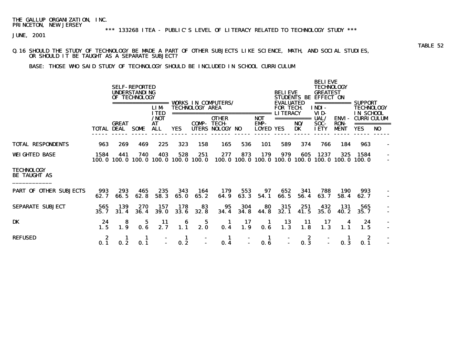\*\*\* 133268 ITEA - PUBLIC'S LEVEL OF LITERACY RELATED TO TECHNOLOGY STUDY \*\*\*

JUNE, 2001

#### Q.16 SHOULD THE STUDY OF TECHNOLOGY BE MADE A PART OF OTHER SUBJECTS LIKE SCIENCE, MATH, AND SOCIAL STUDIES, OR SHOULD IT BE TAUGHT AS A SEPARATE SUBJECT?

BASE: THOSE WHO SAID STUDY OF TECHNOLOGY SHOULD BE INCLUDED IN SCHOOL CURRICULUM

|                                          |             |                    | <b>SELF-REPORTED</b><br><b>UNDERSTANDING</b><br>OF TECHNOLOGY | =====<br><b>LIM</b>              |             | <b>TECHNOLOGY AREA</b>                     | <b>VORKS IN COMPUTERS/</b>                |                          |                                          | <b>BELIEVE</b><br><b>EVALUATED</b><br><b>FOR TECH.</b> | <b>STUDENTS BE</b>       | <b>BELIEVE</b><br><b>TECHNOLOGY</b><br><b>GREATEST</b><br><b>EFFECT ON</b><br>INDI- | ===========                  | <b>SUPPORT</b><br>TECHNOLOGY                 |                |
|------------------------------------------|-------------|--------------------|---------------------------------------------------------------|----------------------------------|-------------|--------------------------------------------|-------------------------------------------|--------------------------|------------------------------------------|--------------------------------------------------------|--------------------------|-------------------------------------------------------------------------------------|------------------------------|----------------------------------------------|----------------|
|                                          | TOTAL DEAL  | <b>GREAT</b>       | <b>SOME</b>                                                   | <b>ITED</b><br>/NOT<br>AT<br>ALL | <b>YES</b>  | =================<br>COMP-<br><b>UTERS</b> | <b>OTHER</b><br><b>TECH-</b><br>NOLOGY NO |                          | =========<br><b>NOT</b><br>EMP-<br>LOYED | <b>LITERACY</b><br>YES                                 | ===========<br>NO/<br>DK | VID-<br><b>UAL/</b><br>SOC-<br><b>IETY</b>                                          | ENVI-<br><b>RON-</b><br>MENT | IN SCHOOL<br><b>CURRICULUM</b><br><b>YES</b> | N <sub>0</sub> |
| <b>TOTAL RESPONDENTS</b>                 | 963         | 269                | 469                                                           | 225                              | 323         | 158                                        | 165                                       | 536                      | 101                                      | 589                                                    | 374                      | 766                                                                                 | 184                          | 963                                          |                |
| <b>WEIGHTED BASE</b>                     | 1584        | 441<br>100.0 100.0 | 740<br>100. O                                                 | 403<br>100. 0                    | 528         | 251<br>100.0 100.0                         | 277                                       | 873<br>100.0 100.0 100.0 | 179                                      | 979                                                    | 605<br>100.0 100.0       | 1237                                                                                | 325<br>100.0 100.0 100.0     | 1584                                         |                |
| <b>TECHNOLOGY</b><br><b>BE TAUGHT AS</b> |             |                    |                                                               |                                  |             |                                            |                                           |                          |                                          |                                                        |                          |                                                                                     |                              |                                              |                |
| <b>PART OF</b><br><b>OTHER SURJECTS</b>  | 993<br>62.7 | 293<br>66.5        | 465<br>62.8                                                   | 235<br>58.3                      | 343<br>65.0 | 164<br>65.2                                | 179<br>64.9                               | 553<br>63.3              | 97<br>54.1                               | 652<br>66.5                                            | 341<br>56.4              | 788<br>63.7                                                                         | 190<br>58.4                  | 993<br>62.7                                  |                |
| <b>SEPARATE SURJECT</b>                  | 565<br>35.7 | 139<br>31.4        | 270<br>36.4                                                   | 157<br><b>39.0</b>               | 178<br>33.6 | 83<br>32.8                                 | 95<br>34.4                                | 304<br>34.8              | 80<br>44.8                               | 315<br>32.1                                            | 251<br>41.5              | 432<br>35.0                                                                         | 131<br>40.2                  | 565<br>35.7                                  |                |
| DK                                       | 24<br>1.5   | 8<br>1.9           | 5<br>0.6                                                      | 11<br>2.7                        | 6<br>1.1    | 5<br>2.0                                   | 1<br>0.4                                  | 17<br>1.9                | п.<br>0.6                                | 13<br>1.3                                              | 11<br>1.8                | 17<br>1.3                                                                           | 1.1                          | 24<br>1.5                                    |                |
| <b>REFUSED</b>                           | 0.1         | 0.2                | 1<br>0.1                                                      |                                  | 1<br>0.2    |                                            | -1<br>0.4                                 |                          | 1<br>0.6                                 |                                                        | 2<br>0.3                 |                                                                                     | 0.3                          | 2<br>0.1                                     |                |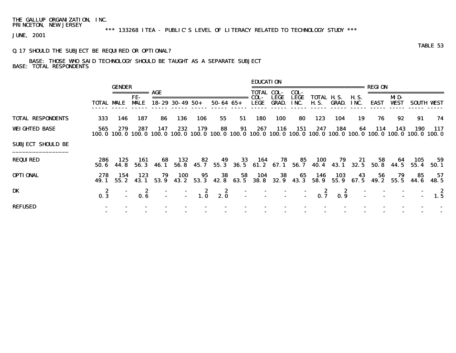\*\*\* 133268 ITEA - PUBLIC'S LEVEL OF LITERACY RELATED TO TECHNOLOGY STUDY \*\*\*

JUNE, 2001

### Q.17 SHOULD THE SUBJECT BE REQUIRED OR OPTIONAL?

### BASE: THOSE WHO SAID TECHNOLOGY SHOULD BE TAUGHT AS A SEPARATE SUBJECT BASE: TOTAL RESPONDENTS

|                          | <b>TOTAL MALE</b> | <b>GENDER</b> | ===========<br>FE-<br><b>MALE</b> | AGE                            | $18 - 29$ 30 - 49 50 + |            | $50 - 64$ $65 +$ |                 | <b>EDUCATION</b><br>COL-<br><b>LEGE</b> | <b>TOTAL COL-</b><br><b>LEGE</b><br><b>GRAD.</b> | COL-<br><b>LEGE</b><br>INC. | ======================<br><b>TOTAL H.S.</b><br><b>H.S.</b> | GRAD.       | <b>H.S.</b><br>INC. | <b>REGION</b><br><b>EAST</b>                                      | MD-<br><b>WEST</b> |             | <b>SOUTH WEST</b> |
|--------------------------|-------------------|---------------|-----------------------------------|--------------------------------|------------------------|------------|------------------|-----------------|-----------------------------------------|--------------------------------------------------|-----------------------------|------------------------------------------------------------|-------------|---------------------|-------------------------------------------------------------------|--------------------|-------------|-------------------|
| <b>TOTAL RESPONDENTS</b> | 333               | 146           | 187                               | 86                             | 136                    | 106        | 55               | 51              | 180                                     | <b>100</b>                                       | 80                          | 123                                                        | 104         | 19                  | 76                                                                | 92                 | 91          | 74                |
| <b>WEIGHTED BASE</b>     | 565<br>100. 0     | 279           | 287                               | 147<br>100.0 100.0 100.0 100.0 | 232                    | 179        | 88               | 91              | 267                                     | 116                                              | 151                         | 247<br>100.0 100.0 100.0 100.0 100.0 100.0 100.0           | 184         | 64                  | 114<br>100.0 100.0 100.0 100.0 100.0 100.0                        | 143                | 190         | 117               |
| <b>SURJECT SHOULD BE</b> |                   |               |                                   |                                |                        |            |                  |                 |                                         |                                                  |                             |                                                            |             |                     |                                                                   |                    |             |                   |
| <b>REQUIRED</b>          | 286<br>50. 6      | 125<br>44. 8  | 161                               | -68<br>56.3 46.1               | 132                    | 82         | 49               | 33              | 164                                     | 78                                               | 85                          | 100                                                        | 79          | 21                  | 58<br>56.8 45.7 55.3 36.5 61.2 67.1 56.7 40.4 43.1 32.5 50.8 44.5 | - 64               | 105<br>55.4 | 59<br>50. 1       |
| <b>OPTIONAL</b>          | 278<br>49. 1      | 154<br>55.2   | 123<br>43.1                       | 79<br>53. 9                    | 100<br>43.2            | 95<br>53.3 | 38               | 58<br>42.8 63.5 | 104<br><b>38.8</b>                      | 38<br>32. 9                                      | 65<br>43.3                  | 146<br>58.9                                                | 103<br>55.9 | 43                  | 56<br>67.5 49.2                                                   | 79<br>55.5         | 85<br>44. 6 | 57<br>48.5        |
| DK                       | 2<br>0.3          |               | 0.6                               |                                |                        | 2<br>1.0   | 2<br>2.0         |                 |                                         |                                                  | $\sim$                      |                                                            | 2<br>0.9    |                     |                                                                   |                    |             | - 2<br>1.5        |
| <b>REFUSED</b>           |                   |               |                                   |                                |                        |            |                  |                 |                                         |                                                  |                             |                                                            |             |                     |                                                                   |                    |             |                   |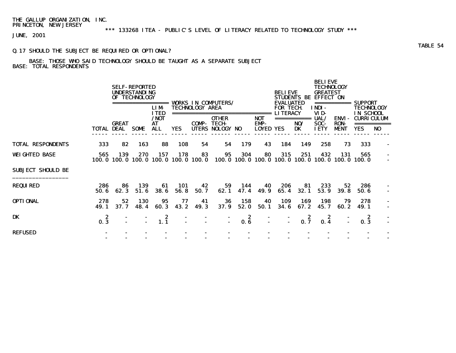\*\*\* 133268 ITEA - PUBLIC'S LEVEL OF LITERACY RELATED TO TECHNOLOGY STUDY \*\*\*

JUNE, 2001

### Q.17 SHOULD THE SUBJECT BE REQUIRED OR OPTIONAL?

## BASE: THOSE WHO SAID TECHNOLOGY SHOULD BE TAUGHT AS A SEPARATE SUBJECT BASE: TOTAL RESPONDENTS

|                          |                   |                          | <b>SELF-REPORTED</b><br><b>UNDERSTANDING</b><br>OF TECHNOLOGY | =======<br><b>LIM</b><br><b>ITED</b> |             | <b>TECHNOLOGY AREA</b><br>============ | <b>VORKS IN COMPUTERS/</b>                      |             |                                           | <b>BELIEVE</b><br><b>EVALUATED</b><br><b>FOR TECH</b><br><b>LITERACY</b> | <b>STUDENTS BE</b>       | <b>BELIEVE</b><br><b>TECHNOLOGY</b><br><b>GREATEST</b><br><b>EFFECT ON</b><br>INDI-<br>VID- | ===========                         | SUPPORT<br><b>TECHNOLOGY</b><br><b>IN SCHOOL</b> |    |
|--------------------------|-------------------|--------------------------|---------------------------------------------------------------|--------------------------------------|-------------|----------------------------------------|-------------------------------------------------|-------------|-------------------------------------------|--------------------------------------------------------------------------|--------------------------|---------------------------------------------------------------------------------------------|-------------------------------------|--------------------------------------------------|----|
|                          | <b>TOTAL DEAL</b> | <b>GREAT</b>             | <b>SOME</b>                                                   | /NOT<br>AT<br>ALL                    | <b>YES</b>  | COMP-                                  | <b>OTHER</b><br><b>TECH-</b><br>UTERS NOLOGY NO |             | ======<br>NOT<br>EMP-<br><b>LOYED YES</b> |                                                                          | ===========<br>NO/<br>DK | UAL/<br>SOC-<br><b>IETY</b>                                                                 | ENVI-<br><b>RON-</b><br><b>MENT</b> | <b>CURRICULUM</b><br><b>YES</b>                  | NO |
| <b>TOTAL RESPONDENTS</b> | 333               | 82                       | 163                                                           | 88                                   | 108         | 54                                     | 54                                              | 179         | 43                                        | 184                                                                      | 149                      | 258                                                                                         | 73                                  | 333                                              |    |
| <b>WEIGHTED BASE</b>     | 565               | 139                      | 270<br>100.0 100.0 100.0 100.0 100.0 100.0                    | 157                                  | 178         | 83                                     | 95                                              | 304         | 80                                        | 315                                                                      | 251                      | 432<br>100, 0 100, 0 100, 0 100, 0 100, 0 100, 0 100, 0 100, 0                              | 131                                 | 565                                              |    |
| <b>SURJECT SHOULD BE</b> |                   |                          |                                                               |                                      |             |                                        |                                                 |             |                                           |                                                                          |                          |                                                                                             |                                     |                                                  |    |
| <b>REQUIRED</b>          | 286<br>50.6       | 86<br>62.3               | 139<br>51.6                                                   | 61<br><b>38.6</b>                    | 101<br>56.8 | 42<br>50.7                             | 59<br>62.1                                      | 144<br>47.4 | 40<br>49.9                                | 206<br>65.4                                                              | 81<br>32.1               | 233<br>53.9                                                                                 | 52<br><b>39.8</b>                   | 286<br>50.6                                      |    |
| <b>OPTIONAL</b>          | 278<br>49.1       | 52<br>37.7               | <b>130</b><br>48.4                                            | 95<br>60.3                           | 77<br>43.2  | 41<br>49.3                             | 36<br>37.9                                      | 158<br>52.0 | 40<br>50.1                                | 109<br>34.6                                                              | 169<br>67.2              | 198<br>45.7                                                                                 | 79<br>60.2                          | 278<br>49.1                                      |    |
| DK                       | 2<br>0.3          | $\overline{\phantom{0}}$ | $\blacksquare$                                                | 2<br>1, 1                            |             |                                        |                                                 | 2<br>0.6    | $\blacksquare$                            | $\blacksquare$                                                           | 2<br>0.7                 | 2<br>0.4                                                                                    |                                     | 2<br>0.3                                         |    |
| <b>REFUSED</b>           |                   |                          |                                                               |                                      |             |                                        |                                                 |             |                                           |                                                                          |                          |                                                                                             |                                     |                                                  |    |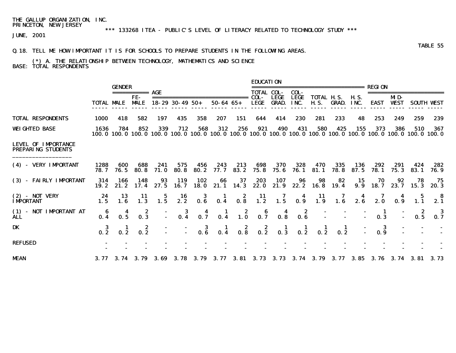### \*\*\* 133268 ITEA - PUBLIC'S LEVEL OF LITERACY RELATED TO TECHNOLOGY STUDY \*\*\*

JUNE, 2001

#### Q.18. TELL ME HOW IMPORTANT IT IS FOR SCHOOLS TO PREPARE STUDENTS IN THE FOLLOWING AREAS.

#### (\*) A. THE RELATIONSHIP BETWEEN TECHNOLOGY, MATHEMATICS AND SCIENCE BASE: TOTAL RESPONDENTS

|                                                         |                                         | <b>GENDER</b> |                                                           |                 |                        |                                                                            |                  |                                         | <b>EDUCATION</b>                                                          |                                                       |                                                           | .=======================                                                                                                                    |                 |                     | <b>REGION</b>    |                    |                                         |                         |
|---------------------------------------------------------|-----------------------------------------|---------------|-----------------------------------------------------------|-----------------|------------------------|----------------------------------------------------------------------------|------------------|-----------------------------------------|---------------------------------------------------------------------------|-------------------------------------------------------|-----------------------------------------------------------|---------------------------------------------------------------------------------------------------------------------------------------------|-----------------|---------------------|------------------|--------------------|-----------------------------------------|-------------------------|
|                                                         | <b>TOTAL MALE</b>                       |               | ===========<br>FE-<br><b>MALE</b>                         | AGE             | $18 - 29$ 30 - 49 50 + |                                                                            | $50 - 64$ $65 +$ |                                         | <b>TOTAL COL-</b><br>COL-<br><b>LEGE</b>                                  | <b>LEGE</b><br><b>GRAD.</b>                           | COL-<br><b>LEGE</b><br>INC.                               | <b>TOTAL H.S.</b><br><b>H.S.</b>                                                                                                            | GRAD.           | <b>H.S.</b><br>INC. | <b>EAST</b>      | MD-<br><b>WEST</b> | ==================                      | <b>SOUTH VEST</b>       |
| <b>TOTAL RESPONDENTS</b>                                | 1000                                    | 418           | 582                                                       | 197             | 435                    | 358                                                                        | 207              | 151                                     | 644                                                                       | 414                                                   | 230                                                       | 281                                                                                                                                         | 233             | 48                  | 253              | 249                | 259                                     | 239                     |
| <b>WEIGHTED BASE</b>                                    | 1636                                    | 784           | 852                                                       | 339             | 712                    | 568                                                                        | 312              | 256                                     | 921                                                                       | 490                                                   | 431                                                       | 580<br>100, 0 100, 0 100, 0 100, 0 100, 0 100, 0 100, 0 100, 0 100, 0 100, 0 100, 0 100, 0 100, 0 100, 0 100, 0 100, 0 100, 0 100, 0 100, 0 | 425             | 155                 | 373              | 386                | 510                                     | 367                     |
| <b>LEVEL OF IMPORTANCE</b><br><b>PREPARING STUDENTS</b> |                                         |               |                                                           |                 |                        |                                                                            |                  |                                         |                                                                           |                                                       |                                                           |                                                                                                                                             |                 |                     |                  |                    |                                         |                         |
| (4) - VERY IMPORTANT                                    | 1288<br>78.7                            | 600<br>76.5   | 688<br>80.8                                               | 241<br>71.0     | 575<br><b>80.8</b>     | 456<br>80.2                                                                | 243<br>77.7      | 213<br>83.2                             | 698<br>75.8                                                               | 370<br>75.6                                           | 328<br>76. 1                                              | 470<br>81.1                                                                                                                                 | 335<br>78.8     | 136<br>87.5         | 292<br>78.1      | 291<br>75.3        | 424<br>83.1                             | 282<br>76.9             |
| (3) - FAIRLY IMPORTANT                                  | 314<br>19. 2                            | 166<br>21.2   | 148<br>17.4                                               | 93<br>27.5      | <b>119</b><br>16.7     | 102<br><b>18. 0</b>                                                        | 66               | 37<br>21.1 14.3                         | 203<br>22. 0                                                              | 107<br>21.9                                           | 96<br>22. 2                                               | 98                                                                                                                                          | 82<br>16.8 19.4 | 15<br>9.9           | 70<br>18.7       | 92<br>23.7         | 78<br>15.3                              | 75<br>20.3              |
| <b>(2) - NOT VERY</b><br><b>IMPORTANT</b>               | 24<br>1.5                               | 13<br>1.6     | 11<br>$1.\overline{3}$                                    | $\frac{5}{1.5}$ | $\frac{16}{2.2}$       | $\begin{array}{c} 3 \\ 0.6 \end{array}$                                    |                  |                                         | $\begin{array}{cccc} 1 & 2 & 11 & 7 \\ 0.4 & 0.8 & 1.2 & 1.5 \end{array}$ |                                                       |                                                           | $\begin{array}{cc} & 4 & 11 \\ 0.9 & 1.9 \end{array}$                                                                                       | $\frac{7}{1.6}$ | 2.6                 | $2.\overline{0}$ |                    |                                         | - 8<br>$2.\overline{1}$ |
| (1) - NOT IMPORTANT AT<br>ALL                           | $\begin{array}{c} 6 \\ 0.4 \end{array}$ | 0.5           | $\begin{array}{c} \textbf{2} \\ \textbf{0.3} \end{array}$ |                 |                        | $-3$ $-4$ $-1$ $-2$ $-6$ $-4$<br>$-0.4$ $-0.7$ $-0.4$ $-1.0$ $-0.7$ $-0.8$ |                  |                                         |                                                                           |                                                       | $\begin{array}{c} \textbf{2} \\ \textbf{0.6} \end{array}$ |                                                                                                                                             |                 |                     | 0.3              |                    | $\begin{array}{c} 2 \\ 0.5 \end{array}$ | $\frac{3}{0.7}$         |
| DK                                                      | $\frac{3}{2}$                           |               | $\begin{smallmatrix} 2 \\ 0.2 \end{smallmatrix}$          |                 |                        | $\begin{array}{cc} - & 3 \\ - & 0.6 \end{array}$                           | $\frac{1}{0.4}$  | $\begin{array}{c} 2 \\ 0.8 \end{array}$ |                                                                           | $\begin{array}{ccc} & 2 & 1 \\ 0.2 & 0.3 \end{array}$ | $\begin{array}{c} 1 \\ \textbf{0.2} \end{array}$          | $\frac{1}{0.2}$                                                                                                                             | $\frac{1}{0.2}$ |                     | $\frac{3}{0.9}$  |                    |                                         |                         |
| <b>REFUSED</b>                                          |                                         |               |                                                           |                 |                        |                                                                            |                  |                                         |                                                                           |                                                       |                                                           |                                                                                                                                             |                 |                     |                  |                    |                                         |                         |
| <b>MEAN</b>                                             |                                         |               |                                                           |                 |                        |                                                                            |                  |                                         |                                                                           |                                                       |                                                           | 3. 77 3. 74 3. 79 3. 69 3. 78 3. 79 3. 77 3. 81 3. 73 3. 73 3. 74 3. 79 3. 77 3. 85 3. 76 3. 74 3. 81 3. 73                                 |                 |                     |                  |                    |                                         |                         |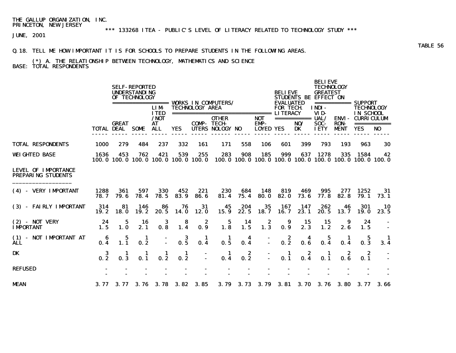## \*\*\* 133268 ITEA - PUBLIC'S LEVEL OF LITERACY RELATED TO TECHNOLOGY STUDY \*\*\*

JUNE, 2001

#### Q.18. TELL ME HOW IMPORTANT IT IS FOR SCHOOLS TO PREPARE STUDENTS IN THE FOLLOWING AREAS.

### (\*) A. THE RELATIONSHIP BETWEEN TECHNOLOGY, MATHEMATICS AND SCIENCE BASE: TOTAL RESPONDENTS

|                                                         |                   |                                                  | <b>SELF-REPORTED</b><br><b>UNDERSTANDING</b><br>OF TECHNOLOGY |                             |                         |                        | <b>VORKS IN COMPUTERS/</b>             |             |                                               | <b>BELIEVE</b><br><b>EVALUATED</b> |                                 | <b>BELIEVE</b><br><b>TECHNOLOGY</b><br><b>GREATEST</b><br>STUDENTS BE EFFECT ON |                                            | =========== SUPPORT                                                    |                   |
|---------------------------------------------------------|-------------------|--------------------------------------------------|---------------------------------------------------------------|-----------------------------|-------------------------|------------------------|----------------------------------------|-------------|-----------------------------------------------|------------------------------------|---------------------------------|---------------------------------------------------------------------------------|--------------------------------------------|------------------------------------------------------------------------|-------------------|
|                                                         |                   |                                                  | =================                                             | <b>LIM</b><br><b>ITED</b>   |                         | <b>TECHNOLOGY AREA</b> | ________________________________       |             |                                               | <b>FOR TECH</b><br><b>LITERACY</b> |                                 | <b>INDI-</b><br>VID-                                                            |                                            | <b>TECHNOLOGY</b><br>IN SCHOOL                                         |                   |
|                                                         | <b>TOTAL DEAL</b> | <b>GREAT</b>                                     | SOME                                                          | $/$ NOT<br>AT<br><b>ALL</b> | <b>YES</b>              | <b>COMP-TECH-</b>      | <b>OTHER</b><br><b>UTERS NOLOGY NO</b> |             | <b>NOT</b><br><b>EMP-</b><br><b>LOYED YES</b> |                                    | ===========<br>NO/<br><b>DK</b> | UAL/<br>SOC-<br><b>IETY</b>                                                     | <b>ENVI-</b><br><b>RON-</b><br><b>MENT</b> | <b>CURRICULUM</b><br><b>YES</b>                                        | ===========<br>NO |
| <b>TOTAL RESPONDENTS</b>                                | <b>1000</b>       | 279                                              | 484                                                           | 237                         | 332                     | 161                    | 171                                    | 558         | 106                                           | 601                                | 399                             | 793                                                                             | 193                                        | 963                                                                    | 30                |
| <b>WEIGHTED BASE</b>                                    | 1636              | 453<br>100, 0 100, 0 100, 0 100, 0 100, 0 100, 0 | 762                                                           | 421                         | 539                     | 255                    | 283                                    | 908         | 185                                           | 999                                | 637                             | 1278                                                                            | 335                                        | 1584<br>100, 0 100, 0 100, 0 100, 0 100, 0 100, 0 100, 0 100, 0 100, 0 | 42                |
| <b>LEVEL OF IMPORTANCE</b><br><b>PREPARING STUDENTS</b> |                   |                                                  |                                                               |                             |                         |                        |                                        |             |                                               |                                    |                                 |                                                                                 |                                            |                                                                        |                   |
| (4) - VERY IMPORTANT                                    | 1288<br>78.7      | 361<br>79.6                                      | 597<br>78.4                                                   | 330<br>78.5                 | 452<br>83.9             | 221<br>86.6            | 230<br>81.4                            | 684<br>75.4 | 148<br>80.0                                   | 819<br>82.0                        | 469<br>73.6                     | 995<br>77.8                                                                     | 82.8                                       | 1252<br>79.1                                                           | 31<br>73.1        |
| (3) - FAIRLY IMPORTANT                                  | 314<br>19.2       | 81<br><b>18.0</b>                                | 146<br>19.2                                                   | 86<br>20.5                  | 76<br><b>14.0</b>       | 31<br>12.0             | 45<br>15.9                             | 204<br>22.5 | 35<br>18.7                                    | 167<br>16.7                        | 147<br>23.1                     | 262<br>20.5                                                                     | 46<br>13.7                                 | 301<br><b>19.0</b>                                                     | 10<br>23.5        |
| $(2)$ - NOT VERY<br><b>IMPORTANT</b>                    | 24<br>1.5         | 5<br>1.0                                         | 16<br>2.1                                                     | 3<br>0.8                    | 8<br>1.4                | 2<br>0.9               | 5<br>1.8                               | 14<br>1.5   | 2<br>1.3                                      | 9<br>0.9                           | 15<br>2.3                       | 15<br>1.2                                                                       | 9<br>2.6                                   | 24<br>1.5                                                              |                   |
| (1) - NOT IMPORTANT AT<br><b>ALL</b>                    | 6<br>0.4          | $\overline{1.1}$                                 | 1<br>0.2                                                      |                             | $\boldsymbol{3}$<br>0.5 | 1<br>0.4               | 1<br>0.5                               | 4<br>0.4    |                                               | 2<br>0.2                           | 4<br>0.6                        | 5<br>0.4                                                                        | 1<br>0.4                                   | 5<br>0.3                                                               | 3.4               |
| DK                                                      | 3<br>0.2          | 1<br>0.3                                         | 0.1                                                           | 0.2                         | -1<br>0.2               |                        | п.<br>0.4                              | 2<br>0.2    |                                               | 1<br>0.1                           | 2<br>0.4                        | -1<br>0.1                                                                       | 2<br>0.6                                   | 2<br>0.1                                                               |                   |
| <b>REFUSED</b>                                          |                   |                                                  |                                                               |                             |                         |                        |                                        |             |                                               |                                    |                                 |                                                                                 |                                            |                                                                        |                   |
| <b>MEAN</b>                                             | 3.77              | 3.77                                             | 3.76                                                          | 3.78                        | 3.82                    | 3.85                   | 3.79                                   | 3.73        | 3.79                                          | 3. 81                              | 3.70                            | 3.76                                                                            | <b>3.80</b>                                | 3. 77                                                                  | 3.66              |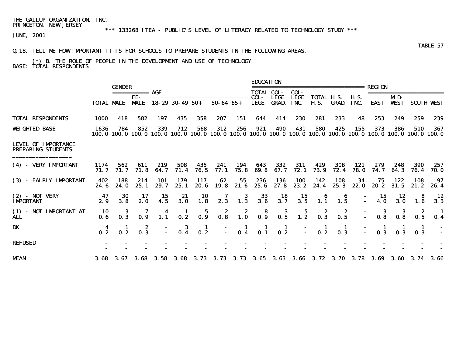## \*\*\* 133268 ITEA - PUBLIC'S LEVEL OF LITERACY RELATED TO TECHNOLOGY STUDY \*\*\*

JUNE, 2001

#### Q.18. TELL ME HOW IMPORTANT IT IS FOR SCHOOLS TO PREPARE STUDENTS IN THE FOLLOWING AREAS.

#### (\*) B. THE ROLE OF PEOPLE IN THE DEVELOPMENT AND USE OF TECHNOLOGY BASE: TOTAL RESPONDENTS

|                                                         |                   | <b>GENDER</b> | =========== <b>AGE</b>                  |             |                        |                 |                             |                                         | <b>EDUCATION</b><br><b>TOTAL COL-</b>   |                             | COL-                | ======================                  |                     |                     | <b>REGION</b>                                                              |                    |                                                                                                                                             |                   |
|---------------------------------------------------------|-------------------|---------------|-----------------------------------------|-------------|------------------------|-----------------|-----------------------------|-----------------------------------------|-----------------------------------------|-----------------------------|---------------------|-----------------------------------------|---------------------|---------------------|----------------------------------------------------------------------------|--------------------|---------------------------------------------------------------------------------------------------------------------------------------------|-------------------|
|                                                         | <b>TOTAL MALE</b> |               | FE-<br><b>MALE</b>                      |             | $18 - 29$ 30 - 49 50 + |                 | $50 - 64$ $65 +$            |                                         | COL-<br><b>LEGE</b>                     | <b>LEGE</b><br><b>GRAD.</b> | <b>LEGE</b><br>INC. | TOTAL H.S.<br><b>H.S.</b>               | <b>GRAD.</b>        | <b>H.S.</b><br>INC. | <b>EAST</b>                                                                | MD-<br><b>WEST</b> |                                                                                                                                             | <b>SOUTH VEST</b> |
| <b>TOTAL RESPONDENTS</b>                                | 1000              | 418           | 582                                     | 197         | 435                    | 358             | 207                         | 151                                     | 644                                     | 414                         | 230                 | 281                                     | 233                 | 48                  | 253                                                                        | 249                | 259                                                                                                                                         | 239               |
| <b>WEIGHTED BASE</b>                                    | 1636              | 784           | 852                                     | 339         | 712                    | 568             | 312                         | 256                                     | 921                                     | 490                         | 431                 | 580                                     | 425                 | 155                 | 373                                                                        | 386                | 510<br>100, 0 100, 0 100, 0 100, 0 100, 0 100, 0 100, 0 100, 0 100, 0 100, 0 100, 0 100, 0 100, 0 100, 0 100, 0 100, 0 100, 0 100, 0 100, 0 | 367               |
| <b>LEVEL OF IMPORTANCE</b><br><b>PREPARING STUDENTS</b> |                   |               |                                         |             |                        |                 |                             |                                         |                                         |                             |                     |                                         |                     |                     |                                                                            |                    |                                                                                                                                             |                   |
| (4) - VERY IMPORTANT                                    | 1174<br>71.7      | 562<br>71.7   | 611<br>71.8                             | 219<br>64.7 | 508<br>71.4            | 435<br>76.5     | 241<br>77.1                 | 194<br>75.8                             | 643<br>69.8                             | 332<br>67.7                 | 311<br>72.1         | 429<br>73.9                             | 308<br>72.4         | 121<br><b>78.0</b>  | 279<br>74. 7                                                               | 248<br>64.3        | 390<br>76.4                                                                                                                                 | 257<br>70. O      |
| (3) - FAIRLY IMPORTANT                                  | 402<br>24.6       | 188<br>24.0   | 214<br>25.1                             | 101<br>29.7 | 179<br>25.1            | 117<br>20.6     | 62<br>19.8                  | 55<br>21.6                              | 236<br>25.6                             | 136<br>27.8                 | <b>100</b><br>23.2  | 142<br>24.4                             | 108<br>25.3         | 34<br>22.0          | 75<br>20. 2                                                                | 122<br>31.5        | 108<br>21.2                                                                                                                                 | 97<br>26.4        |
| $(2)$ - NOT VERY<br><b>IMPORTANT</b>                    | 47<br>2.9         | 30<br>3.8     | 17<br>2.0                               | 15<br>4.5   | 21<br>3.0              | 10<br>1.8       | 7<br>2.3                    | 3<br>1.3                                | 33<br>3.6                               | 18<br>3.7                   | 15<br>3.5           | 1.1                                     | 6<br>1.5            |                     | 15<br>4.0                                                                  | 12<br>3.0          | 8<br>1.6                                                                                                                                    | 12<br>3.3         |
| (1) - NOT IMPORTANT AT<br><b>ALL</b>                    | 10<br>0.6         | 0.3           | 0.9                                     | 1.1         | 0.2                    | $\frac{5}{0.9}$ | $\overline{\mathbf{0.8}}^2$ | $\begin{array}{c} 2 \\ 1.0 \end{array}$ | $\begin{array}{c} 8 \\ 0.9 \end{array}$ | $\frac{3}{0.5}$             | $\frac{5}{1.2}$     | $\begin{array}{c} 2 \\ 0.3 \end{array}$ | $\frac{2}{0.5}$     |                     | $\frac{3}{0.8}$                                                            | 0.8                | $\frac{2}{0.5}$                                                                                                                             | 0.4               |
| DK                                                      | 0.2               |               | $\begin{array}{c} 2 \\ 0.3 \end{array}$ |             | -3<br>0.4              | $\frac{1}{0.2}$ |                             | $\frac{1}{0.4}$                         | $\frac{1}{0.1}$                         | $\blacksquare$<br>0.2       |                     | 0.2                                     | $\mathbf{I}$<br>0.3 |                     |                                                                            |                    | 0.3                                                                                                                                         |                   |
| <b>REFUSED</b>                                          |                   |               |                                         |             |                        |                 |                             |                                         |                                         |                             |                     |                                         |                     |                     |                                                                            |                    |                                                                                                                                             |                   |
| <b>MEAN</b>                                             |                   |               |                                         |             |                        |                 |                             |                                         |                                         |                             |                     |                                         |                     |                     | 3.68 3.67 3.68 3.58 3.68 3.73 3.73 3.73 3.65 3.63 3.66 3.72 3.70 3.78 3.69 |                    | 3.60 3.74 3.66                                                                                                                              |                   |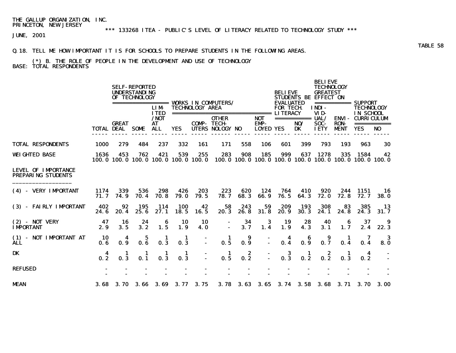## \*\*\* 133268 ITEA - PUBLIC'S LEVEL OF LITERACY RELATED TO TECHNOLOGY STUDY \*\*\*

JUNE, 2001

#### Q.18. TELL ME HOW IMPORTANT IT IS FOR SCHOOLS TO PREPARE STUDENTS IN THE FOLLOWING AREAS.

#### (\*) B. THE ROLE OF PEOPLE IN THE DEVELOPMENT AND USE OF TECHNOLOGY BASE: TOTAL RESPONDENTS

|                                                         |                   |              | <b>SELF-REPORTED</b><br><b>UNDERSTANDING</b><br>OF TECHNOLOGY | =================           |                                                  |                        | <b>VORKS IN COMPUTERS/</b>             |             |                                        | <b>RELIEVE</b><br><b>EVALUATED</b> |                                 | <b>BELIEVE</b><br><b>TECHNOLOGY</b><br><b>GREATEST</b><br><b>STUDENTS BE EFFECT ON</b> |                                            | =========== SUPPORT                                                    |                               |
|---------------------------------------------------------|-------------------|--------------|---------------------------------------------------------------|-----------------------------|--------------------------------------------------|------------------------|----------------------------------------|-------------|----------------------------------------|------------------------------------|---------------------------------|----------------------------------------------------------------------------------------|--------------------------------------------|------------------------------------------------------------------------|-------------------------------|
|                                                         |                   |              |                                                               | <b>LIM</b><br><b>ITED</b>   |                                                  | <b>TECHNOLOGY AREA</b> | -------------------------------        |             |                                        | <b>FOR TECH</b><br><b>LITERACY</b> |                                 | INDI-<br>VID-                                                                          |                                            | <b>TECHNOLOGY</b><br>IN SCHOOL                                         |                               |
|                                                         | <b>TOTAL DEAL</b> | <b>GREAT</b> | SOME                                                          | $/$ NOT<br>AT<br><b>ALL</b> | <b>YES</b>                                       | <b>COMP-TECH-</b>      | <b>OTHER</b><br><b>UTERS NOLOGY NO</b> |             | <b>NOT</b><br>EMP-<br><b>LOYED YES</b> |                                    | ===========<br>NO/<br><b>DK</b> | UAL/<br>SOC-<br><b>IETY</b>                                                            | <b>ENVI-</b><br><b>RON-</b><br><b>MENT</b> | <b>CURRICULUM</b><br><b>YES</b>                                        | ===========<br>N <sub>0</sub> |
| <b>TOTAL RESPONDENTS</b>                                | <b>1000</b>       | 279          | 484                                                           | 237                         | 332                                              | 161                    | 171                                    | 558         | 106                                    | 601                                | 399                             | 793                                                                                    | 193                                        | 963                                                                    | 30                            |
| <b>WEIGHTED BASE</b>                                    | 1636              | 453          | 762                                                           | 421                         | 539<br>100, 0 100, 0 100, 0 100, 0 100, 0 100, 0 | 255                    | 283                                    | 908         | 185                                    | 999                                | 637                             | 1278                                                                                   | 335                                        | 1584<br>100, 0 100, 0 100, 0 100, 0 100, 0 100, 0 100, 0 100, 0 100, 0 | 42                            |
| <b>LEVEL OF IMPORTANCE</b><br><b>PREPARING STUDENTS</b> |                   |              |                                                               |                             |                                                  |                        |                                        |             |                                        |                                    |                                 |                                                                                        |                                            |                                                                        |                               |
| (4) - VERY IMPORTANT                                    | 1174<br>71.7      | 339<br>74.9  | 536<br>70.4                                                   | 298<br>70.8                 | 426<br><b>79.0</b>                               | 203<br>79.5            | 223<br>78.7                            | 620<br>68.3 | 124<br>66.9                            | 764<br>76.5                        | 410<br>64.3                     | 920<br>72.0                                                                            | 244<br>72.8                                | 1151<br>72.7                                                           | 16<br><b>38.0</b>             |
| (3) - FAIRLY IMPORTANT                                  | 402<br>24.6       | 92<br>20.4   | 195<br>25.6                                                   | 114<br>27.1                 | <b>100</b><br>18.5                               | 42<br>16.5             | 58<br>20.3                             | 243<br>26.8 | 59<br>31.8                             | 209<br>20.9                        | 193<br>30.3                     | 308<br>24.1                                                                            | 83<br>24.8                                 | 385<br>24.3                                                            | 13<br>31.7                    |
| $(2)$ - NOT VERY<br><b>IMPORTANT</b>                    | 47<br>2.9         | 16<br>3.5    | 24<br>3.2                                                     | 6<br>1.5                    | 10<br>1.9                                        | 10<br>4. 0             |                                        | 34<br>3.7   | 3<br>1.4                               | 19<br>1.9                          | 28<br>4.3                       | 40<br>3.1                                                                              | 6<br>1.7                                   | 37<br>2.4                                                              | 22.3                          |
| (1) - NOT IMPORTANT AT<br><b>ALL</b>                    | 10<br>0.6         | 4<br>0.9     | 5<br>0.6                                                      | 1<br>0.3                    | 1<br>0.3                                         |                        | 1<br>0.5                               | 9<br>0.9    |                                        | 4<br>0.4                           | 6<br>0.9                        | 9<br>0.7                                                                               | 1<br>0.4                                   | 0.4                                                                    | 3<br>8.0                      |
| DK                                                      | 4<br>0.2          | 1<br>0.3     | 1<br>0.1                                                      | -1<br>0.3                   | 1<br>0.3                                         |                        | -1<br>0.5                              | 2<br>0.2    |                                        | 3<br>0.3                           | 1<br>0.2                        | 2<br>0.2                                                                               | 1<br>0.3                                   | 4<br>0.2                                                               |                               |
| <b>REFUSED</b>                                          |                   |              |                                                               |                             |                                                  |                        |                                        |             |                                        |                                    |                                 |                                                                                        |                                            |                                                                        |                               |
| <b>MEAN</b>                                             | 3.68              | <b>3.70</b>  | 3.66                                                          | 3.69                        | 3.77                                             | 3.75                   | 3.78                                   | 3. 63       | 3.65                                   | 3.74                               | 3.58                            | 3.68                                                                                   | 3. 71                                      | <b>3.70</b>                                                            | 3.00                          |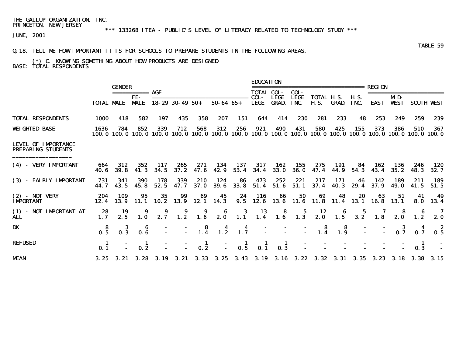# \*\*\* 133268 ITEA - PUBLIC'S LEVEL OF LITERACY RELATED TO TECHNOLOGY STUDY \*\*\*

JUNE, 2001

### Q.18. TELL ME HOW IMPORTANT IT IS FOR SCHOOLS TO PREPARE STUDENTS IN THE FOLLOWING AREAS.

#### (\*) C. KNOWING SOMETHING ABOUT HOW PRODUCTS ARE DESIGNED BASE: TOTAL RESPONDENTS

|                                                         |                   |                     |                                                           |             |                                |                 |                                                       |                   | <b>EDUCATION</b>                                                |                                    |                     |                                                                                                         |                                         |                     |               |                    |                                                                                                                                             |                |
|---------------------------------------------------------|-------------------|---------------------|-----------------------------------------------------------|-------------|--------------------------------|-----------------|-------------------------------------------------------|-------------------|-----------------------------------------------------------------|------------------------------------|---------------------|---------------------------------------------------------------------------------------------------------|-----------------------------------------|---------------------|---------------|--------------------|---------------------------------------------------------------------------------------------------------------------------------------------|----------------|
|                                                         |                   | <b>GENDER</b>       |                                                           |             |                                |                 |                                                       |                   | <b>TOTAL COL-</b>                                               |                                    | COL-                | ----------------------                                                                                  |                                         |                     | <b>REGION</b> |                    | ===================                                                                                                                         |                |
|                                                         | <b>TOTAL MALE</b> |                     | FE-<br><b>MALE</b>                                        |             | $18 - 29$ 30 - 49 50 +         |                 | $50 - 64$ $65 +$                                      |                   | COL-<br><b>LEGE</b>                                             | <b>LEGE</b><br><b>GRAD.</b>        | <b>LEGE</b><br>INC. | <b>TOTAL H.S.</b><br><b>H.S.</b>                                                                        | GRAD.                                   | <b>H.S.</b><br>INC. | <b>EAST</b>   | MD-<br><b>WEST</b> | <b>SOUTH WEST</b>                                                                                                                           |                |
| <b>TOTAL RESPONDENTS</b>                                | <b>1000</b>       | 418                 | 582                                                       | 197         | 435                            | 358             | 207                                                   | 151               | 644                                                             | 414                                | 230                 | 281                                                                                                     | 233                                     | 48                  | 253           | 249                | 259                                                                                                                                         | 239            |
| <b>WEIGHTED BASE</b>                                    | 1636              | 784                 | 852                                                       | 339         | 712                            | 568             | 312                                                   | 256               | 921                                                             | 490                                | 431                 | 580                                                                                                     | 425                                     | 155                 | 373           | 386                | 510<br>100, 0 100, 0 100, 0 100, 0 100, 0 100, 0 100, 0 100, 0 100, 0 100, 0 100, 0 100, 0 100, 0 100, 0 100, 0 100, 0 100, 0 100, 0 100, 0 | 367            |
| <b>LEVEL OF IMPORTANCE</b><br><b>PREPARING STUDENTS</b> |                   |                     |                                                           |             |                                |                 |                                                       |                   |                                                                 |                                    |                     |                                                                                                         |                                         |                     |               |                    |                                                                                                                                             |                |
| (4) - VERY IMPORTANT                                    | 664<br>40. 6      | 312<br><b>39. 8</b> | 352<br>41.3                                               | 117<br>34.5 | 265<br>37.2                    | 271<br>47. 6    | 134<br>42. 9                                          | 137<br>53.4       | 317<br>34.4                                                     | 162<br><b>33.0</b>                 | 155<br>36. O        | 275<br>47.4                                                                                             | -191<br>44. 9                           | -84<br>54.3         | 162<br>43.4   | 136<br>35. 2       | 246<br>48.3                                                                                                                                 | 120<br>32.7    |
| (3) - FAIRLY IMPORTANT                                  | 731<br>44.7       | 341<br>43.5         | <b>390</b><br>45.8                                        | 178<br>52.5 | 339<br>47. 7                   | 210<br>37. O    | 124<br>39. 6                                          | 86<br><b>33.8</b> | 473                                                             | 252<br>$51.4$ $51.6$               | 221<br>51.1         | 217                                                                                                     | 171<br>$37.4$ 40.3 29.4                 | 46                  | 142<br>37.9   | 189<br>49. 0       | 211<br>41.5                                                                                                                                 | 189<br>51.5    |
| $(2)$ - NOT VERY<br><b>IMPORTANT</b>                    | 204<br>12.4       | 109<br>13.9         | 95                                                        | 35          | 99<br>11.1 10.2 13.9 12.1 14.3 | 69              | 45                                                    | 24                | - 116<br>9.5 12.6 13.6 11.6 11.8 11.4 13.1 16.8 13.1            | 66                                 | 50                  | 69                                                                                                      | 48                                      | 20                  | 63            | 51                 | 41                                                                                                                                          | 49<br>8.0 13.4 |
| (1) - NOT IMPORTANT AT<br><b>ALL</b>                    | 28<br>1.7         | 19<br>2.5           | $\begin{array}{c} \textbf{9} \\ \textbf{1.0} \end{array}$ | 2.7         | $\overline{\mathbf{1.2}}$      |                 | $\begin{array}{ccc} & 9 & 6 \\ 1.6 & 2.0 \end{array}$ |                   | $\begin{array}{cccc} 3 & 13 & 8 \\ 1.1 & 1.4 & 1.6 \end{array}$ |                                    |                     | $\begin{array}{ccccccccc}\n & 5 & 12 & 6 & 5 & 7 & 8 \\ 1.3 & 2.0 & 1.5 & 3.2 & 1.8 & 2.0\n\end{array}$ |                                         |                     |               |                    | $\begin{array}{c} 6 \\ 1.2 \end{array}$                                                                                                     | 2.0            |
| DK                                                      | $0.\overline{5}$  |                     | $0.\overline{6}$                                          |             |                                |                 | $-$ 8 4<br>- 1.4 1.2                                  | $\frac{4}{1.7}$   |                                                                 |                                    |                     | $\begin{array}{cc} - & 8 \\ - & 1.4 \end{array}$                                                        | $\begin{array}{c} 8 \\ 1.9 \end{array}$ |                     |               | $\frac{3}{2}$      |                                                                                                                                             |                |
| <b>REFUSED</b>                                          | 0.1               |                     | 0.2                                                       |             |                                | $\frac{1}{0.2}$ |                                                       | $\frac{1}{0.5}$   | $\frac{1}{0.1}$                                                 | $\blacksquare$<br>$0.\overline{3}$ |                     |                                                                                                         |                                         |                     |               |                    | -1<br>0.3                                                                                                                                   |                |
| <b>MEAN</b>                                             |                   |                     |                                                           |             |                                |                 |                                                       |                   |                                                                 |                                    |                     |                                                                                                         |                                         |                     |               |                    | 3. 25 3. 21 3. 28 3. 19 3. 21 3. 33 3. 25 3. 43 3. 19 3. 16 3. 22 3. 32 3. 31 3. 35 3. 23 3. 18 3. 38 3. 15                                 |                |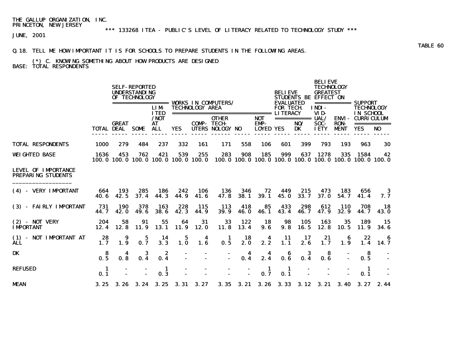# \*\*\* 133268 ITEA - PUBLIC'S LEVEL OF LITERACY RELATED TO TECHNOLOGY STUDY \*\*\*

JUNE, 2001

#### Q.18. TELL ME HOW IMPORTANT IT IS FOR SCHOOLS TO PREPARE STUDENTS IN THE FOLLOWING AREAS.

### (\*) C. KNOWING SOMETHING ABOUT HOW PRODUCTS ARE DESIGNED BASE: TOTAL RESPONDENTS

|                                                         |              |                                        | <b>SELF-REPORTED</b><br><b>UNDERSTANDING</b><br>OF TECHNOLOGY |                           |             |                        |                                                                                                                 |                                |                                               | <b>BELIEVE</b>                      |              | <b>BELIEVE</b><br><b>TECHNOLOGY</b><br><b>GREATEST</b><br>STUDENTS BE EFFECT ON |                            |                                                        |                      |  |
|---------------------------------------------------------|--------------|----------------------------------------|---------------------------------------------------------------|---------------------------|-------------|------------------------|-----------------------------------------------------------------------------------------------------------------|--------------------------------|-----------------------------------------------|-------------------------------------|--------------|---------------------------------------------------------------------------------|----------------------------|--------------------------------------------------------|----------------------|--|
|                                                         |              |                                        |                                                               | <b>LIM</b><br><b>ITED</b> |             | <b>TECHNOLOGY AREA</b> | ===================================== LITERACY                                                                  |                                |                                               | <b>EVALUATED</b><br><b>FOR TECH</b> |              | INDI-<br>VID-                                                                   |                            | ============ SUPPORT<br><b>TECHNOLOGY</b><br>IN SCHOOL |                      |  |
|                                                         |              | <b>GREAT</b><br><b>TOTAL DEAL SOME</b> |                                                               | /NOT<br>AT<br><b>ALL</b>  | <b>YES</b>  | <b>COMP-TECH-</b>      | <b>OTHER</b><br>UTERS NOLOGY NO                                                                                 |                                | <b>NOT</b><br><b>EMP-</b><br><b>LOYED YES</b> |                                     | NO/<br>DK    | SOC-<br><b>IETY</b>                                                             | <b>RON-</b><br><b>MENT</b> | =========== UAL/ ENVI- CURRICULUM<br><b>YES</b>        | NO                   |  |
|                                                         |              |                                        |                                                               |                           |             |                        |                                                                                                                 |                                |                                               |                                     |              |                                                                                 |                            |                                                        |                      |  |
| <b>TOTAL RESPONDENTS</b>                                | 1000         | 279                                    | 484                                                           | 237                       | 332         | 161                    | 171                                                                                                             | 558                            | 106                                           | 601                                 | 399          | 793                                                                             | 193                        | 963                                                    | 30                   |  |
| WEIGHTED BASE                                           | 1636         | 453                                    | 762                                                           | 421                       | 539         | 255                    | 283<br>100, 0 100, 0 100, 0 100, 0 100, 0 100, 0 100, 0 100, 0 100, 0 100, 0 100, 0 100, 0 100, 0 100, 0 100, 0 | 908                            | 185                                           | 999                                 |              | 637 1278                                                                        | 335                        | 1584                                                   | 42                   |  |
| <b>LEVEL OF IMPORTANCE</b><br><b>PREPARING STUDENTS</b> |              |                                        |                                                               |                           |             |                        |                                                                                                                 |                                |                                               |                                     |              |                                                                                 |                            |                                                        |                      |  |
| (4) - VERY IMPORTANT                                    | 664<br>40. G | 193<br>42.5                            | 285<br>37.4                                                   | 186<br>44.3               | 242<br>44.9 | 106<br>41.6            | 136<br>47.8                                                                                                     | 346<br><b>38.1</b>             | 72<br><b>39.1</b>                             | 449<br>45.0                         | 215<br>33.7  | 473<br><b>37.0</b>                                                              | 183<br>54.7                | 656<br>41.4                                            | 3<br>7. 7            |  |
| (3) - FAIRLY IMPORTANT                                  | 731<br>44.7  | 190<br><b>42.0</b>                     | 378<br>49. 6                                                  | 163<br>38. 6              | 228<br>42.3 | 115<br>44. 9           | 113<br><b>39.9</b>                                                                                              | 418<br><b>46.0</b>             | 85<br>46.1                                    | 433<br>43.4                         | 298<br>46. 7 | 612<br>47.9                                                                     | 110<br>32.9                | 708<br>44. 7                                           | - 18<br><b>43. O</b> |  |
| $(2)$ - NOT VERY<br><b>IMPORTANT</b>                    | 204<br>12.4  | 58<br>12.8                             | 91<br><b>11.9</b>                                             | 55<br>13.1                | 64<br>11.9  | 31<br>12.0             | 33                                                                                                              | 122<br>11.8 13.4               | 18<br>9.6                                     | 98<br>9.8                           | 105<br>16.5  | 163<br>12.8                                                                     | 35<br>10.5                 | 189<br>11.9                                            | - 15<br>34. 6        |  |
| (1) - NOT IMPORTANT AT<br>ALL.                          | 28<br>1.7    | 9<br>1.9                               | 5<br>0.7                                                      | 14<br>3.3                 | 5<br>1.0    | 4<br>1.6               | -1<br>0.5                                                                                                       | 18<br>2.0                      | $\overline{\mathbf{4}}$<br>2.2                | 11<br>1.1                           | 17<br>2.6    | 21<br>1.7                                                                       | 6<br>1.9                   | 22<br>1.4                                              | -6<br>- 14. 7        |  |
| <b>DK</b>                                               | -8<br>0.5    | 4<br>0.8                               | 3<br>0.4                                                      | 2<br>0.4                  |             |                        | $\sim$                                                                                                          | $\overline{\mathbf{4}}$<br>0.4 | 4<br>2.4                                      | 6<br>0.6                            | 3<br>0.4     | 8<br>0.6                                                                        |                            | -8<br>0.5                                              |                      |  |
| REFUSED                                                 | - 1<br>0.1   |                                        |                                                               | - 1<br>0.3                |             |                        |                                                                                                                 |                                | -1<br>0.7                                     | -1<br>0.1                           |              |                                                                                 |                            | - 1<br>0.1                                             |                      |  |
| MEAN                                                    |              | 3.25 3.26 3.24 3.25 3.31 3.27          |                                                               |                           |             |                        |                                                                                                                 |                                |                                               |                                     |              |                                                                                 |                            | 3. 35 3. 21 3. 26 3. 33 3. 12 3. 21 3. 40 3. 27 2. 44  |                      |  |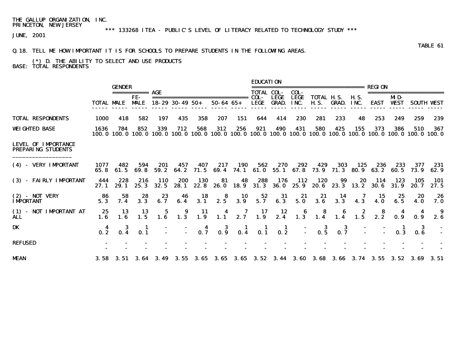\*\*\* 133268 ITEA - PUBLIC'S LEVEL OF LITERACY RELATED TO TECHNOLOGY STUDY \*\*\*

JUNE, 2001

### Q.18. TELL ME HOW IMPORTANT IT IS FOR SCHOOLS TO PREPARE STUDENTS IN THE FOLLOWING AREAS.

 (\*) D. THE ABILITY TO SELECT AND USE PRODUCTS BASE: TOTAL RESPONDENTS

|                                                         |                |                 |                    |                    |                        |                                          |                                                    |                                          | <b>EDUCATION</b>                        |                                          |                                                                                                                        |                                                            |                                                            |                     |                  |                    |                        |                    |
|---------------------------------------------------------|----------------|-----------------|--------------------|--------------------|------------------------|------------------------------------------|----------------------------------------------------|------------------------------------------|-----------------------------------------|------------------------------------------|------------------------------------------------------------------------------------------------------------------------|------------------------------------------------------------|------------------------------------------------------------|---------------------|------------------|--------------------|------------------------|--------------------|
|                                                         |                | <b>GENDER</b>   |                    |                    |                        |                                          |                                                    |                                          | <b>TOTAL COL-</b>                       |                                          | COL-                                                                                                                   | ---------------------                                      |                                                            |                     | <b>REGION</b>    |                    | ====================== |                    |
|                                                         | TOTAL MALE     |                 | FE-<br><b>MALE</b> |                    | $18 - 29$ 30 - 49 50 + |                                          | ==============================<br>$50 - 64$ $65 +$ |                                          | COL-<br><b>LEGE</b>                     | <b>LEGE</b><br><b>GRAD.</b>              | <b>LEGE</b><br>INC.                                                                                                    | <b>TOTAL H.S.</b><br><b>H.S.</b>                           | GRAD.                                                      | <b>H.S.</b><br>INC. | <b>EAST</b>      | MD-<br><b>WEST</b> |                        | <b>SOUTH VEST</b>  |
| <b>TOTAL RESPONDENTS</b>                                | 1000           | 418             | 582                | 197                | 435                    | 358                                      | 207                                                | 151                                      | 644                                     | 414                                      | 230                                                                                                                    | 281                                                        | 233                                                        | 48                  | 253              | 249                | 259                    | 239                |
| <b>WEIGHTED BASE</b>                                    | 1636<br>100. O | 784             | 852                | 339                | 712                    | 568                                      | 312                                                | 256                                      | 921                                     | 490                                      | 431<br>100, 0 100, 0 100, 0 100, 0 100, 0 100, 0 100, 0 100, 0 100, 0 100, 0 100, 0 100, 0 100, 0 100, 0 100, 0 100, 0 | 580                                                        | 425                                                        | 155                 | 373              | 386                | 510                    | 367                |
| <b>LEVEL OF IMPORTANCE</b><br><b>PREPARING STUDENTS</b> |                |                 |                    |                    |                        |                                          |                                                    |                                          |                                         |                                          |                                                                                                                        |                                                            |                                                            |                     |                  |                    |                        |                    |
| (4) - VERY IMPORTANT                                    | 1077<br>65. 8  | 482<br>61. 5    | 594<br>69. 8       | 201<br>59.2        | 457                    | 407                                      | 217                                                | 190                                      | 562                                     | 270                                      | 292<br>64.2 71.5 69.4 74.1 61.0 55.1 67.8 73.9 71.3 80.9 63.2 60.5                                                     | 429                                                        | 303                                                        | 125                 | 236              | 233                | 377<br>73. 9           | 231<br>62.9        |
| (3) - FAIRLY IMPORTANT                                  | 444<br>27. 1   | 228<br>29. 1    | 216<br>25.3        | <b>110</b><br>32.5 | 200<br>28.1            | <b>130</b><br>22. 8                      | 81                                                 | 48                                       | 288                                     |                                          | 176 112<br>26.0 18.9 31.3 36.0 25.9 20.6 23.3 13.2                                                                     | 120                                                        | 99                                                         | 20                  | 114<br>30. 6     | 123<br>31.9        | 105<br>20. 7           | <b>101</b><br>27.5 |
| $(2)$ - NOT VERY<br><b>IMPORTANT</b>                    | 86<br>5.3      | 58<br>7.4       | $28$<br>3.3        | 23<br>6.7          | $46$<br>6.4            | $\begin{array}{c} 18 \\ 3.1 \end{array}$ | 2.5                                                | $\begin{array}{c} 10 \\ 3.9 \end{array}$ | $\frac{52}{5.7}$                        | $\begin{array}{c} 31 \\ 6.3 \end{array}$ | $\frac{21}{5.0}$                                                                                                       | $\begin{array}{c} \textbf{21} \\ \textbf{3.6} \end{array}$ | $\begin{array}{c} \mathbf{14} \\ \mathbf{3.3} \end{array}$ | $\frac{7}{4.3}$     | $\frac{15}{4.0}$ | 25<br>6.5          | 20<br>4.0              | 26<br>7. 0         |
| (1) - NOT IMPORTANT AT<br><b>ALL</b>                    | 25<br>1.6      | 13<br>1.6       | 13<br>1.5          | - 5                | 9                      | 11<br>$1.6$ $1.3$ $1.9$                  |                                                    |                                          |                                         |                                          | 4 7 17 12 6 8 6 2<br>1.1 2.7 1.9 2.4 1.3 1.4 1.4 1.5                                                                   |                                                            |                                                            |                     | $2.\,\tilde{2}$  | 0.9                | 0.9                    | 9<br>2.6           |
| DK                                                      | 0.2            | $\frac{3}{0.4}$ | -1<br>0.1          |                    |                        |                                          | $-$ 4 3<br>$-$ 0.7 0.9                             | $\frac{1}{0.4}$                          | $\begin{array}{c} 1 \\ 0.1 \end{array}$ | $\blacksquare$<br>$0.\overline{2}$       |                                                                                                                        | $\begin{array}{cc} - & 3 \\ - & 0.5 \end{array}$           | $\frac{3}{0.7}$                                            |                     |                  | 0.3                | -3<br>0.6              |                    |
| <b>REFUSED</b>                                          |                |                 |                    |                    |                        |                                          |                                                    |                                          |                                         |                                          |                                                                                                                        |                                                            |                                                            |                     |                  |                    |                        |                    |
| <b>MEAN</b>                                             |                |                 |                    |                    |                        |                                          |                                                    |                                          |                                         |                                          | 3.58 3.51 3.64 3.49 3.55 3.65 3.65 3.65 3.52 3.44 3.60 3.68 3.66 3.74 3.55 3.52 3.69 3.51                              |                                                            |                                                            |                     |                  |                    |                        |                    |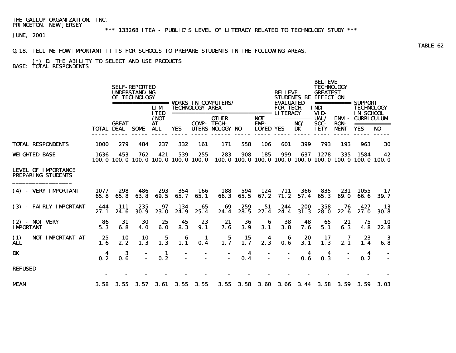\*\*\* 133268 ITEA - PUBLIC'S LEVEL OF LITERACY RELATED TO TECHNOLOGY STUDY \*\*\*

JUNE, 2001

### Q.18. TELL ME HOW IMPORTANT IT IS FOR SCHOOLS TO PREPARE STUDENTS IN THE FOLLOWING AREAS.

#### (\*) D. THE ABILITY TO SELECT AND USE PRODUCTS BASE: TOTAL RESPONDENTS

|                                                         |                   |              | <b>SELF-REPORTED</b><br><b>UNDERSTANDING</b><br>OF TECHNOLOGY |                                                  |                       |                        | <b>VORKS IN COMPUTERS/</b>              |             |                    | <b>BELIEVE</b>                       |                    | <b>BELIEVE</b><br><b>TECHNOLOGY</b><br><b>GREATEST</b><br>STUDENTS BE EFFECT ON |                             |                                                                        |                   |
|---------------------------------------------------------|-------------------|--------------|---------------------------------------------------------------|--------------------------------------------------|-----------------------|------------------------|-----------------------------------------|-------------|--------------------|--------------------------------------|--------------------|---------------------------------------------------------------------------------|-----------------------------|------------------------------------------------------------------------|-------------------|
|                                                         |                   |              |                                                               | =================<br><b>LIM</b><br><b>TTED</b>   |                       | <b>TECHNOLOGY AREA</b> |                                         |             |                    | <b>EVALUATED</b><br><b>FOR TECH.</b> |                    | INDI-<br>VID-                                                                   | ===========                 | <b>SUPPORT</b><br><b>TECHNOLOGY</b><br>IN SCHOOL                       |                   |
|                                                         |                   | <b>GREAT</b> |                                                               | $/$ NOT<br>AT                                    |                       | <b>COMP-TECH-</b>      | <b>OTHER</b>                            |             | <b>NOT</b><br>EMP- |                                      | ===========<br>NO/ | UAL/<br>SOC-                                                                    | <b>ENVI-</b><br><b>RON-</b> | <b>CURRICULUM</b>                                                      | ===========       |
|                                                         | <b>TOTAL DEAL</b> |              | <b>SOME</b>                                                   | <b>ALL</b>                                       | <b>YES</b>            |                        | <b>UTERS NOLOGY NO</b>                  |             | <b>LOYED YES</b>   |                                      | DK                 | <b>IETY</b>                                                                     | <b>MENT</b>                 | <b>YES</b>                                                             | N <sub>0</sub>    |
| <b>TOTAL RESPONDENTS</b>                                | <b>1000</b>       | 279          | 484                                                           | 237                                              | 332                   | 161                    | 171                                     | 558         | <b>106</b>         | 601                                  | 399                | 793                                                                             | 193                         | 963                                                                    | 30                |
| <b>WEIGHTED BASE</b>                                    | 1636              | 453          | 762                                                           | 421<br>100, 0 100, 0 100, 0 100, 0 100, 0 100, 0 | 539                   | 255                    | 283                                     | 908         | 185                | 999                                  | 637                | 1278                                                                            | 335                         | 1584<br>100, 0 100, 0 100, 0 100, 0 100, 0 100, 0 100, 0 100, 0 100, 0 | 42                |
| <b>LEVEL OF IMPORTANCE</b><br><b>PREPARING STUDENTS</b> |                   |              |                                                               |                                                  |                       |                        |                                         |             |                    |                                      |                    |                                                                                 |                             |                                                                        |                   |
| (4) - VERY IMPORTANT                                    | 1077<br>65.8      | 298<br>65.8  | 486<br>63.8                                                   | 293<br>69.5                                      | 354<br>65.7           | 166<br>65.1            | 188<br>66.3                             | 594<br>65.5 | 124<br>67.2        | 711<br>71.2                          | 366<br>57.4        | 835<br>65.3                                                                     | 231<br>69.0                 | 1055<br>66.6                                                           | 17<br>39.7        |
| (3) - FAIRLY IMPORTANT                                  | 444<br>27.1       | 111<br>24.6  | 235<br>30.9                                                   | 97<br>23.0                                       | 134<br>24.9           | 65<br>25.4             | 69<br>24.4                              | 259<br>28.5 | 51<br>27.4         | 244<br>24.4                          | 200<br>31.3        | 358<br><b>28.0</b>                                                              | 76<br>22.6                  | 427<br>27.0                                                            | 13<br><b>30.8</b> |
| $(2)$ - NOT VERY<br><b>IMPORTANT</b>                    | 86<br>5.3         | 31<br>6.8    | 30<br>4.0                                                     | 25<br>6.0                                        | 45<br>8.3             | 23<br>9.1              | 21<br>7.6                               | 36<br>3.9   | 6<br>3.1           | 38<br>3.8                            | 48<br>7. 6         | 65<br>5.1                                                                       | 21<br>6.3                   | 75<br>4.8                                                              | 10<br>22.8        |
| (1) - NOT IMPORTANT AT<br>ALL                           | 25<br>1.6         | 10<br>2.2    | 10<br>1.3                                                     | 5<br>1.3                                         | 6<br>$1.\overline{1}$ | -1<br>0.4              | $\begin{array}{c} 5 \\ 1.7 \end{array}$ | 15<br>1.7   | 4<br>2.3           | 6<br>0.6                             | 20<br>3.1          | 17<br>1.3                                                                       | 2.1                         | 23<br>1.4                                                              | -3<br>6.8         |
| DK                                                      | 4<br>0.2          | 3<br>0.6     | $\sim$                                                        | -1<br>0.2                                        |                       |                        | $\blacksquare$                          | 4<br>0.4    |                    |                                      | 4<br>0.6           | 4<br>0.3                                                                        |                             | 4<br>0.2                                                               |                   |
| <b>REFUSED</b>                                          |                   |              |                                                               |                                                  |                       |                        |                                         |             |                    |                                      |                    |                                                                                 |                             |                                                                        |                   |
| <b>MEAN</b>                                             | 3.58              | 3.55         |                                                               | $3.57$ $3.61$ $3.55$ $3.55$                      |                       |                        | 3.55                                    | 3.58        | <b>3.60</b>        | 3.66                                 |                    | $3.44$ $3.58$                                                                   | 3.59                        | 3.59                                                                   | 3.03              |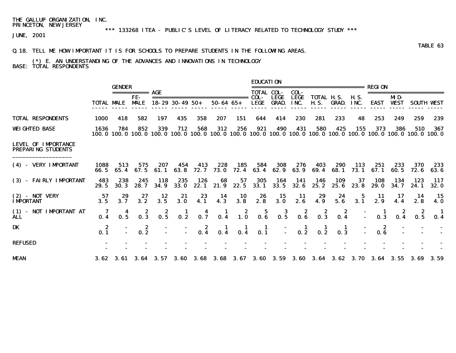## \*\*\* 133268 ITEA - PUBLIC'S LEVEL OF LITERACY RELATED TO TECHNOLOGY STUDY \*\*\*

JUNE, 2001

#### Q.18. TELL ME HOW IMPORTANT IT IS FOR SCHOOLS TO PREPARE STUDENTS IN THE FOLLOWING AREAS.

#### (\*) E. AN UNDERSTANDING OF THE ADVANCES AND INNOVATIONS IN TECHNOLOGY BASE: TOTAL RESPONDENTS

|                                                         |                   | <b>GENDER</b>      | ===========                             | AGE                                                |                                  |                 |                     |                                         | <b>EDUCATION</b><br>TOTAL COL-                   |                             | COL-                                    | -----------------------          |              |                     | <b>REGION</b>                                                                                                                               |                    |              |                    |
|---------------------------------------------------------|-------------------|--------------------|-----------------------------------------|----------------------------------------------------|----------------------------------|-----------------|---------------------|-----------------------------------------|--------------------------------------------------|-----------------------------|-----------------------------------------|----------------------------------|--------------|---------------------|---------------------------------------------------------------------------------------------------------------------------------------------|--------------------|--------------|--------------------|
|                                                         | <b>TOTAL MALE</b> |                    | FE-<br><b>MALE</b>                      |                                                    | $18 - 29$ 30 - 49 50 +           |                 | $50 - 64$ $65 +$    |                                         | COL-<br>LEGE                                     | <b>LEGE</b><br><b>GRAD.</b> | <b>LEGE</b><br>INC.                     | <b>TOTAL H.S.</b><br><b>H.S.</b> | <b>GRAD.</b> | <b>H.S.</b><br>INC. | <b>EAST</b>                                                                                                                                 | MD-<br><b>WEST</b> |              | <b>SOUTH VEST</b>  |
| <b>TOTAL RESPONDENTS</b>                                | 1000              | 418                | 582                                     | 197                                                | 435                              | 358             | 207                 | 151                                     | 644                                              | 414                         | 230                                     | 281                              | 233          | 48                  | 253                                                                                                                                         | 249                | 259          | 239                |
| <b>WEIGHTED BASE</b>                                    | 1636              | 784                | 852                                     | 339                                                | 712                              | 568             | 312                 | 256                                     | 921                                              | 490                         | 431                                     | 580                              | 425          | 155                 | 373<br>100. 0 100. 0 100. 0 100. 0 100. 0 100. 0 100. 0 100. 0 100. 0 100. 0 100. 0 100. 0 100. 0 100. 0 100. 0 100. 0 100. 0 100. 0 100. 0 | 386                | 510          | 367                |
| <b>LEVEL OF IMPORTANCE</b><br><b>PREPARING STUDENTS</b> |                   |                    |                                         |                                                    |                                  |                 |                     |                                         |                                                  |                             |                                         |                                  |              |                     |                                                                                                                                             |                    |              |                    |
| (4) - VERY IMPORTANT                                    | 1088<br>66. 5     | 513<br>65.4        | 575<br>67.5                             | 207<br>61.1                                        | 454<br>63.8                      | 413<br>72.7     | 228<br><b>73.0</b>  | 185<br>72.4                             | 584<br>63.4                                      | 308<br>62.9                 | 276<br>63.9                             | 403<br>69.4                      | 290<br>68.1  | 113<br>73.1         | 251<br>67.1                                                                                                                                 | 233<br>60. 5       | 370<br>72. 6 | 233<br>63. 6       |
| (3) - FAIRLY IMPORTANT                                  | 483<br>29.5       | 238<br><b>30.3</b> | 245<br>28.7                             | 118<br>34.9                                        | 235<br><b>33.0</b>               | 126<br>22.1     | 68<br>21.9          | 57<br>22.5                              | 305<br>33.1                                      | 164<br>33.5                 | 141<br>32.6                             | 146<br>25.2                      | 109<br>25.6  | 37<br>23.8          | 108<br><b>29.0</b>                                                                                                                          | 134<br>34.7        | 123<br>24.1  | 117<br><b>32.0</b> |
| $(2)$ - NOT VERY<br><b>IMPORTANT</b>                    | 57<br>3.5         | 29<br>3.7          | 27<br>3.2                               | 12<br>3.5                                          | 21<br>3.0                        | 23<br>4.1       | 14<br>4.3           | 10<br>3.8                               | 26<br>2.8                                        | 15<br>3.0                   | -11<br>2.6                              | 29<br>4.9                        | 24<br>5.6    | 5<br>3.1            | 11<br>2.9                                                                                                                                   | 17<br>4.4          | 14<br>2.8    | 15<br><b>4.0</b>   |
| (1) - NOT IMPORTANT AT<br>ÀLĹ                           | 7<br>0.4          | 0.5                | $\begin{array}{c} 2 \\ 0.3 \end{array}$ | $\frac{2}{0.5}$                                    | $\mathbf{I}$<br>$0.\overline{2}$ | $0.7^4$         | $\mathbf{I}$<br>0.4 | $\begin{array}{c} 2 \\ 1.0 \end{array}$ | $\begin{array}{c} 5 \\ \textbf{0.6} \end{array}$ | $\frac{3}{0.5}$             | $\begin{array}{c} 2 \\ 0.6 \end{array}$ | $\overline{\mathbf{0.3}}^2$      | 2<br>0.4     |                     | 0.3                                                                                                                                         | 0.4                | z<br>0.5     | -1<br>0.4          |
| DK                                                      | -2<br>0.1         |                    | 2<br>0.2                                |                                                    |                                  | $\frac{2}{0.4}$ | $\frac{1}{0.4}$     | $\frac{1}{0.4}$                         | $\frac{1}{0.1}$                                  |                             | $\frac{1}{0.2}$                         | $\frac{1}{0.2}$                  | 0.3          |                     | 2<br>0.6                                                                                                                                    |                    |              |                    |
| <b>REFUSED</b>                                          |                   |                    |                                         |                                                    |                                  |                 |                     |                                         |                                                  |                             |                                         |                                  |              |                     |                                                                                                                                             |                    |              |                    |
| <b>MEAN</b>                                             |                   |                    |                                         | $3.62 \quad 3.61 \quad 3.64 \quad 3.57 \quad 3.60$ |                                  |                 |                     |                                         |                                                  |                             |                                         |                                  |              |                     | 3.68 3.68 3.67 3.60 3.59 3.60 3.64 3.62 3.70 3.64 3.55 3.69                                                                                 |                    |              | 3. 59              |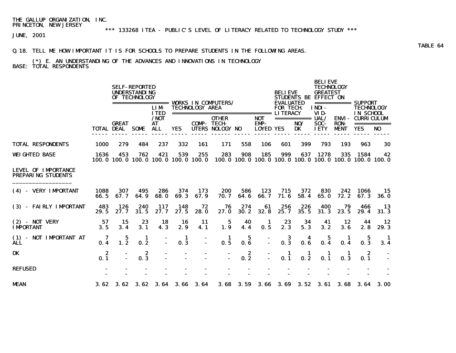## \*\*\* 133268 ITEA - PUBLIC'S LEVEL OF LITERACY RELATED TO TECHNOLOGY STUDY \*\*\*

JUNE, 2001

#### Q.18. TELL ME HOW IMPORTANT IT IS FOR SCHOOLS TO PREPARE STUDENTS IN THE FOLLOWING AREAS.

### (\*) E. AN UNDERSTANDING OF THE ADVANCES AND INNOVATIONS IN TECHNOLOGY BASE: TOTAL RESPONDENTS

|                                                         |                   |                                         | <b>SELF-REPORTED</b><br><b>UNDERSTANDING</b><br>OF TECHNOLOGY |                             |                                                  |                        | <b>VORKS IN COMPUTERS/</b>             |             |                                        | <b>BELIEVE</b><br><b>EVALUATED</b> |                          | <b>BELIEVE</b><br><b>TECHNOLOGY</b><br><b>GREATEST</b><br><b>STUDENTS BE EFFECT ON</b> |                                            | =========== SUPPORT                                           |                   |
|---------------------------------------------------------|-------------------|-----------------------------------------|---------------------------------------------------------------|-----------------------------|--------------------------------------------------|------------------------|----------------------------------------|-------------|----------------------------------------|------------------------------------|--------------------------|----------------------------------------------------------------------------------------|--------------------------------------------|---------------------------------------------------------------|-------------------|
|                                                         |                   |                                         | =================                                             | <b>LIM</b><br><b>ITED</b>   |                                                  | <b>TECHNOLOGY AREA</b> |                                        |             |                                        | <b>FOR TECH</b>                    |                          | <b>INDI-</b><br>VID-                                                                   |                                            | <b>TECHNOLOGY</b><br><b>IN SCHOOL</b>                         |                   |
|                                                         | <b>TOTAL DEAL</b> | <b>GREAT</b>                            | SOME                                                          | $/$ NOT<br>AT<br><b>ALL</b> | <b>YES</b>                                       | <b>COMP-TECH-</b>      | <b>OTHER</b><br><b>UTERS NOLOGY NO</b> |             | <b>NOT</b><br>EMP-<br><b>LOYED YES</b> |                                    | ===========<br>NO/<br>DK | UAL/<br>SOC-<br><b>IETY</b>                                                            | <b>ENVI-</b><br><b>RON-</b><br><b>MENT</b> | <b>CURRICULUM</b><br><b>YES</b>                               | ===========<br>NO |
| <b>TOTAL RESPONDENTS</b>                                | <b>1000</b>       | 279                                     | 484                                                           | 237                         | 332                                              | 161                    | 171                                    | 558         | 106                                    | 601                                | 399                      | 793                                                                                    | 193                                        | 963                                                           | 30                |
| <b>WEIGHTED BASE</b>                                    | 1636              | 453                                     | 762                                                           | 421                         | 539<br>100, 0 100, 0 100, 0 100, 0 100, 0 100, 0 | 255                    | 283                                    | 908         | 185                                    | 999                                | 637                      | 1278                                                                                   | 335                                        | 1584<br>100.0 100.0 100.0 100.0 100.0 100.0 100.0 100.0 100.0 | 42                |
| <b>LEVEL OF IMPORTANCE</b><br><b>PREPARING STUDENTS</b> |                   |                                         |                                                               |                             |                                                  |                        |                                        |             |                                        |                                    |                          |                                                                                        |                                            |                                                               |                   |
| (4) - VERY IMPORTANT                                    | 1088<br>66.5      | 307<br>67.7                             | 495<br>64.9                                                   | 286<br>68.0                 | 374<br>69.3                                      | 173<br>67.9            | 200<br>70.7                            | 586<br>64.6 | 123<br>66.7                            | 715<br>71.6                        | 372<br>58.4              | 830<br>65.0                                                                            | 242<br>72.2                                | 1066<br>67.3                                                  | 15<br><b>36.0</b> |
| (3) - FAIRLY IMPORTANT                                  | 483<br>29.5       | 126<br>27.7                             | 240<br>31.5                                                   | 117<br>27.7                 | 148<br>27.5                                      | 72<br><b>28.0</b>      | 76<br>27.0                             | 274<br>30.2 | 61<br>32.8                             | 256<br>25.7                        | 226<br>35.5              | 400<br>31.3                                                                            | 79<br>23.5                                 | 466<br>29.4                                                   | 13<br>31.3        |
| $(2)$ - NOT VERY<br><b>IMPORTANT</b>                    | 57<br>3.5         | 15<br>3.4                               | 23<br>3.1                                                     | 18<br>4.3                   | 16<br>2.9                                        | 11<br>4.1              | 5<br>1.9                               | 40<br>4.4   | 1<br>0.5                               | 23<br>2.3                          | 34<br>5.3                | 41<br>3.2                                                                              | 12<br>3.6                                  | 44<br>2.8                                                     | 12<br>29.3        |
| (1) - NOT IMPORTANT AT<br><b>ALL</b>                    | 7<br>0.4          | $\begin{array}{c} 5 \\ 1.2 \end{array}$ | 1<br>0.2                                                      |                             | -1<br>0.3                                        |                        | 1<br>0.5                               | 5<br>0.6    |                                        | 3<br>0.3                           | 4<br>0.6                 | 5<br>0.4                                                                               | 1<br>0.4                                   | 5<br>0.3                                                      | 3.4               |
| DK                                                      | 2<br>0.1          | $\sim$                                  | 2<br>0.3                                                      |                             |                                                  |                        | $\blacksquare$                         | 2<br>0.2    | $\overline{\phantom{a}}$               | 1<br>0.1                           | 1<br>0.2                 | 1<br>0.1                                                                               | п<br>0.3                                   | -2<br>0.1                                                     |                   |
| <b>REFUSED</b>                                          |                   |                                         |                                                               |                             |                                                  |                        |                                        |             |                                        |                                    |                          |                                                                                        |                                            |                                                               |                   |
| <b>MEAN</b>                                             | 3.62              | 3.62                                    | 3.62                                                          | 3.64                        | 3.66                                             | 3.64                   | 3.68                                   | 3.59        | <b>3.66</b>                            | 3.69                               | 3.52                     | 3. 61                                                                                  | 3.68                                       | 3. 64                                                         | 3.00              |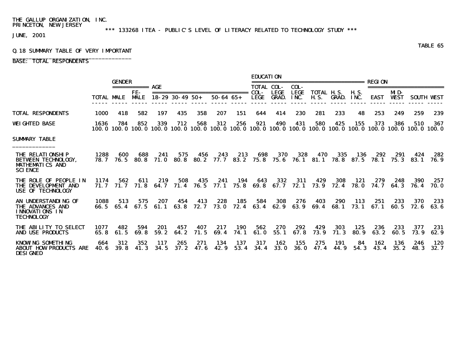\*\*\* 133268 ITEA - PUBLIC'S LEVEL OF LITERACY RELATED TO TECHNOLOGY STUDY \*\*\*

JUNE, 2001

## Q.18 SUMMARY TABLE OF VERY IMPORTANT \_\_\_\_\_\_\_\_\_\_\_\_\_\_\_\_\_\_\_\_\_\_\_\_\_\_\_\_\_\_\_\_\_\_\_\_

### BASE: TOTAL RESPONDENTS

|                                                                                                   |                     | <b>GENDER</b> |                    |              |                        |              |                                                   |                    | <b>EDUCATION</b>    |                             | ========================== |                            |              |               | <b>REGION</b> |                    |                                                                                                                                             |                   |
|---------------------------------------------------------------------------------------------------|---------------------|---------------|--------------------|--------------|------------------------|--------------|---------------------------------------------------|--------------------|---------------------|-----------------------------|----------------------------|----------------------------|--------------|---------------|---------------|--------------------|---------------------------------------------------------------------------------------------------------------------------------------------|-------------------|
|                                                                                                   |                     |               | ===========<br>FF- | AGE          |                        |              |                                                   |                    | <b>TOTAL COL-</b>   |                             | COL-                       |                            |              |               |               |                    |                                                                                                                                             |                   |
|                                                                                                   |                     | TOTAL MALE    | <b>MALE</b>        |              | $18 - 29$ 30 - 49 50 + |              | ===============================<br>$50 - 64 65 +$ |                    | COL-<br><b>LEGE</b> | <b>LEGE</b><br><b>GRAD.</b> | <b>LEGE</b><br>INC.        | TOTAL H.S.<br><b>H. S.</b> | GRAD.        | H. S.<br>INC. | <b>EAST</b>   | MD-<br><b>WEST</b> |                                                                                                                                             | <b>SOUTH WEST</b> |
| <b>TOTAL RESPONDENTS</b>                                                                          | 1000                | 418           | 582                | 197          | 435                    | 358          | 207                                               | 151                | 644                 | 414                         | 230                        | 281                        | 233          | 48            | 253           | 249                | 259                                                                                                                                         | 239               |
| WEIGHTED BASE                                                                                     | 1636                | 784           | 852                | 339          | 712                    | 568          | 312                                               | 256                | 921                 | 490                         | 431                        | 580                        | 425          | 155           | 373           | 386                | 510<br>100, 0 100, 0 100, 0 100, 0 100, 0 100, 0 100, 0 100, 0 100, 0 100, 0 100, 0 100, 0 100, 0 100, 0 100, 0 100, 0 100, 0 100, 0 100, 0 | 367               |
| SUMARY TABLE                                                                                      |                     |               |                    |              |                        |              |                                                   |                    |                     |                             |                            |                            |              |               |               |                    |                                                                                                                                             |                   |
| <b>THE RELATIONSHIP</b><br><b>BETWEEN TECHNOLOGY.</b><br><b>MATHEMATICS AND</b><br><b>SCIENCE</b> | 1288<br><b>78.7</b> | 600<br>76.5   | 688<br>80. S       | 241<br>71. O | 575<br>80. 8           | 456<br>80. 2 | 243                                               | 213<br>77.7 83.2   | 698<br>75.8         | 370<br>75. 6                | 328                        | 470<br>76.1 81.1 78.8      | 335          | 136<br>87.5   | 292<br>78. I  | 291<br>75.3        | 424<br><b>83.1</b>                                                                                                                          | 282<br>76. 9      |
| <b>THE ROLE OF PEOPLE IN</b><br><b>THE DEVELOPMENT AND</b><br><b>USE OF TECHNOLOGY</b>            | 1174<br>71. 7       | 562<br>71.7   | -611<br>71.8       | 219<br>64. 7 | 508<br>71.4            | 435<br>76. 5 | 241<br>77. 1                                      | 194<br>75.8        | 643<br>69. 8        | 332<br>67. 7                | 311<br>72.1                | 429<br>73.9                | 308<br>72.4  | 121<br>78. O  | 279<br>74.7   | 248<br>64.3        | 390<br>76.4                                                                                                                                 | 257<br>70. O      |
| AN UNDERSTANDING OF<br><b>THE ADVANCES AND</b><br><b>INNOVATIONS IN</b><br><b>TECHNOLOGY</b>      | 1088<br>66. 5       | 513<br>65.4   | 575<br>67. 5       | 207<br>61. 1 | 454<br>63. 8           | 413<br>72. 7 | 228<br>73. O                                      | 185<br>72.4        | 584<br>63.4         | 308<br>62.9                 | 276<br>63. 9               | 403<br>69.4                | 290<br>68. 1 | 113<br>73. 1  | 251<br>67. 1  | 233<br>60. 5       | 370<br>72. 6                                                                                                                                | 233<br>63. 6      |
| THE ABILITY TO SELECT<br><b>AND USE PRODUCTS</b>                                                  | 1077<br>65. 8       | 482<br>61.5   | 594<br>69.8        | 201<br>59.2  | 457<br>64.2            | 407<br>71.5  | 217<br>69.4                                       | <b>190</b><br>74.1 | 562<br>61.0         | 270<br>55.1                 | 292<br>67.8                | 429<br>73.9                | 303<br>71.3  | 125<br>80.9   | 236<br>63.2   | 233<br>60.5        | 377<br>73.9                                                                                                                                 | 231<br>62.9       |
| <b>KNOWLNG SOMETHING</b><br><b>ABOUT HOW PRODUCTS ARE</b><br><b>DESIGNED</b>                      | 664<br>40. G        | 312<br>39.8   | 352<br>41.3        | 117<br>34.5  | 265<br>37.2            | 271<br>47.6  | 134<br>42.9                                       | 137<br>53.4        | 317<br>34.4         | 162<br>33.0                 | 155<br><b>36.0</b>         | 275<br>47.4                | 191<br>44.9  | 84<br>54.3    | 162<br>43.4   | 136<br>35.2        | 246<br><b>48.3</b>                                                                                                                          | 120<br>32.7       |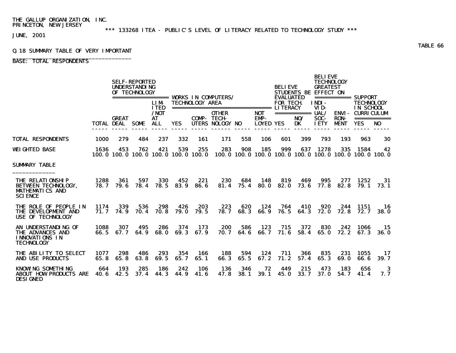\*\*\* 133268 ITEA - PUBLIC'S LEVEL OF LITERACY RELATED TO TECHNOLOGY STUDY \*\*\*

JUNE, 2001

## Q.18 SUMMARY TABLE OF VERY IMPORTANT \_\_\_\_\_\_\_\_\_\_\_\_\_\_\_\_\_\_\_\_\_\_\_\_\_\_\_\_\_\_\_\_\_\_\_\_

### BASE: TOTAL RESPONDENTS

|                                                                                                   |              |              | <b>SELF-REPORTED</b><br><b>UNDERSTANDING</b><br>OF TECHNOLOGY |                           |                    |                        |                                                                                                                 |             |                    | <b>BELIEVE</b>                      |                         | <b>BELIEVE</b><br><b>TECHNOLOGY</b><br><b>GREATEST</b><br>STUDENTS BE EFFECT ON |             |                                                       |                    |  |
|---------------------------------------------------------------------------------------------------|--------------|--------------|---------------------------------------------------------------|---------------------------|--------------------|------------------------|-----------------------------------------------------------------------------------------------------------------|-------------|--------------------|-------------------------------------|-------------------------|---------------------------------------------------------------------------------|-------------|-------------------------------------------------------|--------------------|--|
|                                                                                                   |              |              |                                                               | <b>LIM</b><br><b>ITED</b> |                    | <b>TECHNOLOGY AREA</b> | ================= WORKS IN COMPUTERS/<br>===================================== LITERACY                         |             |                    | <b>EVALUATED</b><br><b>FOR TECH</b> |                         | INDI-<br>VID-                                                                   |             | =========== SUPPORT<br><b>TECHNOLOGY</b><br>IN SCHOOL |                    |  |
|                                                                                                   |              | <b>GREAT</b> |                                                               | /NOT<br>AT                |                    | <b>COMP- TECH-</b>     | <b>OTHER</b>                                                                                                    |             | <b>NOT</b><br>EMP- |                                     | =========== UAL/<br>NO/ | SOC-                                                                            | <b>RON-</b> | <b>ENVI - CURRICULUM</b>                              |                    |  |
|                                                                                                   |              | TOTAL DEAL   | SOME                                                          | <b>ALL</b>                | <b>YES</b>         |                        | UTERS NOLOGY NO                                                                                                 |             | <b>LOYED YES</b>   |                                     | DK                      | <b>IETY</b>                                                                     | <b>MENT</b> | <b>YES</b>                                            | NO <sub>1</sub>    |  |
| <b>TOTAL RESPONDENTS</b>                                                                          | 1000         | 279          | 484                                                           | 237                       | 332                | 161                    | 171                                                                                                             | 558         | 106                | 601                                 | 399                     | 793                                                                             | 193         | 963                                                   | 30                 |  |
| WEIGHTED BASE                                                                                     | 1636         | 453          | 762                                                           | 421                       | 539                | 255                    | 283<br>100, 0 100, 0 100, 0 100, 0 100, 0 100, 0 100, 0 100, 0 100, 0 100, 0 100, 0 100, 0 100, 0 100, 0 100, 0 | 908         | 185                | 999                                 | 637                     | 1278                                                                            | 335         | 1584                                                  | 42                 |  |
| SUMARY TABLE                                                                                      |              |              |                                                               |                           |                    |                        |                                                                                                                 |             |                    |                                     |                         |                                                                                 |             |                                                       |                    |  |
| <b>THE RELATIONSHIP</b><br><b>BETWEEN TECHNOLOGY.</b><br><b>MATHEMATICS AND</b><br><b>SCIENCE</b> | 1288<br>78.7 | 361<br>79. 6 | 597<br>78.4                                                   | 330<br>78.5               | 452<br>83.9        | 221<br>86.6            | 230<br>81.4                                                                                                     | 684<br>75.4 | 148<br>80.0        | 819<br>82.0                         | 469<br>73.6             | 995<br>77.8                                                                     | 277<br>82.8 | 1252<br>79.1                                          | 31<br>73. 1        |  |
| <b>THE ROLE OF PEOPLE IN</b><br><b>THE DEVELOPMENT AND</b><br><b>USE OF TECHNOLOGY</b>            | 1174<br>71.7 | 339<br>74.9  | 536<br>70.4                                                   | 298<br>70.8               | 426<br><b>79.0</b> | 203<br>79.5            | 223<br>78.7                                                                                                     | 620<br>68.3 | 124<br>66.9        | 764<br>76.5                         | 410<br>64.3             | 920<br><b>72.0</b>                                                              | 244<br>72.8 | 1151<br>72.7                                          | 16<br><b>38. O</b> |  |
| AN UNDERSTANDING OF<br><b>THE ADVANCES AND</b><br><b>INNOVATIONS IN</b><br><b>TECHNOLOGY</b>      | 1088<br>66.5 | 307<br>67.7  | 495<br>64.9                                                   | 286<br>68. O              | 374<br>69.3        | 173<br>67.9            | 200<br>70. 7                                                                                                    | 586<br>64.6 | 123<br>66.7        | 715<br>71.6                         | 372<br>58.4             | 830<br>65.0                                                                     | 242<br>72.2 | 1066<br>67.3                                          | -15<br>36. O       |  |
| THE ABILITY TO SELECT<br><b>AND USE PRODUCTS</b>                                                  | 1077<br>65.8 | 298<br>65.8  | 486<br>63.8                                                   | 293<br>69.5               | 354<br>65.7        | 166<br>65.1            | 188<br>66.3                                                                                                     | 594<br>65.5 | 124<br>67.2        | 711<br>71.2                         | 366<br>57.4             | 835<br>65.3                                                                     | 231<br>69.0 | 1055<br>66.6                                          | 17<br>39.7         |  |
| KNOWING SOMETHING<br><b>ABOUT HOW PRODUCTS ARE</b><br><b>DESIGNED</b>                             | 664<br>40. 6 | 193<br>42.5  | 285<br>37.4                                                   | 186<br>44.3               | 242<br>44.9        | 106<br>41.6            | 136<br>47.8                                                                                                     | 346<br>38.1 | 72<br><b>39.1</b>  | 449<br>45.0                         | 215<br>33.7             | 473<br>37.0                                                                     | 183<br>54.7 | 656<br>41.4                                           | 3<br>7. 7          |  |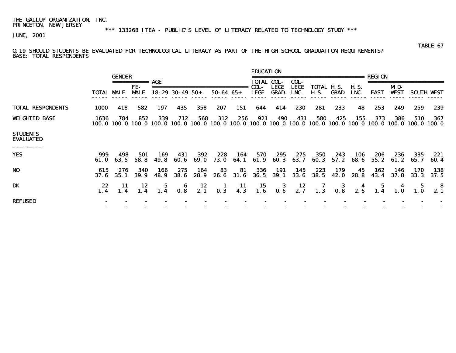\*\*\* 133268 ITEA - PUBLIC'S LEVEL OF LITERACY RELATED TO TECHNOLOGY STUDY \*\*\*

JUNE, 2001

#### TABLE 67 Q.19 SHOULD STUDENTS BE EVALUATED FOR TECHNOLOGICAL LITERACY AS PART OF THE HIGH SCHOOL GRADUATION REQUIREMENTS? BASE: TOTAL RESPONDENTS

|                                     |              |                   |                                                                                                                                                                                                                                                                                                                                                                                                                                                                                               |                 |                        |              |                  |              | <b>EDUCATION</b>          |              |                     |                                                                                                                        |              |                     |               |              |                    |                                         |
|-------------------------------------|--------------|-------------------|-----------------------------------------------------------------------------------------------------------------------------------------------------------------------------------------------------------------------------------------------------------------------------------------------------------------------------------------------------------------------------------------------------------------------------------------------------------------------------------------------|-----------------|------------------------|--------------|------------------|--------------|---------------------------|--------------|---------------------|------------------------------------------------------------------------------------------------------------------------|--------------|---------------------|---------------|--------------|--------------------|-----------------------------------------|
|                                     |              | <b>GENDER</b>     | $\begin{array}{cccccccccc} \multicolumn{2}{c}{} & \multicolumn{2}{c}{} & \multicolumn{2}{c}{} & \multicolumn{2}{c}{} & \multicolumn{2}{c}{} & \multicolumn{2}{c}{} & \multicolumn{2}{c}{} & \multicolumn{2}{c}{} & \multicolumn{2}{c}{} & \multicolumn{2}{c}{} & \multicolumn{2}{c}{} & \multicolumn{2}{c}{} & \multicolumn{2}{c}{} & \multicolumn{2}{c}{} & \multicolumn{2}{c}{} & \multicolumn{2}{c}{} & \multicolumn{2}{c}{} & \multicolumn{2}{c}{} & \multicolumn{2}{c}{} & \mult$<br>FE- | AGE             |                        |              |                  |              | <b>TOTAL COL-</b><br>COL- | <b>LEGE</b>  | COL-<br><b>LEGE</b> | ===================<br><b>TOTAL H.S.</b>                                                                               |              |                     | <b>REGION</b> | MD-          |                    |                                         |
|                                     |              | <b>TOTAL MALE</b> | <b>MALE</b>                                                                                                                                                                                                                                                                                                                                                                                                                                                                                   |                 | $18 - 29$ 30 - 49 50 + |              | $50 - 64$ $65 +$ |              | LEGE                      | GRAD.        | INC.                | <b>H.S.</b>                                                                                                            | GRAD.        | <b>H.S.</b><br>INC. | <b>EAST</b>   | <b>WEST</b>  |                    | <b>SOUTH WEST</b>                       |
| <b>TOTAL RESPONDENTS</b>            | 1000         | 418               | 582                                                                                                                                                                                                                                                                                                                                                                                                                                                                                           | 197             | 435                    | 358          | 207              | 151          | 644                       | 414          | 230                 | 281                                                                                                                    | 233          | 48                  | 253           | 249          | 259                | 239                                     |
| <b>WEIGHTED BASE</b>                | 1636         | 784               | 852                                                                                                                                                                                                                                                                                                                                                                                                                                                                                           | 339             | 712                    | 568          | 312              | 256          | 921                       | 490          | 431                 | 580<br>100.0 100.0 100.0 100.0 100.0 100.0 100.0 100.0 100.0 100.0 100.0 100.0 100.0 100.0 100.0 100.0 100.0 100.0 100 | 425          | 155                 | 373           | 386          | 510                | 367                                     |
| <b>STUDENTS</b><br><b>EVALUATED</b> |              |                   |                                                                                                                                                                                                                                                                                                                                                                                                                                                                                               |                 |                        |              |                  |              |                           |              |                     |                                                                                                                        |              |                     |               |              |                    |                                         |
| <b>YES</b>                          | 999<br>61. O | 498<br>63. 5      | 501<br>58. 8                                                                                                                                                                                                                                                                                                                                                                                                                                                                                  | 169<br>49. 8    | 431<br>60. 6           | 392<br>69. O | 228<br>73. O     | 164<br>64. 1 | 570<br>61.9               | 295<br>60. 3 | 275<br>63. 7        | 350<br>60.3                                                                                                            | 243<br>57. 2 | 106<br>68. 6        | 206<br>55.2   | 236<br>61. 2 | 335<br>65. 7       | 221<br>60.4                             |
| N <sub>0</sub>                      | 615<br>37. 6 | 276<br>35. 1      | 340<br>39.9                                                                                                                                                                                                                                                                                                                                                                                                                                                                                   | 166<br>48.9     | 275<br><b>38. 6</b>    | 164<br>28. 9 | 83<br>26. 6      | 81<br>31.6   | 336<br>36. 5              | 191<br>39. 1 | 145<br><b>33.6</b>  | 223<br><b>38.5</b>                                                                                                     | 179<br>42. 0 | 45<br>28. 8         | 162<br>43.4   | 146<br>37.8  | 170<br><b>33.3</b> | 138<br>37.5                             |
| DK                                  | 22           |                   | $\begin{array}{cc} 11 & 12 \\ 1.4 & 1.4 \end{array}$                                                                                                                                                                                                                                                                                                                                                                                                                                          | $\frac{5}{1.4}$ |                        |              |                  |              |                           |              |                     | 6 12 1 11 15 3 12 7 3 4 5 4 5<br>0.8 2.1 0.3 4.3 1.6 0.6 2.7 1.3 0.8 2.6 1.4 1.0 1.0                                   |              |                     |               |              |                    | $\begin{array}{c} 8 \\ 2.1 \end{array}$ |
| <b>REFUSED</b>                      |              |                   |                                                                                                                                                                                                                                                                                                                                                                                                                                                                                               |                 |                        |              |                  |              |                           |              |                     |                                                                                                                        |              |                     |               |              |                    |                                         |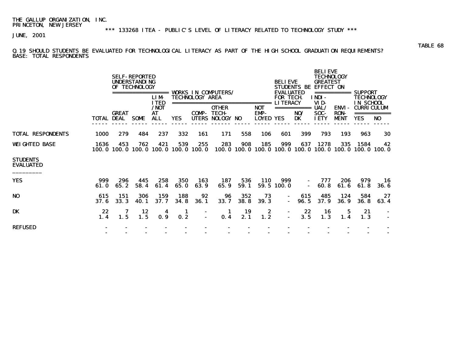\*\*\* 133268 ITEA - PUBLIC'S LEVEL OF LITERACY RELATED TO TECHNOLOGY STUDY \*\*\*

JUNE, 2001

Q.19 SHOULD STUDENTS BE EVALUATED FOR TECHNOLOGICAL LITERACY AS PART OF THE HIGH SCHOOL GRADUATION REQUIREMENTS? BASE: TOTAL RESPONDENTS

|                                     |                   |              | <b>SELF-REPORTED</b><br><b>UNDERSTANDING</b><br>OF TECHNOLOGY | =====<br><b>LIM</b>                            |                          | <b>TECHNOLOGY AREA</b> | <b>VORKS IN COMPUTERS/</b>                                               |                    |                                       | <b>BELIEVE</b><br><b>EVALUATED</b><br><b>FOR TECH.</b> | <b>STUDENTS BE</b>       | <b>BELIEVE</b><br><b>TECHNOLOGY</b><br><b>GREATEST</b><br><b>EFFECT ON</b><br>INDI- | ===========                         | <b>SUPPORT</b><br><b>TECHNOLOGY</b>          |            |
|-------------------------------------|-------------------|--------------|---------------------------------------------------------------|------------------------------------------------|--------------------------|------------------------|--------------------------------------------------------------------------|--------------------|---------------------------------------|--------------------------------------------------------|--------------------------|-------------------------------------------------------------------------------------|-------------------------------------|----------------------------------------------|------------|
|                                     | <b>TOTAL DEAL</b> | <b>GREAT</b> | <b>SOME</b>                                                   | <b>ITED</b><br>/NOT<br><b>AT</b><br><b>ALL</b> | <b>YES</b>               | COMP-<br><b>UTERS</b>  | ====================<br><b>OTHER</b><br><b>TECH-</b><br><b>NOLOGY NO</b> |                    | ======<br><b>NOT</b><br>EMP-<br>LOYED | <b>LITERACY</b><br><b>YES</b>                          | ===========<br>NO/<br>DK | VID-<br><b>UAL/</b><br>SOC-<br><b>IETY</b>                                          | ENVI-<br><b>RON-</b><br><b>MENT</b> | IN SCHOOL<br><b>CURRICULUM</b><br><b>YES</b> | NO         |
| <b>TOTAL RESPONDENTS</b>            | 1000              | 279          | 484                                                           | 237                                            | 332                      | 161                    | 171                                                                      | 558                | 106                                   | 601                                                    | 399                      | 793                                                                                 | 193                                 | 963                                          | 30         |
| <b>WEIGHTED BASE</b>                | 1636              | 453          | 762<br>100.0 100.0 100.0                                      | 421                                            | 539<br>100.0 100.0 100.0 | 255                    | 283                                                                      | 908                | 185                                   | 999                                                    | 637                      | 1278<br>100.0 100.0 100.0 100.0 100.0 100.0 100.0 100.0 100.0                       | 335                                 | 1584                                         | 42         |
| <b>STUDENTS</b><br><b>EVALUATED</b> |                   |              |                                                               |                                                |                          |                        |                                                                          |                    |                                       |                                                        |                          |                                                                                     |                                     |                                              |            |
| <b>YES</b>                          | 999<br>61.0       | 296<br>65.2  | 445<br>58.4                                                   | 258<br>61.4                                    | 350<br>65.0              | 163<br>63.9            | 187<br>65.9                                                              | 536<br>59.1        | <b>110</b>                            | 999<br>59.5 100.0                                      |                          | 777<br>60.8                                                                         | 206<br>61.6                         | 979<br>61.8                                  | 16<br>36.6 |
| N <sub>0</sub>                      | 615<br>37.6       | 151<br>33.3  | 306<br>40.1                                                   | 159<br>37.7                                    | 188<br>34.8              | 92<br><b>36.1</b>      | 96<br>33.7                                                               | 352<br><b>38.8</b> | 73<br><b>39.3</b>                     | $\blacksquare$<br>$\blacksquare$                       | 615<br>96.5              | 485<br>37.9                                                                         | 124<br><b>36.9</b>                  | 584<br><b>36.8</b>                           | 27<br>63.4 |
| DK                                  | 22<br>1.4         | 7<br>1.5     | 12<br>1.5                                                     | 4<br>0.9                                       | 1<br>0.2                 |                        | 1.<br>0.4                                                                | 19<br>2.1          | 2<br>1.2                              | $\blacksquare$                                         | 22<br>3.5                | 16<br>1.3                                                                           | 5<br>1.4                            | 21<br>1.3                                    |            |
| <b>REFUSED</b>                      |                   | -            |                                                               |                                                |                          |                        |                                                                          |                    |                                       |                                                        |                          |                                                                                     |                                     |                                              |            |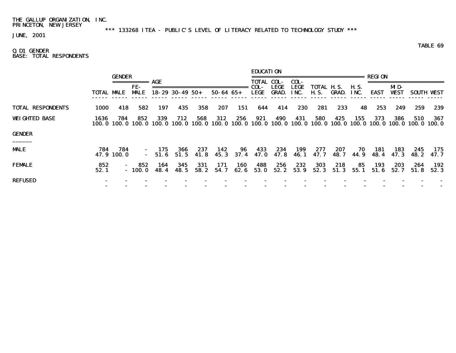\*\*\* 133268 ITEA - PUBLIC'S LEVEL OF LITERACY RELATED TO TECHNOLOGY STUDY \*\*\*

JUNE, 2001

TABLE 69

### Q.D1 GENDER BASE: TOTAL RESPONDENTS

|                          |                   | <b>GENDER</b>                              |                   | AGE            |                        |             |                  |             | <b>EDUCATION</b><br>TOTAL COL- |                             | COL-                | .======================   |              |               | REGT ON     |                    |                                                                                |              |
|--------------------------|-------------------|--------------------------------------------|-------------------|----------------|------------------------|-------------|------------------|-------------|--------------------------------|-----------------------------|---------------------|---------------------------|--------------|---------------|-------------|--------------------|--------------------------------------------------------------------------------|--------------|
|                          | <b>TOTAL MALE</b> |                                            | FE-<br><b>MLE</b> |                | $18 - 29$ 30 - 49 50 + |             | $50 - 64$ $65 +$ |             | COL-<br>LEGE                   | <b>LEGE</b><br><b>GRAD.</b> | <b>LEGE</b><br>INC. | TOTAL H.S.<br><b>H.S.</b> | GRAD.        | H. S.<br>INC. | <b>EAST</b> | MD-<br><b>WEST</b> | <b>SOUTH WEST</b>                                                              |              |
| <b>TOTAL RESPONDENTS</b> | 1000              | 418                                        | 582               | 197            | 435                    | 358         | 207              | 151         | 644                            | 414                         | 230                 | 281                       | 233          | 48            | 253         | 249                | 259                                                                            | 239          |
| <b>WEIGHTED BASE</b>     | 1636              | 784<br>100.0 100.0 100.0 100.0 100.0 100.0 | 852               | 339            | 712                    | 568         | 312              | 256         | 921                            | 490                         | 431                 | 580                       | 425          | 155           | 373         | 386                | 510<br>100.0 100.0 100.0 100.0 100.0 100.0 100.0 100.0 100.0 100.0 100.0 100.0 | 367          |
| <b>GENDER</b><br>______  |                   |                                            |                   |                |                        |             |                  |             |                                |                             |                     |                           |              |               |             |                    |                                                                                |              |
| <b>MALE</b>              | 784               | 784<br>47.9 100.0                          | $\sim$ 10 $\pm$   | 175<br>$-51.6$ | 366<br>51.5            | 237<br>41.8 | 142<br>45.3      | 96<br>37.4  | 433<br>47. O                   | 234<br>47. 8                | 199<br>46.1         | 277<br>47. 7              | 207<br>48. 7 | 70<br>44. 9   | 181<br>48.4 | 183<br>47. 3       | 245<br>48. 2                                                                   | 175<br>47. 7 |
| <b>FEMALE</b>            | 852<br>52.1       |                                            | 852<br>$-100.0$   | 164<br>48.4    | 345<br>48.5            | 331<br>58.2 | 171<br>54.7      | 160<br>62.6 | 488<br>53.0                    | 256<br>52.2                 | 232<br>53.9         | <b>303</b><br>52.3        | 218<br>51.3  | 85<br>55.1    | 193<br>51.6 | 203<br>52.7        | 264<br>51.8                                                                    | 192<br>52.3  |
| <b>REFUSED</b>           |                   |                                            |                   |                |                        |             |                  |             |                                |                             |                     |                           |              |               |             |                    |                                                                                |              |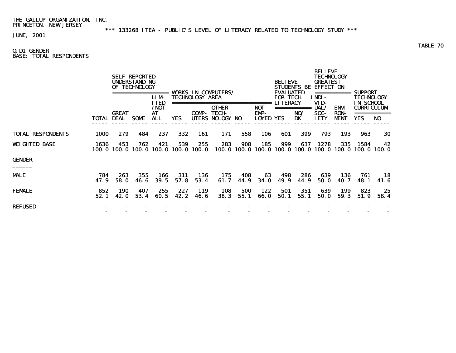\*\*\* 133268 ITEA - PUBLIC'S LEVEL OF LITERACY RELATED TO TECHNOLOGY STUDY \*\*\*

JUNE, 2001

### Q.D1 GENDER BASE: TOTAL RESPONDENTS

|                          |                   |                    | <b>SELF-REPORTED</b><br><b>UNDERSTANDING</b><br>OF TECHNOLOGY<br>========= | <b>LIM</b><br><b>ITED</b><br>/NOT |             | <b>TECHNOLOGY AREA</b><br>================ | <b>VORKS IN COMPUTERS/</b><br><b>OTHER</b> |             | ======<br><b>NOT</b>     | <b>BELIEVE</b><br><b>EVALUATED</b><br><b>FOR TECH</b><br><b>LITERACY</b> | <b>STUDENTS BE</b> | <b>BELIEVE</b><br><b>TECHNOLOGY</b><br><b>GREATEST</b><br><b>EFFECT ON</b><br>===========<br>INDI-<br>VID-<br>UAL/ | <b>ENVI-</b>               | <b>SUPPORT</b><br>TECHNOLOGY<br><b>IN SCHOOL</b><br><b>CURRICULUM</b> |                 |  |
|--------------------------|-------------------|--------------------|----------------------------------------------------------------------------|-----------------------------------|-------------|--------------------------------------------|--------------------------------------------|-------------|--------------------------|--------------------------------------------------------------------------|--------------------|--------------------------------------------------------------------------------------------------------------------|----------------------------|-----------------------------------------------------------------------|-----------------|--|
|                          | <b>TOTAL DEAL</b> | <b>GREAT</b>       | SOME                                                                       | AT<br>ALL                         | <b>YES</b>  | COMP-                                      | <b>TECH</b><br>UTERS NOLOGY NO             |             | EMP-<br><b>LOYED YES</b> |                                                                          | NO/<br>DK          | SOC-<br><b>IETY</b>                                                                                                | <b>RON-</b><br><b>MENT</b> | <b>YES</b>                                                            | NO <sub>1</sub> |  |
| <b>TOTAL RESPONDENTS</b> | 1000              | 279                | 484                                                                        | 237                               | 332         | 161                                        | 171                                        | 558         | 106                      | 601                                                                      | 399                | 793                                                                                                                | 193                        | 963                                                                   | 30              |  |
| <b>WEIGHTED BASE</b>     | 1636<br>100. 0    | 453                | 762<br>100.0 100.0 100.0 100.0 100.0                                       | 421                               | 539         | 255                                        | 283                                        | 908         | 185                      | 999                                                                      | 637                | 1278<br>100.0 100.0 100.0 100.0 100.0 100.0 100.0 100.0 100.0                                                      | 335                        | 1584                                                                  | 42              |  |
| <b>GENDER</b>            |                   |                    |                                                                            |                                   |             |                                            |                                            |             |                          |                                                                          |                    |                                                                                                                    |                            |                                                                       |                 |  |
| MALE                     | 784<br>47.9       | 263<br><b>58.0</b> | 355<br>46.6                                                                | 166<br><b>39.5</b>                | 311<br>57.8 | 136<br>53.4                                | 175<br>61.7                                | 408<br>44.9 | 63<br><b>34.0</b>        | 498<br>49.9                                                              | 286<br>44.9        | 639<br><b>50.0</b>                                                                                                 | 136<br>40.7                | 761<br>48. 1                                                          | 18<br>41.6      |  |
| FEMALE                   | 852<br>52.1       | 190<br>42.0        | 407<br>53.4                                                                | 255<br>60.5                       | 227<br>42.2 | <b>119</b><br>46. 6                        | 108<br>38.3                                | 500<br>55.1 | 122<br><b>66.0</b>       | 501<br>50.1                                                              | 351<br>55.1        | 639<br><b>50.0</b>                                                                                                 | 199<br>59.3                | 823<br>51.9                                                           | 25<br>58.4      |  |
| REFUSED                  |                   |                    |                                                                            |                                   |             |                                            |                                            |             |                          |                                                                          |                    |                                                                                                                    |                            |                                                                       |                 |  |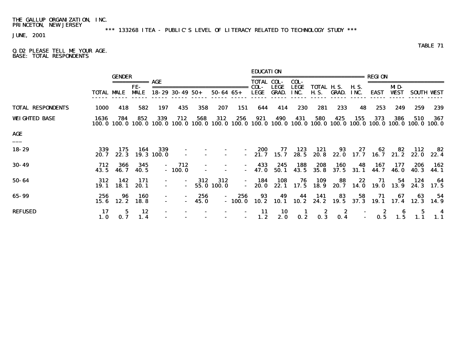\*\*\* 133268 ITEA - PUBLIC'S LEVEL OF LITERACY RELATED TO TECHNOLOGY STUDY \*\*\*

JUNE, 2001

TABLE 71

#### Q.D2 PLEASE TELL ME YOUR AGE. BASE: TOTAL RESPONDENTS

|                                 |                   | <b>GENDER</b>   |                    |                   |                               |                                            |                     |                          | <b>EDUCATION</b>                          |                    |                             | ======================= REGION |                   |                     |                        |                     |                                                                                                                          |                   |
|---------------------------------|-------------------|-----------------|--------------------|-------------------|-------------------------------|--------------------------------------------|---------------------|--------------------------|-------------------------------------------|--------------------|-----------------------------|--------------------------------|-------------------|---------------------|------------------------|---------------------|--------------------------------------------------------------------------------------------------------------------------|-------------------|
|                                 | <b>TOTAL MALE</b> |                 | FE-<br><b>MALE</b> | AGE               | $18 - 29$ 30 - 49 50 +        |                                            | $50 - 64$ $65 +$    |                          | <b>TOTAL COL-</b><br>COL-<br>LEGE         | LEGE<br>GRAD.      | COL-<br><b>LEGE</b><br>INC. | TOTAL H.S.<br><b>H.S.</b>      | GRAD.             | <b>H.S.</b><br>INC. | EAST                   | MD-<br><b>VEST</b>  |                                                                                                                          | <b>SOUTH WEST</b> |
| <b>TOTAL RESPONDENTS</b>        | 1000              | 418             | 582                | 197               | 435                           | 358                                        | 207                 | 151                      | 644                                       | 414                | 230                         | 281                            | 233               | 48                  | 253                    | 249                 | 259                                                                                                                      | 239               |
| <b>WEIGHTED BASE</b>            | 1636              | 784             | 852                | 339               | 712                           | 568                                        | 312                 | 256                      | 921                                       | 490                | 431                         | 580                            | 425               | 155                 | 373                    | 386                 | 510<br>100.0 100.0 100.0 100.0 100.0 100.0 100.0 100.0 100.0 100.0 100.0 100.0 100.0 100.0 100.0 100.0 100.0 100.0 100.0 | 367               |
| <b>AGE</b><br>$\qquad \qquad -$ |                   |                 |                    |                   |                               |                                            |                     |                          |                                           |                    |                             |                                |                   |                     |                        |                     |                                                                                                                          |                   |
| 18-29                           | 339<br>20. 7      | 175<br>22.3     | 164                | 339<br>19.3 100.0 |                               |                                            |                     |                          | 200                                       | 77<br>$-21.7$ 15.7 | 123<br>28. 5                | 121                            | 93<br>20.8 22.0   | 27                  | 62<br>$17.7$ 16.7 21.2 | 82                  | 112<br>22. O                                                                                                             | 82<br>22.4        |
| $30 - 49$                       | 712<br>43.5       | 366<br>46. 7    | 345<br>40.5        |                   | 712<br>$\sim 100$<br>$-100.0$ |                                            |                     |                          | 433<br>$\sim$ 100 $\mu$<br>$-47.0$        | 245<br>50.1        | 188<br>43.5                 | 208<br>35.8                    | 160<br>37.5       | 48<br>31.1          | 167<br>44.7            | 177<br><b>46. O</b> | 206<br>40. 3                                                                                                             | 162<br>44. 1      |
| 50-64                           | 312<br>19. 1      | 142<br>18. 1    | 171<br>20. 1       | $\sim$<br>$\sim$  |                               | 312<br>$\sim 100$ km s $^{-1}$             | 312<br>$-55.0100.0$ |                          | 184<br>$\sim 100$ km s $^{-1}$<br>$-20.0$ | 108<br>22. 1       | 76                          | 109<br>17.5 18.9               | 88<br>20. 7       | 22                  | 71<br>14.0 19.0        | 54<br>13. 9         | 124<br>24. 3                                                                                                             | 64<br>17.5        |
| 65-99                           | 256               | 96<br>15.6 12.2 | 160<br>18. 8       | $\sim$<br>$\sim$  |                               | 256<br><b>Contract Contract</b><br>$-45.0$ | $\sim$ 100 $\mu$    | 256                      | 93                                        | 49                 | 44                          | 141                            | 83                | 58                  | 71                     | 67                  | 63<br>$-100.0$ 10.2 10.1 10.2 24.2 19.5 37.3 19.1 17.4 12.3                                                              | - 54<br>14. 9     |
| <b>REFUSED</b>                  | 17<br>1.0         |                 | 12<br>1.4          |                   |                               |                                            | $\sim$              | $\blacksquare$<br>$\sim$ | $\frac{11}{1.2}$                          | 10<br>2.0          | 0.2                         |                                | -2<br>$0.3$ $0.4$ |                     | $\frac{2}{0.5}$        | 1.5                 |                                                                                                                          | $\frac{4}{1.1}$   |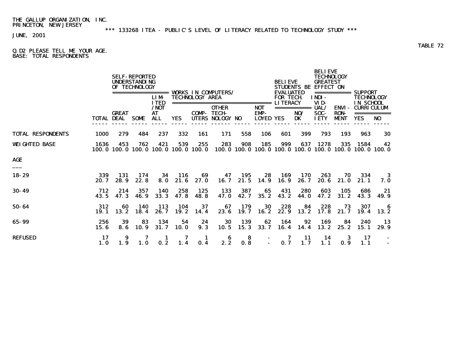\*\*\* 133268 ITEA - PUBLIC'S LEVEL OF LITERACY RELATED TO TECHNOLOGY STUDY \*\*\*

JUNE, 2001

Q.D2 PLEASE TELL ME YOUR AGE. BASE: TOTAL RESPONDENTS

|                          |             |                                   | <b>SELF-REPORTED</b><br><b>UNDERSTANDING</b><br>OF TECHNOLOGY | ======<br><b>LIM</b>                       |                                | <b>TECHNOLOGY AREA</b> | <b>VORKS IN COMPUTERS/</b>                                                         |                          |                                        | <b>BELIEVE</b><br><b>EVALUATED</b><br><b>FOR TECH</b> | <b>STUDENTS BE</b>       | <b>BELIEVE</b><br><b>TECHNOLOGY</b><br><b>GREATEST</b><br><b>EFFECT ON</b><br>INDI- | ===========                                | <b>SUPPORT</b><br>TECHNOLOGY                        |                   |
|--------------------------|-------------|-----------------------------------|---------------------------------------------------------------|--------------------------------------------|--------------------------------|------------------------|------------------------------------------------------------------------------------|--------------------------|----------------------------------------|-------------------------------------------------------|--------------------------|-------------------------------------------------------------------------------------|--------------------------------------------|-----------------------------------------------------|-------------------|
|                          |             | <b>GREAT</b><br><b>TOTAL DEAL</b> | <b>SOME</b>                                                   | <b>ITED</b><br>$/$ NOT<br>AT<br><b>ALL</b> | <b>YES</b>                     | COMP-                  | ===============================<br><b>OTHER</b><br><b>TECH-</b><br>UTERS NOLOGY NO |                          | <b>NOT</b><br>EMP-<br><b>LOYED YES</b> | <b>LITERACY</b>                                       | ===========<br>NO/<br>DK | VID-<br>UAL/<br>SOC-<br><b>IETY</b>                                                 | <b>ENVI-</b><br><b>RON-</b><br><b>MENT</b> | <b>IN SCHOOL</b><br><b>CURRICULUM</b><br><b>YES</b> | ===========<br>NO |
| <b>TOTAL RESPONDENTS</b> | 1000        | 279                               | 484                                                           | 237                                        | 332                            | 161                    | 171                                                                                | 558                      | 106                                    | 601                                                   | 399                      | 793                                                                                 | 193                                        | 963                                                 | 30                |
| <b>WEIGHTED BASE</b>     | 1636        | 453<br>100.0 100.0                | 762                                                           | 421                                        | 539<br>100.0 100.0 100.0 100.0 | 255                    | 283                                                                                | 908<br>100.0 100.0 100.0 | 185                                    | 999                                                   | 637                      | 1278                                                                                | 335                                        | 1584<br>100.0 100.0 100.0 100.0 100.0 100.0         | 42                |
| AGE                      |             |                                   |                                                               |                                            |                                |                        |                                                                                    |                          |                                        |                                                       |                          |                                                                                     |                                            |                                                     |                   |
| 18-29                    | 339<br>20.7 | 131<br>28.9                       | 174<br>22.8                                                   | 34<br>8.0                                  | 116<br>21.6                    | 69<br>27.0             | 47<br>16.7                                                                         | 195<br>21.5              | 28<br>14.9                             | 169<br>16.9                                           | 170<br>26.7              | 263<br>20.6                                                                         | 70<br>21.0                                 | 334<br>21.1                                         | 3<br>7. O         |
| $30 - 49$                | 712<br>43.5 | 214<br>47.3                       | 357<br>46.9                                                   | 140<br>33.3                                | 258<br>47.8                    | 125<br>48.8            | 133<br><b>47.0</b>                                                                 | 387<br>42.7              | 65<br>35.2                             | 431<br>43.2                                           | 280<br><b>44.0</b>       | 603<br>47.2                                                                         | 105<br>31.2                                | 686<br>43.3                                         | 21<br>49.9        |
| 50-64                    | 312<br>19.1 | 60<br>13.2                        | <b>140</b><br>18.4                                            | 113<br>26.7                                | 104<br>19.2                    | 37<br>14.4             | 67<br>23.6                                                                         | 179<br>19.7              | 30<br>16.2                             | 228<br>22.9                                           | 84<br>13.2               | 228<br>17.8                                                                         | 73<br>21.7                                 | 307<br>19.4                                         | 6<br>13.2         |
| 65-99                    | 256<br>15.6 | 39<br>8.6                         | 83<br>10.9                                                    | 134<br>31.7                                | 54<br><b>10.0</b>              | 24<br>9.3              | 30<br>10.5                                                                         | 139<br>15.3              | 62<br>33.7                             | 164<br>16.4                                           | 92<br>14.4               | 169<br>13.2                                                                         | 84<br>25.2                                 | 240<br>15.1                                         | 13<br>29.9        |
| <b>REFUSED</b>           | 17<br>1.0   | 9<br>1.9                          | <b>1.0</b>                                                    | 0.2                                        | 1.4                            | 0.4                    | 6<br>2.2                                                                           | 8<br>0.8                 |                                        | 0.7                                                   | 11<br>1.7                | 14<br>1.1                                                                           | 3<br>0.9                                   | 17<br>1.1                                           |                   |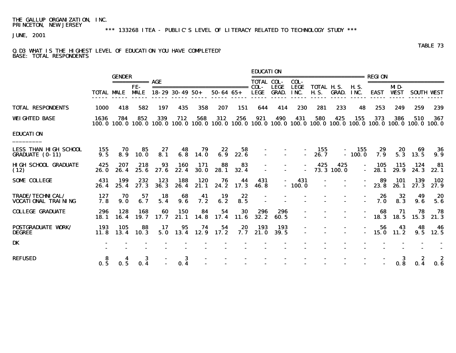\*\*\* 133268 ITEA - PUBLIC'S LEVEL OF LITERACY RELATED TO TECHNOLOGY STUDY \*\*\*

JUNE, 2001

#### Q.D3 WHAT IS THE HIGHEST LEVEL OF EDUCATION YOU HAVE COMPLETED? BASE: TOTAL RESPONDENTS

|                                                 |                   | <b>GENDER</b> |                      |             |                             |                    |            |            | <b>EDUCATION</b>  |                                  |                 | ----------------------------                                                                                                         |                   |                     | REGION      |                   |                         |                   |
|-------------------------------------------------|-------------------|---------------|----------------------|-------------|-----------------------------|--------------------|------------|------------|-------------------|----------------------------------|-----------------|--------------------------------------------------------------------------------------------------------------------------------------|-------------------|---------------------|-------------|-------------------|-------------------------|-------------------|
|                                                 |                   |               | $=$ ============ AGE |             |                             |                    |            |            | <b>TOTAL COL-</b> |                                  | COL-            |                                                                                                                                      |                   |                     |             |                   | ======================= |                   |
|                                                 | <b>TOTAL MALE</b> |               | FE-<br><b>MALE</b>   |             | $18-29$ 30-49 50+ 50-64 65+ |                    |            |            | LEGE              | <b>LEGE</b><br><b>GRAD. INC.</b> | LEGE            | TOTAL H.S.<br><b>H.S. GRAD.</b>                                                                                                      |                   | <b>H.S.</b><br>INC. |             | MD-<br>EAST VEST  |                         | <b>SOUTH VEST</b> |
| <b>TOTAL RESPONDENTS</b>                        | 1000              | 418           | 582                  | 197         | 435                         | 358                | 207        | 151        | 644               | 414                              | 230             | 281                                                                                                                                  | 233               | 48                  | 253         | 249               | 259                     | 239               |
| <b>WEIGHTED BASE</b>                            | 1636              | 784           | 852                  | 339         | 712                         | 568                | 312        | 256        | 921               | 490                              | 431             | 580<br>100, 0 100, 0 100, 0 100, 0 100, 0 100, 0 100, 0 100, 0 100, 0 100, 0 100, 0 100, 0 100, 0 100, 0 100, 0 100, 0 100, 0 100, 0 | 425               | 155                 | 373         | 386               | 510                     | 367               |
| <b>EDUCATION</b>                                |                   |               |                      |             |                             |                    |            |            |                   |                                  |                 |                                                                                                                                      |                   |                     |             |                   |                         |                   |
| LESS THAN HIGH SCHOOL<br><b>GRADUATE (0-11)</b> | 155<br>9.5        | 70<br>8.9     | 85<br><b>10.0</b>    | 27<br>8.1   | 48<br>6.8                   | 79<br><b>14.0</b>  | 22<br>6.9  | 58<br>22.6 |                   |                                  | $\sim$          | 155<br>26.7                                                                                                                          | $\blacksquare$    | 155<br>$-100.0$     | 29<br>7.9   | 20<br>5.3         | 69<br>13.5              | 36<br>9.9         |
| <b>HIGH SCHOOL GRADUATE</b><br>(12)             | 425<br>26. 0      | 207<br>26.4   | 218<br>25.6          | 93<br>27.6  | 160<br>22.4                 | 171<br><b>30.0</b> | 88<br>28.1 | 83<br>32.4 |                   |                                  | $\sim$          | 425                                                                                                                                  | 425<br>73.3 100.0 | $\sim$              | 105<br>28.1 | 115<br>29.9       | 124<br>24.3             | 81<br>22.1        |
| SOME COLLEGE                                    | 431<br>26.4       | 199<br>25.4   | 232<br>27.3          | 123<br>36.3 | 188<br>26.4                 | 120<br>21.1        | 76<br>24.2 | 44<br>17.3 | 431<br>46.8       | $\sim$                           | 431<br>$-100.0$ |                                                                                                                                      |                   | $\sim$              | 89<br>23.8  | 101<br>26.1       | <b>139</b><br>27.3      | 102<br>27.9       |
| TRADE/TECHNICAL/<br>VOCATIONAL TRAINING         | 127<br>7.8        | 70<br>9.0     | 57<br>6.7            | 18<br>5.4   | 68<br>9.6                   | 41<br>7.2          | 19<br>6.2  | 22<br>8.5  |                   |                                  |                 |                                                                                                                                      |                   |                     | 26<br>7.0   | 32<br>8.3         | 49<br>9.6               | 20<br>5.6         |
| <b>COLLEGE GRADUATE</b>                         | 296<br>18. 1      | 128<br>16.4   | 168<br><b>19.7</b>   | 60<br>17.7  | 150<br>21.1                 | 84<br>14.8         | 54<br>17.4 | 30<br>11.6 | 296<br>32.2       | 296<br>60.5                      |                 |                                                                                                                                      |                   |                     | 68<br>18.3  | 71<br><b>18.5</b> | 78<br>15.3              | 78<br>21.3        |
| <b>POSTGRADUATE WORK/</b><br>DEGREE             | 193<br>11.8       | 105           | 88<br>$13.4$ 10.3    | 17<br>5.0   | 95<br>13.4 12.9             | 74                 | 54<br>17.2 | 20<br>7. 7 | 193<br>21.0       | 193<br>39.5                      | $\blacksquare$  |                                                                                                                                      |                   |                     | 56<br>15.0  | 43<br>11.2        | 48<br>9.5               | 46<br>12.5        |
| DK                                              |                   |               |                      |             |                             |                    |            |            |                   |                                  |                 |                                                                                                                                      |                   |                     |             |                   |                         |                   |
| REFUSED                                         | 0.5               | 0.5           | 3<br>0.4             |             | 3<br>0.4                    |                    |            |            |                   |                                  |                 |                                                                                                                                      |                   |                     |             | 3<br>0.8          | 2<br>0.4                | 0.6               |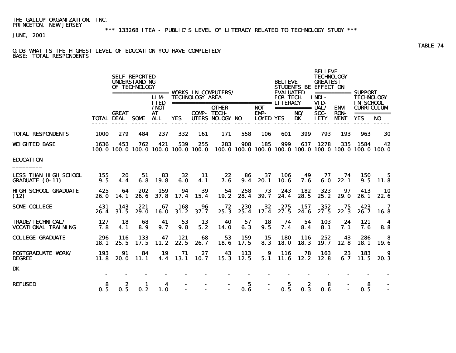\*\*\* 133268 ITEA - PUBLIC'S LEVEL OF LITERACY RELATED TO TECHNOLOGY STUDY \*\*\*

JUNE, 2001

#### Q.D3 WHAT IS THE HIGHEST LEVEL OF EDUCATION YOU HAVE COMPLETED? BASE: TOTAL RESPONDENTS

|                                                        |             |                            | <b>SELF-REPORTED</b><br><b>UNDERSTANDING</b><br>OF TECHNOLOGY |                                   |                                            |                        | ================== WORKS IN COMPUTERS/                       |             |                          | <b>BELIEVE</b><br><b>EVALUATED</b> |                   | <b>BELIEVE</b><br><b>TECHNOLOGY</b><br><b>GREATEST</b><br>STUDENTS BE EFFECT ON |                            | =========== SUPPORT                                               |                |
|--------------------------------------------------------|-------------|----------------------------|---------------------------------------------------------------|-----------------------------------|--------------------------------------------|------------------------|--------------------------------------------------------------|-------------|--------------------------|------------------------------------|-------------------|---------------------------------------------------------------------------------|----------------------------|-------------------------------------------------------------------|----------------|
|                                                        |             |                            |                                                               | <b>LIM</b><br><b>ITED</b><br>/NOT |                                            | <b>TECHNOLOGY AREA</b> | =================================== LITERACY<br><b>OTHER</b> |             | <b>NOT</b>               | <b>FOR TECH</b>                    | ============ UAL/ | INDI-<br>VID-                                                                   |                            | <b>TECHNOLOGY</b><br><b>IN SCHOOL</b><br><b>ENVI - CURRICULUM</b> |                |
|                                                        |             | <b>GREAT</b><br>TOTAL DEAL | SOME                                                          | <b>AT</b><br>ALL.                 | <b>YES</b>                                 |                        | <b>COMP- TECH-</b><br>UTERS NOLOGY NO                        |             | EMP-<br><b>LOYED YES</b> |                                    | NO/<br><b>DK</b>  | SOC-<br><b>IETY</b>                                                             | <b>RON-</b><br><b>MENT</b> | <b>YES</b>                                                        | N <sub>0</sub> |
| <b>TOTAL RESPONDENTS</b>                               | <b>1000</b> | 279                        | 484                                                           | 237                               | 332                                        | 161                    | 171                                                          | 558         | 106                      | 601                                | 399               | 793                                                                             | 193                        | 963                                                               | 30             |
| <b>WEIGHTED BASE</b>                                   | 1636        | 453                        | 762                                                           | 421                               | 539<br>100.0 100.0 100.0 100.0 100.0 100.0 | 255                    | 283<br>100.0 100.0 100.0 100.0 100.0 100.0 100.0 100.0 100.0 | 908         | 185                      | 999                                | 637               | 1278                                                                            | 335                        | 1584                                                              | 42             |
| <b>EDUCATION</b>                                       |             |                            |                                                               |                                   |                                            |                        |                                                              |             |                          |                                    |                   |                                                                                 |                            |                                                                   |                |
| <b>LESS THAN HIGH SCHOOL</b><br><b>GRADUATE (0-11)</b> | 155<br>9.5  | 20<br>4.4                  | 51<br>6.8                                                     | 83<br>19.8                        | 32<br>6.0                                  | -11<br>4.1             | 22<br>7.6                                                    | 86<br>9.4   | 37<br>20.1               | 106<br>10.6                        | 49<br>7.6         | 77<br>6. 0                                                                      | 74<br>22.1                 | 150<br>9.5                                                        | 5.<br>11.8     |
| <b>HIGH SCHOOL GRADUATE</b><br>(12)                    | 425<br>26.0 | 64<br>14.1                 | 202<br>26.6                                                   | 159<br>37.8                       | 94<br>17.4                                 | 39<br>15.4             | 54<br>19.2                                                   | 258<br>28.4 | 73<br><b>39.7</b>        | 243<br>24.4                        | 182<br>28.5       | 323<br>25.2                                                                     | 97<br>29.0                 | 413<br>26.1                                                       | 10<br>22.6     |
| <b>SOME COLLEGE</b>                                    | 431<br>26.4 | 143<br>31.5                | 221<br>29.0                                                   | 67<br><b>16.0</b>                 | 168<br>31.2                                | 96<br>37.7             | 72<br>25.3                                                   | 230<br>25.4 | 32<br>17.4               | 275<br>27.5                        | 157<br>24.6       | 352<br>27.5                                                                     | 75<br>22.3                 | 423<br>26.7                                                       | 7<br>16.8      |
| <b>TRADE/TECHNICAL/</b><br><b>VOCATIONAL TRAINING</b>  | 127<br>7.8  | 18<br>4.1                  | 68<br>8.9                                                     | 41<br>9.7                         | 53<br>9.8                                  | 13<br>5.2              | 40<br><b>14.0</b>                                            | 57<br>6.3   | 18<br>9.5                | 74<br>7.4                          | 54<br>8.4         | 103<br>8.1                                                                      | 24<br>7.1                  | 121<br>7. 6                                                       | 4<br>8.8       |
| <b>COLLEGE GRADUATE</b>                                | 296<br>18.1 | 116<br>25.5                | 133<br>17.5                                                   | 47<br>11.2                        | 121<br>22.5                                | 68<br>26.7             | 53<br>18.6                                                   | 159<br>17.5 | 15<br>8.3                | <b>180</b><br>18.0                 | 116<br>18.3       | 252<br>19.7                                                                     | 43<br>12.8                 | 286<br>18.1                                                       | -8<br>19.6     |
| <b>POSTGRADUATE VORK/</b><br><b>DEGREE</b>             | 193<br>11.8 | 91<br>20.0                 | 84<br>11.1                                                    | 19<br>4.4                         | 71<br>13.1                                 | 27<br>10.7             | 43<br>15.3                                                   | 113<br>12.5 | 9<br>5.1                 | 116<br>11.6                        | 78<br>12.2        | 163<br>12.8                                                                     | 23<br>6.7                  | 183<br>11.5                                                       | 9<br>20.3      |
| DK                                                     |             |                            |                                                               |                                   |                                            |                        |                                                              |             |                          |                                    |                   |                                                                                 |                            |                                                                   |                |
| <b>REFUSED</b>                                         | 8<br>0.5    | 2<br>0.5                   | 1<br>0.2                                                      | 4<br>1.0                          |                                            |                        |                                                              | 5<br>0.6    |                          | 5<br>0.5                           | 2<br>0.3          | 8<br>0.6                                                                        |                            | 8<br>0.5                                                          |                |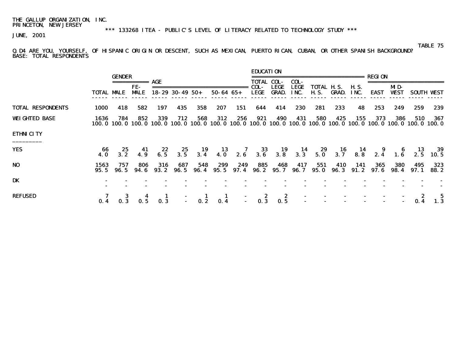\*\*\* 133268 ITEA - PUBLIC'S LEVEL OF LITERACY RELATED TO TECHNOLOGY STUDY \*\*\*

JUNE, 2001

TABLE 75

#### Q.D4 ARE YOU, YOURSELF, OF HISPANIC ORIGIN OR DESCENT, SUCH AS MEXICAN, PUERTO RICAN, CUBAN, OR OTHER SPANISH BACKGROUND? BASE: TOTAL RESPONDENTS

|                          |                   | <b>GENDER</b>    |                    |              |                        |                                                  |                  |             | <b>EDUCATION</b>                                                                      |                                         |                                  |                        |              |               | REGION       |                    |             |                                                                                                                          |
|--------------------------|-------------------|------------------|--------------------|--------------|------------------------|--------------------------------------------------|------------------|-------------|---------------------------------------------------------------------------------------|-----------------------------------------|----------------------------------|------------------------|--------------|---------------|--------------|--------------------|-------------|--------------------------------------------------------------------------------------------------------------------------|
|                          |                   |                  | ===========        | AGE          |                        |                                                  |                  |             | <b>TOTAL COL-</b>                                                                     |                                         | COL-                             | , ==================== |              |               |              |                    |             |                                                                                                                          |
|                          | <b>TOTAL MALE</b> |                  | FE-<br><b>MALE</b> |              | $18 - 29$ 30 - 49 50 + |                                                  | $50 - 64$ $65 +$ |             | COL-<br>LEGE                                                                          | <b>LEGE</b><br><b>GRAD.</b>             | <b>LEGE</b><br>INC.              | TOTAL H.S.<br>H. S.    | GRAD.        | H. S.<br>INC. | <b>EAST</b>  | MD-<br><b>WEST</b> |             | <b>SOUTH WEST</b>                                                                                                        |
| <b>TOTAL RESPONDENTS</b> | 1000              | 418              | 582                | 197          | 435                    | 358                                              | 207              | 151         | 644                                                                                   | 414                                     | 230                              | 281                    | 233          | 48            | 253          | 249                | 259         | 239                                                                                                                      |
| <b>WEIGHTED BASE</b>     | 1636              | 784              | 852                | 339          | 712                    | 568                                              | 312              | 256         | 921                                                                                   | 490                                     | 431                              | 580                    | 425          | 155           | 373          | 386                | 510         | 367<br>100.0 100.0 100.0 100.0 100.0 100.0 100.0 100.0 100.0 100.0 100.0 100.0 100.0 100.0 100.0 100.0 100.0 100.0 100.0 |
| <b>ETHNICITY</b>         |                   |                  |                    |              |                        |                                                  |                  |             |                                                                                       |                                         |                                  |                        |              |               |              |                    |             |                                                                                                                          |
| <b>YES</b>               | 66<br><b>4.0</b>  | 25<br>3.2        | 41<br>4.9          | $22$<br>6.5  |                        |                                                  |                  |             |                                                                                       |                                         |                                  |                        |              |               |              |                    |             | 25 19 13 7 33 19 14 29 16 14 9 6 13 39<br>3.5 3.4 4.0 2.6 3.6 3.8 3.3 5.0 3.7 8.8 2.4 1.6 2.5 10.5                       |
| N <sub>0</sub>           | 1563<br>95.5      | 757<br>96. 5     | 806<br>94. 6       | 316<br>93. 2 | 687<br>96. 5           | 548<br>96.4                                      | 299<br>95.5      | 249<br>97.4 | 885<br>96. 2                                                                          | 468<br>95. 7                            | 417<br>96. 7                     | 551<br>95. O           | 410<br>96. 3 | 141<br>91. 2  | 365<br>97. 6 | <b>380</b><br>98.4 | 495<br>97.1 | 323<br>88.2                                                                                                              |
| DK                       |                   |                  |                    |              |                        |                                                  |                  |             |                                                                                       |                                         |                                  |                        |              |               |              |                    |             |                                                                                                                          |
| <b>REFUSED</b>           |                   | $0.\overline{3}$ | 0.5                | 0.3          |                        | $\begin{array}{cc} - & 1 \\ - & 0.2 \end{array}$ | $\frac{1}{0.4}$  |             | $\begin{array}{ccc} & 2 \\ \textbf{0.3} & \end{array}$<br>$\mathbb{D}^{\mathbb{Z}}$ . | $\begin{array}{c} 2 \\ 0.5 \end{array}$ | $\blacksquare$<br>$\blacksquare$ |                        |              |               |              |                    |             | $\bf{5}$<br>1.3                                                                                                          |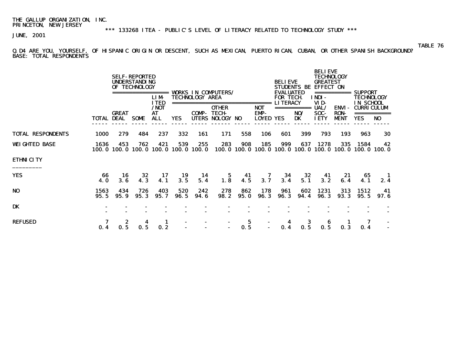\*\*\* 133268 ITEA - PUBLIC'S LEVEL OF LITERACY RELATED TO TECHNOLOGY STUDY \*\*\*

JUNE, 2001

Q.D4 ARE YOU, YOURSELF, OF HISPANIC ORIGIN OR DESCENT, SUCH AS MEXICAN, PUERTO RICAN, CUBAN, OR OTHER SPANISH BACKGROUND? BASE: TOTAL RESPONDENTS

|                          |                   |              | <b>SELF-REPORTED</b><br><b>UNDERSTANDING</b><br>OF TECHNOLOGY | ======<br><b>LIM</b>                    |             | <b>TECHNOLOGY AREA</b> | <b>VORKS IN COMPUTERS/</b>                      |             |                                                 | <b>BELIEVE</b><br><b>EVALUATED</b><br><b>FOR TECH</b><br><b>LITERACY</b> | <b>STUDENTS BE</b>       | <b>BELIEVE</b><br><b>TECHNOLOGY</b><br><b>GREATEST</b><br><b>EFFECT ON</b><br>===========<br>INDI -<br>VID- |                                            | SUPPORT<br>TECHNOLOGY<br><b>IN SCHOOL</b>                     |             |  |
|--------------------------|-------------------|--------------|---------------------------------------------------------------|-----------------------------------------|-------------|------------------------|-------------------------------------------------|-------------|-------------------------------------------------|--------------------------------------------------------------------------|--------------------------|-------------------------------------------------------------------------------------------------------------|--------------------------------------------|---------------------------------------------------------------|-------------|--|
|                          | <b>TOTAL DEAL</b> | <b>GREAT</b> | <b>SOME</b>                                                   | <b>ITED</b><br>/NOT<br>AT<br><b>ALL</b> | <b>YES</b>  | ===========<br>COMP-   | <b>OTHER</b><br><b>TECH-</b><br>UTERS NOLOGY NO |             | =====<br><b>NOT</b><br>EMP-<br><b>LOYED YES</b> |                                                                          | ===========<br>NO/<br>DK | UAL/<br>SOC-<br><b>IETY</b>                                                                                 | <b>ENVI-</b><br><b>RON-</b><br><b>MENT</b> | <b>CURRICULUM</b><br><b>YES</b>                               | NO          |  |
| <b>TOTAL RESPONDENTS</b> | <b>1000</b>       | 279          | 484                                                           | 237                                     | 332         | 161                    | 171                                             | 558         | 106                                             | 601                                                                      | 399                      | 793                                                                                                         | 193                                        | 963                                                           | 30          |  |
| <b>WEIGHTED BASE</b>     | 1636              | 453          | 762<br>100.0 100.0 100.0 100.0 100.0 100.0                    | 421                                     | 539         | 255                    | 283                                             | 908         | 185                                             | 999                                                                      | 637                      | 1278                                                                                                        | 335                                        | 1584<br>100.0 100.0 100.0 100.0 100.0 100.0 100.0 100.0 100.0 | 42          |  |
| <b>ETHNICITY</b>         |                   |              |                                                               |                                         |             |                        |                                                 |             |                                                 |                                                                          |                          |                                                                                                             |                                            |                                                               |             |  |
| <b>YES</b>               | 66<br>4.0         | 16<br>3.6    | 32<br>4.3                                                     | 17<br>4.1                               | 19<br>3.5   | 14<br>5.4              | 5<br>1.8                                        | 41<br>4.5   | 7<br>3.7                                        | 34<br>3.4                                                                | 32<br>5.1                | 41<br>3.2                                                                                                   | 21<br>6.4                                  | 65<br>4. 1                                                    | 2.4         |  |
| N <sub>0</sub>           | 1563<br>95.5      | 434<br>95.9  | 726<br>95.3                                                   | 403<br>95.7                             | 520<br>96.5 | 242<br>94.6            | 278<br>98.2                                     | 862<br>95.0 | 178<br><b>96.3</b>                              | 961<br>96.3                                                              | 602<br>94.4              | 1231<br><b>96.3</b>                                                                                         | 313<br>93.3                                | 1512<br>95.5                                                  | 41<br>97. 6 |  |
| DK                       |                   |              |                                                               |                                         |             |                        |                                                 |             |                                                 |                                                                          |                          |                                                                                                             |                                            |                                                               |             |  |
| <b>REFUSED</b>           | 0.4               | 0. 5         | 0.5                                                           | 0.2                                     |             |                        | $\blacksquare$<br>$\blacksquare$                | 5<br>0.5    |                                                 |                                                                          | 3                        |                                                                                                             |                                            | 0.4                                                           |             |  |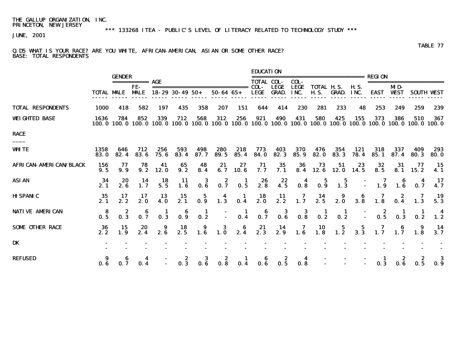\*\*\* 133268 ITEA - PUBLIC'S LEVEL OF LITERACY RELATED TO TECHNOLOGY STUDY \*\*\*

JUNE, 2001

#### TABLE 77 Q.D5 WHAT IS YOUR RACE? ARE YOU WHITE, AFRICAN-AMERICAN, ASIAN OR SOME OTHER RACE? BASE: TOTAL RESPONDENTS

|                                |                                          | <b>GENDER</b>                           |                                         |                                                           |                                                 |                                         |                                                                           |                 | <b>EDUCATION</b>                                                 |                                                                                              |                                                                                                                | :======================                          |                                         |                     | <b>REGION</b>                                                          |                    |                     |                                          |
|--------------------------------|------------------------------------------|-----------------------------------------|-----------------------------------------|-----------------------------------------------------------|-------------------------------------------------|-----------------------------------------|---------------------------------------------------------------------------|-----------------|------------------------------------------------------------------|----------------------------------------------------------------------------------------------|----------------------------------------------------------------------------------------------------------------|--------------------------------------------------|-----------------------------------------|---------------------|------------------------------------------------------------------------|--------------------|---------------------|------------------------------------------|
|                                |                                          |                                         | =========== AGE                         |                                                           |                                                 |                                         |                                                                           |                 | TOTAL COL-                                                       |                                                                                              | COL-                                                                                                           |                                                  |                                         |                     |                                                                        |                    |                     |                                          |
|                                | <b>TOTAL MALE</b>                        |                                         | FE-<br><b>MALE</b>                      |                                                           | =====================<br>$18 - 29$ 30 - 49 50 + |                                         | $50 - 64$ $65 +$                                                          |                 | <b>LEGE</b>                                                      | <b>LEGE</b><br><b>GRAD.</b>                                                                  | <b>LEGE</b><br>INC.                                                                                            | <b>TOTAL H.S.</b><br><b>H.S.</b>                 | GRAD.                                   | <b>H.S.</b><br>INC. | <b>EAST</b>                                                            | MD-<br><b>WEST</b> |                     | <b>SOUTH VEST</b>                        |
| <b>TOTAL RESPONDENTS</b>       | 1000                                     | 418                                     | 582                                     | 197                                                       | 435                                             | 358                                     | 207                                                                       | 151             | 644                                                              | 414                                                                                          | 230                                                                                                            | 281                                              | 233                                     | 48                  | 253                                                                    | 249                | 259                 | 239                                      |
| <b>WEIGHTED BASE</b>           | 1636<br>100. 0                           | 784                                     | 852<br>100.0 100.0                      | 339<br>100. 0                                             | 712<br>100.0                                    | 568<br>100.0                            | 312<br>100.0                                                              | 256<br>100. 0   | 921                                                              | 490<br>100.0 100.0 100.0                                                                     | 431                                                                                                            | 580<br>100.0                                     | 425<br>100. 0                           | 155<br>100. O       | 373<br>100. O                                                          | 386<br>100. 0      | 510<br>100. O       | 367<br>100.0                             |
| <b>RACE</b>                    |                                          |                                         |                                         |                                                           |                                                 |                                         |                                                                           |                 |                                                                  |                                                                                              |                                                                                                                |                                                  |                                         |                     |                                                                        |                    |                     |                                          |
| <b>WHITE</b>                   | 1358<br>83.0                             | 646<br>82.4                             | 712<br>83.6                             | 256<br>75.6                                               | 593<br>83.4                                     | 498<br>87.7                             | 280<br>89.5                                                               | 218<br>85.4     | 773<br>84.0                                                      | 403<br>82.3                                                                                  | 370<br>85.9                                                                                                    | 476<br>82.0                                      | 354<br>83.3                             | 121<br>78.4         | 318<br>85.1                                                            | 337<br>87.4        | 409<br>80.3         | 293<br>80.0                              |
| <b>AFRICAN- AMERICAN/BLACK</b> | 156<br>9.5                               | 77<br>9.9                               | 78<br>9.2                               | 41<br>12.0                                                | 65<br>9.2                                       | 48<br>8.4                               | $21$<br>6.7                                                               | 27<br>10.6      | $\frac{71}{7.7}$                                                 | $\frac{35}{7.1}$                                                                             | $\frac{36}{8.4}$                                                                                               | 73<br>12. 6                                      | 51<br>12. O                             | $23$<br>14.5        | 32<br>8.5                                                              | 31<br>8.1          | 77<br>15.2          | 15<br>4.1                                |
| <b>ASIAN</b>                   | -34<br>2.1                               | $20\n2.6$                               | - 14<br>1.7                             | $\begin{array}{c} 18 \\ 5.5 \end{array}$                  | $\begin{array}{c} \n 11 \\  1.6\n \end{array}$  | $\begin{array}{c} 3 \\ 0.6 \end{array}$ | $0.\overline{7}$                                                          | $\frac{1}{0.5}$ | $26$<br>2.8                                                      | $22$<br>4.5                                                                                  | $\begin{array}{c} \textbf{4} \\ \textbf{0.8} \end{array}$                                                      | $\begin{array}{c} 5 \\ \textbf{0.9} \end{array}$ | $\frac{5}{1.3}$                         |                     | $\begin{array}{cccc} - & 7 & 6 & 4 \\ - & 1.9 & 1.6 & 0.7 \end{array}$ |                    |                     | 17<br>4.7                                |
| <b>HISPANIC</b>                | $\frac{35}{2.1}$                         | $\frac{17}{2.2}$                        | $\frac{17}{2.0}$                        | $\begin{array}{c} \mathbf{13}\\ \mathbf{4.0} \end{array}$ | $\frac{15}{2.1}$                                |                                         | $\begin{array}{cc} & 5 & 4 \\ \textbf{0.9} & 1.3 \end{array}$             |                 | $\begin{array}{cccc} 1 & 18 & 11 \\ 0.4 & 2.0 & 2.2 \end{array}$ |                                                                                              | $\begin{array}{ccccccccc}\n7 & 14 & 9 & 6 & 7 & 2 & 7 \\ 1.7 & 2.5 & 2.0 & 3.8 & 1.8 & 0.4 & 1.3\n\end{array}$ |                                                  |                                         |                     |                                                                        |                    |                     | $\frac{19}{5.3}$                         |
| <b>NATIVE AMERICAN</b>         | $\frac{8}{0.5}$                          | $\begin{array}{c} 2 \\ 0.3 \end{array}$ | $\begin{array}{c} 6 \\ 0.7 \end{array}$ | $\frac{1}{0.3}$                                           | $\begin{array}{c} 6 \\ 0.9 \end{array}$         | $\frac{1}{0.2}$                         | $\mathbb{Z}^+$                                                            |                 |                                                                  | $\begin{array}{ccccccccc}\n & 1 & 6 & 3 & 3 & 1 \\ 0.4 & 0.7 & 0.6 & 0.8 & 0.2\n\end{array}$ |                                                                                                                |                                                  | $\begin{array}{c} 1 \\ 0.2 \end{array}$ |                     | $\begin{array}{cccc} -2 & 1 & 1 \\ - & 0.5 & 0.3 & 0.2 \end{array}$    |                    |                     | $\begin{array}{c} 4 \\ 1.2 \end{array}$  |
| <b>SOME OTHER RACE</b>         | $\begin{array}{c} 36 \\ 2.2 \end{array}$ | $\frac{15}{1.9}$                        | $20$<br>$2.4$                           | $\begin{array}{c} \textbf{9} \\ \textbf{2.6} \end{array}$ |                                                 |                                         | $\begin{array}{cccc} 18 & 9 & 3 & 6 \\ 2.5 & 1.6 & 1.0 & 2.4 \end{array}$ |                 |                                                                  | 21 14 7 10 5 5 7 6 9<br>2.3 2.9 1.6 1.8 1.2 3.3 1.7 1.7 1.8                                  |                                                                                                                |                                                  |                                         |                     |                                                                        |                    |                     | $\begin{array}{c} 14 \\ 3.7 \end{array}$ |
| DK                             |                                          |                                         |                                         |                                                           |                                                 |                                         |                                                                           |                 |                                                                  |                                                                                              |                                                                                                                |                                                  |                                         |                     |                                                                        |                    |                     |                                          |
| <b>REFUSED</b>                 | 0.6                                      |                                         | 4<br>0.4                                |                                                           | 0.3                                             | 3<br>0.6                                | $\frac{2}{0.8}$                                                           | $\frac{1}{0.4}$ | $\begin{array}{c} 6 \\ 0.6 \end{array}$                          | $\frac{2}{0.5}$                                                                              | $\overline{\mathbf{4}}$<br>0.8                                                                                 |                                                  |                                         |                     |                                                                        |                    | 2<br>$\overline{5}$ | $\frac{3}{0.9}$                          |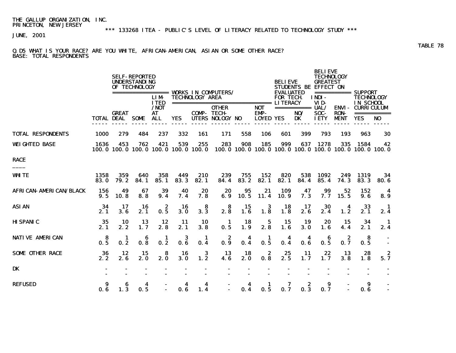\*\*\* 133268 ITEA - PUBLIC'S LEVEL OF LITERACY RELATED TO TECHNOLOGY STUDY \*\*\*

JUNE, 2001

### Q.D5 WHAT IS YOUR RACE? ARE YOU WHITE, AFRICAN-AMERICAN, ASIAN OR SOME OTHER RACE? BASE: TOTAL RESPONDENTS

|                                |                   |                                            | <b>SELF-REPORTED</b><br><b>UNDERSTANDING</b><br>OF TECHNOLOGY |                                   |             |                        | ================== WORKS IN COMPUTERS/                       |             |                                 | <b>BELIEVE</b><br><b>EVALUATED</b> |                           | <b>BELIEVE</b><br><b>TECHNOLOGY</b><br><b>GREATEST</b><br>STUDENTS BE EFFECT ON |                            | =========== SUPPORT                                                    |                               |
|--------------------------------|-------------------|--------------------------------------------|---------------------------------------------------------------|-----------------------------------|-------------|------------------------|--------------------------------------------------------------|-------------|---------------------------------|------------------------------------|---------------------------|---------------------------------------------------------------------------------|----------------------------|------------------------------------------------------------------------|-------------------------------|
|                                |                   |                                            |                                                               | <b>LIM</b><br><b>ITED</b><br>/NOT |             | <b>TECHNOLOGY AREA</b> | =================================== LITERACY<br><b>OTHER</b> |             | <b>NOT</b>                      | <b>FOR TECH</b>                    | $==========$ <b>UAL</b> / | INDI-<br>VID-                                                                   |                            | <b>TECHNOLOGY</b><br><b>IN SCHOOL</b><br><b>ENVI - CURRICULUM</b>      |                               |
|                                | <b>TOTAL DEAL</b> | <b>GREAT</b>                               | <b>SOME</b>                                                   | AT<br><b>ALL</b>                  | <b>YES</b>  | <b>COMP-TECH-</b>      | UTERS NOLOGY NO                                              |             | <b>EMP-</b><br><b>LOYED YES</b> |                                    | NO/<br>DK                 | <b>SOC-</b><br><b>IETY</b>                                                      | <b>RON-</b><br><b>MENT</b> | <b>YES</b>                                                             | ===========<br>N <sub>0</sub> |
| <b>TOTAL RESPONDENTS</b>       | <b>1000</b>       | 279                                        | 484                                                           | 237                               | 332         | 161                    | 171                                                          | 558         | 106                             | 601                                | 399                       | 793                                                                             | 193                        | 963                                                                    | 30                            |
| <b>WEIGHTED BASE</b>           | 1636              | 453<br>100.0 100.0 100.0 100.0 100.0 100.0 | 762                                                           | 421                               | 539         | 255                    | 283                                                          | 908         | 185                             | 999                                | 637                       | 1278                                                                            | 335                        | 1584<br>100, 0 100, 0 100, 0 100, 0 100, 0 100, 0 100, 0 100, 0 100, 0 | 42                            |
| <b>RACE</b>                    |                   |                                            |                                                               |                                   |             |                        |                                                              |             |                                 |                                    |                           |                                                                                 |                            |                                                                        |                               |
| <b>WHITE</b>                   | 1358<br>83.0      | 359<br>79.2                                | 640<br>84.1                                                   | 358<br>85.1                       | 449<br>83.3 | 210<br>82.1            | 239<br>84.4                                                  | 755<br>83.2 | 152<br>82.1                     | 820<br>82.1                        | 538<br>84.4               | 1092<br>85.4                                                                    | 249<br>74.3                | 1319<br>83.3                                                           | 34<br>80.6                    |
| <b>AFRICAN- AMERICAN/BLACK</b> | 156<br>9.5        | 49<br>10.8                                 | 67<br>8.8                                                     | 39<br>9.4                         | 40<br>7.4   | 20<br>7.8              | 20<br>6.9                                                    | 95<br>10.5  | 21<br>11.4                      | 109<br>10.9                        | 47<br>7.3                 | 99<br>7.7                                                                       | 52<br>15.5                 | 152<br>9. 6                                                            | -4<br>8.9                     |
| <b>ASIAN</b>                   | 34<br>2.1         | 17<br>3.6                                  | 16<br>2.1                                                     | 2<br>0.5                          | 16<br>3.0   | 8<br>3.3               | 8<br>2.8                                                     | 15<br>1.6   | 3<br>1.8                        | 18<br>1.8                          | 17<br>2.6                 | 30<br>2.4                                                                       | 4<br>1.2                   | 33<br>2.1                                                              | $\blacksquare$<br>2.4         |
| <b>HISPANIC</b>                | 35<br>2.1         | <b>10</b><br>2.2                           | 13<br>1.7                                                     | 12<br>2.8                         | 11<br>2.1   | 10<br>3.8              | 1<br>0.5                                                     | 18<br>1.9   | 5<br>2.8                        | 15<br>1.6                          | 19<br><b>3.0</b>          | 20<br>1.6                                                                       | 15<br>4.4                  | 34<br>2.1                                                              | $\blacksquare$<br>2.4         |
| <b>NATIVE AMERICAN</b>         | 8<br>0.5          | -1<br>0.2                                  | 6<br>0.8                                                      | -1<br>0.2                         | 3<br>0.6    | -1<br>0.4              | 2<br>0.9                                                     | 4<br>0.4    | 1<br>0.5                        | 4<br>0.4                           | 4<br>0.6                  | 6<br>0.5                                                                        | 2<br>0.7                   | -8<br>0.5                                                              |                               |
| <b>SOME OTHER RACE</b>         | 36<br>2.2         | 12<br>2.6                                  | 15<br>2.0                                                     | 8<br>2.0                          | 16<br>3.0   | 3<br>1.2               | 13<br>4. 6                                                   | 18<br>2.0   | 2<br>0.8                        | 25<br>2.5                          | 11<br>1.7                 | 22<br>1.7                                                                       | 13<br>3.8                  | 28<br>1.8                                                              | 2<br>5.7                      |
| <b>DK</b>                      |                   |                                            |                                                               |                                   |             |                        |                                                              |             |                                 |                                    |                           |                                                                                 |                            |                                                                        |                               |
| <b>REFUSED</b>                 | 0.6               | 6<br>1.3                                   | 4<br>0.5                                                      |                                   | 4<br>0.6    | 4<br>1.4               |                                                              | 4<br>0.4    | 1<br>0.5                        | 0.7                                | 2<br>0.3                  | 9<br>0.7                                                                        |                            | 9<br>0.6                                                               |                               |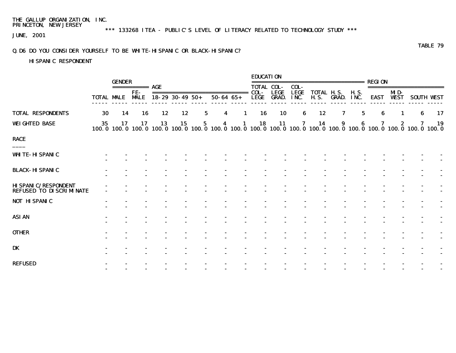\*\*\* 133268 ITEA - PUBLIC'S LEVEL OF LITERACY RELATED TO TECHNOLOGY STUDY \*\*\*

JUNE, 2001

## Q.D6 DO YOU CONSIDER YOURSELF TO BE WHITE-HISPANIC OR BLACK-HISPANIC?

# HISPANIC RESPONDENT

|                                                              |                   | <b>GENDER</b> |                         |                        |    |   |   |                               | <b>EDUCATION</b> |                                  |      |                   |                   |                     |   |     |                                                                                                                        |                |
|--------------------------------------------------------------|-------------------|---------------|-------------------------|------------------------|----|---|---|-------------------------------|------------------|----------------------------------|------|-------------------|-------------------|---------------------|---|-----|------------------------------------------------------------------------------------------------------------------------|----------------|
|                                                              |                   |               | ============ <b>AGE</b> |                        |    |   |   |                               |                  | <b>TOTAL COL-</b>                | COL- |                   |                   |                     |   |     | =======================                                                                                                |                |
|                                                              | <b>TOTAL MALE</b> |               | FE-<br><b>MALE</b>      | $18 - 29$ 30 - 49 50 + |    |   |   | $50 - 64$ $65 +$              | LEGE             | <b>LEGE</b><br><b>GRAD. INC.</b> | LEGE | <b>TOTAL H.S.</b> | <b>H.S. GRAD.</b> | <b>H.S.</b><br>INC. |   | MD- | <b>EAST WEST SOUTH WEST</b>                                                                                            |                |
| <b>TOTAL RESPONDENTS</b>                                     | 30                | 14            | 16                      | 12                     | 12 |   | 5 | 4                             | 16<br>-1         | <b>10</b>                        | 6    | 12                | 7                 | 5                   | 6 | 1   | 6                                                                                                                      | 17             |
| <b>WEIGHTED BASE</b>                                         | 35                | 17            | 17                      | 13                     | 15 | 5 |   | -1<br>$\overline{\mathbf{4}}$ | 18               | 11                               | 7    | 14                | 9                 | 6                   | 7 | 2   | 7<br>100.0 100.0 100.0 100.0 100.0 100.0 100.0 100.0 100.0 100.0 100.0 100.0 100.0 100.0 100.0 100.0 100.0 100.0 100.0 | 19             |
| RACE                                                         |                   |               |                         |                        |    |   |   |                               |                  |                                  |      |                   |                   |                     |   |     |                                                                                                                        |                |
| <b>WHITE- HISPANIC</b>                                       |                   |               |                         |                        |    |   |   |                               |                  |                                  |      |                   |                   |                     |   |     |                                                                                                                        |                |
| BLACK- HI SPANIC                                             |                   |               |                         |                        |    |   |   |                               |                  |                                  |      |                   |                   |                     |   |     |                                                                                                                        |                |
| <b>HISPANIC/RESPONDENT</b><br><b>REFUSED TO DISCRIMINATE</b> |                   |               |                         |                        |    |   |   |                               |                  |                                  |      |                   |                   |                     |   |     |                                                                                                                        |                |
| <b>NOT HISPANIC</b>                                          |                   |               |                         |                        |    |   |   |                               |                  |                                  |      |                   |                   |                     |   |     |                                                                                                                        |                |
| ASIAN                                                        |                   |               |                         |                        |    |   |   |                               |                  |                                  |      |                   |                   |                     |   |     |                                                                                                                        |                |
| <b>OTHER</b>                                                 |                   |               |                         |                        |    |   |   |                               |                  |                                  |      |                   |                   |                     |   |     |                                                                                                                        | $\blacksquare$ |
| DK                                                           |                   |               |                         |                        |    |   |   |                               |                  |                                  |      |                   |                   |                     |   |     |                                                                                                                        |                |
| REFUSED                                                      |                   |               |                         |                        |    |   |   |                               |                  |                                  |      |                   |                   |                     |   |     |                                                                                                                        | $\sim$         |
|                                                              |                   |               |                         |                        |    |   |   |                               |                  |                                  |      |                   |                   |                     |   |     |                                                                                                                        |                |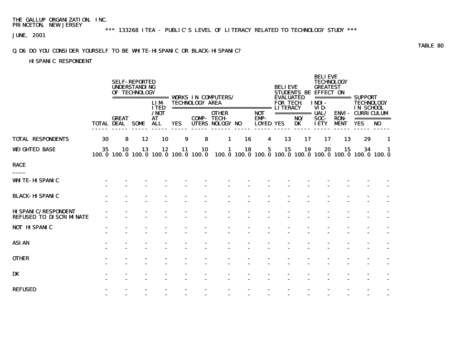\*\*\* 133268 ITEA - PUBLIC'S LEVEL OF LITERACY RELATED TO TECHNOLOGY STUDY \*\*\*

JUNE, 2001

### Q.D6 DO YOU CONSIDER YOURSELF TO BE WHITE-HISPANIC OR BLACK-HISPANIC?

# HISPANIC RESPONDENT

|                                                              |                   |              | <b>SELF-REPORTED</b><br><b>UNDERSTANDING</b><br>OF TECHNOLOGY | =================                 |                                           |                        | <b>WORKS IN COMPUTERS/</b>                       |    |                          | <b>BELIEVE</b><br><b>EVALUATED</b> |                  | <b>BELIEVE</b><br><b>TECHNOLOGY</b><br><b>GREATEST</b><br>STUDENTS BE EFFECT ON | ============ SUPPORT       |                                                     |                                                                                                                                                                                                                                                                                                                                                                                                                                                                                              |
|--------------------------------------------------------------|-------------------|--------------|---------------------------------------------------------------|-----------------------------------|-------------------------------------------|------------------------|--------------------------------------------------|----|--------------------------|------------------------------------|------------------|---------------------------------------------------------------------------------|----------------------------|-----------------------------------------------------|----------------------------------------------------------------------------------------------------------------------------------------------------------------------------------------------------------------------------------------------------------------------------------------------------------------------------------------------------------------------------------------------------------------------------------------------------------------------------------------------|
|                                                              |                   |              |                                                               | <b>LIM</b><br><b>ITED</b><br>/NOT |                                           | <b>TECHNOLOGY AREA</b> | ================================<br><b>OTHER</b> |    | <b>NOT</b>               | <b>FOR TECH</b><br><b>LITERACY</b> | =========== UAL/ | INDI-<br>VID-                                                                   | <b>ENVI</b> -              | <b>TECHNOLOGY</b><br>IN SCHOOL<br><b>CURRICULUM</b> |                                                                                                                                                                                                                                                                                                                                                                                                                                                                                              |
|                                                              | <b>TOTAL DEAL</b> | <b>GREAT</b> | <b>SOME</b>                                                   | <b>AT</b><br>ALL                  | <b>YES</b>                                |                        | <b>COMP- TECH-</b><br>UTERS NOLOGY NO            |    | EMP-<br><b>LOYED YES</b> |                                    | NO/<br>DK        | SOC-<br><b>IETY</b>                                                             | <b>RON-</b><br><b>MENT</b> | <b>YES</b>                                          | $\begin{array}{cccccccccc} \multicolumn{2}{c}{} & \multicolumn{2}{c}{} & \multicolumn{2}{c}{} & \multicolumn{2}{c}{} & \multicolumn{2}{c}{} & \multicolumn{2}{c}{} & \multicolumn{2}{c}{} & \multicolumn{2}{c}{} & \multicolumn{2}{c}{} & \multicolumn{2}{c}{} & \multicolumn{2}{c}{} & \multicolumn{2}{c}{} & \multicolumn{2}{c}{} & \multicolumn{2}{c}{} & \multicolumn{2}{c}{} & \multicolumn{2}{c}{} & \multicolumn{2}{c}{} & \multicolumn{2}{c}{} & \multicolumn{2}{c}{} & \mult$<br>NO |
| <b>TOTAL RESPONDENTS</b>                                     | 30                | 8            | 12                                                            | 10                                | 9                                         | 8                      | 1                                                | 16 | 4                        | 13                                 | 17               | 17                                                                              | 13                         | 29                                                  | 1                                                                                                                                                                                                                                                                                                                                                                                                                                                                                            |
| <b>WEIGHTED BASE</b>                                         | 35                | 10           | 13                                                            | 12                                | 11<br>100.0 100.0 100.0 100.0 100.0 100.0 | 10                     | 1                                                | 18 | 5                        | 15                                 | 19               | 20<br>100.0 100.0 100.0 100.0 100.0 100.0 100.0 100.0 100.0                     | 15                         | 34                                                  | 1                                                                                                                                                                                                                                                                                                                                                                                                                                                                                            |
| <b>RACE</b>                                                  |                   |              |                                                               |                                   |                                           |                        |                                                  |    |                          |                                    |                  |                                                                                 |                            |                                                     |                                                                                                                                                                                                                                                                                                                                                                                                                                                                                              |
| <b>WHITE-HISPANIC</b>                                        |                   |              |                                                               |                                   |                                           |                        |                                                  |    |                          |                                    |                  |                                                                                 |                            |                                                     |                                                                                                                                                                                                                                                                                                                                                                                                                                                                                              |
| <b>BLACK-HISPANIC</b>                                        |                   |              |                                                               |                                   |                                           |                        |                                                  |    |                          |                                    |                  |                                                                                 |                            |                                                     |                                                                                                                                                                                                                                                                                                                                                                                                                                                                                              |
| <b>HISPANIC/RESPONDENT</b><br><b>REFUSED TO DISCRIMINATE</b> |                   |              |                                                               |                                   |                                           |                        |                                                  |    |                          |                                    |                  |                                                                                 |                            |                                                     |                                                                                                                                                                                                                                                                                                                                                                                                                                                                                              |
| <b>NOT HISPANIC</b>                                          |                   |              |                                                               |                                   |                                           |                        |                                                  |    |                          |                                    |                  |                                                                                 |                            |                                                     |                                                                                                                                                                                                                                                                                                                                                                                                                                                                                              |
| <b>ASIAN</b>                                                 |                   |              |                                                               |                                   |                                           |                        |                                                  |    |                          |                                    |                  |                                                                                 |                            |                                                     |                                                                                                                                                                                                                                                                                                                                                                                                                                                                                              |
| <b>OTHER</b>                                                 |                   |              |                                                               |                                   |                                           |                        |                                                  |    |                          |                                    |                  |                                                                                 |                            |                                                     |                                                                                                                                                                                                                                                                                                                                                                                                                                                                                              |
| DK                                                           |                   |              |                                                               |                                   |                                           |                        |                                                  |    |                          |                                    |                  |                                                                                 |                            |                                                     |                                                                                                                                                                                                                                                                                                                                                                                                                                                                                              |
| <b>REFUSED</b>                                               |                   |              |                                                               |                                   |                                           |                        |                                                  |    |                          |                                    |                  |                                                                                 |                            |                                                     |                                                                                                                                                                                                                                                                                                                                                                                                                                                                                              |

TABLE 80 **TABLE 80**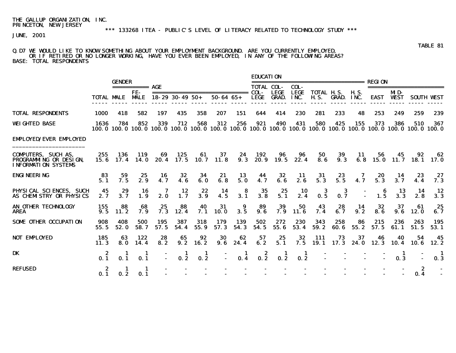JUNE, 2001

#### Q.D7 WE WOULD LIKE TO KNOW SOMETHING ABOUT YOUR EMPLOYMENT BACKGROUND. ARE YOU CURRENTLY EMPLOYED, OR IF RETIRED OR NO LONGER WORKING, HAVE YOU EVER BEEN EMPLOYED, IN ANY OF THE FOLLOWING AREAS? BASE: TOTAL RESPONDENTS

|                                                                                           |                   | <b>GENDER</b>   |                    |                                                                                                                          |                        |               |                                                   |                                         | <b>EDUCATION</b>                         |                             |                     | ----------------------------     |                 |                     | <b>REGION</b>                           |                    |                            |                   |
|-------------------------------------------------------------------------------------------|-------------------|-----------------|--------------------|--------------------------------------------------------------------------------------------------------------------------|------------------------|---------------|---------------------------------------------------|-----------------------------------------|------------------------------------------|-----------------------------|---------------------|----------------------------------|-----------------|---------------------|-----------------------------------------|--------------------|----------------------------|-------------------|
|                                                                                           |                   |                 | =========== AGE    |                                                                                                                          |                        |               |                                                   |                                         | <b>TOTAL COL-</b>                        |                             | COL-                |                                  |                 |                     |                                         |                    | =======================    |                   |
|                                                                                           | <b>TOTAL MALE</b> |                 | FF-<br><b>MALE</b> |                                                                                                                          | $18 - 29$ 30 - 49 50 + |               | -----------------------------<br>$50 - 64$ $65 +$ |                                         | COL-<br><b>LEGE</b>                      | <b>LEGE</b><br><b>GRAD.</b> | <b>LEGE</b><br>INC. | <b>TOTAL H.S.</b><br><b>H.S.</b> | GRAD.           | <b>H.S.</b><br>INC. | <b>EAST</b>                             | MD-<br><b>WEST</b> |                            | <b>SOUTH WEST</b> |
| <b>TOTAL RESPONDENTS</b>                                                                  | 1000              | 418             | 582                | 197                                                                                                                      | 435                    | 358           | 207                                               | 151                                     | 644                                      | 414                         | 230                 | 281                              | 233             | 48                  | 253                                     | 249                | 259                        | 239               |
| <b>WEIGHTED BASE</b>                                                                      | 1636              | 784             | 852                | 339<br>100.0 100.0 100.0 100.0 100.0 100.0 100.0 100.0 100.0 100.0 100.0 100.0 100.0 100.0 100.0 100.0 100.0 100.0 100.0 | 712                    | 568           | 312                                               | 256                                     | 921                                      | 490                         | 431                 | 580                              | 425             | 155                 | 373                                     | 386                | 510                        | 367               |
| <b>EMPLOYED/EVER EMPLOYED</b>                                                             |                   |                 |                    |                                                                                                                          |                        |               |                                                   |                                         |                                          |                             |                     |                                  |                 |                     |                                         |                    |                            |                   |
| <b>COMPUTERS, SUCH AS,</b><br><b>PROGRAMMING OR DESIGN.</b><br><b>INFORMATION SYSTEMS</b> | 255               | 136             | 119                | 69<br>15.6 17.4 14.0 20.4 17.5 10.7                                                                                      | 125                    | 61            | 37<br>11.8                                        | 24<br>9.3                               | 192                                      | 96<br>20.9 19.5             | 96<br>22.4          | 50<br>8.6                        | 39<br>9.3       | -11<br>6.8          | 56                                      | 45                 | 92<br>$15.0$ $11.7$ $18.1$ | 62<br>17. 0       |
| <b>ENGINEERING</b>                                                                        | 83<br>5.1         | 59<br>7.5       | 25<br>2.9          | 16<br>4.7                                                                                                                | 32<br>4.6              | 34<br>6.0     | 21<br>6.8                                         | 13<br>5.0                               | 44<br>4.7                                | 32<br>6.6                   | 11<br>2.6           | 31<br>5.3                        | $23$<br>5.5     | 7<br>4.7            | 20<br>$5.\overline{3}$                  | 14<br>3.7          | 23<br>4.4                  | 27<br>7.3         |
| PHYSICAL SCIENCES, SUCH<br>AS CHEMISTRY OR PHYSICS                                        | 45<br>2.7         | 29<br>3.7       | 16<br>1.9          | 7<br>2.0                                                                                                                 | 12<br>1.7              | 22<br>3.9     | $\frac{14}{4.5}$                                  | $\begin{array}{c} 8 \\ 3.1 \end{array}$ | $\begin{array}{c} 35 \\ 3.8 \end{array}$ | $25$<br>5.1                 | $\frac{10}{2.4}$    | $\frac{3}{0.5}$                  | 0.7             |                     | $\begin{array}{c} 6 \\ 1.5 \end{array}$ | 13<br>3.3          | -14<br>2.8                 | 12<br>3.3         |
| AN OTHER TECHNOLOGY<br><b>AREA</b>                                                        | 155<br>9.5        | 88<br>11.2      | 68<br>7.9          | 25<br>7.3                                                                                                                | 88<br>12.4             | 40<br>7.1     | $\frac{31}{10.0}$                                 | 9<br>3.5                                | 89<br>9.6                                | $\frac{39}{7.9}$            | 50<br>11.6          | 43<br>7.4                        | $28$<br>6.7     | 14<br>9.2           | 32<br>8.6                               | 37<br>9.6          | 61<br><b>12.0</b>          | 25<br>6.7         |
| <b>SOME OTHER OCCUPATION</b>                                                              | 908<br>55.5       | 408<br>52.0     | 500<br>58.7        | 195<br>57.5                                                                                                              | 387<br>54.4            | 318<br>55.9   | 179<br>57.3                                       | 139<br>54.3                             | 502<br>54.5                              | 272<br>55.6                 | 230<br>53.4         | 343<br>59.2                      | 258<br>60.6     | 86<br>55.2          | 215<br>57.5                             | 236<br>61.1        | 263<br>51.5                | 195<br>53.1       |
| <b>NOT EMPLOYED</b>                                                                       | 185<br>11.3       | 63<br>8.0       | 122<br>14.4        | 28<br>8.2                                                                                                                | 65<br>9.2              | 92<br>16.2    | 30<br>9.6                                         | 62<br>24.4                              | 57<br>6.2                                | 25<br>5.1                   | 32<br>7.5           | 111                              | 73<br>19.1 17.3 | 37<br>24.0          | 46<br>12.3                              | 40<br>10.4         | 54<br>10.6                 | 45<br>12.2        |
| <b>DK</b>                                                                                 | 0.1               | $\frac{1}{0.1}$ | 0.1                |                                                                                                                          | $\frac{1}{0.2}$        | $\frac{1}{2}$ |                                                   | $\frac{1}{0.4}$                         | $0.\overline{2}$                         | $\frac{1}{2}$               | $\frac{1}{0.2}$     |                                  |                 |                     |                                         | 0.3                |                            | 0.3               |
| <b>REFUSED</b>                                                                            | $\frac{2}{0.1}$   | 0.2             | 0.1                |                                                                                                                          |                        |               |                                                   |                                         |                                          |                             |                     |                                  |                 |                     |                                         |                    | 2<br>0.4                   |                   |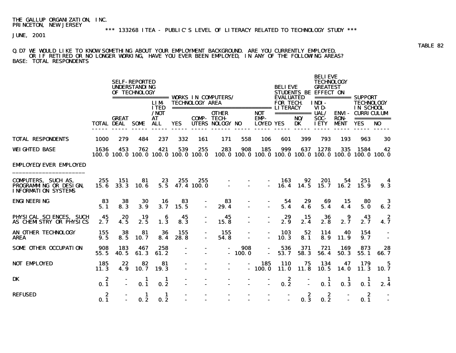JUNE, 2001

#### Q.D7 WE WOULD LIKE TO KNOW SOMETHING ABOUT YOUR EMPLOYMENT BACKGROUND. ARE YOU CURRENTLY EMPLOYED, OR IF RETIRED OR NO LONGER WORKING, HAVE YOU EVER BEEN EMPLOYED, IN ANY OF THE FOLLOWING AREAS? BASE: TOTAL RESPONDENTS

|                                                                                                          |                         |                                        | <b>SELF-REPORTED</b><br><b>UNDERSTANDING</b><br>OF TECHNOLOGY | <b>LIM</b>                              |                         | <b>TECHNOLOGY AREA</b> |                                                                                                  |                          |                                               | <b>BELIEVE</b><br><b>EVALUATED</b><br><b>FOR TECH</b> |                                      | <b>BELIEVE</b><br><b>TECHNOLOGY</b><br><b>GREATEST</b><br>STUDENTS BE EFFECT ON<br>INDI- |                            | =========== SUPPORT<br><b>TECHNOLOGY</b>           |                 |
|----------------------------------------------------------------------------------------------------------|-------------------------|----------------------------------------|---------------------------------------------------------------|-----------------------------------------|-------------------------|------------------------|--------------------------------------------------------------------------------------------------|--------------------------|-----------------------------------------------|-------------------------------------------------------|--------------------------------------|------------------------------------------------------------------------------------------|----------------------------|----------------------------------------------------|-----------------|
|                                                                                                          |                         | <b>GREAT</b><br><b>TOTAL DEAL SOME</b> |                                                               | <b>ITED</b><br>/NOT<br><b>AT</b><br>ALL | <b>YES</b>              | <b>COMP- TECH-</b>     | <b>OTHER</b><br>UTERS NOLOGY NO                                                                  |                          | <b>NOT</b><br><b>EMP-</b><br><b>LOYED YES</b> |                                                       | =========== <b>UAL/</b><br>NO/<br>DK | VID-<br>SOC-<br><b>IETY</b>                                                              | <b>RON-</b><br><b>MENT</b> | IN SCHOOL<br><b>ENVI- CURRICULUM</b><br><b>YES</b> | NO <sub>1</sub> |
| <b>TOTAL RESPONDENTS</b>                                                                                 | <b>1000</b>             | 279                                    | 484                                                           | 237                                     | 332                     | 161                    | 171                                                                                              | 558                      | 106                                           | 601                                                   | 399                                  | 793                                                                                      | 193                        | 963                                                | 30              |
| <b>WEIGHTED BASE</b>                                                                                     | 1636                    | 453                                    | 762                                                           | 421                                     | 539                     | 255                    | 283<br>100.0 100.0 100.0 100.0 100.0 100.0 100.0 100.0 100.0 100.0 100.0 100.0 100.0 100.0 100.0 | 908                      | 185                                           | 999                                                   | 637                                  | 1278                                                                                     | 335                        | 1584                                               | 42              |
| <b>EMPLOYED/EVER EMPLOYED</b>                                                                            |                         |                                        |                                                               |                                         |                         |                        |                                                                                                  |                          |                                               |                                                       |                                      |                                                                                          |                            |                                                    |                 |
| <b>COMPUTERS, SUCH AS,</b><br><b>PROGRAMMING OR DESIGN, 15.6 33.3 10.6</b><br><b>INFORMATION SYSTEMS</b> | 255                     | - 151                                  | 81                                                            | 23                                      | 255<br>$5.5$ 47.4 100.0 |                        | $255$ - -<br>DO. 0                                                                               |                          | $\sim 100$                                    | 163<br>16.4                                           | 92<br>14.5                           | 201<br>15.7                                                                              | 54.<br>16. 2               | 251<br>15.9                                        | 4<br>9.3        |
| <b>ENGINEERING</b>                                                                                       | 83<br>5.1               | 38<br>8.3                              | 30<br>3.9                                                     | 16<br>3.7                               | 83<br>15.5              |                        | 83<br>29.4                                                                                       | $\blacksquare$           | $\sim$                                        | -54<br>5.4                                            | 29<br>4.6                            | 69<br>5.4                                                                                | 15<br>4.4                  | 80<br>5.0                                          | -3<br>6.2       |
| PHYSICAL SCIENCES, SUCH<br>AS CHEMISTRY OR PHYSICS                                                       | 45<br>2.7               | 20<br>4.5                              | 19<br>2.5                                                     | 6<br>1.3                                | 45<br>8.3               |                        | 45<br>15.8                                                                                       | $\overline{\phantom{0}}$ | $\blacksquare$                                | 29<br>2.9                                             | 15<br>2.4                            | 36<br>2.8                                                                                | 9<br>2.7                   | 43<br>2.7                                          | -2<br>4.7       |
| AN OTHER TECHNOLOGY<br>AREA                                                                              | 155<br>9.5              | 38<br>8.5                              | 81<br>10.7                                                    | 36<br>8.4                               | 155<br>28.8             |                        | 155<br>54.8                                                                                      | $\sim$                   |                                               | 103<br>10.3                                           | 52<br>8.1                            | 114<br>8.9                                                                               | 40<br>11.9                 | 154<br>9.7                                         |                 |
| <b>SOME OTHER OCCUPATION</b>                                                                             | 908<br>55.5             | 183<br>40.5                            | 467<br>61.3                                                   | 258<br>61.2                             | $\sim$                  |                        |                                                                                                  | 908<br>$-100.0$          | $\sim$ 10 $\pm$                               | 536<br>53.7                                           | 371<br>58.3                          | 721<br>56.4                                                                              | 169<br>50.3                | 873<br>55.1                                        | 28<br>66.7      |
| <b>NOT EMPLOYED</b>                                                                                      | 185<br>11.3             | 22<br>4.9                              | 82<br>10.7                                                    | 81<br><b>19.3</b>                       |                         |                        | $\sim$                                                                                           |                          | 185<br>$-100.0$                               | <b>110</b><br><b>11.0</b>                             | 75<br>11.8                           | 134<br>10.5                                                                              | 47<br><b>14.0</b>          | 179<br>11.3                                        | 5<br>10.7       |
| <b>DK</b>                                                                                                | $\boldsymbol{z}$<br>0.1 |                                        | 1<br>0.1                                                      | 1<br>0.2                                |                         |                        |                                                                                                  |                          |                                               | 2<br>0.2                                              |                                      | 1<br>0.1                                                                                 | 1<br>0.3                   | 1.<br>0.1                                          | 2.4             |
| <b>REFUSED</b>                                                                                           | $\boldsymbol{z}$<br>0.1 |                                        | -1<br>0.2                                                     | -1<br>0.2                               |                         |                        |                                                                                                  |                          |                                               |                                                       | -2<br>0.3                            | - 2<br>0.2                                                                               |                            | - 2<br>0.1                                         |                 |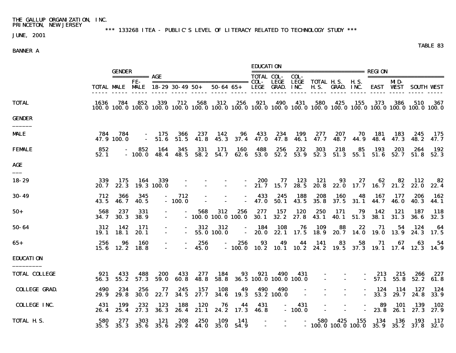JUNE, 2001

\*\*\* 133268 ITEA - PUBLIC'S LEVEL OF LITERACY RELATED TO TECHNOLOGY STUDY \*\*\*

## BANNER A

|                      |              |                    |                        |                                                                                                                                      |                         |                     |                                            |                       | <b>EDUCATION</b>                   |                                   |                               |                                                |                          |                                                         |                          |                         |                    |               |
|----------------------|--------------|--------------------|------------------------|--------------------------------------------------------------------------------------------------------------------------------------|-------------------------|---------------------|--------------------------------------------|-----------------------|------------------------------------|-----------------------------------|-------------------------------|------------------------------------------------|--------------------------|---------------------------------------------------------|--------------------------|-------------------------|--------------------|---------------|
|                      |              | <b>GENDER</b>      | =========== <b>AGE</b> |                                                                                                                                      |                         |                     |                                            |                       | <b>TOTAL COL-</b>                  |                                   | COL-                          |                                                |                          |                                                         | ======================== |                         |                    |               |
|                      |              |                    | FE-                    | TOTAL MALE MALE 18-29 30-49 50+                                                                                                      |                         |                     |                                            |                       |                                    | LEGE<br>50-64 65+ LEGE GRAD. INC. |                               | LEGE TOTAL H.S. H.S.<br><b>H.S. GRAD. INC.</b> |                          |                                                         |                          | MD-<br><b>EAST WEST</b> | – SOUTH WEST       |               |
| <b>TOTAL</b>         | 1636         | 784                | 852                    | 339<br>100. 0 100. 0 100. 0 100. 0 100. 0 100. 0 100. 0 100. 0 100. 0 100. 0 100. 0 100. 0 100. 0 100. 0 100. 0 100. 0 100. 0 100. 0 | 712                     | 568                 | 312                                        | 256                   | 921                                | 490                               | 431                           | 580                                            | 425                      | 155                                                     | 373                      | 386                     | 510                | 367           |
| <b>GENDER</b>        |              |                    |                        |                                                                                                                                      |                         |                     |                                            |                       |                                    |                                   |                               |                                                |                          |                                                         |                          |                         |                    |               |
| <b>MALE</b>          | 784          | 784<br>47.9 100.0  | $\sim$                 | - 175<br>51.6                                                                                                                        | 366<br>51.5             | 237<br>41.8         | 142<br>45.3                                | 96<br>37.4            | 433<br>47. O                       | 234<br>47.8                       | 199<br>46. 1                  | 277<br>47. 7                                   | 207<br>48. 7             | 70<br>44.9                                              | 181<br>48.4              | 183<br>47.3             | 245<br>48. 2       | - 175<br>47.7 |
| <b>FEMALE</b>        | 852<br>52.1  |                    | 852<br>- 100.0         | 164<br>48.4                                                                                                                          | 345<br>48. 5            | 331<br>58.2         | 171<br>54.7                                | 160<br>62.6           | 488<br>53.0                        | 256<br>52.2                       | 232<br>53.9                   | 303                                            | 218                      | 85<br>52.3 51.3 55.1 51.6 52.7                          | 193                      | 203                     | 264<br>51.8        | 192<br>52.3   |
| AGE                  |              |                    |                        |                                                                                                                                      |                         |                     |                                            |                       |                                    |                                   |                               |                                                |                          |                                                         |                          |                         |                    |               |
| 18-29                | 339<br>20. 7 | 175<br>22.3        | 164                    | 339<br>19.3 100.0                                                                                                                    |                         |                     | $\overline{\phantom{a}}$<br>$\blacksquare$ | $\sim$                | 200                                | 77<br>$-21.7$ 15.7                | 123<br>28.5                   | 121<br>20. 8                                   | 93                       | 27<br>22.0 17.7 16.7                                    | 62                       | 82<br>21.2              | 112<br>22.0        | 82<br>22.4    |
| $30 - 49$            | 712<br>43.5  | 366<br>46.7        | 345<br><b>40.5</b>     | $\sim$ 10 $\pm$                                                                                                                      | 712<br>$-100.0$         |                     |                                            |                       | 433<br>47.0                        | 245<br>50.1                       | 188<br>43.5                   | 208<br>35.8                                    | 160<br>37.5              | 48<br>31.1                                              | 167<br>44.7              | 177<br><b>46.0</b>      | 206<br><b>40.3</b> | 162<br>44.1   |
| $50+$                | 568<br>34. 7 | 237<br><b>30.3</b> | 331<br><b>38.9</b>     | $\blacksquare$                                                                                                                       |                         | 568                 | 312<br>$-100.0100.0100.0$                  | 256                   | 277<br><b>30.1</b>                 | 157                               | 120<br>32.2 27.8              | 250<br>43.1                                    | 171<br>40.1              | 79<br>51.3                                              | 142<br><b>38.1</b>       | 121<br>31.3             | 187<br><b>36.6</b> | -118<br>32.3  |
| 50-64                | 312<br>19. 1 | 142<br>18. 1       | -171<br>20. 1          | $\blacksquare$<br>$\blacksquare$                                                                                                     |                         | 312                 | 312<br>$-55.0100.0$                        | $\sim$                | 184                                | 108                               | 76                            | 109<br>$-20.0$ 22.1 17.5 18.9                  | 88                       | 22<br>20.7 14.0                                         | 71<br>19. O              | 54<br>13.9              | 124<br>24.3        | 64<br>- 17. 5 |
| 65+                  | 256<br>15. 6 | 96<br>12.2         | 160<br>18. 8           |                                                                                                                                      |                         | 256<br><b>45. O</b> |                                            | 256<br>$-100.0$       | 93                                 | 49                                | 44                            | -141                                           | 83                       | 58<br>10.2 10.1 10.2 24.2 19.5 37.3 19.1 17.4 12.3 14.9 | 71                       | 67                      | 63                 | 54            |
| <b>EDUCATION</b>     |              |                    |                        |                                                                                                                                      |                         |                     |                                            |                       |                                    |                                   |                               |                                                |                          |                                                         |                          |                         |                    |               |
| <b>TOTAL COLLEGE</b> | 921<br>56.3  | 433<br>55.2        | 488<br>57.3            | 200<br>59.0                                                                                                                          | 433<br>60.8             | 277<br>48.8         | 184<br>58.8                                | 93                    | 921                                | 490                               | 431<br>36.5 100.0 100.0 100.0 | $\blacksquare$                                 | $\sim$                   | $\sim$                                                  | $-213$<br>57. 1          | 215<br>55.8             | 266<br>52.2        | 227<br>61.8   |
| <b>COLLEGE GRAD.</b> | 490<br>29.9  | 234<br>29.8        | 256<br><b>30.0</b>     | 77<br>22.7                                                                                                                           | 245<br>34.5             | 157<br>27.7         | 108<br>34.6                                | 49<br><b>19.3</b>     | 490                                | 490<br>53.2 100.0                 | $\overline{\phantom{a}}$      |                                                |                          |                                                         | 124<br>33.3              | 114<br>29. 7            | 127<br>24.8        | 124<br>33.9   |
| <b>COLLEGE INC.</b>  | 431<br>26.4  | 199<br>25.4        | 232<br>27.3            | 123<br><b>36.3</b>                                                                                                                   | 188<br>26.4             | 120<br>21.1         | 76<br>24. 2                                | 44<br>17.3            | 431<br>46. 8                       |                                   | 431<br>$-100.0$               | $\overline{\phantom{a}}$                       | $\overline{\phantom{a}}$ | $\overline{\phantom{a}}$                                | 89<br>23.8               | 101<br>26. 1            | 139<br>27.3        | 102<br>27.9   |
| <b>TOTAL H.S.</b>    | 580<br>35.5  | 277                | 303<br>35.3 35.6       | 121                                                                                                                                  | 208<br>$35.6$ 29.2 44.0 | 250                 | 109                                        | -141<br>$35.0$ $54.9$ | $\overline{\phantom{0}}$<br>$\sim$ | $\sim$<br>$\sim$                  | $\sim$                        | 580                                            | 425                      | 155<br>$-100.0100.0100.035.935.237.832.0$               | 134                      | 136                     | 193                | -117          |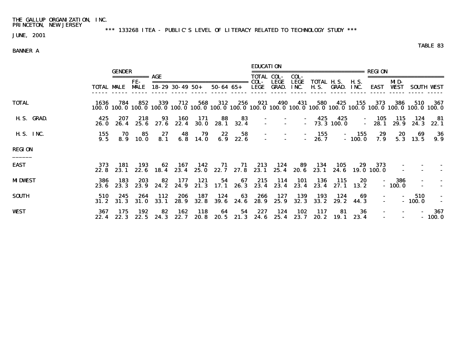\*\*\* 133268 ITEA - PUBLIC'S LEVEL OF LITERACY RELATED TO TECHNOLOGY STUDY \*\*\*

JUNE, 2001

### BANNER A

 EDUCATION GENDER ================================== REGION =========== AGE TOTAL COL- COL- ======================= FE- ============================= COL- LEGE LEGE TOTAL H.S. H.S. MID- TOTAL MALE MALE 18-29 30-49 50+ 50-64 65+ LEGE GRAD. INC. H.S. GRAD. INC. EAST WEST SOUTH WEST ----- ----- ----- ----- ----- ----- ----- ----- ----- ----- ----- ----- ----- ----- ----- ----- ----- ----- TOTAL 1636 784 852 339 712 568 312 256 921 490 431 580 425 155 373 386 510 367 100.0 100.0 100.0 100.0 100.0 100.0 100.0 100.0 100.0 100.0 100.0 100.0 100.0 100.0 100.0 100.0 100.0 100.0 H.S. GRAD. 425 207 218 93 160 171 88 83 - - - 425 425 - 105 115 124 81<br>26.0 26.4 25.6 27.6 22.4 30.0 28.1 32.4 - - - 73.3 100.0 - 28.1 29.9 24.3 22.1 26.0 26.4 25.6 27.6 22.4 30.0 28.1 32.4 H.S. INC. 155 70 85 27 48 79 22 58 - - - 155 - 155 29 20 69 36 9.5 8.9 10.0 8.1 6.8 14.0 6.9 22.6 - - - 26.7 - 100.0 7.9 5.3 13.5 9.9 REGION \_\_\_\_\_\_ EAST 373 181 193 62 167 142 71 71 213 124 89 134 105 29 373 22.8 23.1 22.6 18.4 23.4 25.0 22.7 27.8 23.1 25.4 20.6 23.1 24.6 19.0 100.0 -MDWEST 386 183 203 82 177 121 54 67 215 114 101 136 115 20 - 386 183 203 82 177 121 54 67 215 114 101 136 115 20 - 386  $23.6$   $23.3$   $23.9$   $24.2$   $24.9$   $21.3$   $17.1$   $26.3$   $23.4$   $23.4$   $23.4$   $23.4$   $27.1$   $13.2$ SOUTH 510 245 264 112 206 187 124 63 266 127 139 193 124 69 - - 510 -  $31.2$   $31.3$   $31.0$   $33.1$   $28.9$   $32.8$   $39.6$   $24.6$   $28.9$   $25.9$   $32.3$   $33.2$   $29.2$   $44.3$   $-100.0$ WEST 367 175 192 82 162 118 64 54 227 124 102 117 81 36 - - - 367  $22.4$   $22.3$   $22.5$   $24.3$   $22.7$   $20.8$   $20.5$   $21.3$   $24.6$   $25.4$   $23.7$   $20.2$   $19.1$   $23.4$   $-$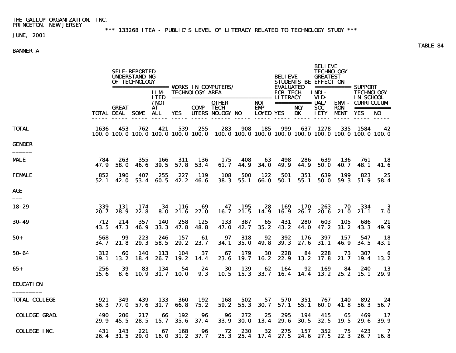\*\*\* 133268 ITEA - PUBLIC'S LEVEL OF LITERACY RELATED TO TECHNOLOGY STUDY \*\*\*

JUNE, 2001

### BANNER A

 BELIEVE SELF-REPORTED TECHNOLOGY UNDERSTANDING BELIEVE GREATEST OF TECHNOLOGY STUDENTS BE EFFECT ON ================= WORKS IN COMPUTERS/ EVALUATED =========== SUPPORT LIM- TECHNOLOGY AREA FOR TECH. INDI- TECHNOLOGY ITED ============================== LITERACY VID- IN SCHOOL /NOT OTHER NOT =========== UAL/ ENVI- CURRICULUM COMP- TECH- EMP- NO/ SOC- RON- ===========<br>UTERS NOLOGY NO LOYED YES DK IETY MENT YES NO TOTAL DEAL SOME ALL YES ----- ----- ----- ----- ----- ----- ------ ----- ----- ----- ----- ----- ----- ----- ----- TOTAL 1636 453 762 421 539 255 283 908 185 999 637 1278 335 1584 42 100.0 100.0 100.0 100.0 100.0 100.0 100.0 100.0 100.0 100.0 100.0 100.0 100.0 100.0 100.0 GENDER \_\_\_\_\_\_ MALE 784 263 355 166 311 136 175 408 63 498 286 639 136 761 18 47.9 58.0 46.6 39.5 57.8 53.4 61.7 44.9 34.0 49.9 44.9 50.0 40.7 48.1 41.6 FEMALE 852 190 407 255 227 119 108 500 122 501 351 639 199 823 25 52.1 42.0 53.4 60.5 42.2 46.6 38.3 55.1 66.0 50.1 55.1 50.0 59.3 51.9 58.4 AGE \_\_\_ 18-29 339 131 174 34 116 69 47 195 28 169 170 263 70 334 3 20.7 28.9 22.8 8.0 21.6 27.0 16.7 21.5 14.9 16.9 26.7 20.6 21.0 21.1 7.0 30-49 712 214 357 140 258 125 133 387 65 431 280 603 105 686 21 43.5 47.3 46.9 33.3 47.8 48.8 47.0 42.7 35.2 43.2 44.0 47.2 31.2 43.3 49.9 50+ 568 99 223 246 157 61 97 318 92 392 176 397 157 547 18 34.7 21.8 29.3 58.5 29.2 23.7 34.1 35.0 49.8 39.3 27.6 31.1 46.9 34.5 43.1 50-64 312 60 140 113 104 37 67 179 30 228 84 228 73 307 6 19.1 13.2 18.4 26.7 19.2 14.4 23.6 19.7 16.2 22.9 13.2 17.8 21.7 19.4 13.2 65+ 256 39 83 134 54 24 30 139 62 164 92 169 84 240 13 15.6 8.6 10.9 31.7 10.0 9.3 10.5 15.3 33.7 16.4 14.4 13.2 25.2 15.1 29.9 EDUCATION  $\overline{\phantom{a}}$ TOTAL COLLEGE 921 349 439 133 360 192 168 502 57 570 351 767 140 892 24 56.3 77.0 57.6 31.7 66.8 75.2 59.2 55.3 30.7 57.1 55.1 60.0 41.8 56.3 56.7 COLLEGE GRAD. 490 206 217 66 192 96 96 272 25 295 194 415 65 469 17 29.9 45.5 28.5 15.7 35.6 37.4 33.9 30.0 13.4 29.6 30.5 32.5 19.5 29.6 39.9 COLLEGE INC. 431 143 221 67 168 96 72 230 32 275 157 352 75 423 7 26.4 31.5 29.0 16.0 31.2 37.7 25.3 25.4 17.4 27.5 24.6 27.5 22.3 26.7 16.8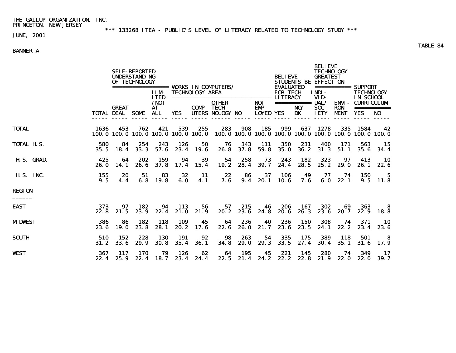\*\*\* 133268 ITEA - PUBLIC'S LEVEL OF LITERACY RELATED TO TECHNOLOGY STUDY \*\*\*

JUNE, 2001

### BANNER A

 BELIEVE SELF-REPORTED TECHNOLOGY UNDERSTANDING BELIEVE GREATEST OF TECHNOLOGY STUDENTS BE EFFECT ON ================= WORKS IN COMPUTERS/ EVALUATED =========== SUPPORT LIM- TECHNOLOGY AREA FOR TECH. INDI- TECHNOLOGY ITED ============================== LITERACY VID- IN SCHOOL /NOT OTHER NOT =========== UAL/ ENVI- CURRICULUM COMP- TECH- EMP- NO/ SOC- RON- ===========<br>YES UTERS NOLOGY NO LOYED YES DK IETY MENT YES NO TOTAL DEAL SOME ALL YES ----- ----- ----- ----- ----- ----- ------ ----- ----- ----- ----- ----- ----- ----- ----- TOTAL 1636 453 762 421 539 255 283 908 185 999 637 1278 335 1584 42 100.0 100.0 100.0 100.0 100.0 100.0 100.0 100.0 100.0 100.0 100.0 100.0 100.0 100.0 100.0 TOTAL H.S. 580 84 254 243 126 50 76 343 111 350 231 400 171 563 15 35.5 18.4 33.3 57.6 23.4 19.6 26.8 37.8 59.8 35.0 36.2 31.3 51.1 35.6 34.4 H.S. GRAD. 425 64 202 159 94 39 54 258 73 243 182 323 97 413 10 26.0 14.1 26.6 37.8 17.4 15.4 19.2 28.4 39.7 24.4 28.5 25.2 29.0 26.1 22.6 H.S. INC. 155 20 51 83 32 11 22 86 37 106 49 77 74 150 5 9.5 4.4 6.8 19.8 6.0 4.1 7.6 9.4 20.1 10.6 7.6 6.0 22.1 9.5 11.8 REGION \_\_\_\_\_\_ EAST 373 97 182 94 113 56 57 215 46 206 167 302 69 363 8 22.8 21.5 23.9 22.4 21.0 21.9 20.2 23.6 24.8 20.6 26.3 23.6 20.7 22.9 18.8 MIDWEST 386 86 182 118 109 45 64 236 40 236 150 308 74 371 10 23.6 19.0 23.8 28.1 20.2 17.6 22.6 26.0 21.7 23.6 23.5 24.1 22.2 23.4 23.6 SOUTH 510 152 228 130 191 92 98 263 54 335 175 389 118 501 8 31.2 33.6 29.9 30.8 35.4 36.1 34.8 29.0 29.3 33.5 27.4 30.4 35.1 31.6 17.9 WEST 367 117 170 79 126 62 64 195 45 221 145 280 74 349 17 22.4 25.9 22.4 18.7 23.4 24.4 22.5 21.4 24.2 22.2 22.8 21.9 22.0 22.0 39.7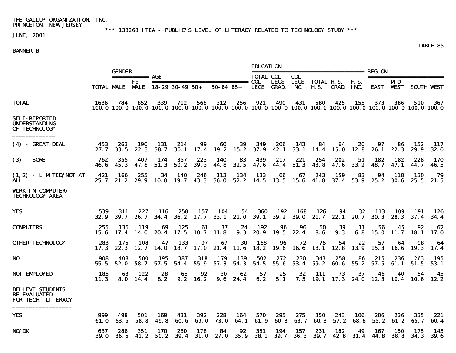\*\*\* 133268 ITEA - PUBLIC'S LEVEL OF LITERACY RELATED TO TECHNOLOGY STUDY \*\*\*

JUNE, 2001

#### BANNER B

 EDUCATION GENDER ================================== REGION =========== AGE TOTAL COL- COL- ======================= FE- ============================= COL- LEGE LEGE TOTAL H.S. H.S. MID- TOTAL MALE MALE 18-29 30-49 50+ 50-64 65+ LEGE GRAD. INC. H.S. GRAD. INC. EAST WEST SOUTH WEST ----- ----- ----- ----- ----- ----- ----- ----- ----- ----- ----- ----- ----- ----- ----- ----- ----- ----- TOTAL 1636 784 852 339 712 568 312 256 921 490 431 580 425 155 373 386 510 367 100.0 100.0 100.0 100.0 100.0 100.0 100.0 100.0 100.0 100.0 100.0 100.0 100.0 100.0 100.0 100.0 100.0 100.0 SELF-REPORTED UNDERSTANDING OF TECHNOLOGY \_\_\_\_\_\_\_\_\_\_\_\_\_ (4) - GREAT DEAL 453 263 190 131 214 99 60 39 349 206 143 84 64 20 97 86 152 117 27.7 33.5 22.3 38.7 30.1 17.4 19.2 15.2 37.9 42.1 33.1 14.4 15.0 12.8 26.1 22.3 29.9 32.0 (3) - SOME 762 355 407 174 357 223 140 83 439 217 221 254 202 51 182 182 228 170 46.6 45.3 47.8 51.3 50.2 39.3 44.8 32.5 47.6 44.4 51.3 43.8 47.6 33.2 48.7 47.1 44.7 46.5 (1,2) - LIMITED/NOT AT 421 166 255 34 140 246 113 134 133 66 67 243 159 83 94 118 130 79 ALL 25.7 21.2 29.9 10.0 19.7 43.3 36.0 52.2 14.5 13.5 15.6 41.8 37.4 53.9 25.2 30.6 25.5 21.5 WORK IN COMPUTER/ TECHNOLOGY AREA \_\_\_\_\_\_\_\_\_\_\_\_\_\_\_ YES 539 311 227 116 258 157 104 54 360 192 168 126 94 32 113 109 191 126 32.9 39.7 26.7 34.4 36.2 27.7 33.1 21.0 39.1 39.2 39.0 21.7 22.1 20.7 30.3 28.3 37.4 34.4 COMPUTERS 255 136 119 69 125 61 37 24 192 96 96 50 39 11 56 45 92 62 15.6 17.4 14.0 20.4 17.5 10.7 11.8 9.3 20.9 19.5 22.4 8.6 9.3 6.8 15.0 11.7 18.1 17.0 OTHER TECHNOLOGY 283 175 108 47 133 97 67 30 168 96 72 76 54 22 57 64 98 64 17.3 22.3 12.7 14.0 18.7 17.0 21.4 11.6 18.2 19.6 16.6 13.1 12.8 13.9 15.3 16.6 19.3 17.4 NO 908 408 500 195 387 318 179 139 502 272 230 343 258 86 215 236 263 195 55.5 52.0 58.7 57.5 54.4 55.9 57.3 54.3 54.5 55.6 53.4 59.2 60.6 55.2 57.5 61.1 51.5 53.1 NOT EMPLOYED 185 63 122 28 65 92 30 62 57 25 32 111 73 37 46 40 54 45 11.3 8.0 14.4 8.2 9.2 16.2 9.6 24.4 6.2 5.1 7.5 19.1 17.3 24.0 12.3 10.4 10.6 12.2 BELIEVE STUDENTS BE EVALUATED FOR TECH. LITERACY \_\_\_\_\_\_\_\_\_\_\_\_\_\_\_\_\_\_ YES 999 498 501 169 431 392 228 164 570 295 275 350 243 106 206 236 335 221

61.0 63.5 58.8 49.8 60.6 69.0 73.0 64.1 61.9 60.3 63.7 60.3 57.2 68.6 55.2 61.2 65.7 60.4

39.0 36.5 41.2 50.2 39.4 31.0 27.0 35.9 38.1 39.7 36.3 39.7 42.8 31.4 44.8 38.8 34.3 39.6

NO/DK 637 286 351 170 280 176 84 92 351 194 157 231 182 49 167 150 175 145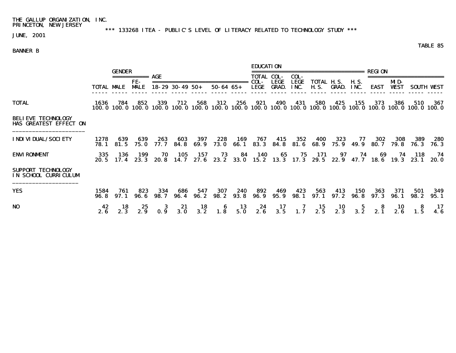\*\*\* 133268 ITEA - PUBLIC'S LEVEL OF LITERACY RELATED TO TECHNOLOGY STUDY \*\*\*

JUNE, 2001

#### BANNER B

 EDUCATION GENDER ================================== REGION =========== AGE TOTAL COL- COL- ======================= FE- ============================= COL- LEGE LEGE TOTAL H.S. H.S. MID- TOTAL MALE MALE 18-29 30-49 50+ 50-64 65+ LEGE GRAD. INC. H.S. GRAD. INC. EAST WEST SOUTH WEST ----- ----- ----- ----- ----- ----- ----- ----- ----- ----- ----- ----- ----- ----- ----- ----- ----- ----- TOTAL 1636 784 852 339 712 568 312 256 921 490 431 580 425 155 373 386 510 367 100.0 100.0 100.0 100.0 100.0 100.0 100.0 100.0 100.0 100.0 100.0 100.0 100.0 100.0 100.0 100.0 100.0 100.0 BELIEVE TECHNOLOGY HAS GREATEST EFFECT ON \_\_\_\_\_\_\_\_\_\_\_\_\_\_\_\_\_\_\_\_\_\_ INDIVIDUAL/SOCIETY 1278 639 639 263 603 397 228 169 767 415 352 400 323 77 302 308 389 280 78.1 81.5 75.0 77.7 84.8 69.9 73.0 66.1 83.3 84.8 81.6 68.9 75.9 49.9 80.7 79.8 76.3 76.3 ENVIRONMENT 335 136 199 70 105 157 73 84 140 65 75 171 97 74 69 74 118 74 20.5 17.4 23.3 20.8 14.7 27.6 23.2 33.0 15.2 13.3 17.3 29.5 22.9 47.7 18.6 19.3 23.1 20.0 SUPPORT TECHNOLOGY IN SCHOOL CURRICULUM \_\_\_\_\_\_\_\_\_\_\_\_\_\_\_\_\_\_\_\_

| <b>YES</b> | 1584 761 | 823 334 |  | 686 547 307 240 892 469 423 563 413 150 363 371 501 349<br>96.8 97.1 96.6 98.7 96.4 96.2 98.2 93.8 96.9 95.9 98.1 97.1 97.2 96.8 97.3 96.1 98.2 95.1 |  |  |  |  |  |
|------------|----------|---------|--|------------------------------------------------------------------------------------------------------------------------------------------------------|--|--|--|--|--|
| NO         |          |         |  | 42 18 25 3 21 18 6 13 24 17 7 15 10 5 8 10 8 17<br>2.6 2.3 2.9 0.9 3.0 3.2 1.8 5.0 2.6 3.5 1.7 2.5 2.3 3.2 2.1 2.6 1.5 4.6                           |  |  |  |  |  |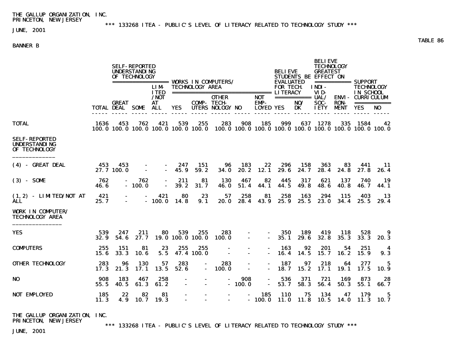\*\*\* 133268 ITEA - PUBLIC'S LEVEL OF LITERACY RELATED TO TECHNOLOGY STUDY \*\*\*

# JUNE, 2001

## BANNER B

|                                                                      |              |                   | <b>SELF-REPORTED</b><br><b>UNDERSTANDING</b><br>OF TECHNOLOGY |                           |                                                                                                                    |                   |                                                                                                  |                                                      |                          | <b>BELIEVE</b><br><b>EVALUATED</b> |              | <b>BELIEVE</b><br>TECHNOLOGY<br><b>GREATEST</b><br>STUDENTS BE EFFECT ON<br>============ SUPPORT |                     |                                |                                 |                    |
|----------------------------------------------------------------------|--------------|-------------------|---------------------------------------------------------------|---------------------------|--------------------------------------------------------------------------------------------------------------------|-------------------|--------------------------------------------------------------------------------------------------|------------------------------------------------------|--------------------------|------------------------------------|--------------|--------------------------------------------------------------------------------------------------|---------------------|--------------------------------|---------------------------------|--------------------|
|                                                                      |              |                   |                                                               | <b>LIM</b><br><b>ITED</b> | ================== WORKS IN COMPUTERS/<br><b>TECHNOLOGY AREA</b><br>===================================== LITERACY |                   |                                                                                                  |                                                      |                          | <b>FOR TECH</b>                    |              | INDI-<br>VID-                                                                                    |                     | <b>TECHNOLOGY</b><br>IN SCHOOL |                                 |                    |
|                                                                      |              |                   | <b>GREAT</b><br><b>TOTAL DEAL SOME</b>                        |                           | /NOT<br>AT.<br><b>ALL</b>                                                                                          | YES               |                                                                                                  | <b>OTHER</b><br><b>COMP-TECH-</b><br>UTERS NOLOGY NO |                          | NOT<br>EMP-<br><b>LOYED YES</b>    |              | ============ UAL/<br>NO/<br>DK                                                                   | SOC-<br><b>IETY</b> | <b>RON-</b><br><b>MENT</b>     | <b>ENVI - CURRICULUM</b><br>YES | ===========<br>NO. |
| <b>TOTAL</b>                                                         | 1636         | 453               | 762                                                           | 421                       | 539                                                                                                                | 255               | 283<br>100.0 100.0 100.0 100.0 100.0 100.0 100.0 100.0 100.0 100.0 100.0 100.0 100.0 100.0 100.0 | 908                                                  | 185                      | 999                                |              | 637 1278                                                                                         |                     | 335 1584                       | 42                              |                    |
| <b>SELF-REPORTED</b><br><b>UNDERSTANDING</b><br>OF TECHNOLOGY        |              |                   |                                                               |                           |                                                                                                                    |                   |                                                                                                  |                                                      |                          |                                    |              |                                                                                                  |                     |                                |                                 |                    |
| (4) - GREAT DEAL                                                     | 453          | 453<br>27.7 100.0 |                                                               | $\blacksquare$            | 247<br>45.9                                                                                                        | 151<br>59.2       | 96<br><b>34.0</b>                                                                                | 183<br>20.2                                          | 22<br>12. 1              | 296<br>29.6                        | 158<br>24. 7 | 363<br>28.4                                                                                      | 83<br>24.8          | 441<br>27.8                    | -11<br>26.4                     |                    |
| $(3) - S0ME$                                                         | 762<br>46. 6 |                   | 762<br>$-100.0$                                               | $\overline{\phantom{a}}$  | 211<br>39.2                                                                                                        | 81<br>31.7        | <b>130</b><br><b>46. O</b>                                                                       | 467<br>51.4                                          | 82<br>44.1               | 445<br>44.5                        | 317<br>49.8  | 621<br>48. 6                                                                                     | 137<br>40.8         | 740<br>46.7                    | 19<br>44. 1                     |                    |
| $(1, 2)$ - LIMTED/NOT AT<br>ALL.                                     | 421<br>25.7  |                   |                                                               | 421<br>$-100.0$           | 80<br>14.8                                                                                                         | 23<br>9.1         | 57<br>20. O                                                                                      | 258<br>28.4                                          | 81<br>43. 9              | 258<br>25.9                        | 163<br>25.5  | 294<br><b>23. O</b>                                                                              | 115                 | 403<br>$34.4$ 25.5             | 13<br>29.4                      |                    |
| <b>VORK IN COMPUTER/</b><br><b>TECHNOLOGY AREA</b>                   |              |                   |                                                               |                           |                                                                                                                    |                   |                                                                                                  |                                                      |                          |                                    |              |                                                                                                  |                     |                                |                                 |                    |
| <b>YES</b>                                                           | 539<br>32.9  | 247<br>54.6       | 211<br>27.7                                                   | 80                        | 539<br>19.0 100.0 100.0                                                                                            | 255               | 283<br>100. 0                                                                                    | $\sim$                                               | $\blacksquare$<br>$\sim$ | 350<br>35.1                        | 189<br>29.6  | 419<br>32.8                                                                                      | 118<br>35.3         | 528<br>33.3                    | 9<br><b>20.3</b>                |                    |
| <b>COMPUTERS</b>                                                     | 255<br>15.6  | 151<br>33.3       | 81<br>10.6                                                    | 23<br>5.5                 | 255                                                                                                                | 255<br>47.4 100.0 |                                                                                                  |                                                      | $\blacksquare$           | 163<br>16.4                        | 92<br>14.5   | 201<br>15.7                                                                                      | 54<br>16.2          | 251<br>15.9                    | 4<br>9.3                        |                    |
| <b>OTHER TECHNOLOGY</b>                                              | 283<br>17.3  | 96<br>21.3        | 130<br>17.1                                                   | 57<br>13.5                | 283<br>52.6                                                                                                        | $\blacksquare$    | 283<br><b>100.0</b>                                                                              | $\blacksquare$                                       | $\blacksquare$           | 187<br>18.7                        | 97<br>15.2   | 218<br>17.1                                                                                      | 64<br>19. 1         | 277<br>17.5                    | 5<br>10. 9                      |                    |
| N <sub>0</sub>                                                       | 908<br>55.5  | 183<br>40.5       | 467<br>61.3                                                   | 258<br>61.2               |                                                                                                                    |                   | $\blacksquare$                                                                                   | 908<br>$-100.0$                                      | $\blacksquare$           | 536<br>53.7                        | 371<br>58.3  | 721<br>56.4                                                                                      | 169<br>50.3         | 873<br>55.1                    | 28<br>66.7                      |                    |
| <b>NOT EMPLOYED</b>                                                  | 185<br>11.3  | 22<br>4.9         | 82<br>10. 7                                                   | 81<br>19.3                |                                                                                                                    |                   |                                                                                                  |                                                      | 185<br>$-100.0$          | <b>110</b><br><b>11.0</b>          | 75<br>11.8   | 134<br><b>10.5</b>                                                                               | 47<br>14. 0         | 179<br>11.3                    | 5<br>10. 7                      |                    |
| <b>THE GALLUP ORGANIZATION. INC.</b><br><b>PRINCETON. NEW JERSEY</b> |              |                   |                                                               |                           |                                                                                                                    |                   | *** 133268 ITEA - PUBLIC'S LEVEL OF LITERACY RELATED TO TECHNOLOGY STUDY ***                     |                                                      |                          |                                    |              |                                                                                                  |                     |                                |                                 |                    |

JUNE, 2001